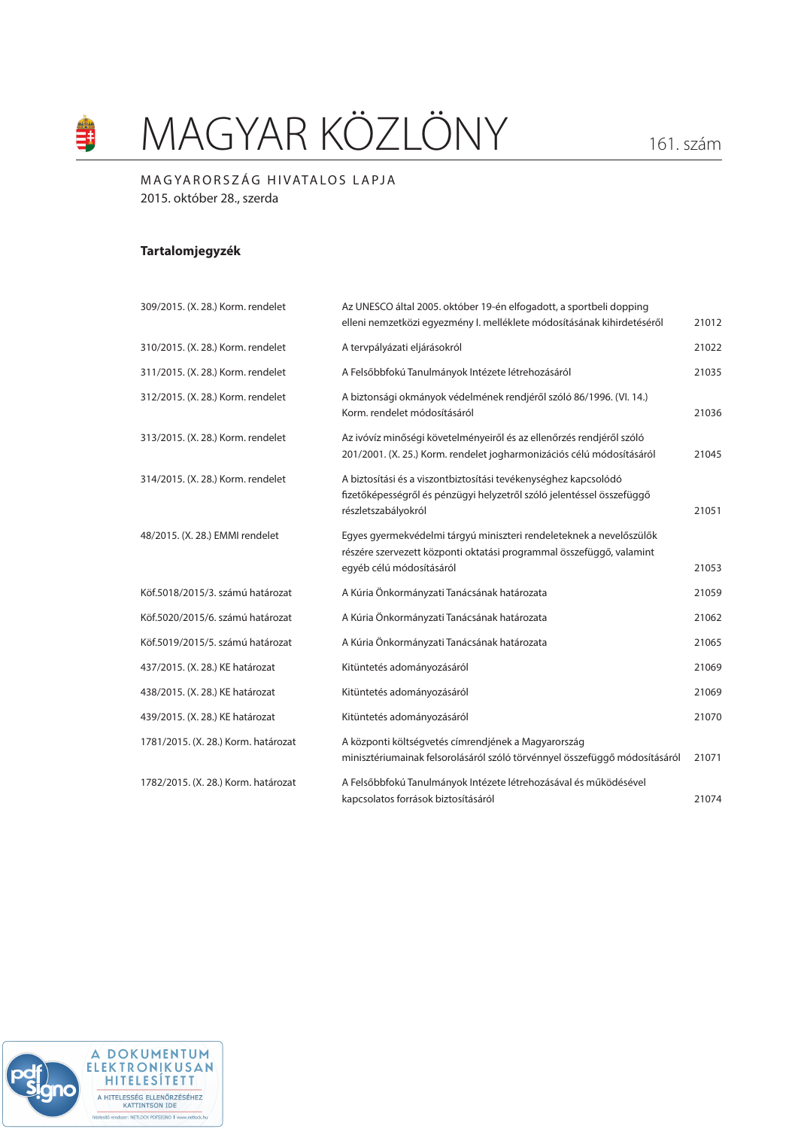# MAGYAR KÖZLÖNY 161. szám

# MAGYARORSZÁG HIVATALOS LAPJA 2015. október 28., szerda

# **Tartalomjegyzék**

an<br>S

| 309/2015. (X. 28.) Korm. rendelet   | Az UNESCO által 2005. október 19-én elfogadott, a sportbeli dopping<br>elleni nemzetközi egyezmény I. melléklete módosításának kihirdetéséről                           | 21012 |
|-------------------------------------|-------------------------------------------------------------------------------------------------------------------------------------------------------------------------|-------|
| 310/2015. (X. 28.) Korm. rendelet   | A tervpályázati eljárásokról                                                                                                                                            | 21022 |
| 311/2015. (X. 28.) Korm. rendelet   | A Felsőbbfokú Tanulmányok Intézete létrehozásáról                                                                                                                       | 21035 |
| 312/2015. (X. 28.) Korm. rendelet   | A biztonsági okmányok védelmének rendjéről szóló 86/1996. (Vl. 14.)<br>Korm, rendelet módosításáról                                                                     | 21036 |
| 313/2015. (X. 28.) Korm. rendelet   | Az ivóvíz minőségi követelményeiről és az ellenőrzés rendjéről szóló<br>201/2001. (X. 25.) Korm. rendelet jogharmonizációs célú módosításáról                           | 21045 |
| 314/2015. (X. 28.) Korm. rendelet   | A biztosítási és a viszontbiztosítási tevékenységhez kapcsolódó<br>fizetőképességről és pénzügyi helyzetről szóló jelentéssel összefüggő<br>részletszabályokról         | 21051 |
| 48/2015. (X. 28.) EMMI rendelet     | Egyes gyermekvédelmi tárgyú miniszteri rendeleteknek a nevelőszülők<br>részére szervezett központi oktatási programmal összefüggő, valamint<br>egyéb célú módosításáról | 21053 |
| Köf.5018/2015/3. számú határozat    | A Kúria Önkormányzati Tanácsának határozata                                                                                                                             | 21059 |
| Köf.5020/2015/6. számú határozat    | A Kúria Önkormányzati Tanácsának határozata                                                                                                                             | 21062 |
| Köf.5019/2015/5, számú határozat    | A Kúria Önkormányzati Tanácsának határozata                                                                                                                             | 21065 |
| 437/2015. (X. 28.) KE határozat     | Kitüntetés adományozásáról                                                                                                                                              | 21069 |
| 438/2015. (X. 28.) KE határozat     | Kitüntetés adományozásáról                                                                                                                                              | 21069 |
| 439/2015. (X. 28.) KE határozat     | Kitüntetés adományozásáról                                                                                                                                              | 21070 |
| 1781/2015. (X. 28.) Korm. határozat | A központi költségvetés címrendjének a Magyarország<br>minisztériumainak felsorolásáról szóló törvénnyel összefüggő módosításáról                                       | 21071 |
| 1782/2015. (X. 28.) Korm. határozat | A Felsőbbfokú Tanulmányok Intézete létrehozásával és működésével<br>kapcsolatos források biztosításáról                                                                 | 21074 |

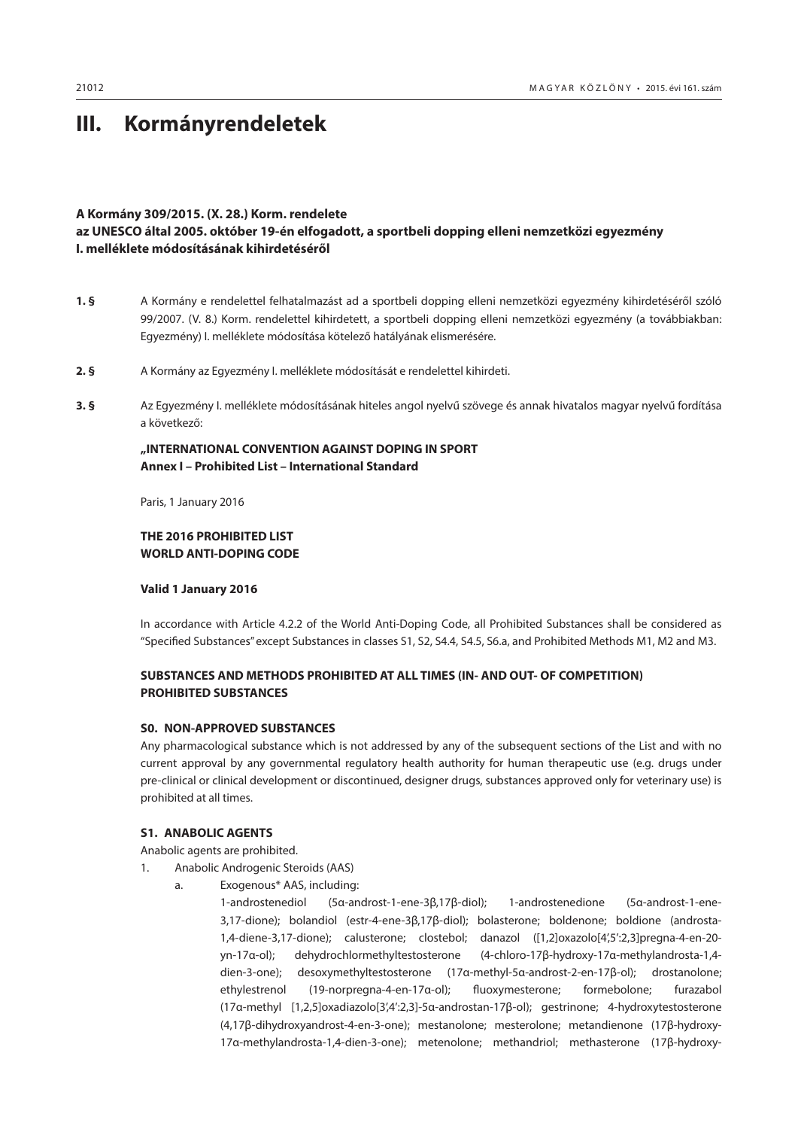# <span id="page-1-0"></span>**III. Kormányrendeletek**

# **A Kormány 309/2015. (X. 28.) Korm. rendelete**

# **az UNESCO által 2005. október 19-én elfogadott, a sportbeli dopping elleni nemzetközi egyezmény I. melléklete módosításának kihirdetéséről**

- **1. §** A Kormány e rendelettel felhatalmazást ad a sportbeli dopping elleni nemzetközi egyezmény kihirdetéséről szóló 99/2007. (V. 8.) Korm. rendelettel kihirdetett, a sportbeli dopping elleni nemzetközi egyezmény (a továbbiakban: Egyezmény) I. melléklete módosítása kötelező hatályának elismerésére.
- **2. §** A Kormány az Egyezmény I. melléklete módosítását e rendelettel kihirdeti.
- **3. §** Az Egyezmény I. melléklete módosításának hiteles angol nyelvű szövege és annak hivatalos magyar nyelvű fordítása a következő:

# **"INTERNATIONAL CONVENTION AGAINST DOPING IN SPORT Annex I – Prohibited List – International Standard**

Paris, 1 January 2016

# **THE 2016 PROHIBITED LIST WORLD ANTI-DOPING CODE**

**Valid 1 January 2016**

In accordance with Article 4.2.2 of the World Anti-Doping Code, all Prohibited Substances shall be considered as "Specified Substances" except Substances in classes S1, S2, S4.4, S4.5, S6.a, and Prohibited Methods M1, M2 and M3.

# **SUBSTANCES AND METHODS PROHIBITED AT ALL TIMES (IN- AND OUT- OF COMPETITION) PROHIBITED SUBSTANCES**

# **S0. NON-APPROVED SUBSTANCES**

Any pharmacological substance which is not addressed by any of the subsequent sections of the List and with no current approval by any governmental regulatory health authority for human therapeutic use (e.g. drugs under pre-clinical or clinical development or discontinued, designer drugs, substances approved only for veterinary use) is prohibited at all times.

# **S1. ANABOLIC AGENTS**

Anabolic agents are prohibited.

- 1. Anabolic Androgenic Steroids (AAS)
	- a. Exogenous\* AAS, including:

1-androstenediol (5α-androst-1-ene-3β,17β-diol); 1-androstenedione (5α-androst-1-ene-3,17-dione); bolandiol (estr-4-ene-3β,17β-diol); bolasterone; boldenone; boldione (androsta-1,4-diene-3,17-dione); calusterone; clostebol; danazol ([1,2]oxazolo[4',5':2,3]pregna-4-en-20 yn-17α-ol); dehydrochlormethyltestosterone (4-chloro-17β-hydroxy-17α-methylandrosta-1,4 dien-3-one); desoxymethyltestosterone (17α-methyl-5α-androst-2-en-17β-ol); drostanolone; ethylestrenol (19-norpregna-4-en-17α-ol); fluoxymesterone; formebolone; furazabol (17α-methyl [1,2,5]oxadiazolo[3',4':2,3]-5α-androstan-17β-ol); gestrinone; 4-hydroxytestosterone (4,17β-dihydroxyandrost-4-en-3-one); mestanolone; mesterolone; metandienone (17β-hydroxy-17α-methylandrosta-1,4-dien-3-one); metenolone; methandriol; methasterone (17β-hydroxy-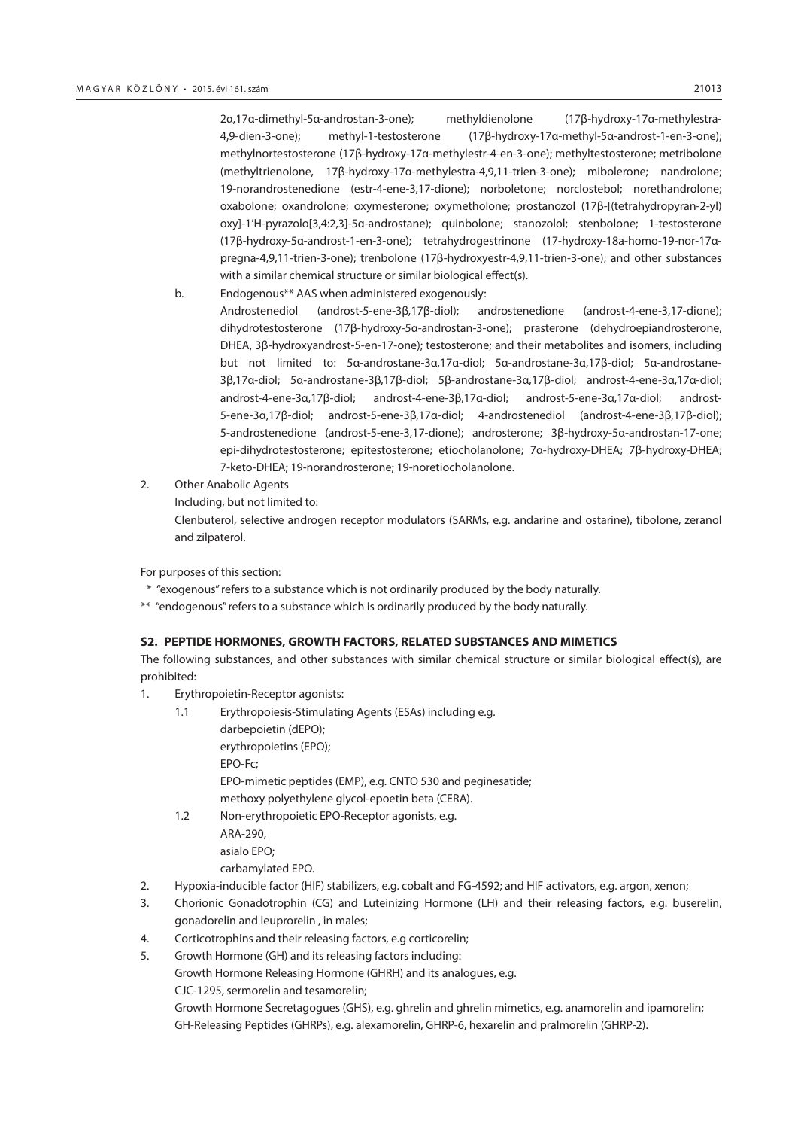2α,17α-dimethyl-5α-androstan-3-one); methyldienolone (17β-hydroxy-17α-methylestra-4,9-dien-3-one); methyl-1-testosterone (17β-hydroxy-17α-methyl-5α-androst-1-en-3-one); methylnortestosterone (17β-hydroxy-17α-methylestr-4-en-3-one); methyltestosterone; metribolone (methyltrienolone, 17β-hydroxy-17α-methylestra-4,9,11-trien-3-one); mibolerone; nandrolone; 19-norandrostenedione (estr-4-ene-3,17-dione); norboletone; norclostebol; norethandrolone; oxabolone; oxandrolone; oxymesterone; oxymetholone; prostanozol (17β-[(tetrahydropyran-2-yl) oxy]-1'H-pyrazolo[3,4:2,3]-5α-androstane); quinbolone; stanozolol; stenbolone; 1-testosterone (17β-hydroxy-5α-androst-1-en-3-one); tetrahydrogestrinone (17-hydroxy-18a-homo-19-nor-17αpregna-4,9,11-trien-3-one); trenbolone (17β-hydroxyestr-4,9,11-trien-3-one); and other substances with a similar chemical structure or similar biological effect(s).

- b. Endogenous\*\* AAS when administered exogenously: Androstenediol (androst-5-ene-3β,17β-diol); androstenedione (androst-4-ene-3,17-dione); dihydrotestosterone (17β-hydroxy-5α-androstan-3-one); prasterone (dehydroepiandrosterone, DHEA, 3β-hydroxyandrost-5-en-17-one); testosterone; and their metabolites and isomers, including but not limited to: 5α-androstane-3α,17α-diol; 5α-androstane-3α,17β-diol; 5α-androstane-3β,17α-diol; 5α-androstane-3β,17β-diol; 5β-androstane-3α,17β-diol; androst-4-ene-3α,17α-diol; androst-4-ene-3α,17β-diol; androst-4-ene-3β,17α-diol; androst-5-ene-3α,17α-diol; androst-5-ene-3α,17β-diol; androst-5-ene-3β,17α-diol; 4-androstenediol (androst-4-ene-3β,17β-diol); 5-androstenedione (androst-5-ene-3,17-dione); androsterone; 3β-hydroxy-5α-androstan-17-one; epi-dihydrotestosterone; epitestosterone; etiocholanolone; 7α-hydroxy-DHEA; 7β-hydroxy-DHEA; 7-keto-DHEA; 19-norandrosterone; 19-noretiocholanolone.
- 2. Other Anabolic Agents
	- Including, but not limited to:

Clenbuterol, selective androgen receptor modulators (SARMs, e.g. andarine and ostarine), tibolone, zeranol and zilpaterol.

For purposes of this section:

- \* "exogenous" refers to a substance which is not ordinarily produced by the body naturally.
- \*\* "endogenous" refers to a substance which is ordinarily produced by the body naturally.

#### **S2. PEPTIDE HORMONES, GROWTH FACTORS, RELATED SUBSTANCES AND MIMETICS**

The following substances, and other substances with similar chemical structure or similar biological effect(s), are prohibited:

- 1. Erythropoietin-Receptor agonists:
	- 1.1 Erythropoiesis-Stimulating Agents (ESAs) including e.g. darbepoietin (dEPO); erythropoietins (EPO); EPO-Fc; EPO-mimetic peptides (EMP), e.g. CNTO 530 and peginesatide; methoxy polyethylene glycol-epoetin beta (CERA). 1.2 Non-erythropoietic EPO-Receptor agonists, e.g. ARA-290,
		- asialo EPO;
		- carbamylated EPO.
- 2. Hypoxia-inducible factor (HIF) stabilizers, e.g. cobalt and FG-4592; and HIF activators, e.g. argon, xenon;
- 3. Chorionic Gonadotrophin (CG) and Luteinizing Hormone (LH) and their releasing factors, e.g. buserelin, gonadorelin and leuprorelin , in males;
- 4. Corticotrophins and their releasing factors, e.g corticorelin;
- 5. Growth Hormone (GH) and its releasing factors including:

Growth Hormone Releasing Hormone (GHRH) and its analogues, e.g.

CJC-1295, sermorelin and tesamorelin;

Growth Hormone Secretagogues (GHS), e.g. ghrelin and ghrelin mimetics, e.g. anamorelin and ipamorelin; GH-Releasing Peptides (GHRPs), e.g. alexamorelin, GHRP-6, hexarelin and pralmorelin (GHRP-2).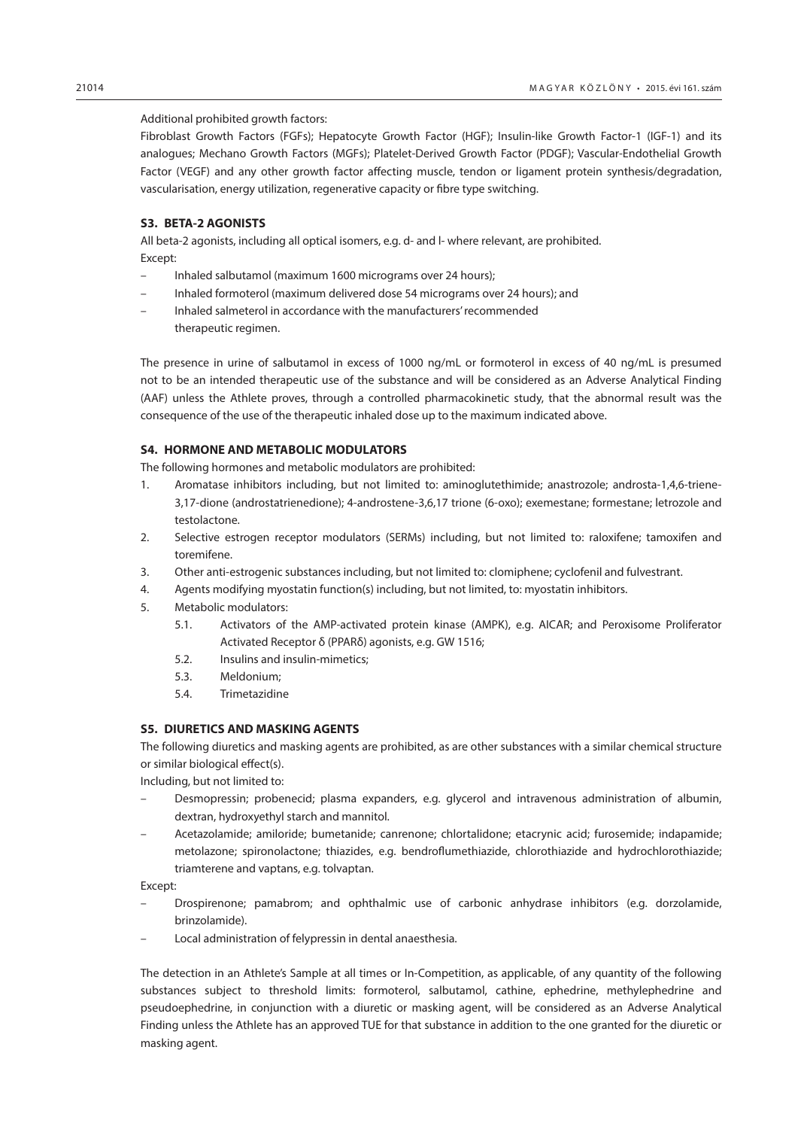#### Additional prohibited growth factors:

Fibroblast Growth Factors (FGFs); Hepatocyte Growth Factor (HGF); Insulin-like Growth Factor-1 (IGF-1) and its analogues; Mechano Growth Factors (MGFs); Platelet-Derived Growth Factor (PDGF); Vascular-Endothelial Growth Factor (VEGF) and any other growth factor affecting muscle, tendon or ligament protein synthesis/degradation, vascularisation, energy utilization, regenerative capacity or fibre type switching.

#### **S3. BETA-2 AGONISTS**

All beta-2 agonists, including all optical isomers, e.g. d- and l- where relevant, are prohibited. Except:

- Inhaled salbutamol (maximum 1600 micrograms over 24 hours);
- Inhaled formoterol (maximum delivered dose 54 micrograms over 24 hours); and
- Inhaled salmeterol in accordance with the manufacturers' recommended therapeutic regimen.

The presence in urine of salbutamol in excess of 1000 ng/mL or formoterol in excess of 40 ng/mL is presumed not to be an intended therapeutic use of the substance and will be considered as an Adverse Analytical Finding (AAF) unless the Athlete proves, through a controlled pharmacokinetic study, that the abnormal result was the consequence of the use of the therapeutic inhaled dose up to the maximum indicated above.

#### **S4. HORMONE AND METABOLIC MODULATORS**

The following hormones and metabolic modulators are prohibited:

- 1. Aromatase inhibitors including, but not limited to: aminoglutethimide; anastrozole; androsta-1,4,6-triene-3,17-dione (androstatrienedione); 4-androstene-3,6,17 trione (6-oxo); exemestane; formestane; letrozole and testolactone.
- 2. Selective estrogen receptor modulators (SERMs) including, but not limited to: raloxifene; tamoxifen and toremifene.
- 3. Other anti-estrogenic substances including, but not limited to: clomiphene; cyclofenil and fulvestrant.
- 4. Agents modifying myostatin function(s) including, but not limited, to: myostatin inhibitors.
- 5. Metabolic modulators:
	- 5.1. Activators of the AMP-activated protein kinase (AMPK), e.g. AICAR; and Peroxisome Proliferator Activated Receptor δ (PPARδ) agonists, e.g. GW 1516;
	- 5.2. Insulins and insulin-mimetics;
	- 5.3. Meldonium;
	- 5.4. Trimetazidine

#### **S5. DIURETICS AND MASKING AGENTS**

The following diuretics and masking agents are prohibited, as are other substances with a similar chemical structure or similar biological effect(s).

Including, but not limited to:

- Desmopressin; probenecid; plasma expanders, e.g. glycerol and intravenous administration of albumin, dextran, hydroxyethyl starch and mannitol.
- Acetazolamide; amiloride; bumetanide; canrenone; chlortalidone; etacrynic acid; furosemide; indapamide; metolazone; spironolactone; thiazides, e.g. bendroflumethiazide, chlorothiazide and hydrochlorothiazide; triamterene and vaptans, e.g. tolvaptan.

Except:

- Drospirenone; pamabrom; and ophthalmic use of carbonic anhydrase inhibitors (e.g. dorzolamide, brinzolamide).
- Local administration of felypressin in dental anaesthesia.

The detection in an Athlete's Sample at all times or In-Competition, as applicable, of any quantity of the following substances subject to threshold limits: formoterol, salbutamol, cathine, ephedrine, methylephedrine and pseudoephedrine, in conjunction with a diuretic or masking agent, will be considered as an Adverse Analytical Finding unless the Athlete has an approved TUE for that substance in addition to the one granted for the diuretic or masking agent.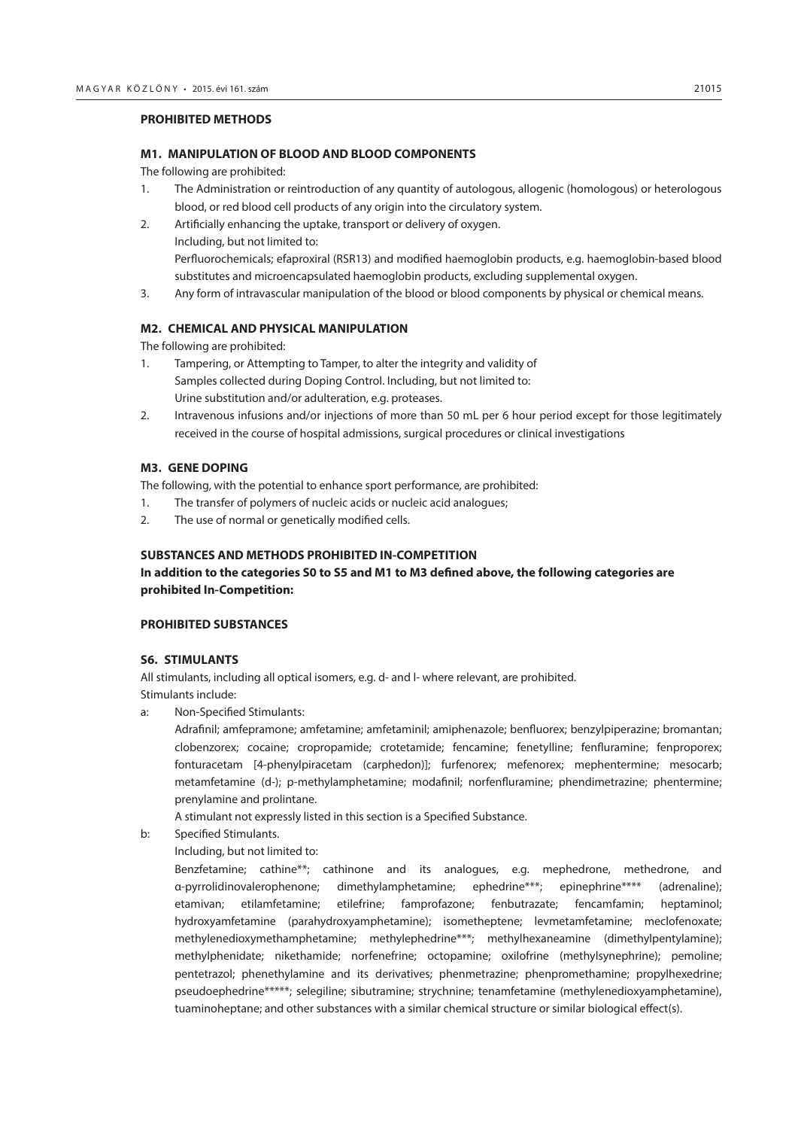#### **PROHIBITED METHODS**

#### **M1. MANIPULATION OF BLOOD AND BLOOD COMPONENTS**

The following are prohibited:

- 1. The Administration or reintroduction of any quantity of autologous, allogenic (homologous) or heterologous blood, or red blood cell products of any origin into the circulatory system.
- 2. Artificially enhancing the uptake, transport or delivery of oxygen. Including, but not limited to: Perfluorochemicals; efaproxiral (RSR13) and modified haemoglobin products, e.g. haemoglobin-based blood substitutes and microencapsulated haemoglobin products, excluding supplemental oxygen.
- 3. Any form of intravascular manipulation of the blood or blood components by physical or chemical means.

### **M2. CHEMICAL AND PHYSICAL MANIPULATION**

The following are prohibited:

- 1. Tampering, or Attempting to Tamper, to alter the integrity and validity of Samples collected during Doping Control. Including, but not limited to: Urine substitution and/or adulteration, e.g. proteases.
- 2. Intravenous infusions and/or injections of more than 50 mL per 6 hour period except for those legitimately received in the course of hospital admissions, surgical procedures or clinical investigations

### **M3. GENE DOPING**

The following, with the potential to enhance sport performance, are prohibited:

- 1. The transfer of polymers of nucleic acids or nucleic acid analogues;
- 2. The use of normal or genetically modified cells.

#### **SUBSTANCES AND METHODS PROHIBITED IN-COMPETITION**

## **In addition to the categories S0 to S5 and M1 to M3 defined above, the following categories are prohibited In-Competition:**

#### **PROHIBITED SUBSTANCES**

#### **S6. STIMULANTS**

All stimulants, including all optical isomers, e.g. d- and l- where relevant, are prohibited. Stimulants include:

a: Non-Specified Stimulants:

Adrafinil; amfepramone; amfetamine; amfetaminil; amiphenazole; benfluorex; benzylpiperazine; bromantan; clobenzorex; cocaine; cropropamide; crotetamide; fencamine; fenetylline; fenfluramine; fenproporex; fonturacetam [4-phenylpiracetam (carphedon)]; furfenorex; mefenorex; mephentermine; mesocarb; metamfetamine (d-); p-methylamphetamine; modafinil; norfenfluramine; phendimetrazine; phentermine; prenylamine and prolintane.

A stimulant not expressly listed in this section is a Specified Substance.

- b: Specified Stimulants.
	- Including, but not limited to:

Benzfetamine; cathine\*\*; cathinone and its analogues, e.g. mephedrone, methedrone, and α-pyrrolidinovalerophenone; dimethylamphetamine; ephedrine\*\*\*; epinephrine\*\*\*\* (adrenaline); etamivan; etilamfetamine; etilefrine; famprofazone; fenbutrazate; fencamfamin; heptaminol; hydroxyamfetamine (parahydroxyamphetamine); isometheptene; levmetamfetamine; meclofenoxate; methylenedioxymethamphetamine; methylephedrine\*\*\*; methylhexaneamine (dimethylpentylamine); methylphenidate; nikethamide; norfenefrine; octopamine; oxilofrine (methylsynephrine); pemoline; pentetrazol; phenethylamine and its derivatives; phenmetrazine; phenpromethamine; propylhexedrine; pseudoephedrine\*\*\*\*\*; selegiline; sibutramine; strychnine; tenamfetamine (methylenedioxyamphetamine), tuaminoheptane; and other substances with a similar chemical structure or similar biological effect(s).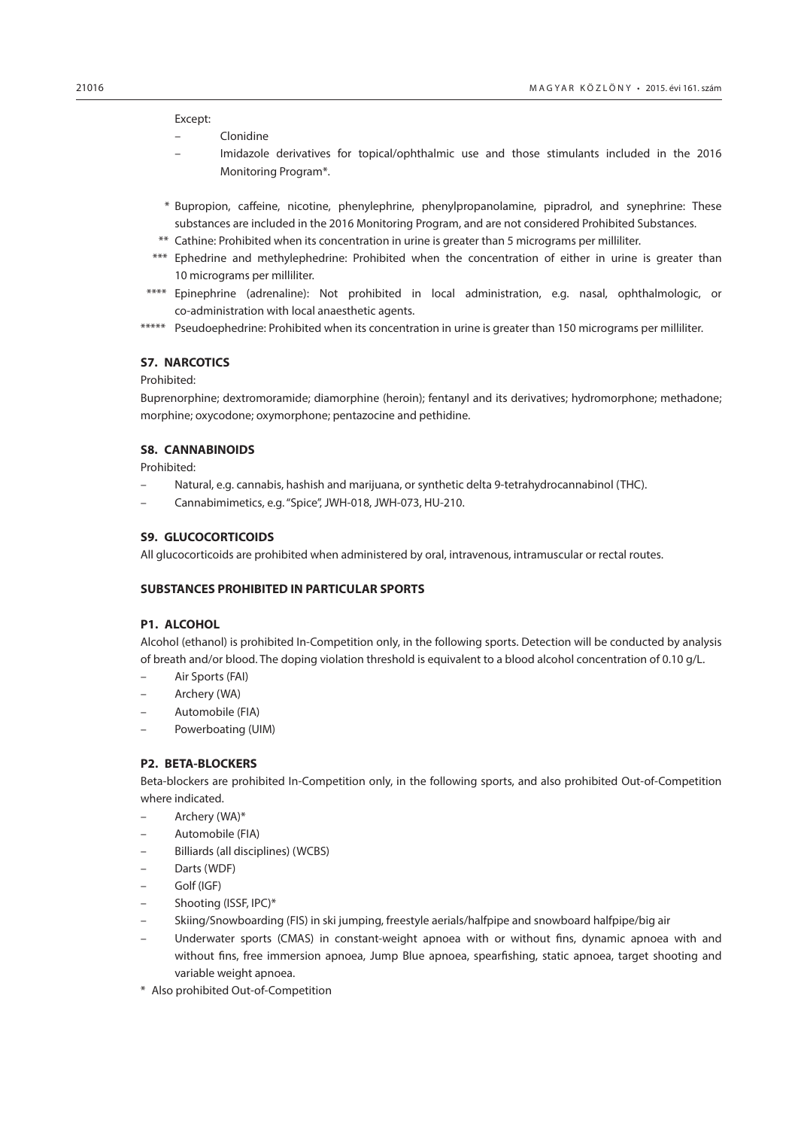#### Except:

- Clonidine
- Imidazole derivatives for topical/ophthalmic use and those stimulants included in the 2016 Monitoring Program\*.
- \* Bupropion, caffeine, nicotine, phenylephrine, phenylpropanolamine, pipradrol, and synephrine: These substances are included in the 2016 Monitoring Program, and are not considered Prohibited Substances.
- \*\* Cathine: Prohibited when its concentration in urine is greater than 5 micrograms per milliliter.
- \*\*\* Ephedrine and methylephedrine: Prohibited when the concentration of either in urine is greater than 10 micrograms per milliliter.
- \*\*\*\* Epinephrine (adrenaline): Not prohibited in local administration, e.g. nasal, ophthalmologic, or co-administration with local anaesthetic agents.
- \*\*\*\*\* Pseudoephedrine: Prohibited when its concentration in urine is greater than 150 micrograms per milliliter.

### **S7. NARCOTICS**

#### Prohibited:

Buprenorphine; dextromoramide; diamorphine (heroin); fentanyl and its derivatives; hydromorphone; methadone; morphine; oxycodone; oxymorphone; pentazocine and pethidine.

# **S8. CANNABINOIDS**

Prohibited:

- Natural, e.g. cannabis, hashish and marijuana, or synthetic delta 9-tetrahydrocannabinol (THC).
- Cannabimimetics, e.g. "Spice", JWH-018, JWH-073, HU-210.

#### **S9. GLUCOCORTICOIDS**

All glucocorticoids are prohibited when administered by oral, intravenous, intramuscular or rectal routes.

#### **SUBSTANCES PROHIBITED IN PARTICULAR SPORTS**

#### **P1. ALCOHOL**

Alcohol (ethanol) is prohibited In-Competition only, in the following sports. Detection will be conducted by analysis of breath and/or blood. The doping violation threshold is equivalent to a blood alcohol concentration of 0.10 g/L.

- Air Sports (FAI)
- Archery (WA)
- Automobile (FIA)
- Powerboating (UIM)

#### **P2. BETA-BLOCKERS**

Beta-blockers are prohibited In-Competition only, in the following sports, and also prohibited Out-of-Competition where indicated.

- Archery (WA)\*
- Automobile (FIA)
- Billiards (all disciplines) (WCBS)
- Darts (WDF)
- Golf (IGF)
- Shooting (ISSF, IPC)\*
- Skiing/Snowboarding (FIS) in ski jumping, freestyle aerials/halfpipe and snowboard halfpipe/big air
- Underwater sports (CMAS) in constant-weight apnoea with or without fins, dynamic apnoea with and without fins, free immersion apnoea, Jump Blue apnoea, spearfishing, static apnoea, target shooting and variable weight apnoea.
- \* Also prohibited Out-of-Competition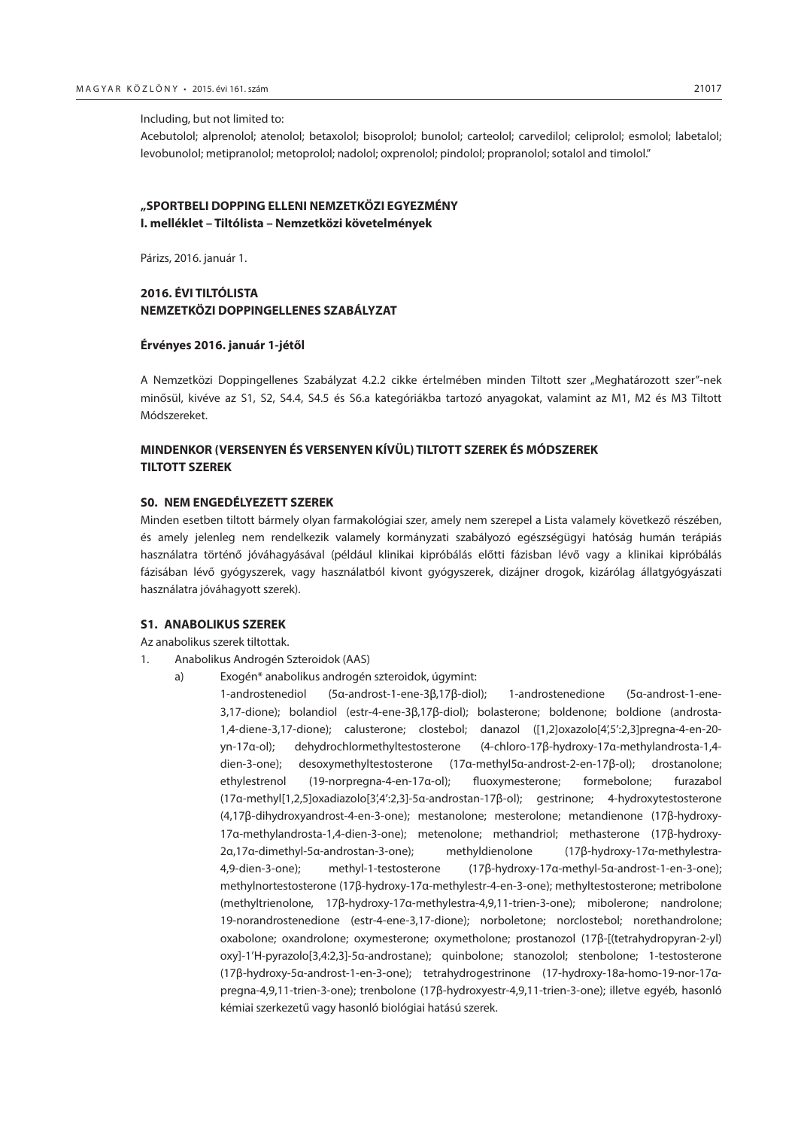Acebutolol; alprenolol; atenolol; betaxolol; bisoprolol; bunolol; carteolol; carvedilol; celiprolol; esmolol; labetalol; levobunolol; metipranolol; metoprolol; nadolol; oxprenolol; pindolol; propranolol; sotalol and timolol."

# **"SPORTBELI DOPPING ELLENI NEMZETKÖZI EGYEZMÉNY I. melléklet – Tiltólista – Nemzetközi követelmények**

Párizs, 2016. január 1.

## **2016. ÉVI TILTÓLISTA NEMZETKÖZI DOPPINGELLENES SZABÁLYZAT**

#### **Érvényes 2016. január 1-jétől**

A Nemzetközi Doppingellenes Szabályzat 4.2.2 cikke értelmében minden Tiltott szer "Meghatározott szer"-nek minősül, kivéve az S1, S2, S4.4, S4.5 és S6.a kategóriákba tartozó anyagokat, valamint az M1, M2 és M3 Tiltott Módszereket.

# **MINDENKOR (VERSENYEN ÉS VERSENYEN KÍVÜL) TILTOTT SZEREK ÉS MÓDSZEREK TILTOTT SZEREK**

#### **S0. NEM ENGEDÉLYEZETT SZEREK**

Minden esetben tiltott bármely olyan farmakológiai szer, amely nem szerepel a Lista valamely következő részében, és amely jelenleg nem rendelkezik valamely kormányzati szabályozó egészségügyi hatóság humán terápiás használatra történő jóváhagyásával (például klinikai kipróbálás előtti fázisban lévő vagy a klinikai kipróbálás fázisában lévő gyógyszerek, vagy használatból kivont gyógyszerek, dizájner drogok, kizárólag állatgyógyászati használatra jóváhagyott szerek).

#### **S1. ANABOLIKUS SZEREK**

Az anabolikus szerek tiltottak.

- 1. Anabolikus Androgén Szteroidok (AAS)
	- a) Exogén\* anabolikus androgén szteroidok, úgymint:
		- 1-androstenediol (5α-androst-1-ene-3β,17β-diol); 1-androstenedione (5α-androst-1-ene-3,17-dione); bolandiol (estr-4-ene-3β,17β-diol); bolasterone; boldenone; boldione (androsta-1,4-diene-3,17-dione); calusterone; clostebol; danazol ([1,2]oxazolo[4',5':2,3]pregna-4-en-20 yn-17α-ol); dehydrochlormethyltestosterone (4-chloro-17β-hydroxy-17α-methylandrosta-1,4 dien-3-one); desoxymethyltestosterone (17α-methyl5α-androst-2-en-17β-ol); drostanolone; ethylestrenol (19-norpregna-4-en-17α-ol); fluoxymesterone; formebolone; furazabol (17α-methyl[1,2,5]oxadiazolo[3',4':2,3]-5α-androstan-17β-ol); gestrinone; 4-hydroxytestosterone (4,17β-dihydroxyandrost-4-en-3-one); mestanolone; mesterolone; metandienone (17β-hydroxy-17α-methylandrosta-1,4-dien-3-one); metenolone; methandriol; methasterone (17β-hydroxy-2α,17α-dimethyl-5α-androstan-3-one); methyldienolone (17β-hydroxy-17α-methylestra-4,9-dien-3-one); methyl-1-testosterone (17β-hydroxy-17α-methyl-5α-androst-1-en-3-one); methylnortestosterone (17β-hydroxy-17α-methylestr-4-en-3-one); methyltestosterone; metribolone (methyltrienolone, 17β-hydroxy-17α-methylestra-4,9,11-trien-3-one); mibolerone; nandrolone; 19-norandrostenedione (estr-4-ene-3,17-dione); norboletone; norclostebol; norethandrolone; oxabolone; oxandrolone; oxymesterone; oxymetholone; prostanozol (17β-[(tetrahydropyran-2-yl) oxy]-1'H-pyrazolo[3,4:2,3]-5α-androstane); quinbolone; stanozolol; stenbolone; 1-testosterone (17β-hydroxy-5α-androst-1-en-3-one); tetrahydrogestrinone (17-hydroxy-18a-homo-19-nor-17αpregna-4,9,11-trien-3-one); trenbolone (17β-hydroxyestr-4,9,11-trien-3-one); illetve egyéb, hasonló kémiai szerkezetű vagy hasonló biológiai hatású szerek.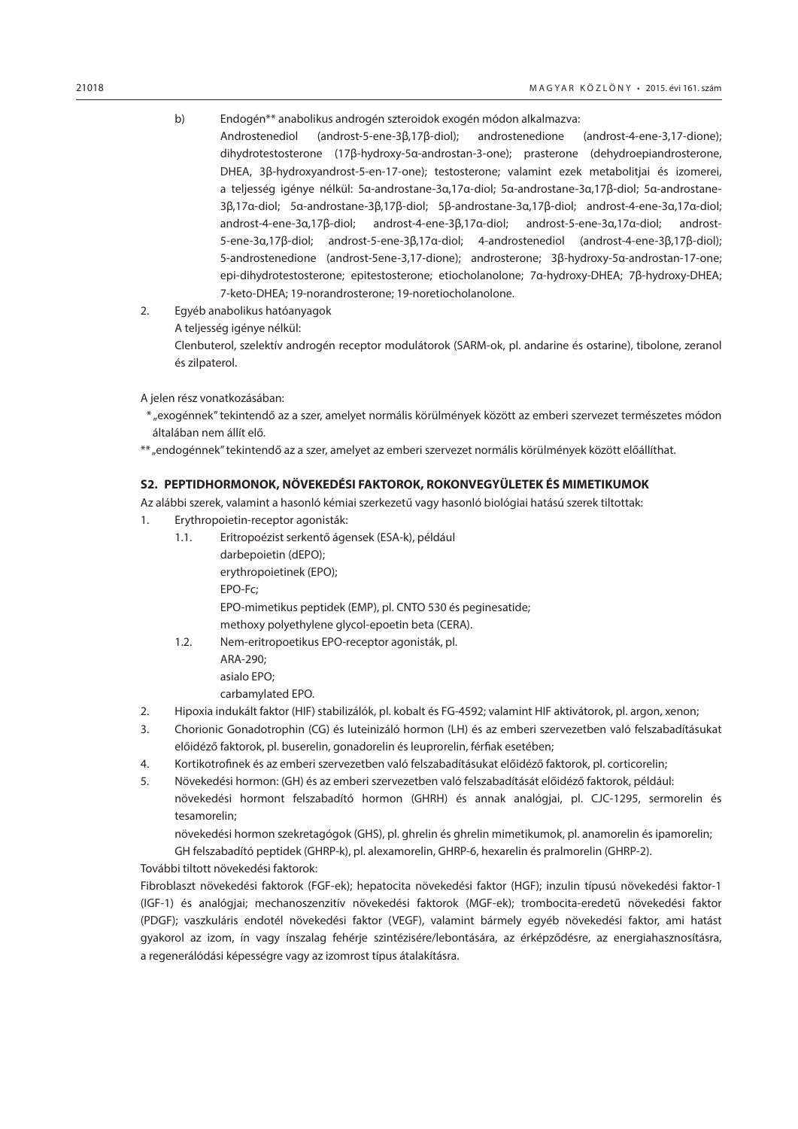b) Endogén\*\* anabolikus androgén szteroidok exogén módon alkalmazva:

Androstenediol (androst-5-ene-3β,17β-diol); androstenedione (androst-4-ene-3,17-dione); dihydrotestosterone (17β-hydroxy-5α-androstan-3-one); prasterone (dehydroepiandrosterone, DHEA, 3β-hydroxyandrost-5-en-17-one); testosterone; valamint ezek metabolitjai és izomerei, a teljesség igénye nélkül: 5α-androstane-3α,17α-diol; 5α-androstane-3α,17β-diol; 5α-androstane-3β,17α-diol; 5α-androstane-3β,17β-diol; 5β-androstane-3α,17β-diol; androst-4-ene-3α,17α-diol; androst-4-ene-3α,17β-diol; androst-4-ene-3β,17α-diol; androst-5-ene-3α,17α-diol; androst-5-ene-3α,17β-diol; androst-5-ene-3β,17α-diol; 4-androstenediol (androst-4-ene-3β,17β-diol); 5-androstenedione (androst-5ene-3,17-dione); androsterone; 3β-hydroxy-5α-androstan-17-one; epi-dihydrotestosterone; epitestosterone; etiocholanolone; 7α-hydroxy-DHEA; 7β-hydroxy-DHEA; 7-keto-DHEA; 19-norandrosterone; 19-noretiocholanolone.

- 2. Egyéb anabolikus hatóanyagok
	- A teljesség igénye nélkül:

Clenbuterol, szelektív androgén receptor modulátorok (SARM-ok, pl. andarine és ostarine), tibolone, zeranol és zilpaterol.

A jelen rész vonatkozásában:

- \* "exogénnek" tekintendő az a szer, amelyet normális körülmények között az emberi szervezet természetes módon általában nem állít elő.
- \*\* "endogénnek" tekintendő az a szer, amelyet az emberi szervezet normális körülmények között előállíthat.

#### **S2. PEPTIDHORMONOK, NÖVEKEDÉSI FAKTOROK, ROKONVEGYÜLETEK ÉS MIMETIKUMOK**

Az alábbi szerek, valamint a hasonló kémiai szerkezetű vagy hasonló biológiai hatású szerek tiltottak:

- 1. Erythropoietin-receptor agonisták:
	- 1.1. Eritropoézist serkentő ágensek (ESA-k), például darbepoietin (dEPO); erythropoietinek (EPO); EPO-Fc; EPO-mimetikus peptidek (EMP), pl. CNTO 530 és peginesatide; methoxy polyethylene glycol-epoetin beta (CERA). 1.2. Nem-eritropoetikus EPO-receptor agonisták, pl.
	- ARA-290; asialo EPO; carbamylated EPO.
- 2. Hipoxia indukált faktor (HIF) stabilizálók, pl. kobalt és FG-4592; valamint HIF aktivátorok, pl. argon, xenon;
- 3. Chorionic Gonadotrophin (CG) és luteinizáló hormon (LH) és az emberi szervezetben való felszabadításukat előidéző faktorok, pl. buserelin, gonadorelin és leuprorelin, férfiak esetében;
- 4. Kortikotrofinek és az emberi szervezetben való felszabadításukat előidéző faktorok, pl. corticorelin;
- 5. Növekedési hormon: (GH) és az emberi szervezetben való felszabadítását előidéző faktorok, például: növekedési hormont felszabadító hormon (GHRH) és annak analógjai, pl. CJC-1295, sermorelin és tesamorelin;

növekedési hormon szekretagógok (GHS), pl. ghrelin és ghrelin mimetikumok, pl. anamorelin és ipamorelin; GH felszabadító peptidek (GHRP-k), pl. alexamorelin, GHRP-6, hexarelin és pralmorelin (GHRP-2).

#### További tiltott növekedési faktorok:

Fibroblaszt növekedési faktorok (FGF-ek); hepatocita növekedési faktor (HGF); inzulin típusú növekedési faktor-1 (IGF-1) és analógjai; mechanoszenzitív növekedési faktorok (MGF-ek); trombocita-eredetű növekedési faktor (PDGF); vaszkuláris endotél növekedési faktor (VEGF), valamint bármely egyéb növekedési faktor, ami hatást gyakorol az izom, ín vagy ínszalag fehérje szintézisére/lebontására, az érképződésre, az energiahasznosításra, a regenerálódási képességre vagy az izomrost típus átalakításra.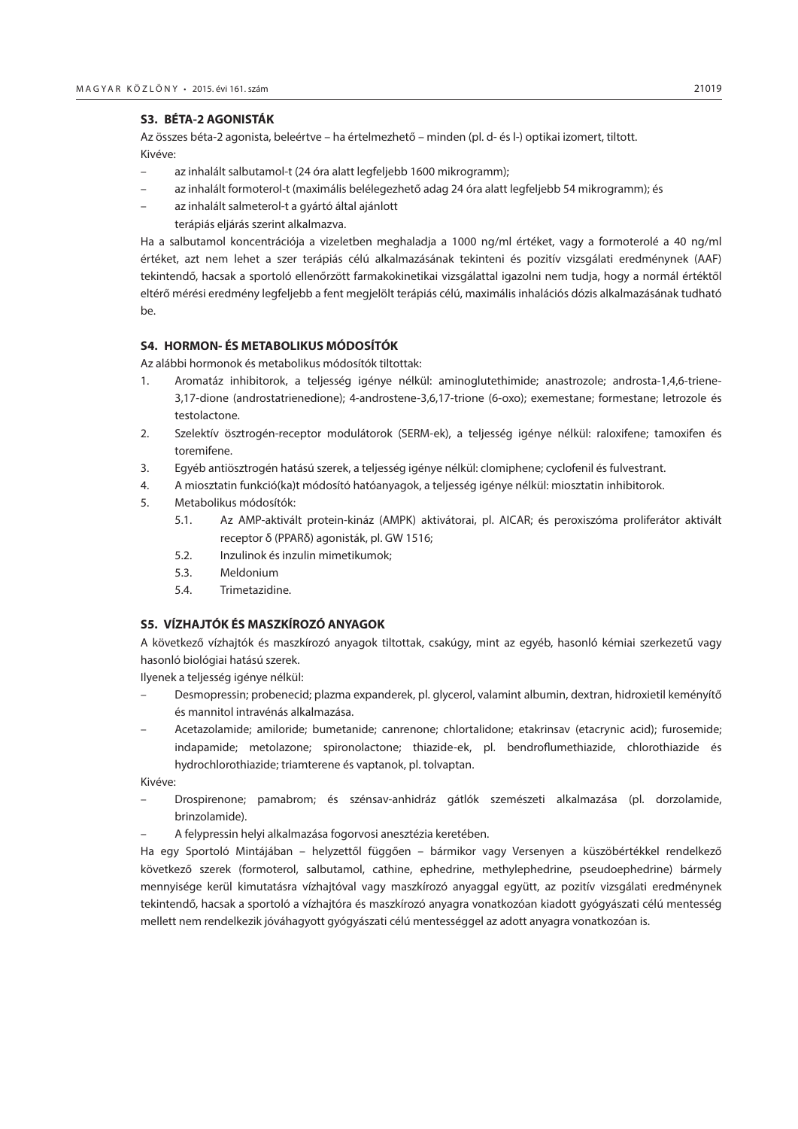#### **S3. BÉTA-2 AGONISTÁK**

Az összes béta-2 agonista, beleértve – ha értelmezhető – minden (pl. d- és l-) optikai izomert, tiltott. Kivéve:

- az inhalált salbutamol-t (24 óra alatt legfeljebb 1600 mikrogramm);
- az inhalált formoterol-t (maximális belélegezhető adag 24 óra alatt legfeljebb 54 mikrogramm); és
- az inhalált salmeterol-t a gyártó által ajánlott terápiás eljárás szerint alkalmazva.

Ha a salbutamol koncentrációja a vizeletben meghaladja a 1000 ng/ml értéket, vagy a formoterolé a 40 ng/ml értéket, azt nem lehet a szer terápiás célú alkalmazásának tekinteni és pozitív vizsgálati eredménynek (AAF) tekintendő, hacsak a sportoló ellenőrzött farmakokinetikai vizsgálattal igazolni nem tudja, hogy a normál értéktől eltérő mérési eredmény legfeljebb a fent megjelölt terápiás célú, maximális inhalációs dózis alkalmazásának tudható be.

# **S4. HORMON- ÉS METABOLIKUS MÓDOSÍTÓK**

Az alábbi hormonok és metabolikus módosítók tiltottak:

- 1. Aromatáz inhibitorok, a teljesség igénye nélkül: aminoglutethimide; anastrozole; androsta-1,4,6-triene-3,17-dione (androstatrienedione); 4-androstene-3,6,17-trione (6-oxo); exemestane; formestane; letrozole és testolactone.
- 2. Szelektív ösztrogén-receptor modulátorok (SERM-ek), a teljesség igénye nélkül: raloxifene; tamoxifen és toremifene.
- 3. Egyéb antiösztrogén hatású szerek, a teljesség igénye nélkül: clomiphene; cyclofenil és fulvestrant.
- 4. A miosztatin funkció(ka)t módosító hatóanyagok, a teljesség igénye nélkül: miosztatin inhibitorok.
- 5. Metabolikus módosítók:
	- 5.1. Az AMP-aktivált protein-kináz (AMPK) aktivátorai, pl. AICAR; és peroxiszóma proliferátor aktivált receptor δ (PPARδ) agonisták, pl. GW 1516;
	- 5.2. Inzulinok és inzulin mimetikumok;
	- 5.3. Meldonium
	- 5.4. Trimetazidine.

#### **S5. VÍZHAJTÓK ÉS MASZKÍROZÓ ANYAGOK**

A következő vízhajtók és maszkírozó anyagok tiltottak, csakúgy, mint az egyéb, hasonló kémiai szerkezetű vagy hasonló biológiai hatású szerek.

Ilyenek a teljesség igénye nélkül:

- Desmopressin; probenecid; plazma expanderek, pl. glycerol, valamint albumin, dextran, hidroxietil keményítő és mannitol intravénás alkalmazása.
- Acetazolamide; amiloride; bumetanide; canrenone; chlortalidone; etakrinsav (etacrynic acid); furosemide; indapamide; metolazone; spironolactone; thiazide-ek, pl. bendroflumethiazide, chlorothiazide és hydrochlorothiazide; triamterene és vaptanok, pl. tolvaptan.

Kivéve:

- Drospirenone; pamabrom; és szénsav-anhidráz gátlók szemészeti alkalmazása (pl. dorzolamide, brinzolamide).
- A felypressin helyi alkalmazása fogorvosi anesztézia keretében.

Ha egy Sportoló Mintájában – helyzettől függően – bármikor vagy Versenyen a küszöbértékkel rendelkező következő szerek (formoterol, salbutamol, cathine, ephedrine, methylephedrine, pseudoephedrine) bármely mennyisége kerül kimutatásra vízhajtóval vagy maszkírozó anyaggal együtt, az pozitív vizsgálati eredménynek tekintendő, hacsak a sportoló a vízhajtóra és maszkírozó anyagra vonatkozóan kiadott gyógyászati célú mentesség mellett nem rendelkezik jóváhagyott gyógyászati célú mentességgel az adott anyagra vonatkozóan is.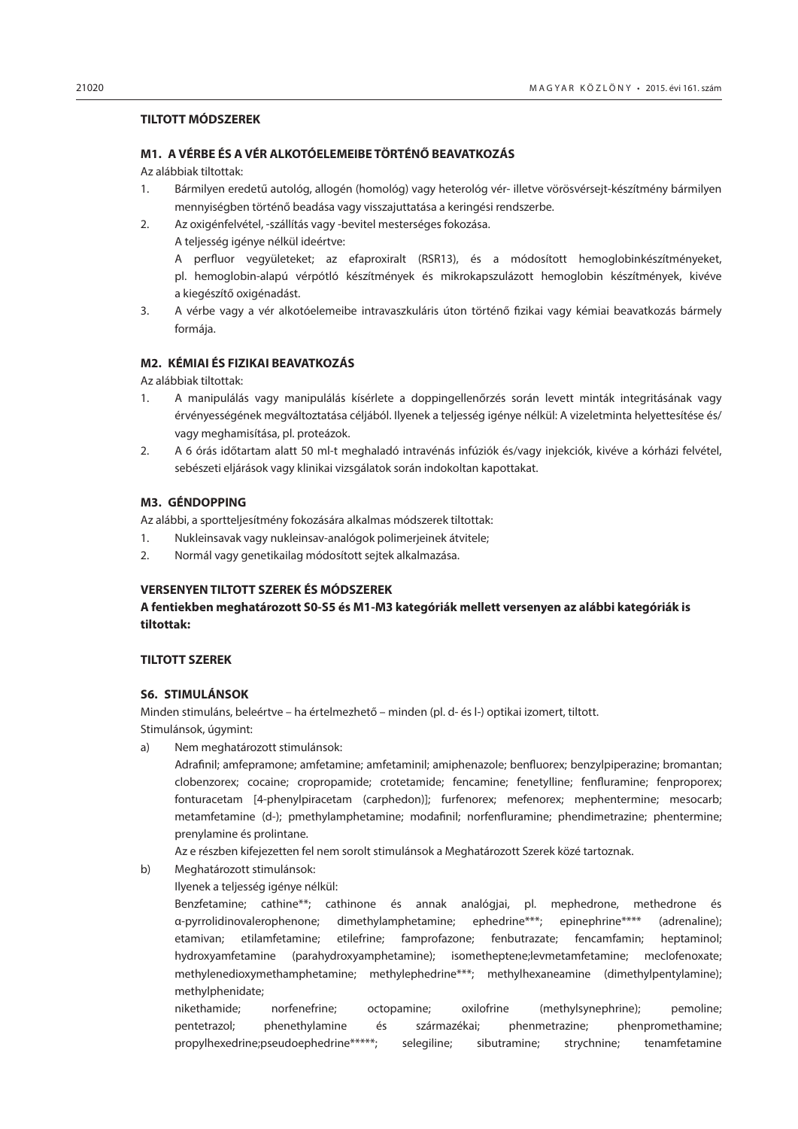## **TILTOTT MÓDSZEREK**

#### **M1. A VÉRBE ÉS A VÉR ALKOTÓELEMEIBE TÖRTÉNŐ BEAVATKOZÁS**

Az alábbiak tiltottak:

- 1. Bármilyen eredetű autológ, allogén (homológ) vagy heterológ vér- illetve vörösvérsejt-készítmény bármilyen mennyiségben történő beadása vagy visszajuttatása a keringési rendszerbe.
- 2. Az oxigénfelvétel, -szállítás vagy -bevitel mesterséges fokozása.
	- A teljesség igénye nélkül ideértve:

A perfluor vegyületeket; az efaproxiralt (RSR13), és a módosított hemoglobinkészítményeket, pl. hemoglobin-alapú vérpótló készítmények és mikrokapszulázott hemoglobin készítmények, kivéve a kiegészítő oxigénadást.

3. A vérbe vagy a vér alkotóelemeibe intravaszkuláris úton történő fizikai vagy kémiai beavatkozás bármely formája.

# **M2. KÉMIAI ÉS FIZIKAI BEAVATKOZÁS**

Az alábbiak tiltottak:

- 1. A manipulálás vagy manipulálás kísérlete a doppingellenőrzés során levett minták integritásának vagy érvényességének megváltoztatása céljából. Ilyenek a teljesség igénye nélkül: A vizeletminta helyettesítése és/ vagy meghamisítása, pl. proteázok.
- 2. A 6 órás időtartam alatt 50 ml-t meghaladó intravénás infúziók és/vagy injekciók, kivéve a kórházi felvétel, sebészeti eljárások vagy klinikai vizsgálatok során indokoltan kapottakat.

# **M3. GÉNDOPPING**

Az alábbi, a sportteljesítmény fokozására alkalmas módszerek tiltottak:

- 1. Nukleinsavak vagy nukleinsav-analógok polimerjeinek átvitele;
- 2. Normál vagy genetikailag módosított sejtek alkalmazása.

#### **VERSENYEN TILTOTT SZEREK ÉS MÓDSZEREK**

# **A fentiekben meghatározott S0-S5 és M1-M3 kategóriák mellett versenyen az alábbi kategóriák is tiltottak:**

# **TILTOTT SZEREK**

#### **S6. STIMULÁNSOK**

Minden stimuláns, beleértve – ha értelmezhető – minden (pl. d- és l-) optikai izomert, tiltott. Stimulánsok, úgymint:

a) Nem meghatározott stimulánsok:

Adrafinil; amfepramone; amfetamine; amfetaminil; amiphenazole; benfluorex; benzylpiperazine; bromantan; clobenzorex; cocaine; cropropamide; crotetamide; fencamine; fenetylline; fenfluramine; fenproporex; fonturacetam [4-phenylpiracetam (carphedon)]; furfenorex; mefenorex; mephentermine; mesocarb; metamfetamine (d-); pmethylamphetamine; modafinil; norfenfluramine; phendimetrazine; phentermine; prenylamine és prolintane.

Az e részben kifejezetten fel nem sorolt stimulánsok a Meghatározott Szerek közé tartoznak.

- b) Meghatározott stimulánsok:
	- Ilyenek a teljesség igénye nélkül:

Benzfetamine; cathine\*\*; cathinone és annak analógjai, pl. mephedrone, methedrone és α-pyrrolidinovalerophenone; dimethylamphetamine; ephedrine\*\*\*; epinephrine\*\*\*\* (adrenaline); etamivan; etilamfetamine; etilefrine; famprofazone; fenbutrazate; fencamfamin; heptaminol; hydroxyamfetamine (parahydroxyamphetamine); isometheptene;levmetamfetamine; meclofenoxate; methylenedioxymethamphetamine; methylephedrine\*\*\*; methylhexaneamine (dimethylpentylamine); methylphenidate;

nikethamide; norfenefrine; octopamine; oxilofrine (methylsynephrine); pemoline; pentetrazol; phenethylamine és származékai; phenmetrazine; phenpromethamine; propylhexedrine;pseudoephedrine\*\*\*\*\*; selegiline; sibutramine; strychnine; tenamfetamine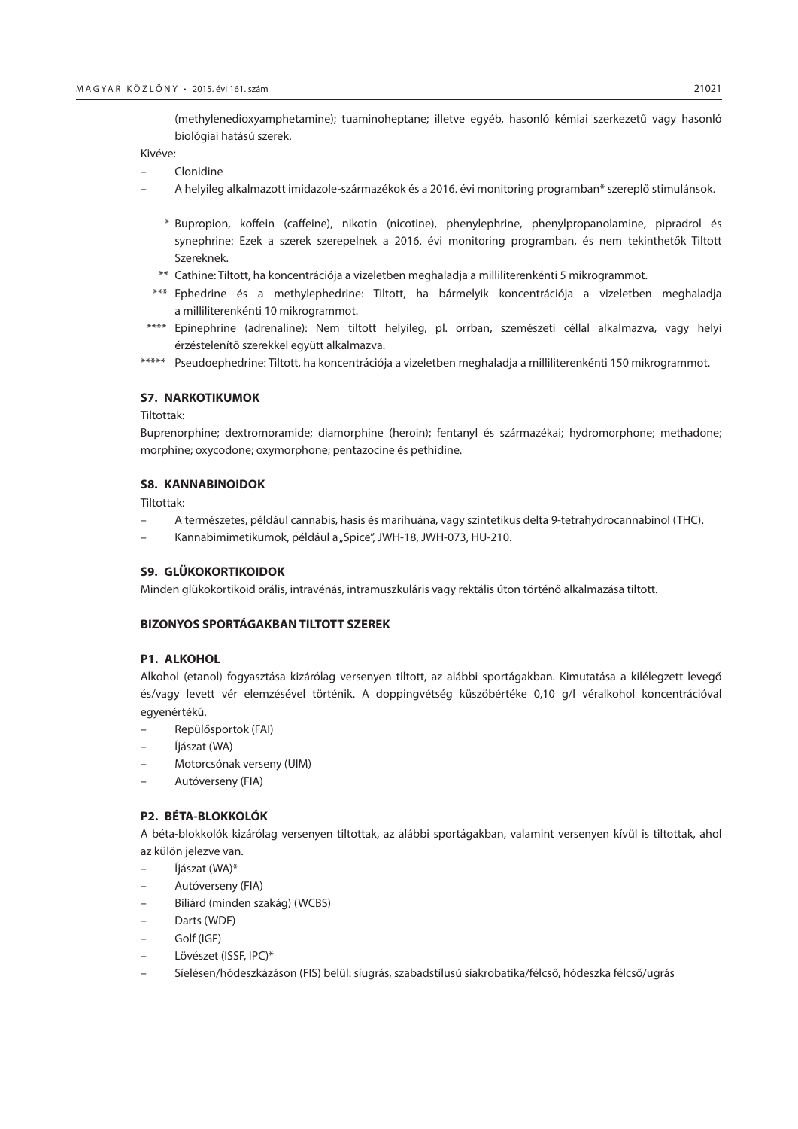(methylenedioxyamphetamine); tuaminoheptane; illetve egyéb, hasonló kémiai szerkezetű vagy hasonló biológiai hatású szerek.

Kivéve:

- Clonidine
- A helyileg alkalmazott imidazole-származékok és a 2016. évi monitoring programban\* szereplő stimulánsok.
	- \* Bupropion, koffein (caffeine), nikotin (nicotine), phenylephrine, phenylpropanolamine, pipradrol és synephrine: Ezek a szerek szerepelnek a 2016. évi monitoring programban, és nem tekinthetők Tiltott Szereknek.
	- \*\* Cathine: Tiltott, ha koncentrációja a vizeletben meghaladja a milliliterenkénti 5 mikrogrammot.
- \*\*\* Ephedrine és a methylephedrine: Tiltott, ha bármelyik koncentrációja a vizeletben meghaladja a milliliterenkénti 10 mikrogrammot.
- \*\*\*\* Epinephrine (adrenaline): Nem tiltott helyileg, pl. orrban, szemészeti céllal alkalmazva, vagy helyi érzéstelenítő szerekkel együtt alkalmazva.
- \*\*\*\*\* Pseudoephedrine: Tiltott, ha koncentrációja a vizeletben meghaladja a milliliterenkénti 150 mikrogrammot.

#### **S7. NARKOTIKUMOK**

Tiltottak:

Buprenorphine; dextromoramide; diamorphine (heroin); fentanyl és származékai; hydromorphone; methadone; morphine; oxycodone; oxymorphone; pentazocine és pethidine.

#### **S8. KANNABINOIDOK**

Tiltottak:

- A természetes, például cannabis, hasis és marihuána, vagy szintetikus delta 9-tetrahydrocannabinol (THC).
- Kannabimimetikumok, például a "Spice", JWH-18, JWH-073, HU-210.

#### **S9. GLÜKOKORTIKOIDOK**

Minden glükokortikoid orális, intravénás, intramuszkuláris vagy rektális úton történő alkalmazása tiltott.

#### **BIZONYOS SPORTÁGAKBAN TILTOTT SZEREK**

#### **P1. ALKOHOL**

Alkohol (etanol) fogyasztása kizárólag versenyen tiltott, az alábbi sportágakban. Kimutatása a kilélegzett levegő és/vagy levett vér elemzésével történik. A doppingvétség küszöbértéke 0,10 g/l véralkohol koncentrációval egyenértékű.

- Repülősportok (FAI)
- Íjászat (WA)
- Motorcsónak verseny (UIM)
- Autóverseny (FIA)

#### **P2. BÉTA-BLOKKOLÓK**

A béta-blokkolók kizárólag versenyen tiltottak, az alábbi sportágakban, valamint versenyen kívül is tiltottak, ahol az külön jelezve van.

- Íjászat (WA)\*
- Autóverseny (FIA)
- Biliárd (minden szakág) (WCBS)
- Darts (WDF)
- Golf (IGF)
- Lövészet (ISSF, IPC)\*
- Síelésen/hódeszkázáson (FIS) belül: síugrás, szabadstílusú síakrobatika/félcső, hódeszka félcső/ugrás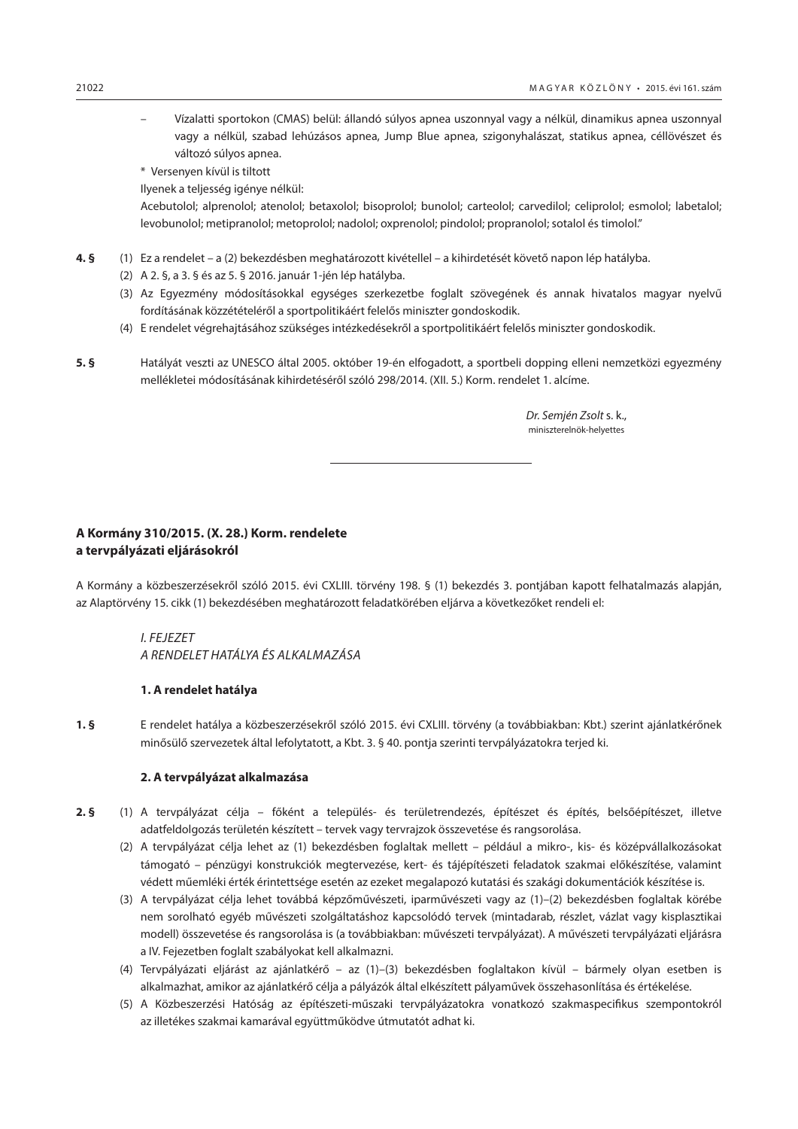- <span id="page-11-0"></span>– Vízalatti sportokon (CMAS) belül: állandó súlyos apnea uszonnyal vagy a nélkül, dinamikus apnea uszonnyal vagy a nélkül, szabad lehúzásos apnea, Jump Blue apnea, szigonyhalászat, statikus apnea, céllövészet és változó súlyos apnea.
- \* Versenyen kívül is tiltott
- Ilyenek a teljesség igénye nélkül:

Acebutolol; alprenolol; atenolol; betaxolol; bisoprolol; bunolol; carteolol; carvedilol; celiprolol; esmolol; labetalol; levobunolol; metipranolol; metoprolol; nadolol; oxprenolol; pindolol; propranolol; sotalol és timolol."

- **4. §** (1) Ez a rendelet a (2) bekezdésben meghatározott kivétellel a kihirdetését követő napon lép hatályba.
	- (2) A 2. §, a 3. § és az 5. § 2016. január 1-jén lép hatályba.
	- (3) Az Egyezmény módosításokkal egységes szerkezetbe foglalt szövegének és annak hivatalos magyar nyelvű fordításának közzétételéről a sportpolitikáért felelős miniszter gondoskodik.
	- (4) E rendelet végrehajtásához szükséges intézkedésekről a sportpolitikáért felelős miniszter gondoskodik.
- **5. §** Hatályát veszti az UNESCO által 2005. október 19-én elfogadott, a sportbeli dopping elleni nemzetközi egyezmény mellékletei módosításának kihirdetéséről szóló 298/2014. (XII. 5.) Korm. rendelet 1. alcíme.

 *Dr. Semjén Zsolt* s. k., miniszterelnök-helyettes

# **A Kormány 310/2015. (X. 28.) Korm. rendelete a tervpályázati eljárásokról**

A Kormány a közbeszerzésekről szóló 2015. évi CXLIII. törvény 198. § (1) bekezdés 3. pontjában kapott felhatalmazás alapján, az Alaptörvény 15. cikk (1) bekezdésében meghatározott feladatkörében eljárva a következőket rendeli el:

*I. FEJEZET A RENDELET HATÁLYA ÉS ALKALMAZÁSA*

# **1. A rendelet hatálya**

**1. §** E rendelet hatálya a közbeszerzésekről szóló 2015. évi CXLIII. törvény (a továbbiakban: Kbt.) szerint ajánlatkérőnek minősülő szervezetek által lefolytatott, a Kbt. 3. § 40. pontja szerinti tervpályázatokra terjed ki.

# **2. A tervpályázat alkalmazása**

- **2. §** (1) A tervpályázat célja főként a település- és területrendezés, építészet és építés, belsőépítészet, illetve adatfeldolgozás területén készített – tervek vagy tervrajzok összevetése és rangsorolása.
	- (2) A tervpályázat célja lehet az (1) bekezdésben foglaltak mellett például a mikro-, kis- és középvállalkozásokat támogató – pénzügyi konstrukciók megtervezése, kert- és tájépítészeti feladatok szakmai előkészítése, valamint védett műemléki érték érintettsége esetén az ezeket megalapozó kutatási és szakági dokumentációk készítése is.
	- (3) A tervpályázat célja lehet továbbá képzőművészeti, iparművészeti vagy az (1)–(2) bekezdésben foglaltak körébe nem sorolható egyéb művészeti szolgáltatáshoz kapcsolódó tervek (mintadarab, részlet, vázlat vagy kisplasztikai modell) összevetése és rangsorolása is (a továbbiakban: művészeti tervpályázat). A művészeti tervpályázati eljárásra a IV. Fejezetben foglalt szabályokat kell alkalmazni.
	- (4) Tervpályázati eljárást az ajánlatkérő az (1)–(3) bekezdésben foglaltakon kívül bármely olyan esetben is alkalmazhat, amikor az ajánlatkérő célja a pályázók által elkészített pályaművek összehasonlítása és értékelése.
	- (5) A Közbeszerzési Hatóság az építészeti-műszaki tervpályázatokra vonatkozó szakmaspecifikus szempontokról az illetékes szakmai kamarával együttműködve útmutatót adhat ki.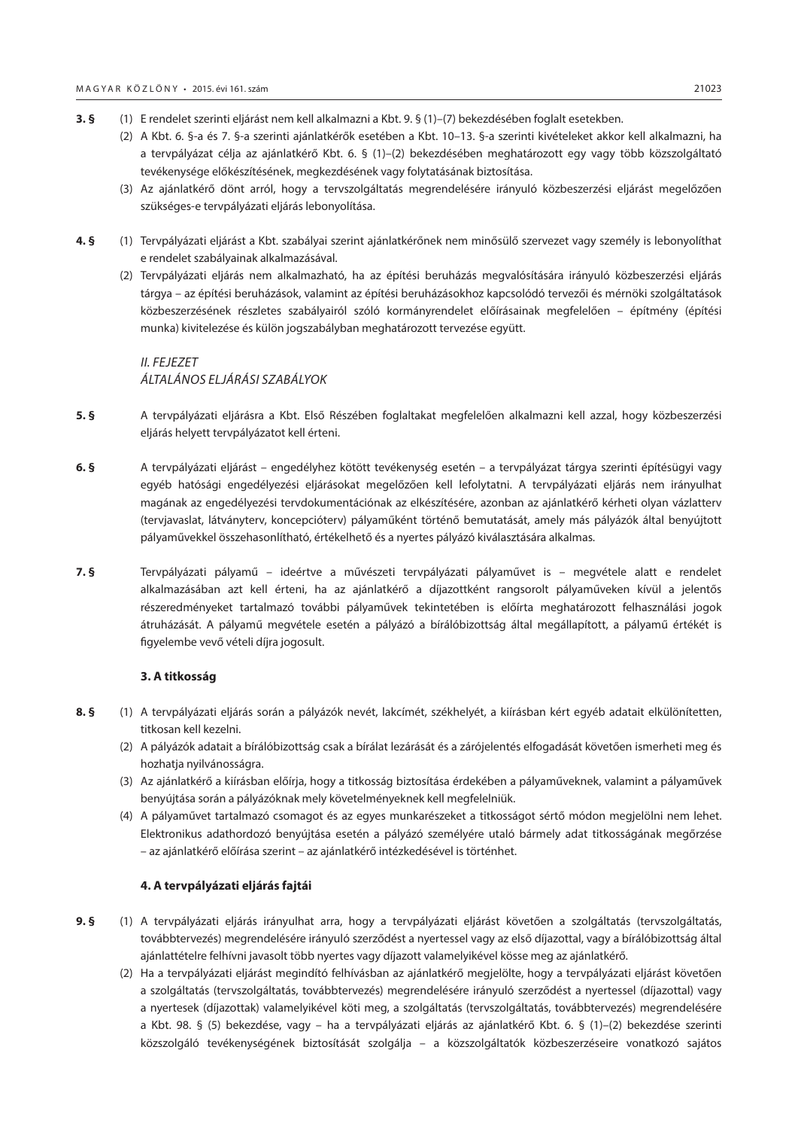- **3. §** (1) E rendelet szerinti eljárást nem kell alkalmazni a Kbt. 9. § (1)–(7) bekezdésében foglalt esetekben.
	- (2) A Kbt. 6. §-a és 7. §-a szerinti ajánlatkérők esetében a Kbt. 10–13. §-a szerinti kivételeket akkor kell alkalmazni, ha a tervpályázat célja az ajánlatkérő Kbt. 6. § (1)–(2) bekezdésében meghatározott egy vagy több közszolgáltató tevékenysége előkészítésének, megkezdésének vagy folytatásának biztosítása.
	- (3) Az ajánlatkérő dönt arról, hogy a tervszolgáltatás megrendelésére irányuló közbeszerzési eljárást megelőzően szükséges-e tervpályázati eljárás lebonyolítása.
- **4. §** (1) Tervpályázati eljárást a Kbt. szabályai szerint ajánlatkérőnek nem minősülő szervezet vagy személy is lebonyolíthat e rendelet szabályainak alkalmazásával.
	- (2) Tervpályázati eljárás nem alkalmazható, ha az építési beruházás megvalósítására irányuló közbeszerzési eljárás tárgya – az építési beruházások, valamint az építési beruházásokhoz kapcsolódó tervezői és mérnöki szolgáltatások közbeszerzésének részletes szabályairól szóló kormányrendelet előírásainak megfelelően – építmény (építési munka) kivitelezése és külön jogszabályban meghatározott tervezése együtt.

# *II. FEJEZET ÁLTALÁNOS ELJÁRÁSI SZABÁLYOK*

- **5. §** A tervpályázati eljárásra a Kbt. Első Részében foglaltakat megfelelően alkalmazni kell azzal, hogy közbeszerzési eljárás helyett tervpályázatot kell érteni.
- **6. §** A tervpályázati eljárást engedélyhez kötött tevékenység esetén a tervpályázat tárgya szerinti építésügyi vagy egyéb hatósági engedélyezési eljárásokat megelőzően kell lefolytatni. A tervpályázati eljárás nem irányulhat magának az engedélyezési tervdokumentációnak az elkészítésére, azonban az ajánlatkérő kérheti olyan vázlatterv (tervjavaslat, látványterv, koncepcióterv) pályaműként történő bemutatását, amely más pályázók által benyújtott pályaművekkel összehasonlítható, értékelhető és a nyertes pályázó kiválasztására alkalmas.
- **7. §** Tervpályázati pályamű ideértve a művészeti tervpályázati pályaművet is megvétele alatt e rendelet alkalmazásában azt kell érteni, ha az ajánlatkérő a díjazottként rangsorolt pályaműveken kívül a jelentős részeredményeket tartalmazó további pályaművek tekintetében is előírta meghatározott felhasználási jogok átruházását. A pályamű megvétele esetén a pályázó a bírálóbizottság által megállapított, a pályamű értékét is figyelembe vevő vételi díjra jogosult.

#### **3. A titkosság**

- **8. §** (1) A tervpályázati eljárás során a pályázók nevét, lakcímét, székhelyét, a kiírásban kért egyéb adatait elkülönítetten, titkosan kell kezelni.
	- (2) A pályázók adatait a bírálóbizottság csak a bírálat lezárását és a zárójelentés elfogadását követően ismerheti meg és hozhatja nyilvánosságra.
	- (3) Az ajánlatkérő a kiírásban előírja, hogy a titkosság biztosítása érdekében a pályaműveknek, valamint a pályaművek benyújtása során a pályázóknak mely követelményeknek kell megfelelniük.
	- (4) A pályaművet tartalmazó csomagot és az egyes munkarészeket a titkosságot sértő módon megjelölni nem lehet. Elektronikus adathordozó benyújtása esetén a pályázó személyére utaló bármely adat titkosságának megőrzése – az ajánlatkérő előírása szerint – az ajánlatkérő intézkedésével is történhet.

#### **4. A tervpályázati eljárás fajtái**

- **9. §** (1) A tervpályázati eljárás irányulhat arra, hogy a tervpályázati eljárást követően a szolgáltatás (tervszolgáltatás, továbbtervezés) megrendelésére irányuló szerződést a nyertessel vagy az első díjazottal, vagy a bírálóbizottság által ajánlattételre felhívni javasolt több nyertes vagy díjazott valamelyikével kösse meg az ajánlatkérő.
	- (2) Ha a tervpályázati eljárást megindító felhívásban az ajánlatkérő megjelölte, hogy a tervpályázati eljárást követően a szolgáltatás (tervszolgáltatás, továbbtervezés) megrendelésére irányuló szerződést a nyertessel (díjazottal) vagy a nyertesek (díjazottak) valamelyikével köti meg, a szolgáltatás (tervszolgáltatás, továbbtervezés) megrendelésére a Kbt. 98. § (5) bekezdése, vagy – ha a tervpályázati eljárás az ajánlatkérő Kbt. 6. § (1)–(2) bekezdése szerinti közszolgáló tevékenységének biztosítását szolgálja – a közszolgáltatók közbeszerzéseire vonatkozó sajátos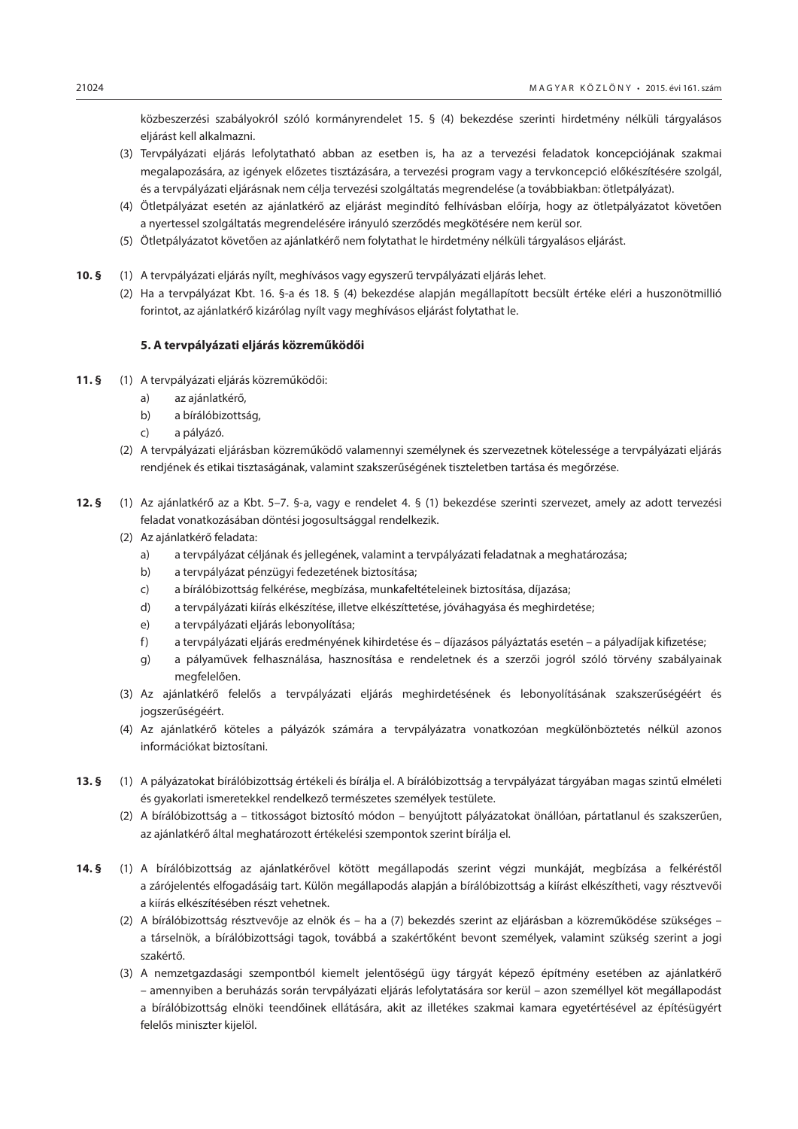közbeszerzési szabályokról szóló kormányrendelet 15. § (4) bekezdése szerinti hirdetmény nélküli tárgyalásos eljárást kell alkalmazni.

- (3) Tervpályázati eljárás lefolytatható abban az esetben is, ha az a tervezési feladatok koncepciójának szakmai megalapozására, az igények előzetes tisztázására, a tervezési program vagy a tervkoncepció előkészítésére szolgál, és a tervpályázati eljárásnak nem célja tervezési szolgáltatás megrendelése (a továbbiakban: ötletpályázat).
- (4) Ötletpályázat esetén az ajánlatkérő az eljárást megindító felhívásban előírja, hogy az ötletpályázatot követően a nyertessel szolgáltatás megrendelésére irányuló szerződés megkötésére nem kerül sor.
- (5) Ötletpályázatot követően az ajánlatkérő nem folytathat le hirdetmény nélküli tárgyalásos eljárást.
- **10. §** (1) A tervpályázati eljárás nyílt, meghívásos vagy egyszerű tervpályázati eljárás lehet.
	- (2) Ha a tervpályázat Kbt. 16. §-a és 18. § (4) bekezdése alapján megállapított becsült értéke eléri a huszonötmillió forintot, az ajánlatkérő kizárólag nyílt vagy meghívásos eljárást folytathat le.

#### **5. A tervpályázati eljárás közreműködői**

- **11. §** (1) A tervpályázati eljárás közreműködői:
	- a) az ajánlatkérő,
	- b) a bírálóbizottság,
	- c) a pályázó.
	- (2) A tervpályázati eljárásban közreműködő valamennyi személynek és szervezetnek kötelessége a tervpályázati eljárás rendjének és etikai tisztaságának, valamint szakszerűségének tiszteletben tartása és megőrzése.
- **12. §** (1) Az ajánlatkérő az a Kbt. 5–7. §-a, vagy e rendelet 4. § (1) bekezdése szerinti szervezet, amely az adott tervezési feladat vonatkozásában döntési jogosultsággal rendelkezik.
	- (2) Az ajánlatkérő feladata:
		- a) a tervpályázat céljának és jellegének, valamint a tervpályázati feladatnak a meghatározása;
		- b) a tervpályázat pénzügyi fedezetének biztosítása;
		- c) a bírálóbizottság felkérése, megbízása, munkafeltételeinek biztosítása, díjazása;
		- d) a tervpályázati kiírás elkészítése, illetve elkészíttetése, jóváhagyása és meghirdetése;
		- e) a tervpályázati eljárás lebonyolítása;
		- f) a tervpályázati eljárás eredményének kihirdetése és díjazásos pályáztatás esetén a pályadíjak kifizetése;
		- g) a pályaművek felhasználása, hasznosítása e rendeletnek és a szerzői jogról szóló törvény szabályainak megfelelően.
	- (3) Az ajánlatkérő felelős a tervpályázati eljárás meghirdetésének és lebonyolításának szakszerűségéért és jogszerűségéért.
	- (4) Az ajánlatkérő köteles a pályázók számára a tervpályázatra vonatkozóan megkülönböztetés nélkül azonos információkat biztosítani.
- **13. §** (1) A pályázatokat bírálóbizottság értékeli és bírálja el. A bírálóbizottság a tervpályázat tárgyában magas szintű elméleti és gyakorlati ismeretekkel rendelkező természetes személyek testülete.
	- (2) A bírálóbizottság a titkosságot biztosító módon benyújtott pályázatokat önállóan, pártatlanul és szakszerűen, az ajánlatkérő által meghatározott értékelési szempontok szerint bírálja el.
- **14. §** (1) A bírálóbizottság az ajánlatkérővel kötött megállapodás szerint végzi munkáját, megbízása a felkéréstől a zárójelentés elfogadásáig tart. Külön megállapodás alapján a bírálóbizottság a kiírást elkészítheti, vagy résztvevői a kiírás elkészítésében részt vehetnek.
	- (2) A bírálóbizottság résztvevője az elnök és ha a (7) bekezdés szerint az eljárásban a közreműködése szükséges a társelnök, a bírálóbizottsági tagok, továbbá a szakértőként bevont személyek, valamint szükség szerint a jogi szakértő.
	- (3) A nemzetgazdasági szempontból kiemelt jelentőségű ügy tárgyát képező építmény esetében az ajánlatkérő – amennyiben a beruházás során tervpályázati eljárás lefolytatására sor kerül – azon személlyel köt megállapodást a bírálóbizottság elnöki teendőinek ellátására, akit az illetékes szakmai kamara egyetértésével az építésügyért felelős miniszter kijelöl.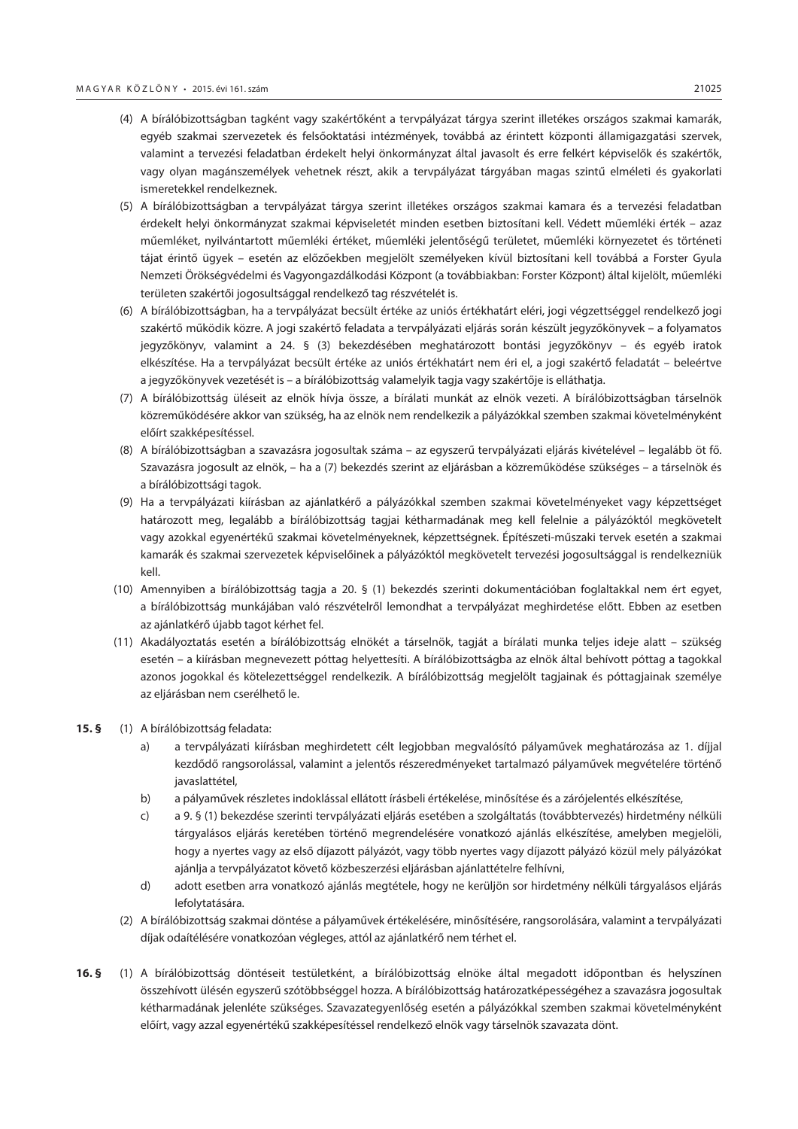- (4) A bírálóbizottságban tagként vagy szakértőként a tervpályázat tárgya szerint illetékes országos szakmai kamarák, egyéb szakmai szervezetek és felsőoktatási intézmények, továbbá az érintett központi államigazgatási szervek, valamint a tervezési feladatban érdekelt helyi önkormányzat által javasolt és erre felkért képviselők és szakértők, vagy olyan magánszemélyek vehetnek részt, akik a tervpályázat tárgyában magas szintű elméleti és gyakorlati ismeretekkel rendelkeznek.
- (5) A bírálóbizottságban a tervpályázat tárgya szerint illetékes országos szakmai kamara és a tervezési feladatban érdekelt helyi önkormányzat szakmai képviseletét minden esetben biztosítani kell. Védett műemléki érték – azaz műemléket, nyilvántartott műemléki értéket, műemléki jelentőségű területet, műemléki környezetet és történeti tájat érintő ügyek – esetén az előzőekben megjelölt személyeken kívül biztosítani kell továbbá a Forster Gyula Nemzeti Örökségvédelmi és Vagyongazdálkodási Központ (a továbbiakban: Forster Központ) által kijelölt, műemléki területen szakértői jogosultsággal rendelkező tag részvételét is.
- (6) A bírálóbizottságban, ha a tervpályázat becsült értéke az uniós értékhatárt eléri, jogi végzettséggel rendelkező jogi szakértő működik közre. A jogi szakértő feladata a tervpályázati eljárás során készült jegyzőkönyvek – a folyamatos jegyzőkönyv, valamint a 24. § (3) bekezdésében meghatározott bontási jegyzőkönyv – és egyéb iratok elkészítése. Ha a tervpályázat becsült értéke az uniós értékhatárt nem éri el, a jogi szakértő feladatát – beleértve a jegyzőkönyvek vezetését is – a bírálóbizottság valamelyik tagja vagy szakértője is elláthatja.
- (7) A bírálóbizottság üléseit az elnök hívja össze, a bírálati munkát az elnök vezeti. A bírálóbizottságban társelnök közreműködésére akkor van szükség, ha az elnök nem rendelkezik a pályázókkal szemben szakmai követelményként előírt szakképesítéssel.
- (8) A bírálóbizottságban a szavazásra jogosultak száma az egyszerű tervpályázati eljárás kivételével legalább öt fő. Szavazásra jogosult az elnök, – ha a (7) bekezdés szerint az eljárásban a közreműködése szükséges – a társelnök és a bírálóbizottsági tagok.
- (9) Ha a tervpályázati kiírásban az ajánlatkérő a pályázókkal szemben szakmai követelményeket vagy képzettséget határozott meg, legalább a bírálóbizottság tagjai kétharmadának meg kell felelnie a pályázóktól megkövetelt vagy azokkal egyenértékű szakmai követelményeknek, képzettségnek. Építészeti-műszaki tervek esetén a szakmai kamarák és szakmai szervezetek képviselőinek a pályázóktól megkövetelt tervezési jogosultsággal is rendelkezniük kell.
- (10) Amennyiben a bírálóbizottság tagja a 20. § (1) bekezdés szerinti dokumentációban foglaltakkal nem ért egyet, a bírálóbizottság munkájában való részvételről lemondhat a tervpályázat meghirdetése előtt. Ebben az esetben az ajánlatkérő újabb tagot kérhet fel.
- (11) Akadályoztatás esetén a bírálóbizottság elnökét a társelnök, tagját a bírálati munka teljes ideje alatt szükség esetén – a kiírásban megnevezett póttag helyettesíti. A bírálóbizottságba az elnök által behívott póttag a tagokkal azonos jogokkal és kötelezettséggel rendelkezik. A bírálóbizottság megjelölt tagjainak és póttagjainak személye az eljárásban nem cserélhető le.

#### **15. §** (1) A bírálóbizottság feladata:

- a) a tervpályázati kiírásban meghirdetett célt legjobban megvalósító pályaművek meghatározása az 1. díjjal kezdődő rangsorolással, valamint a jelentős részeredményeket tartalmazó pályaművek megvételére történő javaslattétel,
- b) a pályaművek részletes indoklással ellátott írásbeli értékelése, minősítése és a zárójelentés elkészítése,
- c) a 9. § (1) bekezdése szerinti tervpályázati eljárás esetében a szolgáltatás (továbbtervezés) hirdetmény nélküli tárgyalásos eljárás keretében történő megrendelésére vonatkozó ajánlás elkészítése, amelyben megjelöli, hogy a nyertes vagy az első díjazott pályázót, vagy több nyertes vagy díjazott pályázó közül mely pályázókat ajánlja a tervpályázatot követő közbeszerzési eljárásban ajánlattételre felhívni,
- d) adott esetben arra vonatkozó ajánlás megtétele, hogy ne kerüljön sor hirdetmény nélküli tárgyalásos eljárás lefolytatására.
- (2) A bírálóbizottság szakmai döntése a pályaművek értékelésére, minősítésére, rangsorolására, valamint a tervpályázati díjak odaítélésére vonatkozóan végleges, attól az ajánlatkérő nem térhet el.
- **16. §** (1) A bírálóbizottság döntéseit testületként, a bírálóbizottság elnöke által megadott időpontban és helyszínen összehívott ülésén egyszerű szótöbbséggel hozza. A bírálóbizottság határozatképességéhez a szavazásra jogosultak kétharmadának jelenléte szükséges. Szavazategyenlőség esetén a pályázókkal szemben szakmai követelményként előírt, vagy azzal egyenértékű szakképesítéssel rendelkező elnök vagy társelnök szavazata dönt.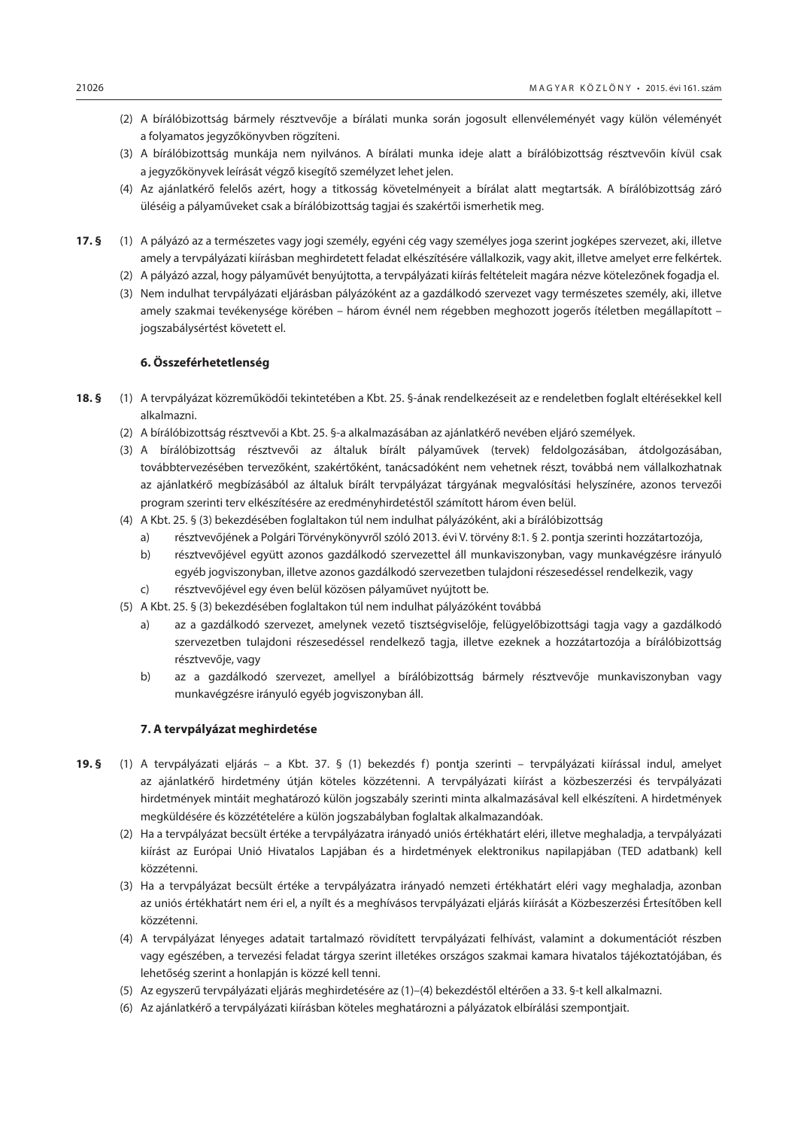- (2) A bírálóbizottság bármely résztvevője a bírálati munka során jogosult ellenvéleményét vagy külön véleményét a folyamatos jegyzőkönyvben rögzíteni.
- (3) A bírálóbizottság munkája nem nyilvános. A bírálati munka ideje alatt a bírálóbizottság résztvevőin kívül csak a jegyzőkönyvek leírását végző kisegítő személyzet lehet jelen.
- (4) Az ajánlatkérő felelős azért, hogy a titkosság követelményeit a bírálat alatt megtartsák. A bírálóbizottság záró üléséig a pályaműveket csak a bírálóbizottság tagjai és szakértői ismerhetik meg.
- **17. §** (1) A pályázó az a természetes vagy jogi személy, egyéni cég vagy személyes joga szerint jogképes szervezet, aki, illetve amely a tervpályázati kiírásban meghirdetett feladat elkészítésére vállalkozik, vagy akit, illetve amelyet erre felkértek.
	- (2) A pályázó azzal, hogy pályaművét benyújtotta, a tervpályázati kiírás feltételeit magára nézve kötelezőnek fogadja el.
	- (3) Nem indulhat tervpályázati eljárásban pályázóként az a gazdálkodó szervezet vagy természetes személy, aki, illetve amely szakmai tevékenysége körében – három évnél nem régebben meghozott jogerős ítéletben megállapított – jogszabálysértést követett el.

#### **6. Összeférhetetlenség**

- **18. §** (1) A tervpályázat közreműködői tekintetében a Kbt. 25. §-ának rendelkezéseit az e rendeletben foglalt eltérésekkel kell alkalmazni.
	- (2) A bírálóbizottság résztvevői a Kbt. 25. §-a alkalmazásában az ajánlatkérő nevében eljáró személyek.
	- (3) A bírálóbizottság résztvevői az általuk bírált pályaművek (tervek) feldolgozásában, átdolgozásában, továbbtervezésében tervezőként, szakértőként, tanácsadóként nem vehetnek részt, továbbá nem vállalkozhatnak az ajánlatkérő megbízásából az általuk bírált tervpályázat tárgyának megvalósítási helyszínére, azonos tervezői program szerinti terv elkészítésére az eredményhirdetéstől számított három éven belül.
	- (4) A Kbt. 25. § (3) bekezdésében foglaltakon túl nem indulhat pályázóként, aki a bírálóbizottság
		- a) résztvevőjének a Polgári Törvénykönyvről szóló 2013. évi V. törvény 8:1. § 2. pontja szerinti hozzátartozója,
		- b) résztvevőjével együtt azonos gazdálkodó szervezettel áll munkaviszonyban, vagy munkavégzésre irányuló egyéb jogviszonyban, illetve azonos gazdálkodó szervezetben tulajdoni részesedéssel rendelkezik, vagy
		- c) résztvevőjével egy éven belül közösen pályaművet nyújtott be.
	- (5) A Kbt. 25. § (3) bekezdésében foglaltakon túl nem indulhat pályázóként továbbá
		- a) az a gazdálkodó szervezet, amelynek vezető tisztségviselője, felügyelőbizottsági tagja vagy a gazdálkodó szervezetben tulajdoni részesedéssel rendelkező tagja, illetve ezeknek a hozzátartozója a bírálóbizottság résztvevője, vagy
		- b) az a gazdálkodó szervezet, amellyel a bírálóbizottság bármely résztvevője munkaviszonyban vagy munkavégzésre irányuló egyéb jogviszonyban áll.

#### **7. A tervpályázat meghirdetése**

- **19. §** (1) A tervpályázati eljárás a Kbt. 37. § (1) bekezdés f) pontja szerinti tervpályázati kiírással indul, amelyet az ajánlatkérő hirdetmény útján köteles közzétenni. A tervpályázati kiírást a közbeszerzési és tervpályázati hirdetmények mintáit meghatározó külön jogszabály szerinti minta alkalmazásával kell elkészíteni. A hirdetmények megküldésére és közzétételére a külön jogszabályban foglaltak alkalmazandóak.
	- (2) Ha a tervpályázat becsült értéke a tervpályázatra irányadó uniós értékhatárt eléri, illetve meghaladja, a tervpályázati kiírást az Európai Unió Hivatalos Lapjában és a hirdetmények elektronikus napilapjában (TED adatbank) kell közzétenni.
	- (3) Ha a tervpályázat becsült értéke a tervpályázatra irányadó nemzeti értékhatárt eléri vagy meghaladja, azonban az uniós értékhatárt nem éri el, a nyílt és a meghívásos tervpályázati eljárás kiírását a Közbeszerzési Értesítőben kell közzétenni.
	- (4) A tervpályázat lényeges adatait tartalmazó rövidített tervpályázati felhívást, valamint a dokumentációt részben vagy egészében, a tervezési feladat tárgya szerint illetékes országos szakmai kamara hivatalos tájékoztatójában, és lehetőség szerint a honlapján is közzé kell tenni.
	- (5) Az egyszerű tervpályázati eljárás meghirdetésére az (1)–(4) bekezdéstől eltérően a 33. §-t kell alkalmazni.
	- (6) Az ajánlatkérő a tervpályázati kiírásban köteles meghatározni a pályázatok elbírálási szempontjait.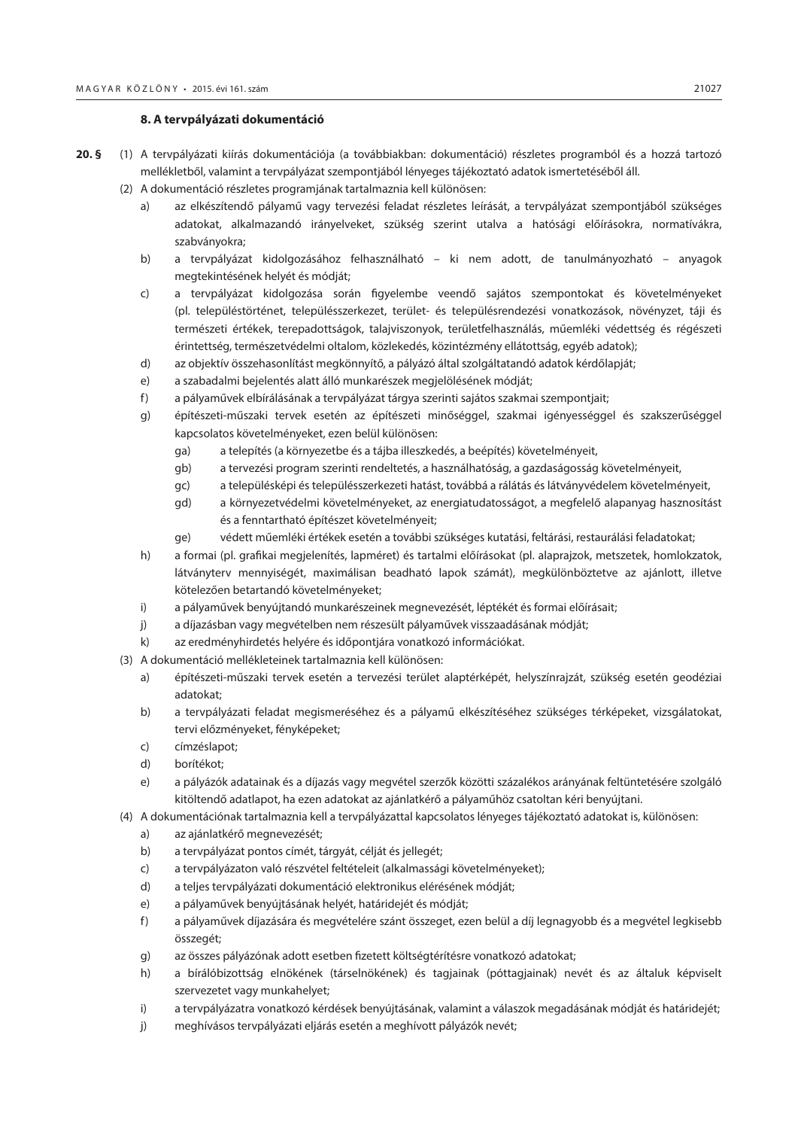#### **8. A tervpályázati dokumentáció**

- **20. §** (1) A tervpályázati kiírás dokumentációja (a továbbiakban: dokumentáció) részletes programból és a hozzá tartozó mellékletből, valamint a tervpályázat szempontjából lényeges tájékoztató adatok ismertetéséből áll.
	- (2) A dokumentáció részletes programjának tartalmaznia kell különösen:
		- a) az elkészítendő pályamű vagy tervezési feladat részletes leírását, a tervpályázat szempontjából szükséges adatokat, alkalmazandó irányelveket, szükség szerint utalva a hatósági előírásokra, normatívákra, szabványokra;
		- b) a tervpályázat kidolgozásához felhasználható ki nem adott, de tanulmányozható anyagok megtekintésének helyét és módját;
		- c) a tervpályázat kidolgozása során figyelembe veendő sajátos szempontokat és követelményeket (pl. településtörténet, településszerkezet, terület- és településrendezési vonatkozások, növényzet, táji és természeti értékek, terepadottságok, talajviszonyok, területfelhasználás, műemléki védettség és régészeti érintettség, természetvédelmi oltalom, közlekedés, közintézmény ellátottság, egyéb adatok);
		- d) az objektív összehasonlítást megkönnyítő, a pályázó által szolgáltatandó adatok kérdőlapját;
		- e) a szabadalmi bejelentés alatt álló munkarészek megjelölésének módját;
		- f) a pályaművek elbírálásának a tervpályázat tárgya szerinti sajátos szakmai szempontjait;
		- g) építészeti-műszaki tervek esetén az építészeti minőséggel, szakmai igényességgel és szakszerűséggel kapcsolatos követelményeket, ezen belül különösen:
			- ga) a telepítés (a környezetbe és a tájba illeszkedés, a beépítés) követelményeit,
			- gb) a tervezési program szerinti rendeltetés, a használhatóság, a gazdaságosság követelményeit,
			- gc) a településképi és településszerkezeti hatást, továbbá a rálátás és látványvédelem követelményeit,
			- gd) a környezetvédelmi követelményeket, az energiatudatosságot, a megfelelő alapanyag hasznosítást és a fenntartható építészet követelményeit;
			- ge) védett műemléki értékek esetén a további szükséges kutatási, feltárási, restaurálási feladatokat;
		- h) a formai (pl. grafikai megjelenítés, lapméret) és tartalmi előírásokat (pl. alaprajzok, metszetek, homlokzatok, látványterv mennyiségét, maximálisan beadható lapok számát), megkülönböztetve az ajánlott, illetve kötelezően betartandó követelményeket;
		- i) a pályaművek benyújtandó munkarészeinek megnevezését, léptékét és formai előírásait;
		- j) a díjazásban vagy megvételben nem részesült pályaművek visszaadásának módját;
		- k) az eredményhirdetés helyére és időpontjára vonatkozó információkat.
	- (3) A dokumentáció mellékleteinek tartalmaznia kell különösen:
		- a) építészeti-műszaki tervek esetén a tervezési terület alaptérképét, helyszínrajzát, szükség esetén geodéziai adatokat;
		- b) a tervpályázati feladat megismeréséhez és a pályamű elkészítéséhez szükséges térképeket, vizsgálatokat, tervi előzményeket, fényképeket;
		- c) címzéslapot;
		- d) borítékot;
		- e) a pályázók adatainak és a díjazás vagy megvétel szerzők közötti százalékos arányának feltüntetésére szolgáló kitöltendő adatlapot, ha ezen adatokat az ajánlatkérő a pályaműhöz csatoltan kéri benyújtani.
	- (4) A dokumentációnak tartalmaznia kell a tervpályázattal kapcsolatos lényeges tájékoztató adatokat is, különösen:
		- a) az ajánlatkérő megnevezését;
		- b) a tervpályázat pontos címét, tárgyát, célját és jellegét;
		- c) a tervpályázaton való részvétel feltételeit (alkalmassági követelményeket);
		- d) a teljes tervpályázati dokumentáció elektronikus elérésének módját;
		- e) a pályaművek benyújtásának helyét, határidejét és módját;
		- f) a pályaművek díjazására és megvételére szánt összeget, ezen belül a díj legnagyobb és a megvétel legkisebb összegét;
		- g) az összes pályázónak adott esetben fizetett költségtérítésre vonatkozó adatokat;
		- h) a bírálóbizottság elnökének (társelnökének) és tagjainak (póttagjainak) nevét és az általuk képviselt szervezetet vagy munkahelyet;
		- i) a tervpályázatra vonatkozó kérdések benyújtásának, valamint a válaszok megadásának módját és határidejét;
		- j) meghívásos tervpályázati eljárás esetén a meghívott pályázók nevét;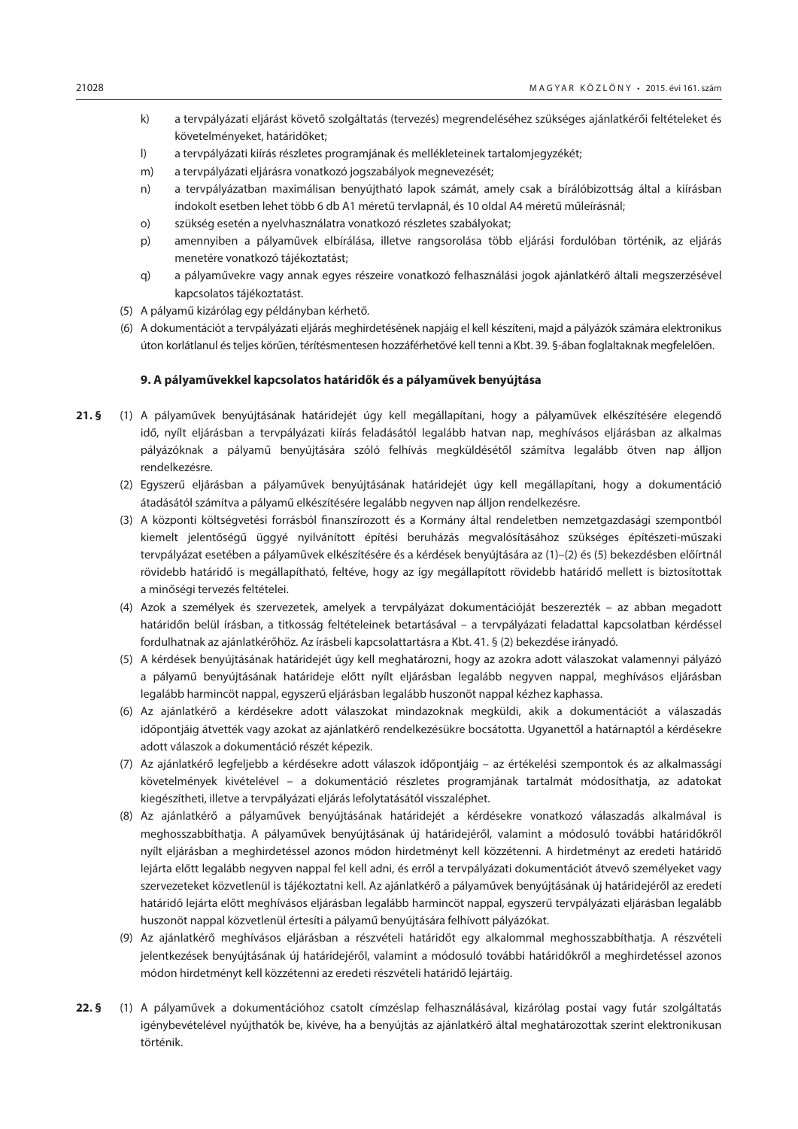- k) a tervpályázati eljárást követő szolgáltatás (tervezés) megrendeléséhez szükséges ajánlatkérői feltételeket és követelményeket, határidőket;
- l) a tervpályázati kiírás részletes programjának és mellékleteinek tartalomjegyzékét;
- m) a tervpályázati eljárásra vonatkozó jogszabályok megnevezését;
- n) a tervpályázatban maximálisan benyújtható lapok számát, amely csak a bírálóbizottság által a kiírásban indokolt esetben lehet több 6 db A1 méretű tervlapnál, és 10 oldal A4 méretű műleírásnál;
- o) szükség esetén a nyelvhasználatra vonatkozó részletes szabályokat;
- p) amennyiben a pályaművek elbírálása, illetve rangsorolása több eljárási fordulóban történik, az eljárás menetére vonatkozó tájékoztatást;
- q) a pályaművekre vagy annak egyes részeire vonatkozó felhasználási jogok ajánlatkérő általi megszerzésével kapcsolatos tájékoztatást.
- (5) A pályamű kizárólag egy példányban kérhető.
- (6) A dokumentációt a tervpályázati eljárás meghirdetésének napjáig el kell készíteni, majd a pályázók számára elektronikus úton korlátlanul és teljes körűen, térítésmentesen hozzáférhetővé kell tenni a Kbt. 39. §-ában foglaltaknak megfelelően.

#### **9. A pályaművekkel kapcsolatos határidők és a pályaművek benyújtása**

- **21. §** (1) A pályaművek benyújtásának határidejét úgy kell megállapítani, hogy a pályaművek elkészítésére elegendő idő, nyílt eljárásban a tervpályázati kiírás feladásától legalább hatvan nap, meghívásos eljárásban az alkalmas pályázóknak a pályamű benyújtására szóló felhívás megküldésétől számítva legalább ötven nap álljon rendelkezésre.
	- (2) Egyszerű eljárásban a pályaművek benyújtásának határidejét úgy kell megállapítani, hogy a dokumentáció átadásától számítva a pályamű elkészítésére legalább negyven nap álljon rendelkezésre.
	- (3) A központi költségvetési forrásból finanszírozott és a Kormány által rendeletben nemzetgazdasági szempontból kiemelt jelentőségű üggyé nyilvánított építési beruházás megvalósításához szükséges építészeti-műszaki tervpályázat esetében a pályaművek elkészítésére és a kérdések benyújtására az (1)–(2) és (5) bekezdésben előírtnál rövidebb határidő is megállapítható, feltéve, hogy az így megállapított rövidebb határidő mellett is biztosítottak a minőségi tervezés feltételei.
	- (4) Azok a személyek és szervezetek, amelyek a tervpályázat dokumentációját beszerezték az abban megadott határidőn belül írásban, a titkosság feltételeinek betartásával – a tervpályázati feladattal kapcsolatban kérdéssel fordulhatnak az ajánlatkérőhöz. Az írásbeli kapcsolattartásra a Kbt. 41. § (2) bekezdése irányadó.
	- (5) A kérdések benyújtásának határidejét úgy kell meghatározni, hogy az azokra adott válaszokat valamennyi pályázó a pályamű benyújtásának határideje előtt nyílt eljárásban legalább negyven nappal, meghívásos eljárásban legalább harmincöt nappal, egyszerű eljárásban legalább huszonöt nappal kézhez kaphassa.
	- (6) Az ajánlatkérő a kérdésekre adott válaszokat mindazoknak megküldi, akik a dokumentációt a válaszadás időpontjáig átvették vagy azokat az ajánlatkérő rendelkezésükre bocsátotta. Ugyanettől a határnaptól a kérdésekre adott válaszok a dokumentáció részét képezik.
	- (7) Az ajánlatkérő legfeljebb a kérdésekre adott válaszok időpontjáig az értékelési szempontok és az alkalmassági követelmények kivételével – a dokumentáció részletes programjának tartalmát módosíthatja, az adatokat kiegészítheti, illetve a tervpályázati eljárás lefolytatásától visszaléphet.
	- (8) Az ajánlatkérő a pályaművek benyújtásának határidejét a kérdésekre vonatkozó válaszadás alkalmával is meghosszabbíthatja. A pályaművek benyújtásának új határidejéről, valamint a módosuló további határidőkről nyílt eljárásban a meghirdetéssel azonos módon hirdetményt kell közzétenni. A hirdetményt az eredeti határidő lejárta előtt legalább negyven nappal fel kell adni, és erről a tervpályázati dokumentációt átvevő személyeket vagy szervezeteket közvetlenül is tájékoztatni kell. Az ajánlatkérő a pályaművek benyújtásának új határidejéről az eredeti határidő lejárta előtt meghívásos eljárásban legalább harmincöt nappal, egyszerű tervpályázati eljárásban legalább huszonöt nappal közvetlenül értesíti a pályamű benyújtására felhívott pályázókat.
	- (9) Az ajánlatkérő meghívásos eljárásban a részvételi határidőt egy alkalommal meghosszabbíthatja. A részvételi jelentkezések benyújtásának új határidejéről, valamint a módosuló további határidőkről a meghirdetéssel azonos módon hirdetményt kell közzétenni az eredeti részvételi határidő lejártáig.
- **22. §** (1) A pályaművek a dokumentációhoz csatolt címzéslap felhasználásával, kizárólag postai vagy futár szolgáltatás igénybevételével nyújthatók be, kivéve, ha a benyújtás az ajánlatkérő által meghatározottak szerint elektronikusan történik.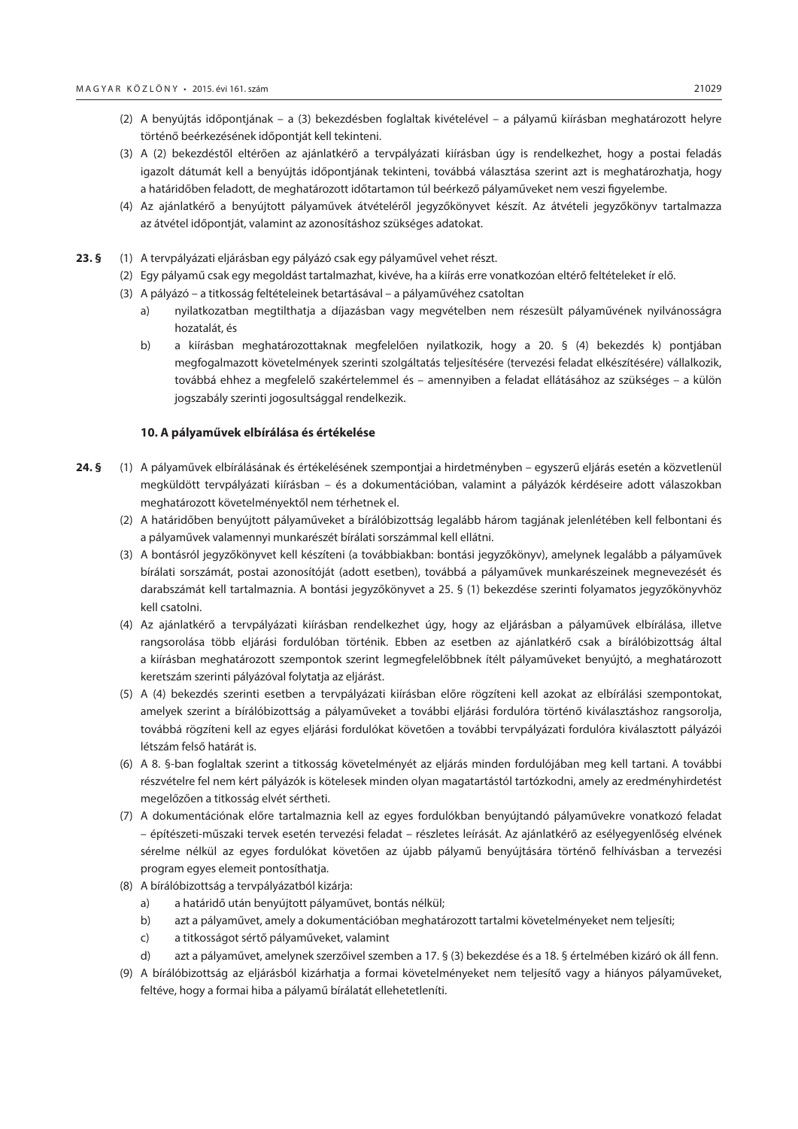- (2) A benyújtás időpontjának a (3) bekezdésben foglaltak kivételével a pályamű kiírásban meghatározott helyre történő beérkezésének időpontját kell tekinteni.
- (3) A (2) bekezdéstől eltérően az ajánlatkérő a tervpályázati kiírásban úgy is rendelkezhet, hogy a postai feladás igazolt dátumát kell a benyújtás időpontjának tekinteni, továbbá választása szerint azt is meghatározhatja, hogy a határidőben feladott, de meghatározott időtartamon túl beérkező pályaműveket nem veszi figyelembe.
- (4) Az ajánlatkérő a benyújtott pályaművek átvételéről jegyzőkönyvet készít. Az átvételi jegyzőkönyv tartalmazza az átvétel időpontját, valamint az azonosításhoz szükséges adatokat.
- **23. §** (1) A tervpályázati eljárásban egy pályázó csak egy pályaművel vehet részt.
	- (2) Egy pályamű csak egy megoldást tartalmazhat, kivéve, ha a kiírás erre vonatkozóan eltérő feltételeket ír elő.
	- (3) A pályázó a titkosság feltételeinek betartásával a pályaművéhez csatoltan
		- a) nyilatkozatban megtilthatja a díjazásban vagy megvételben nem részesült pályaművének nyilvánosságra hozatalát, és
		- b) a kiírásban meghatározottaknak megfelelően nyilatkozik, hogy a 20. § (4) bekezdés k) pontjában megfogalmazott követelmények szerinti szolgáltatás teljesítésére (tervezési feladat elkészítésére) vállalkozik, továbbá ehhez a megfelelő szakértelemmel és – amennyiben a feladat ellátásához az szükséges – a külön jogszabály szerinti jogosultsággal rendelkezik.

#### **10. A pályaművek elbírálása és értékelése**

- **24. §** (1) A pályaművek elbírálásának és értékelésének szempontjai a hirdetményben egyszerű eljárás esetén a közvetlenül megküldött tervpályázati kiírásban – és a dokumentációban, valamint a pályázók kérdéseire adott válaszokban meghatározott követelményektől nem térhetnek el.
	- (2) A határidőben benyújtott pályaműveket a bírálóbizottság legalább három tagjának jelenlétében kell felbontani és a pályaművek valamennyi munkarészét bírálati sorszámmal kell ellátni.
	- (3) A bontásról jegyzőkönyvet kell készíteni (a továbbiakban: bontási jegyzőkönyv), amelynek legalább a pályaművek bírálati sorszámát, postai azonosítóját (adott esetben), továbbá a pályaművek munkarészeinek megnevezését és darabszámát kell tartalmaznia. A bontási jegyzőkönyvet a 25. § (1) bekezdése szerinti folyamatos jegyzőkönyvhöz kell csatolni.
	- (4) Az ajánlatkérő a tervpályázati kiírásban rendelkezhet úgy, hogy az eljárásban a pályaművek elbírálása, illetve rangsorolása több eljárási fordulóban történik. Ebben az esetben az ajánlatkérő csak a bírálóbizottság által a kiírásban meghatározott szempontok szerint legmegfelelőbbnek ítélt pályaműveket benyújtó, a meghatározott keretszám szerinti pályázóval folytatja az eljárást.
	- (5) A (4) bekezdés szerinti esetben a tervpályázati kiírásban előre rögzíteni kell azokat az elbírálási szempontokat, amelyek szerint a bírálóbizottság a pályaműveket a további eljárási fordulóra történő kiválasztáshoz rangsorolja, továbbá rögzíteni kell az egyes eljárási fordulókat követően a további tervpályázati fordulóra kiválasztott pályázói létszám felső határát is.
	- (6) A 8. §-ban foglaltak szerint a titkosság követelményét az eljárás minden fordulójában meg kell tartani. A további részvételre fel nem kért pályázók is kötelesek minden olyan magatartástól tartózkodni, amely az eredményhirdetést megelőzően a titkosság elvét sértheti.
	- (7) A dokumentációnak előre tartalmaznia kell az egyes fordulókban benyújtandó pályaművekre vonatkozó feladat – építészeti-műszaki tervek esetén tervezési feladat – részletes leírását. Az ajánlatkérő az esélyegyenlőség elvének sérelme nélkül az egyes fordulókat követően az újabb pályamű benyújtására történő felhívásban a tervezési program egyes elemeit pontosíthatja.
	- (8) A bírálóbizottság a tervpályázatból kizárja:
		- a) a határidő után benyújtott pályaművet, bontás nélkül;
		- b) azt a pályaművet, amely a dokumentációban meghatározott tartalmi követelményeket nem teljesíti;
		- c) a titkosságot sértő pályaműveket, valamint
		- d) azt a pályaművet, amelynek szerzőivel szemben a 17. § (3) bekezdése és a 18. § értelmében kizáró ok áll fenn.
	- (9) A bírálóbizottság az eljárásból kizárhatja a formai követelményeket nem teljesítő vagy a hiányos pályaműveket, feltéve, hogy a formai hiba a pályamű bírálatát ellehetetleníti.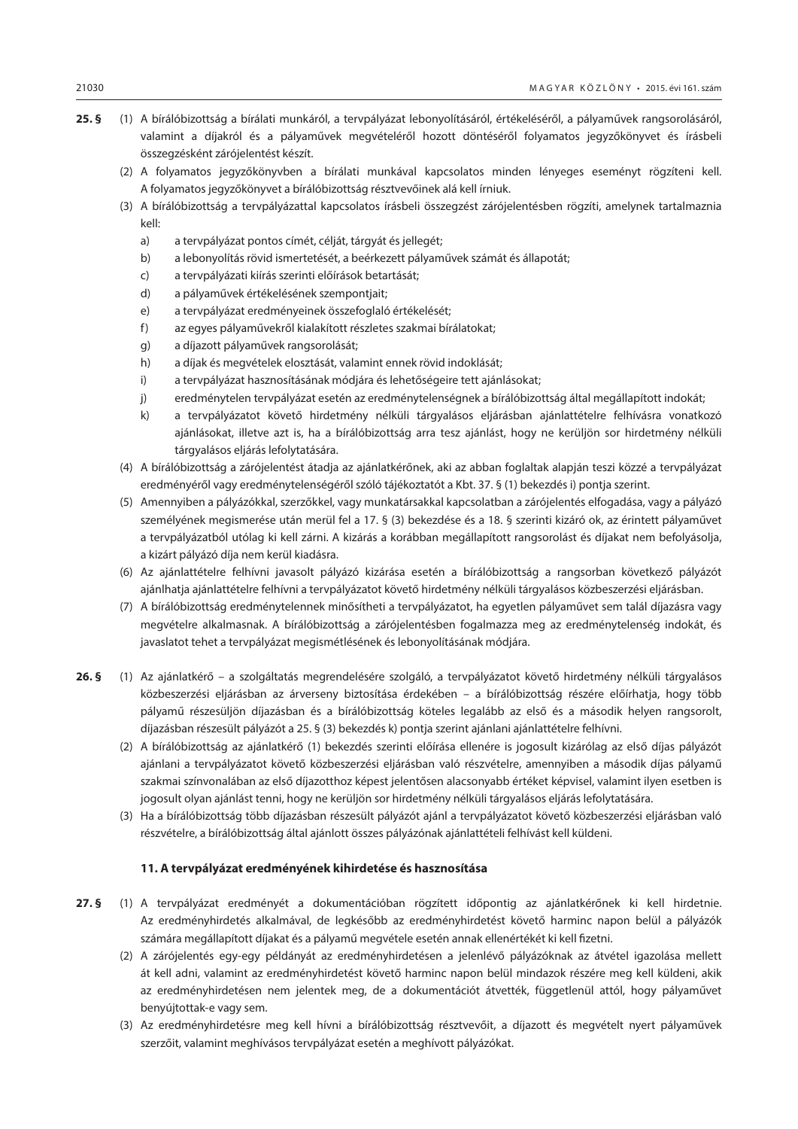- **25. §** (1) A bírálóbizottság a bírálati munkáról, a tervpályázat lebonyolításáról, értékeléséről, a pályaművek rangsorolásáról, valamint a díjakról és a pályaművek megvételéről hozott döntéséről folyamatos jegyzőkönyvet és írásbeli összegzésként zárójelentést készít.
	- (2) A folyamatos jegyzőkönyvben a bírálati munkával kapcsolatos minden lényeges eseményt rögzíteni kell. A folyamatos jegyzőkönyvet a bírálóbizottság résztvevőinek alá kell írniuk.
	- (3) A bírálóbizottság a tervpályázattal kapcsolatos írásbeli összegzést zárójelentésben rögzíti, amelynek tartalmaznia kell:
		- a) a tervpályázat pontos címét, célját, tárgyát és jellegét;
		- b) a lebonyolítás rövid ismertetését, a beérkezett pályaművek számát és állapotát;
		- c) a tervpályázati kiírás szerinti előírások betartását;
		- d) a pályaművek értékelésének szempontjait;
		- e) a tervpályázat eredményeinek összefoglaló értékelését;
		- f) az egyes pályaművekről kialakított részletes szakmai bírálatokat;
		- g) a díjazott pályaművek rangsorolását;
		- h) a díjak és megvételek elosztását, valamint ennek rövid indoklását;
		- i) a tervpályázat hasznosításának módjára és lehetőségeire tett ajánlásokat;
		- j) eredménytelen tervpályázat esetén az eredménytelenségnek a bírálóbizottság által megállapított indokát;
		- k) a tervpályázatot követő hirdetmény nélküli tárgyalásos eljárásban ajánlattételre felhívásra vonatkozó ajánlásokat, illetve azt is, ha a bírálóbizottság arra tesz ajánlást, hogy ne kerüljön sor hirdetmény nélküli tárgyalásos eljárás lefolytatására.
	- (4) A bírálóbizottság a zárójelentést átadja az ajánlatkérőnek, aki az abban foglaltak alapján teszi közzé a tervpályázat eredményéről vagy eredménytelenségéről szóló tájékoztatót a Kbt. 37. § (1) bekezdés i) pontja szerint.
	- (5) Amennyiben a pályázókkal, szerzőkkel, vagy munkatársakkal kapcsolatban a zárójelentés elfogadása, vagy a pályázó személyének megismerése után merül fel a 17. § (3) bekezdése és a 18. § szerinti kizáró ok, az érintett pályaművet a tervpályázatból utólag ki kell zárni. A kizárás a korábban megállapított rangsorolást és díjakat nem befolyásolja, a kizárt pályázó díja nem kerül kiadásra.
	- (6) Az ajánlattételre felhívni javasolt pályázó kizárása esetén a bírálóbizottság a rangsorban következő pályázót ajánlhatja ajánlattételre felhívni a tervpályázatot követő hirdetmény nélküli tárgyalásos közbeszerzési eljárásban.
	- (7) A bírálóbizottság eredménytelennek minősítheti a tervpályázatot, ha egyetlen pályaművet sem talál díjazásra vagy megvételre alkalmasnak. A bírálóbizottság a zárójelentésben fogalmazza meg az eredménytelenség indokát, és javaslatot tehet a tervpályázat megismétlésének és lebonyolításának módjára.
- **26. §** (1) Az ajánlatkérő a szolgáltatás megrendelésére szolgáló, a tervpályázatot követő hirdetmény nélküli tárgyalásos közbeszerzési eljárásban az árverseny biztosítása érdekében – a bírálóbizottság részére előírhatja, hogy több pályamű részesüljön díjazásban és a bírálóbizottság köteles legalább az első és a második helyen rangsorolt, díjazásban részesült pályázót a 25. § (3) bekezdés k) pontja szerint ajánlani ajánlattételre felhívni.
	- (2) A bírálóbizottság az ajánlatkérő (1) bekezdés szerinti előírása ellenére is jogosult kizárólag az első díjas pályázót ajánlani a tervpályázatot követő közbeszerzési eljárásban való részvételre, amennyiben a második díjas pályamű szakmai színvonalában az első díjazotthoz képest jelentősen alacsonyabb értéket képvisel, valamint ilyen esetben is jogosult olyan ajánlást tenni, hogy ne kerüljön sor hirdetmény nélküli tárgyalásos eljárás lefolytatására.
	- (3) Ha a bírálóbizottság több díjazásban részesült pályázót ajánl a tervpályázatot követő közbeszerzési eljárásban való részvételre, a bírálóbizottság által ajánlott összes pályázónak ajánlattételi felhívást kell küldeni.

#### **11. A tervpályázat eredményének kihirdetése és hasznosítása**

- **27. §** (1) A tervpályázat eredményét a dokumentációban rögzített időpontig az ajánlatkérőnek ki kell hirdetnie. Az eredményhirdetés alkalmával, de legkésőbb az eredményhirdetést követő harminc napon belül a pályázók számára megállapított díjakat és a pályamű megvétele esetén annak ellenértékét ki kell fizetni.
	- (2) A zárójelentés egy-egy példányát az eredményhirdetésen a jelenlévő pályázóknak az átvétel igazolása mellett át kell adni, valamint az eredményhirdetést követő harminc napon belül mindazok részére meg kell küldeni, akik az eredményhirdetésen nem jelentek meg, de a dokumentációt átvették, függetlenül attól, hogy pályaművet benyújtottak-e vagy sem.
	- (3) Az eredményhirdetésre meg kell hívni a bírálóbizottság résztvevőit, a díjazott és megvételt nyert pályaművek szerzőit, valamint meghívásos tervpályázat esetén a meghívott pályázókat.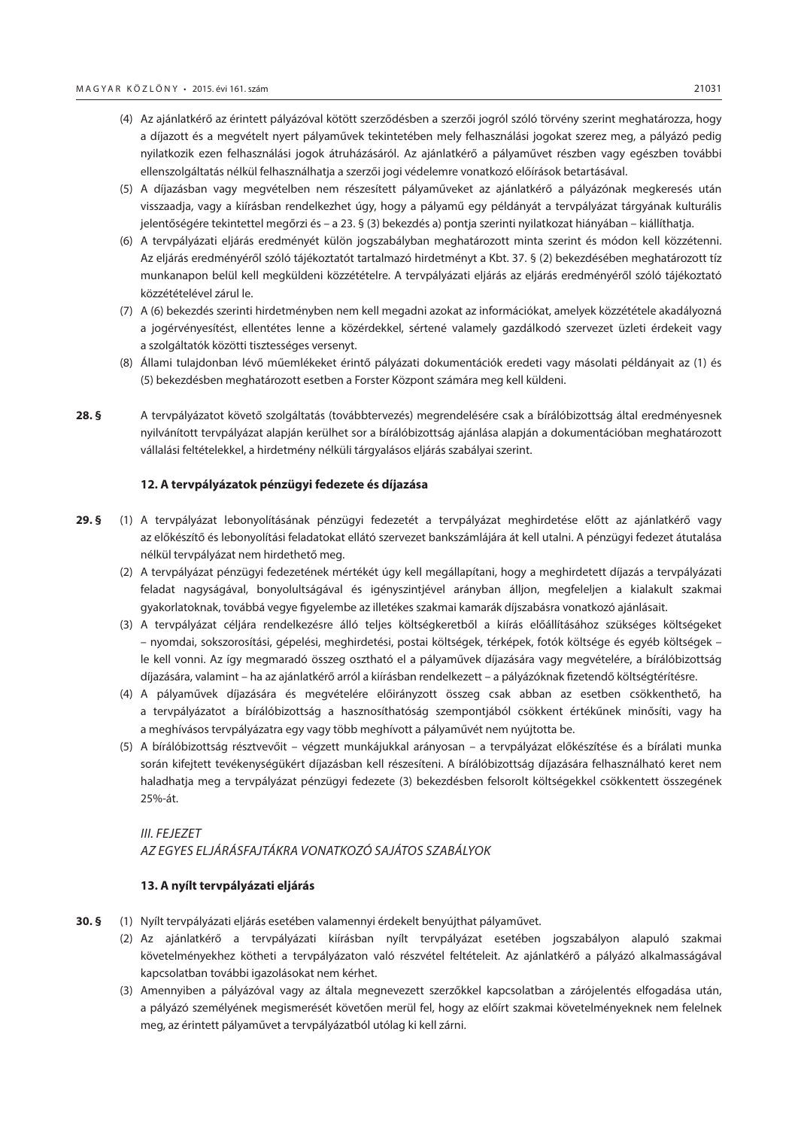- (4) Az ajánlatkérő az érintett pályázóval kötött szerződésben a szerzői jogról szóló törvény szerint meghatározza, hogy a díjazott és a megvételt nyert pályaművek tekintetében mely felhasználási jogokat szerez meg, a pályázó pedig nyilatkozik ezen felhasználási jogok átruházásáról. Az ajánlatkérő a pályaművet részben vagy egészben további ellenszolgáltatás nélkül felhasználhatja a szerzői jogi védelemre vonatkozó előírások betartásával.
- (5) A díjazásban vagy megvételben nem részesített pályaműveket az ajánlatkérő a pályázónak megkeresés után visszaadja, vagy a kiírásban rendelkezhet úgy, hogy a pályamű egy példányát a tervpályázat tárgyának kulturális jelentőségére tekintettel megőrzi és – a 23. § (3) bekezdés a) pontja szerinti nyilatkozat hiányában – kiállíthatja.
- (6) A tervpályázati eljárás eredményét külön jogszabályban meghatározott minta szerint és módon kell közzétenni. Az eljárás eredményéről szóló tájékoztatót tartalmazó hirdetményt a Kbt. 37. § (2) bekezdésében meghatározott tíz munkanapon belül kell megküldeni közzétételre. A tervpályázati eljárás az eljárás eredményéről szóló tájékoztató közzétételével zárul le.
- (7) A (6) bekezdés szerinti hirdetményben nem kell megadni azokat az információkat, amelyek közzététele akadályozná a jogérvényesítést, ellentétes lenne a közérdekkel, sértené valamely gazdálkodó szervezet üzleti érdekeit vagy a szolgáltatók közötti tisztességes versenyt.
- (8) Állami tulajdonban lévő műemlékeket érintő pályázati dokumentációk eredeti vagy másolati példányait az (1) és (5) bekezdésben meghatározott esetben a Forster Központ számára meg kell küldeni.
- **28. §** A tervpályázatot követő szolgáltatás (továbbtervezés) megrendelésére csak a bírálóbizottság által eredményesnek nyilvánított tervpályázat alapján kerülhet sor a bírálóbizottság ajánlása alapján a dokumentációban meghatározott vállalási feltételekkel, a hirdetmény nélküli tárgyalásos eljárás szabályai szerint.

#### **12. A tervpályázatok pénzügyi fedezete és díjazása**

- **29. §** (1) A tervpályázat lebonyolításának pénzügyi fedezetét a tervpályázat meghirdetése előtt az ajánlatkérő vagy az előkészítő és lebonyolítási feladatokat ellátó szervezet bankszámlájára át kell utalni. A pénzügyi fedezet átutalása nélkül tervpályázat nem hirdethető meg.
	- (2) A tervpályázat pénzügyi fedezetének mértékét úgy kell megállapítani, hogy a meghirdetett díjazás a tervpályázati feladat nagyságával, bonyolultságával és igényszintjével arányban álljon, megfeleljen a kialakult szakmai gyakorlatoknak, továbbá vegye figyelembe az illetékes szakmai kamarák díjszabásra vonatkozó ajánlásait.
	- (3) A tervpályázat céljára rendelkezésre álló teljes költségkeretből a kiírás előállításához szükséges költségeket – nyomdai, sokszorosítási, gépelési, meghirdetési, postai költségek, térképek, fotók költsége és egyéb költségek – le kell vonni. Az így megmaradó összeg osztható el a pályaművek díjazására vagy megvételére, a bírálóbizottság díjazására, valamint – ha az ajánlatkérő arról a kiírásban rendelkezett – a pályázóknak fizetendő költségtérítésre.
	- (4) A pályaművek díjazására és megvételére előirányzott összeg csak abban az esetben csökkenthető, ha a tervpályázatot a bírálóbizottság a hasznosíthatóság szempontjából csökkent értékűnek minősíti, vagy ha a meghívásos tervpályázatra egy vagy több meghívott a pályaművét nem nyújtotta be.
	- (5) A bírálóbizottság résztvevőit végzett munkájukkal arányosan a tervpályázat előkészítése és a bírálati munka során kifejtett tevékenységükért díjazásban kell részesíteni. A bírálóbizottság díjazására felhasználható keret nem haladhatja meg a tervpályázat pénzügyi fedezete (3) bekezdésben felsorolt költségekkel csökkentett összegének 25%-át.

# *III. FEJEZET AZ EGYES ELJÁRÁSFAJTÁKRA VONATKOZÓ SAJÁTOS SZABÁLYOK*

#### **13. A nyílt tervpályázati eljárás**

- **30. §** (1) Nyílt tervpályázati eljárás esetében valamennyi érdekelt benyújthat pályaművet.
	- (2) Az ajánlatkérő a tervpályázati kiírásban nyílt tervpályázat esetében jogszabályon alapuló szakmai követelményekhez kötheti a tervpályázaton való részvétel feltételeit. Az ajánlatkérő a pályázó alkalmasságával kapcsolatban további igazolásokat nem kérhet.
	- (3) Amennyiben a pályázóval vagy az általa megnevezett szerzőkkel kapcsolatban a zárójelentés elfogadása után, a pályázó személyének megismerését követően merül fel, hogy az előírt szakmai követelményeknek nem felelnek meg, az érintett pályaművet a tervpályázatból utólag ki kell zárni.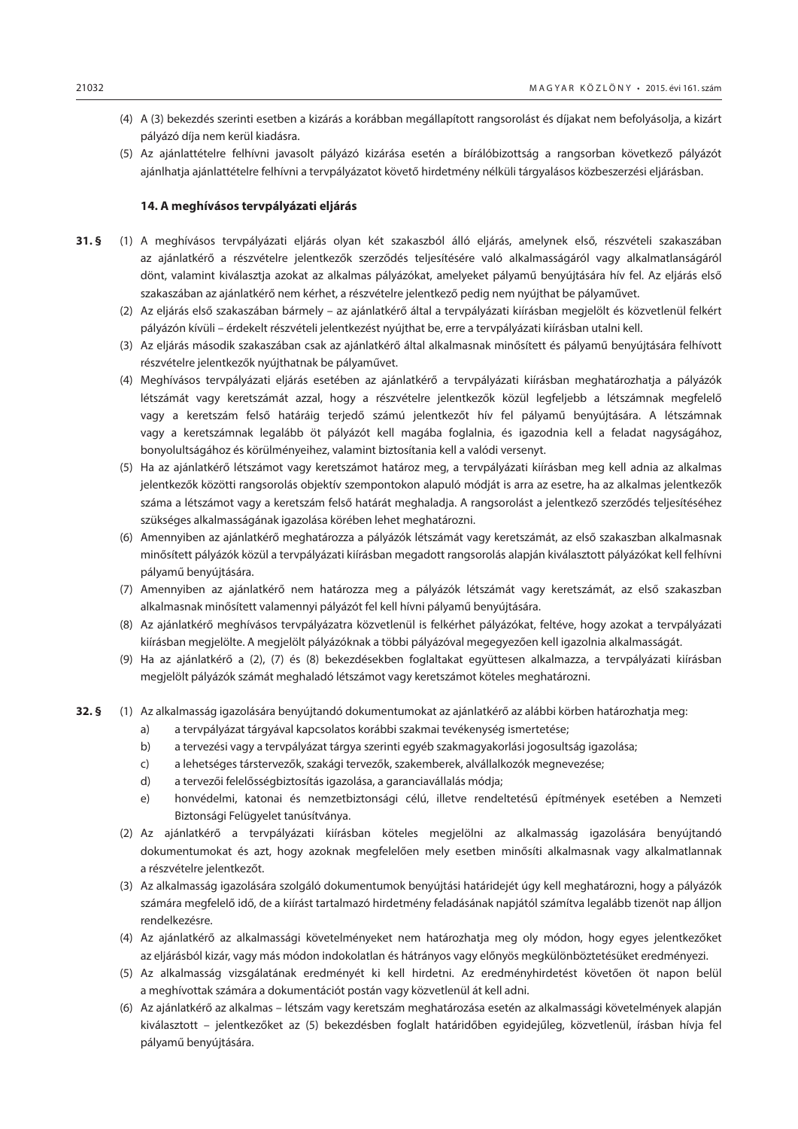- (4) A (3) bekezdés szerinti esetben a kizárás a korábban megállapított rangsorolást és díjakat nem befolyásolja, a kizárt pályázó díja nem kerül kiadásra.
- (5) Az ajánlattételre felhívni javasolt pályázó kizárása esetén a bírálóbizottság a rangsorban következő pályázót ajánlhatja ajánlattételre felhívni a tervpályázatot követő hirdetmény nélküli tárgyalásos közbeszerzési eljárásban.

#### **14. A meghívásos tervpályázati eljárás**

- **31. §** (1) A meghívásos tervpályázati eljárás olyan két szakaszból álló eljárás, amelynek első, részvételi szakaszában az ajánlatkérő a részvételre jelentkezők szerződés teljesítésére való alkalmasságáról vagy alkalmatlanságáról dönt, valamint kiválasztja azokat az alkalmas pályázókat, amelyeket pályamű benyújtására hív fel. Az eljárás első szakaszában az ajánlatkérő nem kérhet, a részvételre jelentkező pedig nem nyújthat be pályaművet.
	- (2) Az eljárás első szakaszában bármely az ajánlatkérő által a tervpályázati kiírásban megjelölt és közvetlenül felkért pályázón kívüli – érdekelt részvételi jelentkezést nyújthat be, erre a tervpályázati kiírásban utalni kell.
	- (3) Az eljárás második szakaszában csak az ajánlatkérő által alkalmasnak minősített és pályamű benyújtására felhívott részvételre jelentkezők nyújthatnak be pályaművet.
	- (4) Meghívásos tervpályázati eljárás esetében az ajánlatkérő a tervpályázati kiírásban meghatározhatja a pályázók létszámát vagy keretszámát azzal, hogy a részvételre jelentkezők közül legfeljebb a létszámnak megfelelő vagy a keretszám felső határáig terjedő számú jelentkezőt hív fel pályamű benyújtására. A létszámnak vagy a keretszámnak legalább öt pályázót kell magába foglalnia, és igazodnia kell a feladat nagyságához, bonyolultságához és körülményeihez, valamint biztosítania kell a valódi versenyt.
	- (5) Ha az ajánlatkérő létszámot vagy keretszámot határoz meg, a tervpályázati kiírásban meg kell adnia az alkalmas jelentkezők közötti rangsorolás objektív szempontokon alapuló módját is arra az esetre, ha az alkalmas jelentkezők száma a létszámot vagy a keretszám felső határát meghaladja. A rangsorolást a jelentkező szerződés teljesítéséhez szükséges alkalmasságának igazolása körében lehet meghatározni.
	- (6) Amennyiben az ajánlatkérő meghatározza a pályázók létszámát vagy keretszámát, az első szakaszban alkalmasnak minősített pályázók közül a tervpályázati kiírásban megadott rangsorolás alapján kiválasztott pályázókat kell felhívni pályamű benyújtására.
	- (7) Amennyiben az ajánlatkérő nem határozza meg a pályázók létszámát vagy keretszámát, az első szakaszban alkalmasnak minősített valamennyi pályázót fel kell hívni pályamű benyújtására.
	- (8) Az ajánlatkérő meghívásos tervpályázatra közvetlenül is felkérhet pályázókat, feltéve, hogy azokat a tervpályázati kiírásban megjelölte. A megjelölt pályázóknak a többi pályázóval megegyezően kell igazolnia alkalmasságát.
	- (9) Ha az ajánlatkérő a (2), (7) és (8) bekezdésekben foglaltakat együttesen alkalmazza, a tervpályázati kiírásban megjelölt pályázók számát meghaladó létszámot vagy keretszámot köteles meghatározni.
- **32. §** (1) Az alkalmasság igazolására benyújtandó dokumentumokat az ajánlatkérő az alábbi körben határozhatja meg:
	- a) a tervpályázat tárgyával kapcsolatos korábbi szakmai tevékenység ismertetése;
	- b) a tervezési vagy a tervpályázat tárgya szerinti egyéb szakmagyakorlási jogosultság igazolása;
	- c) a lehetséges társtervezők, szakági tervezők, szakemberek, alvállalkozók megnevezése;
	- d) a tervezői felelősségbiztosítás igazolása, a garanciavállalás módja;
	- e) honvédelmi, katonai és nemzetbiztonsági célú, illetve rendeltetésű építmények esetében a Nemzeti Biztonsági Felügyelet tanúsítványa.
	- (2) Az ajánlatkérő a tervpályázati kiírásban köteles megjelölni az alkalmasság igazolására benyújtandó dokumentumokat és azt, hogy azoknak megfelelően mely esetben minősíti alkalmasnak vagy alkalmatlannak a részvételre jelentkezőt.
	- (3) Az alkalmasság igazolására szolgáló dokumentumok benyújtási határidejét úgy kell meghatározni, hogy a pályázók számára megfelelő idő, de a kiírást tartalmazó hirdetmény feladásának napjától számítva legalább tizenöt nap álljon rendelkezésre.
	- (4) Az ajánlatkérő az alkalmassági követelményeket nem határozhatja meg oly módon, hogy egyes jelentkezőket az eljárásból kizár, vagy más módon indokolatlan és hátrányos vagy előnyös megkülönböztetésüket eredményezi.
	- (5) Az alkalmasság vizsgálatának eredményét ki kell hirdetni. Az eredményhirdetést követően öt napon belül a meghívottak számára a dokumentációt postán vagy közvetlenül át kell adni.
	- (6) Az ajánlatkérő az alkalmas létszám vagy keretszám meghatározása esetén az alkalmassági követelmények alapján kiválasztott – jelentkezőket az (5) bekezdésben foglalt határidőben egyidejűleg, közvetlenül, írásban hívja fel pályamű benyújtására.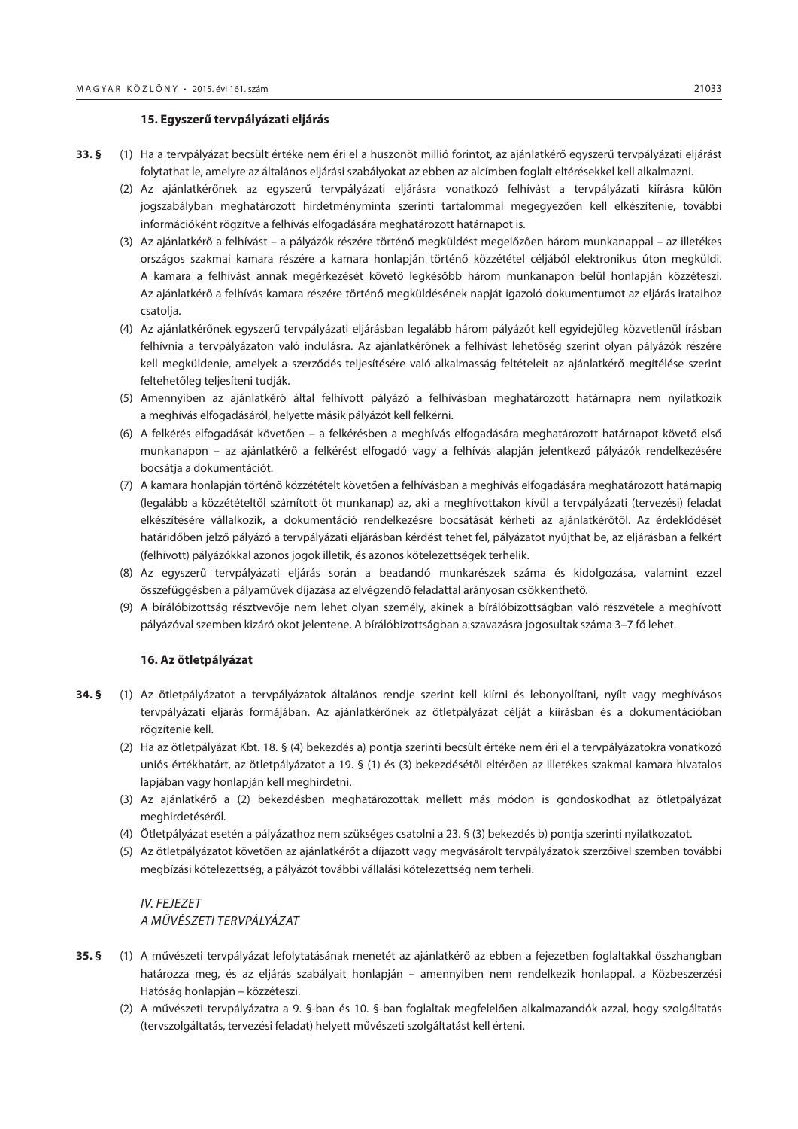#### **15. Egyszerű tervpályázati eljárás**

- **33. §** (1) Ha a tervpályázat becsült értéke nem éri el a huszonöt millió forintot, az ajánlatkérő egyszerű tervpályázati eljárást folytathat le, amelyre az általános eljárási szabályokat az ebben az alcímben foglalt eltérésekkel kell alkalmazni.
	- (2) Az ajánlatkérőnek az egyszerű tervpályázati eljárásra vonatkozó felhívást a tervpályázati kiírásra külön jogszabályban meghatározott hirdetményminta szerinti tartalommal megegyezően kell elkészítenie, további információként rögzítve a felhívás elfogadására meghatározott határnapot is.
	- (3) Az ajánlatkérő a felhívást a pályázók részére történő megküldést megelőzően három munkanappal az illetékes országos szakmai kamara részére a kamara honlapján történő közzététel céljából elektronikus úton megküldi. A kamara a felhívást annak megérkezését követő legkésőbb három munkanapon belül honlapján közzéteszi. Az ajánlatkérő a felhívás kamara részére történő megküldésének napját igazoló dokumentumot az eljárás irataihoz csatolja.
	- (4) Az ajánlatkérőnek egyszerű tervpályázati eljárásban legalább három pályázót kell egyidejűleg közvetlenül írásban felhívnia a tervpályázaton való indulásra. Az ajánlatkérőnek a felhívást lehetőség szerint olyan pályázók részére kell megküldenie, amelyek a szerződés teljesítésére való alkalmasság feltételeit az ajánlatkérő megítélése szerint feltehetőleg teljesíteni tudják.
	- (5) Amennyiben az ajánlatkérő által felhívott pályázó a felhívásban meghatározott határnapra nem nyilatkozik a meghívás elfogadásáról, helyette másik pályázót kell felkérni.
	- (6) A felkérés elfogadását követően a felkérésben a meghívás elfogadására meghatározott határnapot követő első munkanapon – az ajánlatkérő a felkérést elfogadó vagy a felhívás alapján jelentkező pályázók rendelkezésére bocsátja a dokumentációt.
	- (7) A kamara honlapján történő közzétételt követően a felhívásban a meghívás elfogadására meghatározott határnapig (legalább a közzétételtől számított öt munkanap) az, aki a meghívottakon kívül a tervpályázati (tervezési) feladat elkészítésére vállalkozik, a dokumentáció rendelkezésre bocsátását kérheti az ajánlatkérőtől. Az érdeklődését határidőben jelző pályázó a tervpályázati eljárásban kérdést tehet fel, pályázatot nyújthat be, az eljárásban a felkért (felhívott) pályázókkal azonos jogok illetik, és azonos kötelezettségek terhelik.
	- (8) Az egyszerű tervpályázati eljárás során a beadandó munkarészek száma és kidolgozása, valamint ezzel összefüggésben a pályaművek díjazása az elvégzendő feladattal arányosan csökkenthető.
	- (9) A bírálóbizottság résztvevője nem lehet olyan személy, akinek a bírálóbizottságban való részvétele a meghívott pályázóval szemben kizáró okot jelentene. A bírálóbizottságban a szavazásra jogosultak száma 3–7 fő lehet.

#### **16. Az ötletpályázat**

- **34. §** (1) Az ötletpályázatot a tervpályázatok általános rendje szerint kell kiírni és lebonyolítani, nyílt vagy meghívásos tervpályázati eljárás formájában. Az ajánlatkérőnek az ötletpályázat célját a kiírásban és a dokumentációban rögzítenie kell.
	- (2) Ha az ötletpályázat Kbt. 18. § (4) bekezdés a) pontja szerinti becsült értéke nem éri el a tervpályázatokra vonatkozó uniós értékhatárt, az ötletpályázatot a 19. § (1) és (3) bekezdésétől eltérően az illetékes szakmai kamara hivatalos lapjában vagy honlapján kell meghirdetni.
	- (3) Az ajánlatkérő a (2) bekezdésben meghatározottak mellett más módon is gondoskodhat az ötletpályázat meghirdetéséről.
	- (4) Ötletpályázat esetén a pályázathoz nem szükséges csatolni a 23. § (3) bekezdés b) pontja szerinti nyilatkozatot.
	- (5) Az ötletpályázatot követően az ajánlatkérőt a díjazott vagy megvásárolt tervpályázatok szerzőivel szemben további megbízási kötelezettség, a pályázót további vállalási kötelezettség nem terheli.

# *IV. FEJEZET A MŰVÉSZETI TERVPÁLYÁZAT*

- **35. §** (1) A művészeti tervpályázat lefolytatásának menetét az ajánlatkérő az ebben a fejezetben foglaltakkal összhangban határozza meg, és az eljárás szabályait honlapján – amennyiben nem rendelkezik honlappal, a Közbeszerzési Hatóság honlapján – közzéteszi.
	- (2) A művészeti tervpályázatra a 9. §-ban és 10. §-ban foglaltak megfelelően alkalmazandók azzal, hogy szolgáltatás (tervszolgáltatás, tervezési feladat) helyett művészeti szolgáltatást kell érteni.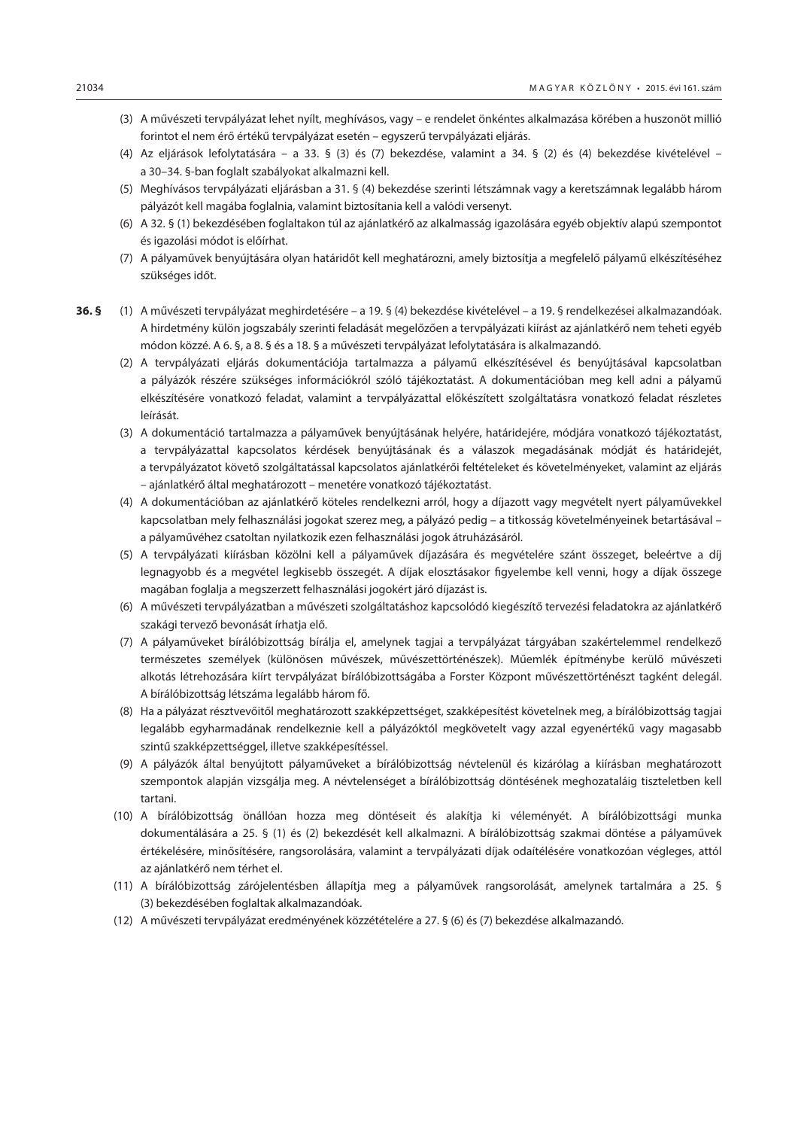- (3) A művészeti tervpályázat lehet nyílt, meghívásos, vagy e rendelet önkéntes alkalmazása körében a huszonöt millió forintot el nem érő értékű tervpályázat esetén – egyszerű tervpályázati eljárás.
- (4) Az eljárások lefolytatására a 33. § (3) és (7) bekezdése, valamint a 34. § (2) és (4) bekezdése kivételével a 30–34. §-ban foglalt szabályokat alkalmazni kell.
- (5) Meghívásos tervpályázati eljárásban a 31. § (4) bekezdése szerinti létszámnak vagy a keretszámnak legalább három pályázót kell magába foglalnia, valamint biztosítania kell a valódi versenyt.
- (6) A 32. § (1) bekezdésében foglaltakon túl az ajánlatkérő az alkalmasság igazolására egyéb objektív alapú szempontot és igazolási módot is előírhat.
- (7) A pályaművek benyújtására olyan határidőt kell meghatározni, amely biztosítja a megfelelő pályamű elkészítéséhez szükséges időt.
- **36. §** (1) A művészeti tervpályázat meghirdetésére a 19. § (4) bekezdése kivételével a 19. § rendelkezései alkalmazandóak. A hirdetmény külön jogszabály szerinti feladását megelőzően a tervpályázati kiírást az ajánlatkérő nem teheti egyéb módon közzé. A 6. §, a 8. § és a 18. § a művészeti tervpályázat lefolytatására is alkalmazandó.
	- (2) A tervpályázati eljárás dokumentációja tartalmazza a pályamű elkészítésével és benyújtásával kapcsolatban a pályázók részére szükséges információkról szóló tájékoztatást. A dokumentációban meg kell adni a pályamű elkészítésére vonatkozó feladat, valamint a tervpályázattal előkészített szolgáltatásra vonatkozó feladat részletes leírását.
	- (3) A dokumentáció tartalmazza a pályaművek benyújtásának helyére, határidejére, módjára vonatkozó tájékoztatást, a tervpályázattal kapcsolatos kérdések benyújtásának és a válaszok megadásának módját és határidejét, a tervpályázatot követő szolgáltatással kapcsolatos ajánlatkérői feltételeket és követelményeket, valamint az eljárás – ajánlatkérő által meghatározott – menetére vonatkozó tájékoztatást.
	- (4) A dokumentációban az ajánlatkérő köteles rendelkezni arról, hogy a díjazott vagy megvételt nyert pályaművekkel kapcsolatban mely felhasználási jogokat szerez meg, a pályázó pedig – a titkosság követelményeinek betartásával – a pályaművéhez csatoltan nyilatkozik ezen felhasználási jogok átruházásáról.
	- (5) A tervpályázati kiírásban közölni kell a pályaművek díjazására és megvételére szánt összeget, beleértve a díj legnagyobb és a megvétel legkisebb összegét. A díjak elosztásakor figyelembe kell venni, hogy a díjak összege magában foglalja a megszerzett felhasználási jogokért járó díjazást is.
	- (6) A művészeti tervpályázatban a művészeti szolgáltatáshoz kapcsolódó kiegészítő tervezési feladatokra az ajánlatkérő szakági tervező bevonását írhatja elő.
	- (7) A pályaműveket bírálóbizottság bírálja el, amelynek tagjai a tervpályázat tárgyában szakértelemmel rendelkező természetes személyek (különösen művészek, művészettörténészek). Műemlék építménybe kerülő művészeti alkotás létrehozására kiírt tervpályázat bírálóbizottságába a Forster Központ művészettörténészt tagként delegál. A bírálóbizottság létszáma legalább három fő.
	- (8) Ha a pályázat résztvevőitől meghatározott szakképzettséget, szakképesítést követelnek meg, a bírálóbizottság tagjai legalább egyharmadának rendelkeznie kell a pályázóktól megkövetelt vagy azzal egyenértékű vagy magasabb szintű szakképzettséggel, illetve szakképesítéssel.
	- (9) A pályázók által benyújtott pályaműveket a bírálóbizottság névtelenül és kizárólag a kiírásban meghatározott szempontok alapján vizsgálja meg. A névtelenséget a bírálóbizottság döntésének meghozataláig tiszteletben kell tartani.
	- (10) A bírálóbizottság önállóan hozza meg döntéseit és alakítja ki véleményét. A bírálóbizottsági munka dokumentálására a 25. § (1) és (2) bekezdését kell alkalmazni. A bírálóbizottság szakmai döntése a pályaművek értékelésére, minősítésére, rangsorolására, valamint a tervpályázati díjak odaítélésére vonatkozóan végleges, attól az ajánlatkérő nem térhet el.
	- (11) A bírálóbizottság zárójelentésben állapítja meg a pályaművek rangsorolását, amelynek tartalmára a 25. § (3) bekezdésében foglaltak alkalmazandóak.
	- (12) A művészeti tervpályázat eredményének közzétételére a 27. § (6) és (7) bekezdése alkalmazandó.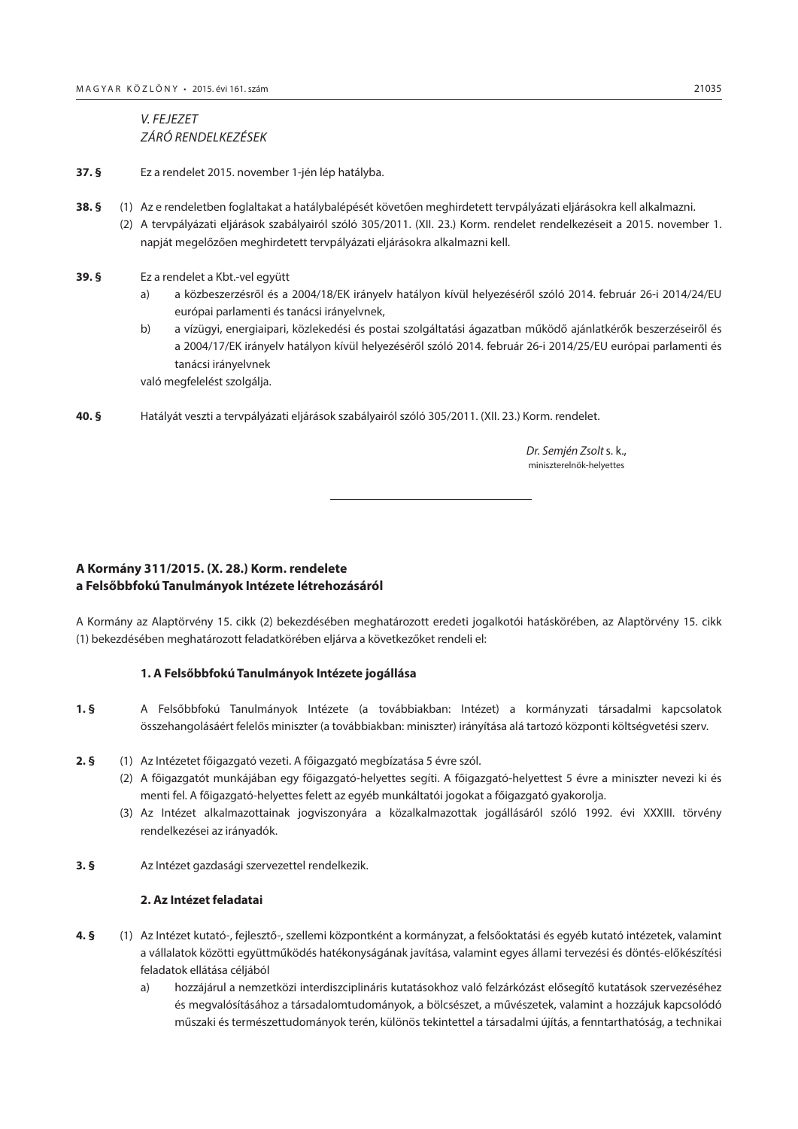<span id="page-24-0"></span>*V. FEJEZET ZÁRÓ RENDELKEZÉSEK*

- **37. §** Ez a rendelet 2015. november 1-jén lép hatályba.
- **38. §** (1) Az e rendeletben foglaltakat a hatálybalépését követően meghirdetett tervpályázati eljárásokra kell alkalmazni. (2) A tervpályázati eljárások szabályairól szóló 305/2011. (XII. 23.) Korm. rendelet rendelkezéseit a 2015. november 1. napját megelőzően meghirdetett tervpályázati eljárásokra alkalmazni kell.
- **39. §** Ez a rendelet a Kbt.-vel együtt
	- a) a közbeszerzésről és a 2004/18/EK irányelv hatályon kívül helyezéséről szóló 2014. február 26-i 2014/24/EU európai parlamenti és tanácsi irányelvnek,
	- b) a vízügyi, energiaipari, közlekedési és postai szolgáltatási ágazatban működő ajánlatkérők beszerzéseiről és a 2004/17/EK irányelv hatályon kívül helyezéséről szóló 2014. február 26-i 2014/25/EU európai parlamenti és tanácsi irányelvnek

való megfelelést szolgálja.

**40. §** Hatályát veszti a tervpályázati eljárások szabályairól szóló 305/2011. (XII. 23.) Korm. rendelet.

 *Dr. Semjén Zsolt* s. k., miniszterelnök-helyettes

# **A Kormány 311/2015. (X. 28.) Korm. rendelete a Felsőbbfokú Tanulmányok Intézete létrehozásáról**

A Kormány az Alaptörvény 15. cikk (2) bekezdésében meghatározott eredeti jogalkotói hatáskörében, az Alaptörvény 15. cikk (1) bekezdésében meghatározott feladatkörében eljárva a következőket rendeli el:

# **1. A Felsőbbfokú Tanulmányok Intézete jogállása**

- **1. §** A Felsőbbfokú Tanulmányok Intézete (a továbbiakban: Intézet) a kormányzati társadalmi kapcsolatok összehangolásáért felelős miniszter (a továbbiakban: miniszter) irányítása alá tartozó központi költségvetési szerv.
- **2. §** (1) Az Intézetet főigazgató vezeti. A főigazgató megbízatása 5 évre szól.
	- (2) A főigazgatót munkájában egy főigazgató-helyettes segíti. A főigazgató-helyettest 5 évre a miniszter nevezi ki és menti fel. A főigazgató-helyettes felett az egyéb munkáltatói jogokat a főigazgató gyakorolja.
	- (3) Az Intézet alkalmazottainak jogviszonyára a közalkalmazottak jogállásáról szóló 1992. évi XXXIII. törvény rendelkezései az irányadók.
- **3. §** Az Intézet gazdasági szervezettel rendelkezik.

## **2. Az Intézet feladatai**

- **4. §** (1) Az Intézet kutató-, fejlesztő-, szellemi központként a kormányzat, a felsőoktatási és egyéb kutató intézetek, valamint a vállalatok közötti együttműködés hatékonyságának javítása, valamint egyes állami tervezési és döntés-előkészítési feladatok ellátása céljából
	- a) hozzájárul a nemzetközi interdiszciplináris kutatásokhoz való felzárkózást elősegítő kutatások szervezéséhez és megvalósításához a társadalomtudományok, a bölcsészet, a művészetek, valamint a hozzájuk kapcsolódó műszaki és természettudományok terén, különös tekintettel a társadalmi újítás, a fenntarthatóság, a technikai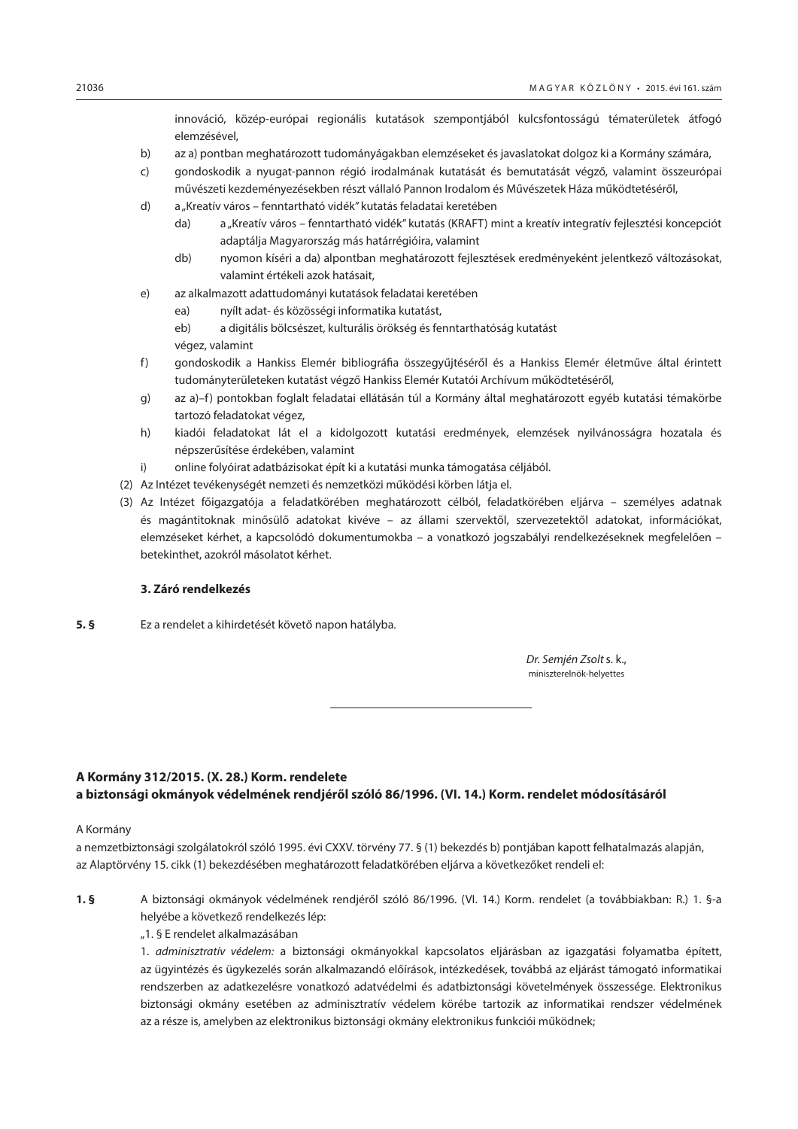innováció, közép-európai regionális kutatások szempontjából kulcsfontosságú tématerületek átfogó elemzésével,

- <span id="page-25-0"></span>b) az a) pontban meghatározott tudományágakban elemzéseket és javaslatokat dolgoz ki a Kormány számára,
- c) gondoskodik a nyugat-pannon régió irodalmának kutatását és bemutatását végző, valamint összeurópai művészeti kezdeményezésekben részt vállaló Pannon Irodalom és Művészetek Háza működtetéséről,
- d) a "Kreatív város fenntartható vidék" kutatás feladatai keretében
	- da) a "Kreatív város fenntartható vidék" kutatás (KRAFT) mint a kreatív integratív fejlesztési koncepciót adaptálja Magyarország más határrégióira, valamint
	- db) nyomon kíséri a da) alpontban meghatározott fejlesztések eredményeként jelentkező változásokat, valamint értékeli azok hatásait,
- e) az alkalmazott adattudományi kutatások feladatai keretében
	- ea) nyílt adat- és közösségi informatika kutatást,

eb) a digitális bölcsészet, kulturális örökség és fenntarthatóság kutatást

végez, valamint

- f) gondoskodik a Hankiss Elemér bibliográfia összegyűjtéséről és a Hankiss Elemér életműve által érintett tudományterületeken kutatást végző Hankiss Elemér Kutatói Archívum működtetéséről,
- g) az a)–f) pontokban foglalt feladatai ellátásán túl a Kormány által meghatározott egyéb kutatási témakörbe tartozó feladatokat végez,
- h) kiadói feladatokat lát el a kidolgozott kutatási eredmények, elemzések nyilvánosságra hozatala és népszerűsítése érdekében, valamint
- i) online folyóirat adatbázisokat épít ki a kutatási munka támogatása céljából.
- (2) Az Intézet tevékenységét nemzeti és nemzetközi működési körben látja el.
- (3) Az Intézet főigazgatója a feladatkörében meghatározott célból, feladatkörében eljárva személyes adatnak és magántitoknak minősülő adatokat kivéve – az állami szervektől, szervezetektől adatokat, információkat, elemzéseket kérhet, a kapcsolódó dokumentumokba – a vonatkozó jogszabályi rendelkezéseknek megfelelően – betekinthet, azokról másolatot kérhet.

#### **3. Záró rendelkezés**

**5. §** Ez a rendelet a kihirdetését követő napon hatályba.

 *Dr. Semjén Zsolt* s. k., miniszterelnök-helyettes

# **A Kormány 312/2015. (X. 28.) Korm. rendelete a biztonsági okmányok védelmének rendjéről szóló 86/1996. (VI. 14.) Korm. rendelet módosításáról**

#### A Kormány

a nemzetbiztonsági szolgálatokról szóló 1995. évi CXXV. törvény 77. § (1) bekezdés b) pontjában kapott felhatalmazás alapján, az Alaptörvény 15. cikk (1) bekezdésében meghatározott feladatkörében eljárva a következőket rendeli el:

- **1. §** A biztonsági okmányok védelmének rendjéről szóló 86/1996. (VI. 14.) Korm. rendelet (a továbbiakban: R.) 1. §-a helyébe a következő rendelkezés lép:
	- "1. § E rendelet alkalmazásában

1. *adminisztratív védelem:* a biztonsági okmányokkal kapcsolatos eljárásban az igazgatási folyamatba épített, az ügyintézés és ügykezelés során alkalmazandó előírások, intézkedések, továbbá az eljárást támogató informatikai rendszerben az adatkezelésre vonatkozó adatvédelmi és adatbiztonsági követelmények összessége. Elektronikus biztonsági okmány esetében az adminisztratív védelem körébe tartozik az informatikai rendszer védelmének az a része is, amelyben az elektronikus biztonsági okmány elektronikus funkciói működnek;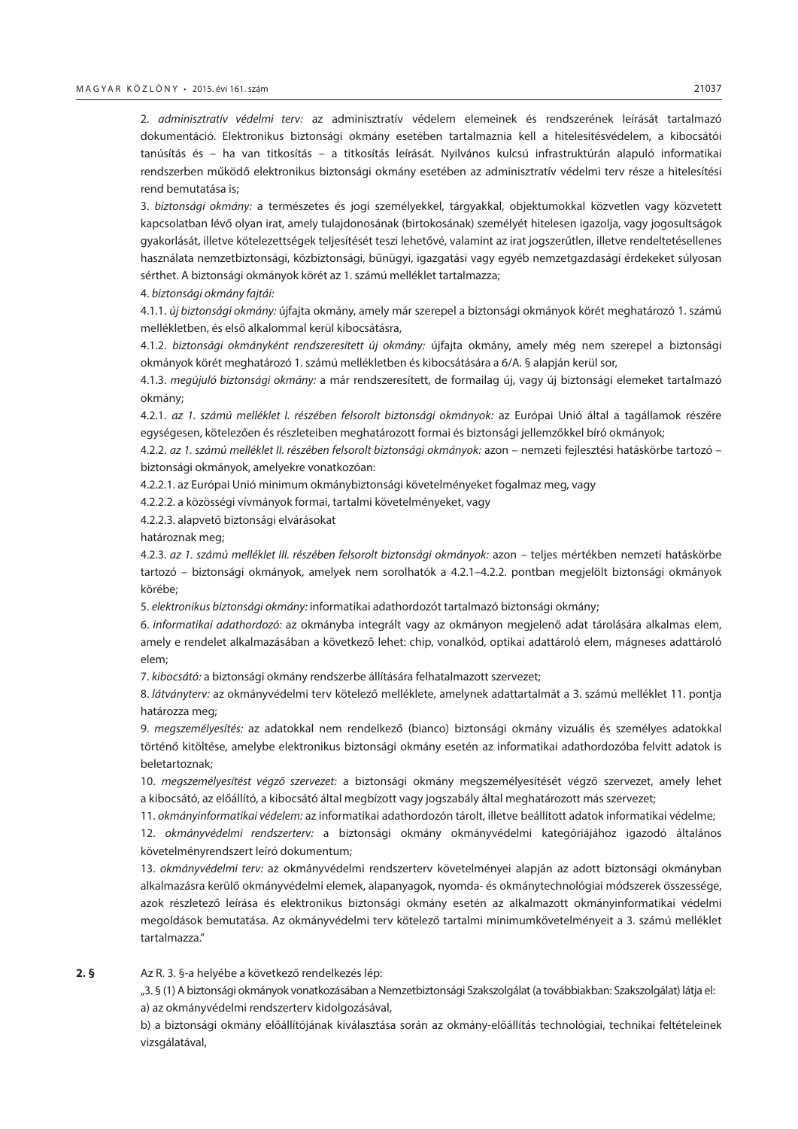2. *adminisztratív védelmi terv:* az adminisztratív védelem elemeinek és rendszerének leírását tartalmazó dokumentáció. Elektronikus biztonsági okmány esetében tartalmaznia kell a hitelesítésvédelem, a kibocsátói tanúsítás és – ha van titkosítás – a titkosítás leírását. Nyilvános kulcsú infrastruktúrán alapuló informatikai rendszerben működő elektronikus biztonsági okmány esetében az adminisztratív védelmi terv része a hitelesítési rend bemutatása is;

3. *biztonsági okmány:* a természetes és jogi személyekkel, tárgyakkal, objektumokkal közvetlen vagy közvetett kapcsolatban lévő olyan irat, amely tulajdonosának (birtokosának) személyét hitelesen igazolja, vagy jogosultságok gyakorlását, illetve kötelezettségek teljesítését teszi lehetővé, valamint az irat jogszerűtlen, illetve rendeltetésellenes használata nemzetbiztonsági, közbiztonsági, bűnügyi, igazgatási vagy egyéb nemzetgazdasági érdekeket súlyosan sérthet. A biztonsági okmányok körét az 1. számú melléklet tartalmazza;

4. *biztonsági okmány fajtái:*

4.1.1. *új biztonsági okmány:* újfajta okmány, amely már szerepel a biztonsági okmányok körét meghatározó 1. számú mellékletben, és első alkalommal kerül kibocsátásra,

4.1.2. *biztonsági okmányként rendszeresített új okmány:* újfajta okmány, amely még nem szerepel a biztonsági okmányok körét meghatározó 1. számú mellékletben és kibocsátására a 6/A. § alapján kerül sor,

4.1.3. *megújuló biztonsági okmány:* a már rendszeresített, de formailag új, vagy új biztonsági elemeket tartalmazó okmány;

4.2.1. *az 1. számú melléklet I. részében felsorolt biztonsági okmányok:* az Európai Unió által a tagállamok részére egységesen, kötelezően és részleteiben meghatározott formai és biztonsági jellemzőkkel bíró okmányok;

4.2.2. *az 1. számú melléklet II. részében felsorolt biztonsági okmányok:* azon – nemzeti fejlesztési hatáskörbe tartozó – biztonsági okmányok, amelyekre vonatkozóan:

4.2.2.1. az Európai Unió minimum okmánybiztonsági követelményeket fogalmaz meg, vagy

4.2.2.2. a közösségi vívmányok formai, tartalmi követelményeket, vagy

4.2.2.3. alapvető biztonsági elvárásokat

határoznak meg;

4.2.3. *az 1. számú melléklet III. részében felsorolt biztonsági okmányok:* azon – teljes mértékben nemzeti hatáskörbe tartozó – biztonsági okmányok, amelyek nem sorolhatók a 4.2.1–4.2.2. pontban megjelölt biztonsági okmányok körébe;

5. *elektronikus biztonsági okmány:* informatikai adathordozót tartalmazó biztonsági okmány;

6. *informatikai adathordozó:* az okmányba integrált vagy az okmányon megjelenő adat tárolására alkalmas elem, amely e rendelet alkalmazásában a következő lehet: chip, vonalkód, optikai adattároló elem, mágneses adattároló elem;

7. *kibocsátó:* a biztonsági okmány rendszerbe állítására felhatalmazott szervezet;

8. *látványterv:* az okmányvédelmi terv kötelező melléklete, amelynek adattartalmát a 3. számú melléklet 11. pontja határozza meg;

9. *megszemélyesítés:* az adatokkal nem rendelkező (bianco) biztonsági okmány vizuális és személyes adatokkal történő kitöltése, amelybe elektronikus biztonsági okmány esetén az informatikai adathordozóba felvitt adatok is beletartoznak;

10. *megszemélyesítést végző szervezet:* a biztonsági okmány megszemélyesítését végző szervezet, amely lehet a kibocsátó, az előállító, a kibocsátó által megbízott vagy jogszabály által meghatározott más szervezet;

11. *okmányinformatikai védelem:* az informatikai adathordozón tárolt, illetve beállított adatok informatikai védelme;

12. *okmányvédelmi rendszerterv:* a biztonsági okmány okmányvédelmi kategóriájához igazodó általános követelményrendszert leíró dokumentum;

13. *okmányvédelmi terv:* az okmányvédelmi rendszerterv követelményei alapján az adott biztonsági okmányban alkalmazásra kerülő okmányvédelmi elemek, alapanyagok, nyomda- és okmánytechnológiai módszerek összessége, azok részletező leírása és elektronikus biztonsági okmány esetén az alkalmazott okmányinformatikai védelmi megoldások bemutatása. Az okmányvédelmi terv kötelező tartalmi minimumkövetelményeit a 3. számú melléklet tartalmazza."

**2. §** Az R. 3. §-a helyébe a következő rendelkezés lép:

"3. § (1) A biztonsági okmányok vonatkozásában a Nemzetbiztonsági Szakszolgálat (a továbbiakban: Szakszolgálat) látja el: a) az okmányvédelmi rendszerterv kidolgozásával,

b) a biztonsági okmány előállítójának kiválasztása során az okmány-előállítás technológiai, technikai feltételeinek vizsgálatával,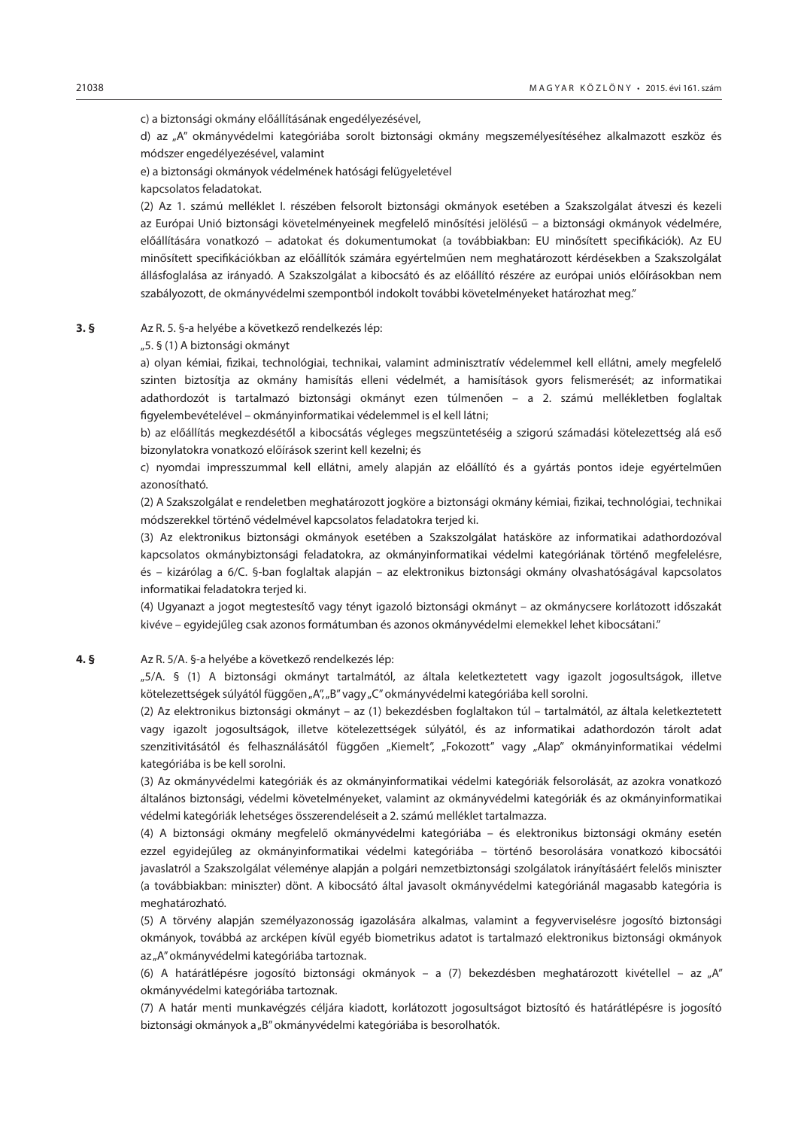c) a biztonsági okmány előállításának engedélyezésével,

d) az "A" okmányvédelmi kategóriába sorolt biztonsági okmány megszemélyesítéséhez alkalmazott eszköz és módszer engedélyezésével, valamint

e) a biztonsági okmányok védelmének hatósági felügyeletével

kapcsolatos feladatokat.

(2) Az 1. számú melléklet I. részében felsorolt biztonsági okmányok esetében a Szakszolgálat átveszi és kezeli az Európai Unió biztonsági követelményeinek megfelelő minősítési jelölésű − a biztonsági okmányok védelmére, előállítására vonatkozó − adatokat és dokumentumokat (a továbbiakban: EU minősített specifikációk). Az EU minősített specifikációkban az előállítók számára egyértelműen nem meghatározott kérdésekben a Szakszolgálat állásfoglalása az irányadó. A Szakszolgálat a kibocsátó és az előállító részére az európai uniós előírásokban nem szabályozott, de okmányvédelmi szempontból indokolt további követelményeket határozhat meg."

# **3. §** Az R. 5. §-a helyébe a következő rendelkezés lép:

"5. § (1) A biztonsági okmányt

a) olyan kémiai, fizikai, technológiai, technikai, valamint adminisztratív védelemmel kell ellátni, amely megfelelő szinten biztosítja az okmány hamisítás elleni védelmét, a hamisítások gyors felismerését; az informatikai adathordozót is tartalmazó biztonsági okmányt ezen túlmenően – a 2. számú mellékletben foglaltak figyelembevételével – okmányinformatikai védelemmel is el kell látni;

b) az előállítás megkezdésétől a kibocsátás végleges megszüntetéséig a szigorú számadási kötelezettség alá eső bizonylatokra vonatkozó előírások szerint kell kezelni; és

c) nyomdai impresszummal kell ellátni, amely alapján az előállító és a gyártás pontos ideje egyértelműen azonosítható.

(2) A Szakszolgálat e rendeletben meghatározott jogköre a biztonsági okmány kémiai, fizikai, technológiai, technikai módszerekkel történő védelmével kapcsolatos feladatokra terjed ki.

(3) Az elektronikus biztonsági okmányok esetében a Szakszolgálat hatásköre az informatikai adathordozóval kapcsolatos okmánybiztonsági feladatokra, az okmányinformatikai védelmi kategóriának történő megfelelésre, és – kizárólag a 6/C. §-ban foglaltak alapján – az elektronikus biztonsági okmány olvashatóságával kapcsolatos informatikai feladatokra terjed ki.

(4) Ugyanazt a jogot megtestesítő vagy tényt igazoló biztonsági okmányt – az okmánycsere korlátozott időszakát kivéve – egyidejűleg csak azonos formátumban és azonos okmányvédelmi elemekkel lehet kibocsátani."

#### **4. §** Az R. 5/A. §-a helyébe a következő rendelkezés lép:

"5/A. § (1) A biztonsági okmányt tartalmától, az általa keletkeztetett vagy igazolt jogosultságok, illetve kötelezettségek súlyától függően "A", "B" vagy "C" okmányvédelmi kategóriába kell sorolni.

(2) Az elektronikus biztonsági okmányt – az (1) bekezdésben foglaltakon túl – tartalmától, az általa keletkeztetett vagy igazolt jogosultságok, illetve kötelezettségek súlyától, és az informatikai adathordozón tárolt adat szenzitivitásától és felhasználásától függően "Kiemelt", "Fokozott" vagy "Alap" okmányinformatikai védelmi kategóriába is be kell sorolni.

(3) Az okmányvédelmi kategóriák és az okmányinformatikai védelmi kategóriák felsorolását, az azokra vonatkozó általános biztonsági, védelmi követelményeket, valamint az okmányvédelmi kategóriák és az okmányinformatikai védelmi kategóriák lehetséges összerendeléseit a 2. számú melléklet tartalmazza.

(4) A biztonsági okmány megfelelő okmányvédelmi kategóriába – és elektronikus biztonsági okmány esetén ezzel egyidejűleg az okmányinformatikai védelmi kategóriába – történő besorolására vonatkozó kibocsátói javaslatról a Szakszolgálat véleménye alapján a polgári nemzetbiztonsági szolgálatok irányításáért felelős miniszter (a továbbiakban: miniszter) dönt. A kibocsátó által javasolt okmányvédelmi kategóriánál magasabb kategória is meghatározható.

(5) A törvény alapján személyazonosság igazolására alkalmas, valamint a fegyverviselésre jogosító biztonsági okmányok, továbbá az arcképen kívül egyéb biometrikus adatot is tartalmazó elektronikus biztonsági okmányok az "A" okmányvédelmi kategóriába tartoznak.

(6) A határátlépésre jogosító biztonsági okmányok – a (7) bekezdésben meghatározott kivétellel – az "A" okmányvédelmi kategóriába tartoznak.

(7) A határ menti munkavégzés céljára kiadott, korlátozott jogosultságot biztosító és határátlépésre is jogosító biztonsági okmányok a "B" okmányvédelmi kategóriába is besorolhatók.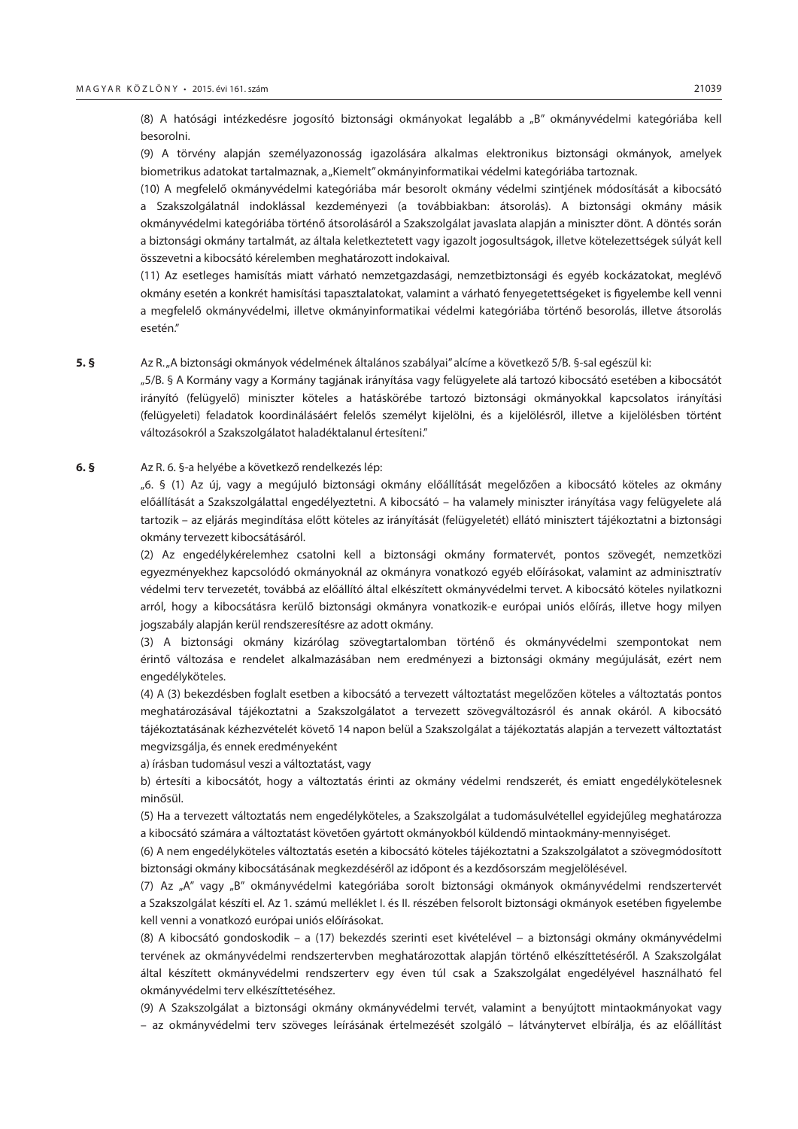(8) A hatósági intézkedésre jogosító biztonsági okmányokat legalább a "B" okmányvédelmi kategóriába kell besorolni.

(9) A törvény alapján személyazonosság igazolására alkalmas elektronikus biztonsági okmányok, amelyek biometrikus adatokat tartalmaznak, a "Kiemelt" okmányinformatikai védelmi kategóriába tartoznak.

(10) A megfelelő okmányvédelmi kategóriába már besorolt okmány védelmi szintjének módosítását a kibocsátó a Szakszolgálatnál indoklással kezdeményezi (a továbbiakban: átsorolás). A biztonsági okmány másik okmányvédelmi kategóriába történő átsorolásáról a Szakszolgálat javaslata alapján a miniszter dönt. A döntés során a biztonsági okmány tartalmát, az általa keletkeztetett vagy igazolt jogosultságok, illetve kötelezettségek súlyát kell összevetni a kibocsátó kérelemben meghatározott indokaival.

(11) Az esetleges hamisítás miatt várható nemzetgazdasági, nemzetbiztonsági és egyéb kockázatokat, meglévő okmány esetén a konkrét hamisítási tapasztalatokat, valamint a várható fenyegetettségeket is figyelembe kell venni a megfelelő okmányvédelmi, illetve okmányinformatikai védelmi kategóriába történő besorolás, illetve átsorolás esetén."

**5. §** Az R. "A biztonsági okmányok védelmének általános szabályai" alcíme a következő 5/B. §-sal egészül ki:

"5/B. § A Kormány vagy a Kormány tagjának irányítása vagy felügyelete alá tartozó kibocsátó esetében a kibocsátót irányító (felügyelő) miniszter köteles a hatáskörébe tartozó biztonsági okmányokkal kapcsolatos irányítási (felügyeleti) feladatok koordinálásáért felelős személyt kijelölni, és a kijelölésről, illetve a kijelölésben történt változásokról a Szakszolgálatot haladéktalanul értesíteni."

#### **6. §** Az R. 6. §-a helyébe a következő rendelkezés lép:

"6. § (1) Az új, vagy a megújuló biztonsági okmány előállítását megelőzően a kibocsátó köteles az okmány előállítását a Szakszolgálattal engedélyeztetni. A kibocsátó – ha valamely miniszter irányítása vagy felügyelete alá tartozik – az eljárás megindítása előtt köteles az irányítását (felügyeletét) ellátó minisztert tájékoztatni a biztonsági okmány tervezett kibocsátásáról.

(2) Az engedélykérelemhez csatolni kell a biztonsági okmány formatervét, pontos szövegét, nemzetközi egyezményekhez kapcsolódó okmányoknál az okmányra vonatkozó egyéb előírásokat, valamint az adminisztratív védelmi terv tervezetét, továbbá az előállító által elkészített okmányvédelmi tervet. A kibocsátó köteles nyilatkozni arról, hogy a kibocsátásra kerülő biztonsági okmányra vonatkozik-e európai uniós előírás, illetve hogy milyen jogszabály alapján kerül rendszeresítésre az adott okmány.

(3) A biztonsági okmány kizárólag szövegtartalomban történő és okmányvédelmi szempontokat nem érintő változása e rendelet alkalmazásában nem eredményezi a biztonsági okmány megújulását, ezért nem engedélyköteles.

(4) A (3) bekezdésben foglalt esetben a kibocsátó a tervezett változtatást megelőzően köteles a változtatás pontos meghatározásával tájékoztatni a Szakszolgálatot a tervezett szövegváltozásról és annak okáról. A kibocsátó tájékoztatásának kézhezvételét követő 14 napon belül a Szakszolgálat a tájékoztatás alapján a tervezett változtatást megvizsgálja, és ennek eredményeként

a) írásban tudomásul veszi a változtatást, vagy

b) értesíti a kibocsátót, hogy a változtatás érinti az okmány védelmi rendszerét, és emiatt engedélykötelesnek minősül.

(5) Ha a tervezett változtatás nem engedélyköteles, a Szakszolgálat a tudomásulvétellel egyidejűleg meghatározza a kibocsátó számára a változtatást követően gyártott okmányokból küldendő mintaokmány-mennyiséget.

(6) A nem engedélyköteles változtatás esetén a kibocsátó köteles tájékoztatni a Szakszolgálatot a szövegmódosított biztonsági okmány kibocsátásának megkezdéséről az időpont és a kezdősorszám megjelölésével.

(7) Az "A" vagy "B" okmányvédelmi kategóriába sorolt biztonsági okmányok okmányvédelmi rendszertervét a Szakszolgálat készíti el. Az 1. számú melléklet I. és II. részében felsorolt biztonsági okmányok esetében figyelembe kell venni a vonatkozó európai uniós előírásokat.

(8) A kibocsátó gondoskodik – a (17) bekezdés szerinti eset kivételével − a biztonsági okmány okmányvédelmi tervének az okmányvédelmi rendszertervben meghatározottak alapján történő elkészíttetéséről. A Szakszolgálat által készített okmányvédelmi rendszerterv egy éven túl csak a Szakszolgálat engedélyével használható fel okmányvédelmi terv elkészíttetéséhez.

(9) A Szakszolgálat a biztonsági okmány okmányvédelmi tervét, valamint a benyújtott mintaokmányokat vagy – az okmányvédelmi terv szöveges leírásának értelmezését szolgáló – látványtervet elbírálja, és az előállítást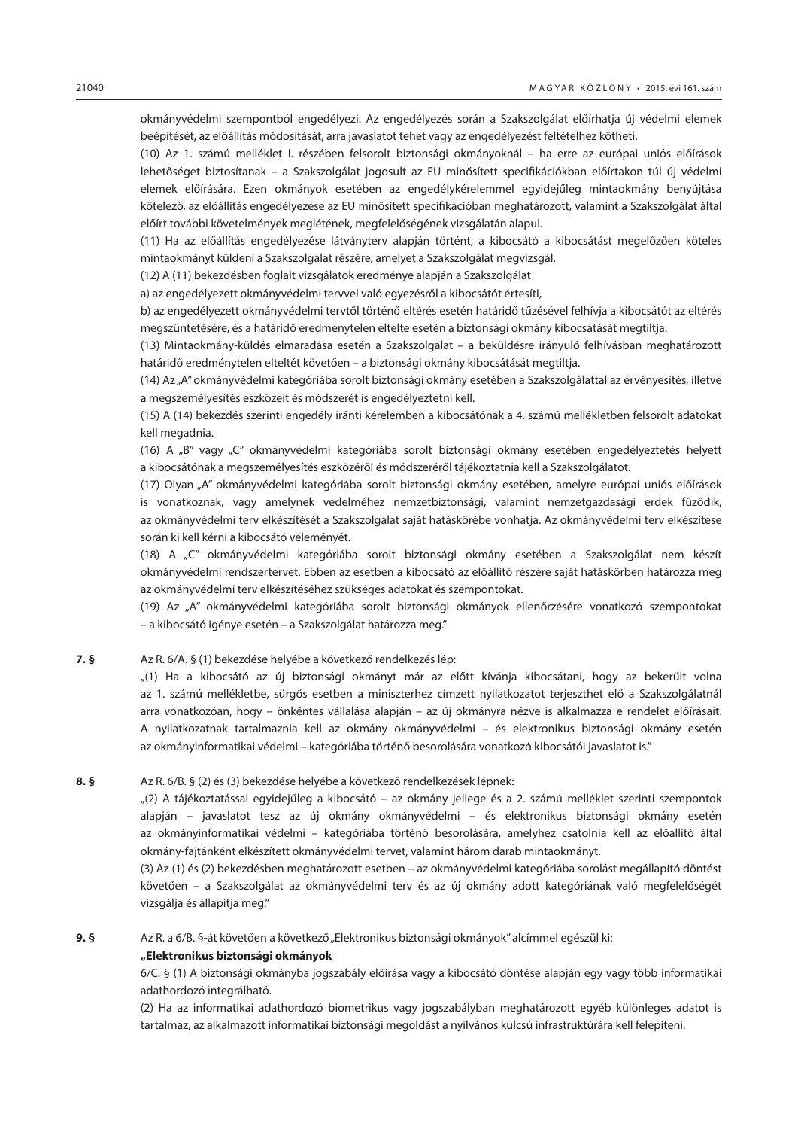okmányvédelmi szempontból engedélyezi. Az engedélyezés során a Szakszolgálat előírhatja új védelmi elemek beépítését, az előállítás módosítását, arra javaslatot tehet vagy az engedélyezést feltételhez kötheti.

(10) Az 1. számú melléklet I. részében felsorolt biztonsági okmányoknál – ha erre az európai uniós előírások lehetőséget biztosítanak – a Szakszolgálat jogosult az EU minősített specifikációkban előírtakon túl új védelmi elemek előírására. Ezen okmányok esetében az engedélykérelemmel egyidejűleg mintaokmány benyújtása kötelező, az előállítás engedélyezése az EU minősített specifikációban meghatározott, valamint a Szakszolgálat által előírt további követelmények meglétének, megfelelőségének vizsgálatán alapul.

(11) Ha az előállítás engedélyezése látványterv alapján történt, a kibocsátó a kibocsátást megelőzően köteles mintaokmányt küldeni a Szakszolgálat részére, amelyet a Szakszolgálat megvizsgál.

(12) A (11) bekezdésben foglalt vizsgálatok eredménye alapján a Szakszolgálat

a) az engedélyezett okmányvédelmi tervvel való egyezésről a kibocsátót értesíti,

b) az engedélyezett okmányvédelmi tervtől történő eltérés esetén határidő tűzésével felhívja a kibocsátót az eltérés megszüntetésére, és a határidő eredménytelen eltelte esetén a biztonsági okmány kibocsátását megtiltja.

(13) Mintaokmány-küldés elmaradása esetén a Szakszolgálat – a beküldésre irányuló felhívásban meghatározott határidő eredménytelen elteltét követően – a biztonsági okmány kibocsátását megtiltja.

(14) Az "A" okmányvédelmi kategóriába sorolt biztonsági okmány esetében a Szakszolgálattal az érvényesítés, illetve a megszemélyesítés eszközeit és módszerét is engedélyeztetni kell.

(15) A (14) bekezdés szerinti engedély iránti kérelemben a kibocsátónak a 4. számú mellékletben felsorolt adatokat kell megadnia.

(16) A "B" vagy "C" okmányvédelmi kategóriába sorolt biztonsági okmány esetében engedélyeztetés helyett a kibocsátónak a megszemélyesítés eszközéről és módszeréről tájékoztatnia kell a Szakszolgálatot.

(17) Olyan "A" okmányvédelmi kategóriába sorolt biztonsági okmány esetében, amelyre európai uniós előírások is vonatkoznak, vagy amelynek védelméhez nemzetbiztonsági, valamint nemzetgazdasági érdek fűződik, az okmányvédelmi terv elkészítését a Szakszolgálat saját hatáskörébe vonhatja. Az okmányvédelmi terv elkészítése során ki kell kérni a kibocsátó véleményét.

(18) A "C" okmányvédelmi kategóriába sorolt biztonsági okmány esetében a Szakszolgálat nem készít okmányvédelmi rendszertervet. Ebben az esetben a kibocsátó az előállító részére saját hatáskörben határozza meg az okmányvédelmi terv elkészítéséhez szükséges adatokat és szempontokat.

(19) Az "A" okmányvédelmi kategóriába sorolt biztonsági okmányok ellenőrzésére vonatkozó szempontokat – a kibocsátó igénye esetén – a Szakszolgálat határozza meg."

#### **7. §** Az R. 6/A. § (1) bekezdése helyébe a következő rendelkezés lép:

"(1) Ha a kibocsátó az új biztonsági okmányt már az előtt kívánja kibocsátani, hogy az bekerült volna az 1. számú mellékletbe, sürgős esetben a miniszterhez címzett nyilatkozatot terjeszthet elő a Szakszolgálatnál arra vonatkozóan, hogy – önkéntes vállalása alapján – az új okmányra nézve is alkalmazza e rendelet előírásait. A nyilatkozatnak tartalmaznia kell az okmány okmányvédelmi – és elektronikus biztonsági okmány esetén az okmányinformatikai védelmi – kategóriába történő besorolására vonatkozó kibocsátói javaslatot is."

#### **8. §** Az R. 6/B. § (2) és (3) bekezdése helyébe a következő rendelkezések lépnek:

"(2) A tájékoztatással egyidejűleg a kibocsátó – az okmány jellege és a 2. számú melléklet szerinti szempontok alapján – javaslatot tesz az új okmány okmányvédelmi – és elektronikus biztonsági okmány esetén az okmányinformatikai védelmi – kategóriába történő besorolására, amelyhez csatolnia kell az előállító által okmány-fajtánként elkészített okmányvédelmi tervet, valamint három darab mintaokmányt.

(3) Az (1) és (2) bekezdésben meghatározott esetben – az okmányvédelmi kategóriába sorolást megállapító döntést követően – a Szakszolgálat az okmányvédelmi terv és az új okmány adott kategóriának való megfelelőségét vizsgálja és állapítja meg."

**9. §** Az R. a 6/B. §-át követően a következő "Elektronikus biztonsági okmányok" alcímmel egészül ki:

#### **"Elektronikus biztonsági okmányok**

6/C. § (1) A biztonsági okmányba jogszabály előírása vagy a kibocsátó döntése alapján egy vagy több informatikai adathordozó integrálható.

(2) Ha az informatikai adathordozó biometrikus vagy jogszabályban meghatározott egyéb különleges adatot is tartalmaz, az alkalmazott informatikai biztonsági megoldást a nyilvános kulcsú infrastruktúrára kell felépíteni.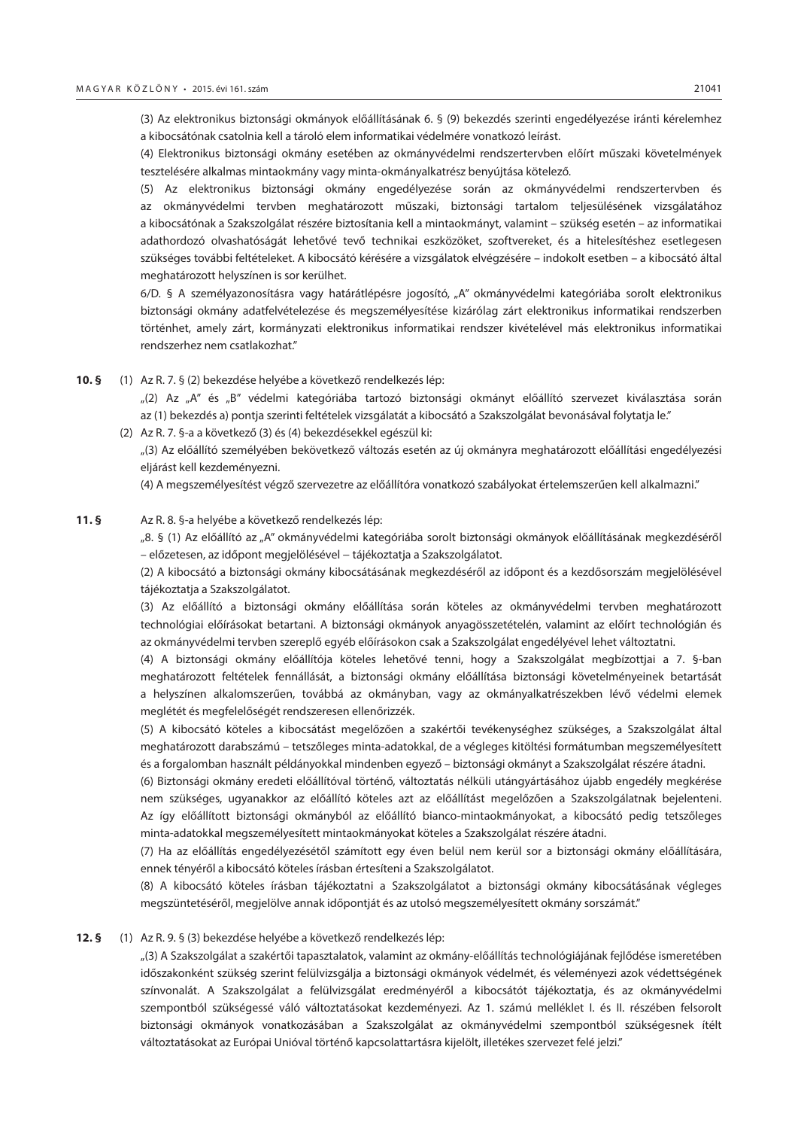(3) Az elektronikus biztonsági okmányok előállításának 6. § (9) bekezdés szerinti engedélyezése iránti kérelemhez a kibocsátónak csatolnia kell a tároló elem informatikai védelmére vonatkozó leírást.

(4) Elektronikus biztonsági okmány esetében az okmányvédelmi rendszertervben előírt műszaki követelmények tesztelésére alkalmas mintaokmány vagy minta-okmányalkatrész benyújtása kötelező.

(5) Az elektronikus biztonsági okmány engedélyezése során az okmányvédelmi rendszertervben és az okmányvédelmi tervben meghatározott műszaki, biztonsági tartalom teljesülésének vizsgálatához a kibocsátónak a Szakszolgálat részére biztosítania kell a mintaokmányt, valamint – szükség esetén – az informatikai adathordozó olvashatóságát lehetővé tevő technikai eszközöket, szoftvereket, és a hitelesítéshez esetlegesen szükséges további feltételeket. A kibocsátó kérésére a vizsgálatok elvégzésére – indokolt esetben – a kibocsátó által meghatározott helyszínen is sor kerülhet.

6/D. § A személyazonosításra vagy határátlépésre jogosító, "A" okmányvédelmi kategóriába sorolt elektronikus biztonsági okmány adatfelvételezése és megszemélyesítése kizárólag zárt elektronikus informatikai rendszerben történhet, amely zárt, kormányzati elektronikus informatikai rendszer kivételével más elektronikus informatikai rendszerhez nem csatlakozhat."

**10. §** (1) Az R. 7. § (2) bekezdése helyébe a következő rendelkezés lép:

"(2) Az "A" és "B" védelmi kategóriába tartozó biztonsági okmányt előállító szervezet kiválasztása során az (1) bekezdés a) pontja szerinti feltételek vizsgálatát a kibocsátó a Szakszolgálat bevonásával folytatja le."

(2) Az R. 7. §-a a következő (3) és (4) bekezdésekkel egészül ki:

"(3) Az előállító személyében bekövetkező változás esetén az új okmányra meghatározott előállítási engedélyezési eljárást kell kezdeményezni.

(4) A megszemélyesítést végző szervezetre az előállítóra vonatkozó szabályokat értelemszerűen kell alkalmazni."

#### **11. §** Az R. 8. §-a helyébe a következő rendelkezés lép:

"8. § (1) Az előállító az "A" okmányvédelmi kategóriába sorolt biztonsági okmányok előállításának megkezdéséről – előzetesen, az időpont megjelölésével − tájékoztatja a Szakszolgálatot.

(2) A kibocsátó a biztonsági okmány kibocsátásának megkezdéséről az időpont és a kezdősorszám megjelölésével tájékoztatja a Szakszolgálatot.

(3) Az előállító a biztonsági okmány előállítása során köteles az okmányvédelmi tervben meghatározott technológiai előírásokat betartani. A biztonsági okmányok anyagösszetételén, valamint az előírt technológián és az okmányvédelmi tervben szereplő egyéb előírásokon csak a Szakszolgálat engedélyével lehet változtatni.

(4) A biztonsági okmány előállítója köteles lehetővé tenni, hogy a Szakszolgálat megbízottjai a 7. §-ban meghatározott feltételek fennállását, a biztonsági okmány előállítása biztonsági követelményeinek betartását a helyszínen alkalomszerűen, továbbá az okmányban, vagy az okmányalkatrészekben lévő védelmi elemek meglétét és megfelelőségét rendszeresen ellenőrizzék.

(5) A kibocsátó köteles a kibocsátást megelőzően a szakértői tevékenységhez szükséges, a Szakszolgálat által meghatározott darabszámú – tetszőleges minta-adatokkal, de a végleges kitöltési formátumban megszemélyesített és a forgalomban használt példányokkal mindenben egyező – biztonsági okmányt a Szakszolgálat részére átadni.

(6) Biztonsági okmány eredeti előállítóval történő, változtatás nélküli utángyártásához újabb engedély megkérése nem szükséges, ugyanakkor az előállító köteles azt az előállítást megelőzően a Szakszolgálatnak bejelenteni. Az így előállított biztonsági okmányból az előállító bianco-mintaokmányokat, a kibocsátó pedig tetszőleges minta-adatokkal megszemélyesített mintaokmányokat köteles a Szakszolgálat részére átadni.

(7) Ha az előállítás engedélyezésétől számított egy éven belül nem kerül sor a biztonsági okmány előállítására, ennek tényéről a kibocsátó köteles írásban értesíteni a Szakszolgálatot.

(8) A kibocsátó köteles írásban tájékoztatni a Szakszolgálatot a biztonsági okmány kibocsátásának végleges megszüntetéséről, megjelölve annak időpontját és az utolsó megszemélyesített okmány sorszámát."

#### **12. §** (1) Az R. 9. § (3) bekezdése helyébe a következő rendelkezés lép:

"(3) A Szakszolgálat a szakértői tapasztalatok, valamint az okmány-előállítás technológiájának fejlődése ismeretében időszakonként szükség szerint felülvizsgálja a biztonsági okmányok védelmét, és véleményezi azok védettségének színvonalát. A Szakszolgálat a felülvizsgálat eredményéről a kibocsátót tájékoztatja, és az okmányvédelmi szempontból szükségessé váló változtatásokat kezdeményezi. Az 1. számú melléklet I. és II. részében felsorolt biztonsági okmányok vonatkozásában a Szakszolgálat az okmányvédelmi szempontból szükségesnek ítélt változtatásokat az Európai Unióval történő kapcsolattartásra kijelölt, illetékes szervezet felé jelzi."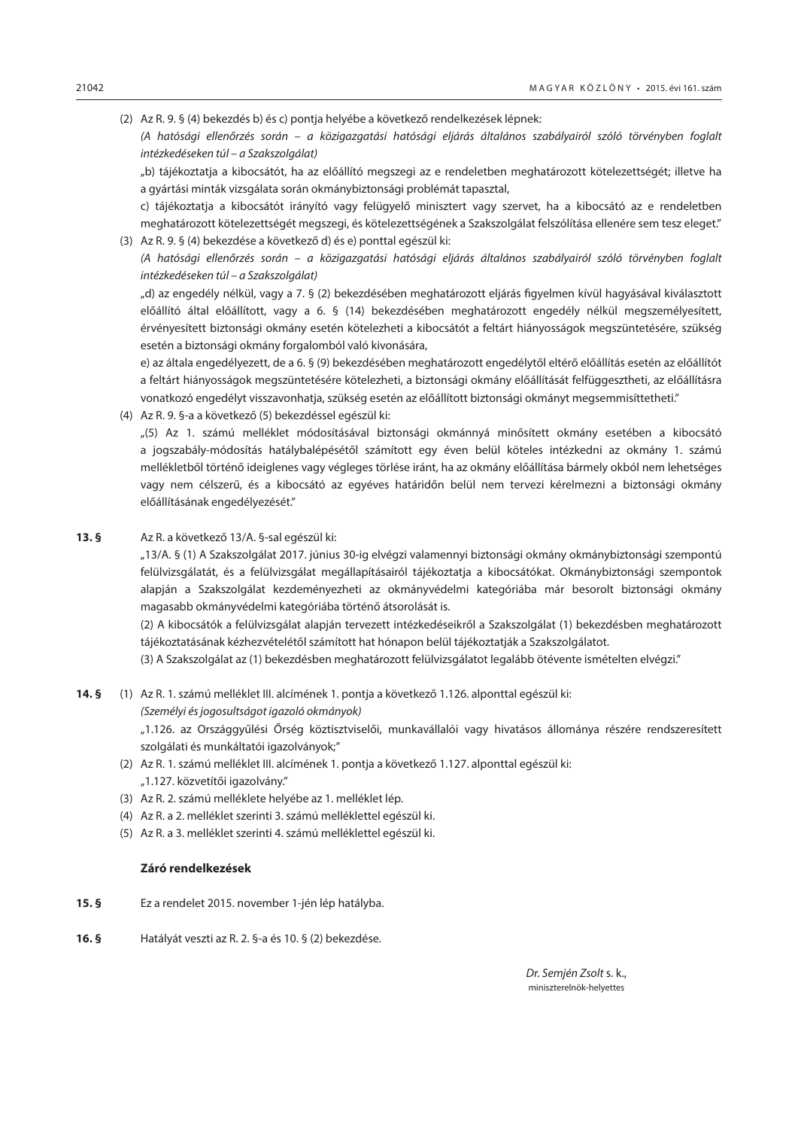- (2) Az R. 9. § (4) bekezdés b) és c) pontja helyébe a következő rendelkezések lépnek:
	- *(A hatósági ellenőrzés során a közigazgatási hatósági eljárás általános szabályairól szóló törvényben foglalt intézkedéseken túl – a Szakszolgálat)*

"b) tájékoztatja a kibocsátót, ha az előállító megszegi az e rendeletben meghatározott kötelezettségét; illetve ha a gyártási minták vizsgálata során okmánybiztonsági problémát tapasztal,

c) tájékoztatja a kibocsátót irányító vagy felügyelő minisztert vagy szervet, ha a kibocsátó az e rendeletben meghatározott kötelezettségét megszegi, és kötelezettségének a Szakszolgálat felszólítása ellenére sem tesz eleget." (3) Az R. 9. § (4) bekezdése a következő d) és e) ponttal egészül ki:

*(A hatósági ellenőrzés során – a közigazgatási hatósági eljárás általános szabályairól szóló törvényben foglalt intézkedéseken túl – a Szakszolgálat)*

"d) az engedély nélkül, vagy a 7. § (2) bekezdésében meghatározott eljárás figyelmen kívül hagyásával kiválasztott előállító által előállított, vagy a 6. § (14) bekezdésében meghatározott engedély nélkül megszemélyesített, érvényesített biztonsági okmány esetén kötelezheti a kibocsátót a feltárt hiányosságok megszüntetésére, szükség esetén a biztonsági okmány forgalomból való kivonására,

e) az általa engedélyezett, de a 6. § (9) bekezdésében meghatározott engedélytől eltérő előállítás esetén az előállítót a feltárt hiányosságok megszüntetésére kötelezheti, a biztonsági okmány előállítását felfüggesztheti, az előállításra vonatkozó engedélyt visszavonhatja, szükség esetén az előállított biztonsági okmányt megsemmisíttetheti."

(4) Az R. 9. §-a a következő (5) bekezdéssel egészül ki:

"(5) Az 1. számú melléklet módosításával biztonsági okmánnyá minősített okmány esetében a kibocsátó a jogszabály-módosítás hatálybalépésétől számított egy éven belül köteles intézkedni az okmány 1. számú mellékletből történő ideiglenes vagy végleges törlése iránt, ha az okmány előállítása bármely okból nem lehetséges vagy nem célszerű, és a kibocsátó az egyéves határidőn belül nem tervezi kérelmezni a biztonsági okmány előállításának engedélyezését."

**13. §** Az R. a következő 13/A. §-sal egészül ki:

"13/A. § (1) A Szakszolgálat 2017. június 30-ig elvégzi valamennyi biztonsági okmány okmánybiztonsági szempontú felülvizsgálatát, és a felülvizsgálat megállapításairól tájékoztatja a kibocsátókat. Okmánybiztonsági szempontok alapján a Szakszolgálat kezdeményezheti az okmányvédelmi kategóriába már besorolt biztonsági okmány magasabb okmányvédelmi kategóriába történő átsorolását is.

(2) A kibocsátók a felülvizsgálat alapján tervezett intézkedéseikről a Szakszolgálat (1) bekezdésben meghatározott tájékoztatásának kézhezvételétől számított hat hónapon belül tájékoztatják a Szakszolgálatot.

(3) A Szakszolgálat az (1) bekezdésben meghatározott felülvizsgálatot legalább ötévente ismételten elvégzi."

**14. §** (1) Az R. 1. számú melléklet III. alcímének 1. pontja a következő 1.126. alponttal egészül ki: *(Személyi és jogosultságot igazoló okmányok)* "1.126. az Országgyűlési Őrség köztisztviselői, munkavállalói vagy hivatásos állománya részére rendszeresített szolgálati és munkáltatói igazolványok;"

- (2) Az R. 1. számú melléklet III. alcímének 1. pontja a következő 1.127. alponttal egészül ki: "1.127. közvetítői igazolvány."
- (3) Az R. 2. számú melléklete helyébe az 1. melléklet lép.
- (4) Az R. a 2. melléklet szerinti 3. számú melléklettel egészül ki.
- (5) Az R. a 3. melléklet szerinti 4. számú melléklettel egészül ki.

#### **Záró rendelkezések**

- **15. §** Ez a rendelet 2015. november 1-jén lép hatályba.
- **16. §** Hatályát veszti az R. 2. §-a és 10. § (2) bekezdése.

*Dr. Semjén Zsolt* s. k., miniszterelnök-helyettes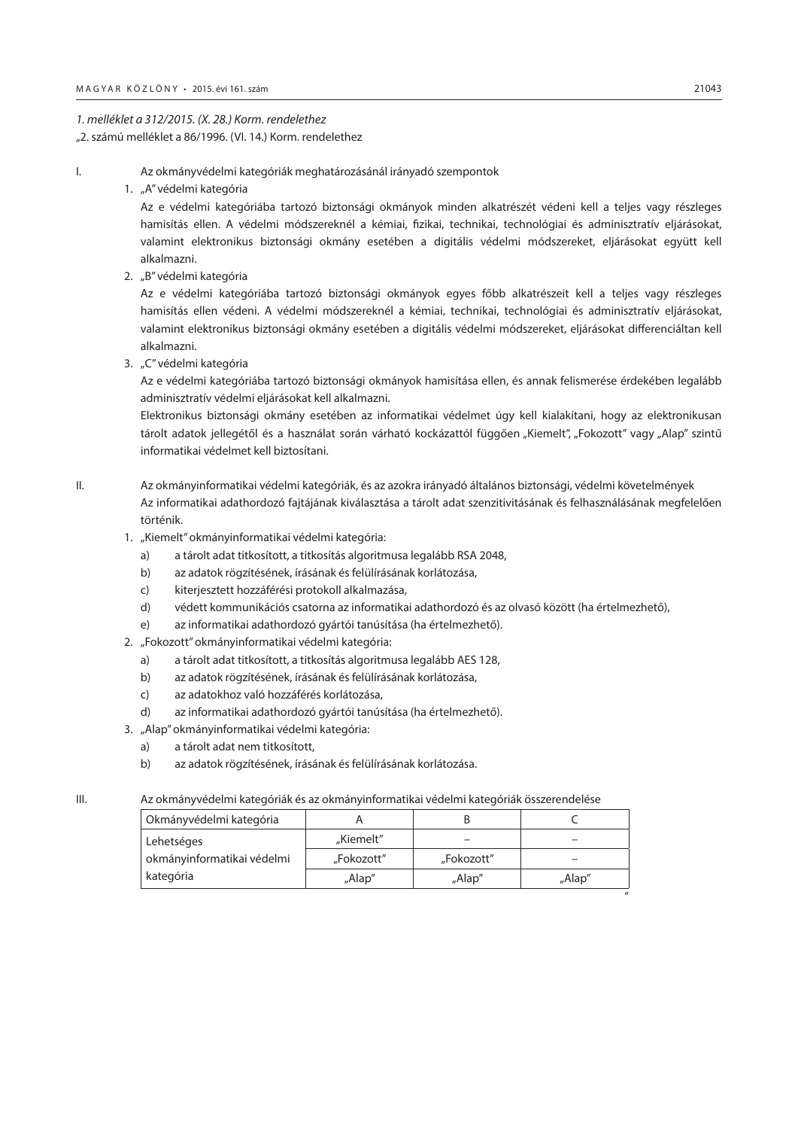#### *1. melléklet a 312/2015. (X. 28.) Korm. rendelethez* "2. számú melléklet a 86/1996. (VI. 14.) Korm. rendelethez

- I. Az okmányvédelmi kategóriák meghatározásánál irányadó szempontok
	- 1. "A" védelmi kategória

Az e védelmi kategóriába tartozó biztonsági okmányok minden alkatrészét védeni kell a teljes vagy részleges hamisítás ellen. A védelmi módszereknél a kémiai, fizikai, technikai, technológiai és adminisztratív eljárásokat, valamint elektronikus biztonsági okmány esetében a digitális védelmi módszereket, eljárásokat együtt kell alkalmazni.

2. "B" védelmi kategória

Az e védelmi kategóriába tartozó biztonsági okmányok egyes főbb alkatrészeit kell a teljes vagy részleges hamisítás ellen védeni. A védelmi módszereknél a kémiai, technikai, technológiai és adminisztratív eljárásokat, valamint elektronikus biztonsági okmány esetében a digitális védelmi módszereket, eljárásokat differenciáltan kell alkalmazni.

3. "C" védelmi kategória

Az e védelmi kategóriába tartozó biztonsági okmányok hamisítása ellen, és annak felismerése érdekében legalább adminisztratív védelmi eljárásokat kell alkalmazni.

Elektronikus biztonsági okmány esetében az informatikai védelmet úgy kell kialakítani, hogy az elektronikusan tárolt adatok jellegétől és a használat során várható kockázattól függően "Kiemelt", "Fokozott" vagy "Alap" szintű informatikai védelmet kell biztosítani.

- II. Az okmányinformatikai védelmi kategóriák, és az azokra irányadó általános biztonsági, védelmi követelmények Az informatikai adathordozó fajtájának kiválasztása a tárolt adat szenzitivitásának és felhasználásának megfelelően történik.
	- 1. "Kiemelt" okmányinformatikai védelmi kategória:
		- a) a tárolt adat titkosított, a titkosítás algoritmusa legalább RSA 2048,
		- b) az adatok rögzítésének, írásának és felülírásának korlátozása,
		- c) kiterjesztett hozzáférési protokoll alkalmazása,
		- d) védett kommunikációs csatorna az informatikai adathordozó és az olvasó között (ha értelmezhető),
		- e) az informatikai adathordozó gyártói tanúsítása (ha értelmezhető).
	- 2. "Fokozott" okmányinformatikai védelmi kategória:
		- a) a tárolt adat titkosított, a titkosítás algoritmusa legalább AES 128,
		- b) az adatok rögzítésének, írásának és felülírásának korlátozása,
		- c) az adatokhoz való hozzáférés korlátozása,
		- d) az informatikai adathordozó gyártói tanúsítása (ha értelmezhető).
	- 3. "Alap" okmányinformatikai védelmi kategória:
		- a) a tárolt adat nem titkosított,
		- b) az adatok rögzítésének, írásának és felülírásának korlátozása.

## III. Az okmányvédelmi kategóriák és az okmányinformatikai védelmi kategóriák összerendelése

| Okmányvédelmi kategória    |            | В          |        |
|----------------------------|------------|------------|--------|
| Lehetséges                 | "Kiemelt"  |            |        |
| okmányinformatikai védelmi | "Fokozott" | "Fokozott" |        |
| kategória                  | "Alap"     | "Alap"     | "Alap" |
|                            |            |            |        |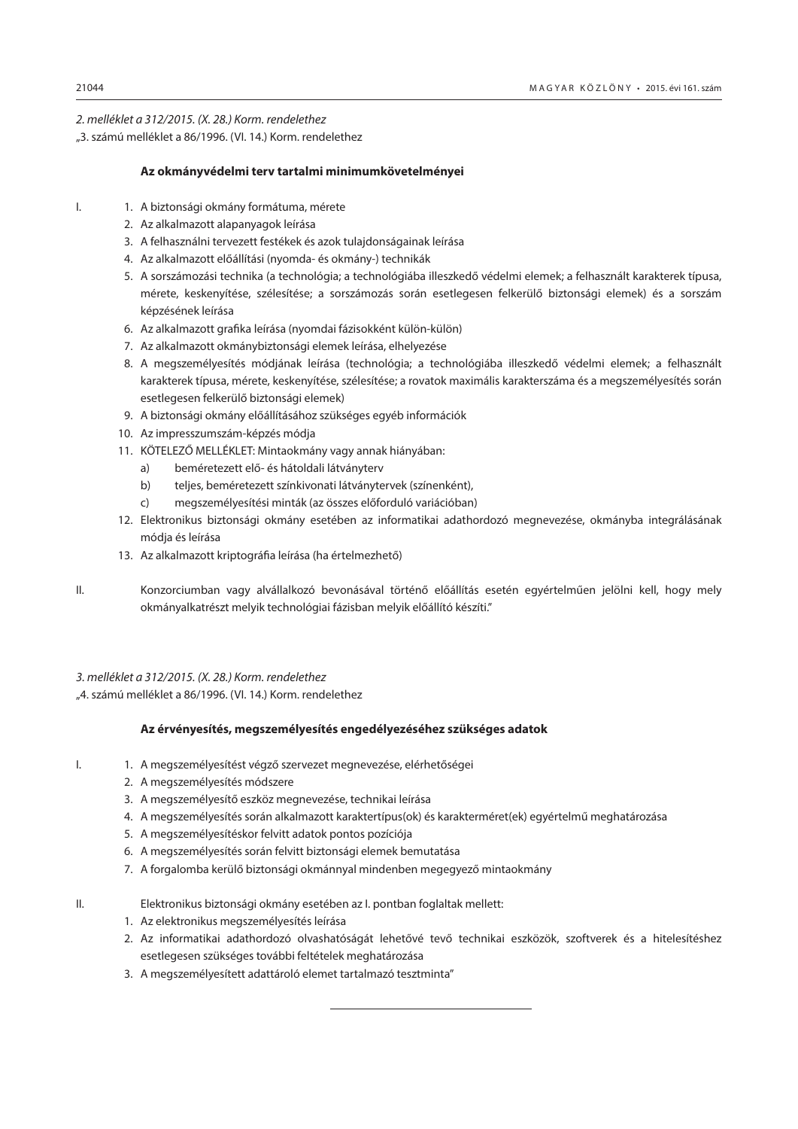#### *2. melléklet a 312/2015. (X. 28.) Korm. rendelethez*

"3. számú melléklet a 86/1996. (VI. 14.) Korm. rendelethez

#### **Az okmányvédelmi terv tartalmi minimumkövetelményei**

- I. 1. A biztonsági okmány formátuma, mérete
	- 2. Az alkalmazott alapanyagok leírása
	- 3. A felhasználni tervezett festékek és azok tulajdonságainak leírása
	- 4. Az alkalmazott előállítási (nyomda- és okmány-) technikák
	- 5. A sorszámozási technika (a technológia; a technológiába illeszkedő védelmi elemek; a felhasznált karakterek típusa, mérete, keskenyítése, szélesítése; a sorszámozás során esetlegesen felkerülő biztonsági elemek) és a sorszám képzésének leírása
	- 6. Az alkalmazott grafika leírása (nyomdai fázisokként külön-külön)
	- 7. Az alkalmazott okmánybiztonsági elemek leírása, elhelyezése
	- 8. A megszemélyesítés módjának leírása (technológia; a technológiába illeszkedő védelmi elemek; a felhasznált karakterek típusa, mérete, keskenyítése, szélesítése; a rovatok maximális karakterszáma és a megszemélyesítés során esetlegesen felkerülő biztonsági elemek)
	- 9. A biztonsági okmány előállításához szükséges egyéb információk
	- 10. Az impresszumszám-képzés módja
	- 11. KÖTELEZŐ MELLÉKLET: Mintaokmány vagy annak hiányában:
		- a) beméretezett elő- és hátoldali látványterv
		- b) teljes, beméretezett színkivonati látványtervek (színenként),
		- c) megszemélyesítési minták (az összes előforduló variációban)
	- 12. Elektronikus biztonsági okmány esetében az informatikai adathordozó megnevezése, okmányba integrálásának módja és leírása
	- 13. Az alkalmazott kriptográfia leírása (ha értelmezhető)
- II. Konzorciumban vagy alvállalkozó bevonásával történő előállítás esetén egyértelműen jelölni kell, hogy mely okmányalkatrészt melyik technológiai fázisban melyik előállító készíti."

# *3. melléklet a 312/2015. (X. 28.) Korm. rendelethez*

"4. számú melléklet a 86/1996. (VI. 14.) Korm. rendelethez

#### **Az érvényesítés, megszemélyesítés engedélyezéséhez szükséges adatok**

- I. 1. A megszemélyesítést végző szervezet megnevezése, elérhetőségei
	- 2. A megszemélyesítés módszere
	- 3. A megszemélyesítő eszköz megnevezése, technikai leírása
	- 4. A megszemélyesítés során alkalmazott karaktertípus(ok) és karakterméret(ek) egyértelmű meghatározása
	- 5. A megszemélyesítéskor felvitt adatok pontos pozíciója
	- 6. A megszemélyesítés során felvitt biztonsági elemek bemutatása
	- 7. A forgalomba kerülő biztonsági okmánnyal mindenben megegyező mintaokmány

#### II. Elektronikus biztonsági okmány esetében az I. pontban foglaltak mellett:

- 1. Az elektronikus megszemélyesítés leírása
- 2. Az informatikai adathordozó olvashatóságát lehetővé tevő technikai eszközök, szoftverek és a hitelesítéshez esetlegesen szükséges további feltételek meghatározása
- 3. A megszemélyesített adattároló elemet tartalmazó tesztminta"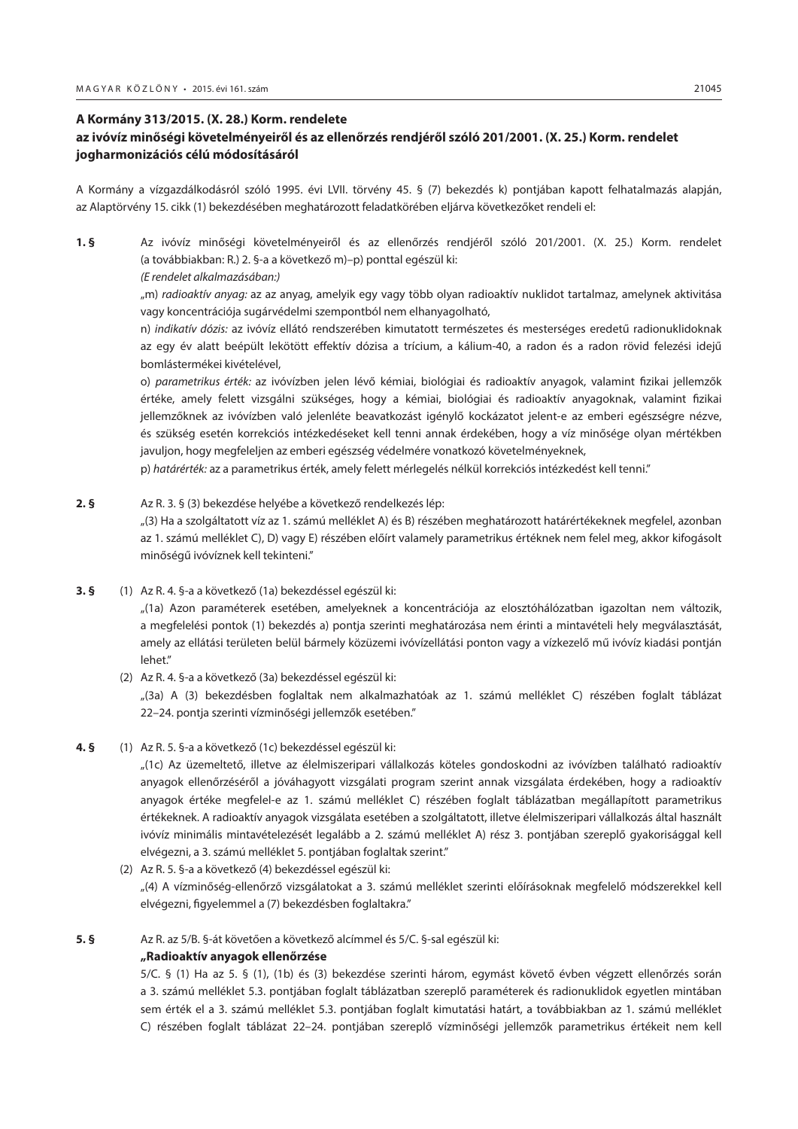#### <span id="page-34-0"></span>**A Kormány 313/2015. (X. 28.) Korm. rendelete**

# **az ivóvíz minőségi követelményeiről és az ellenőrzés rendjéről szóló 201/2001. (X. 25.) Korm. rendelet jogharmonizációs célú módosításáról**

A Kormány a vízgazdálkodásról szóló 1995. évi LVII. törvény 45. § (7) bekezdés k) pontjában kapott felhatalmazás alapján, az Alaptörvény 15. cikk (1) bekezdésében meghatározott feladatkörében eljárva következőket rendeli el:

**1. §** Az ivóvíz minőségi követelményeiről és az ellenőrzés rendjéről szóló 201/2001. (X. 25.) Korm. rendelet (a továbbiakban: R.) 2. §-a a következő m)–p) ponttal egészül ki:

# *(E rendelet alkalmazásában:)*

"m) *radioaktív anyag:* az az anyag, amelyik egy vagy több olyan radioaktív nuklidot tartalmaz, amelynek aktivitása vagy koncentrációja sugárvédelmi szempontból nem elhanyagolható,

n) *indikatív dózis:* az ivóvíz ellátó rendszerében kimutatott természetes és mesterséges eredetű radionuklidoknak az egy év alatt beépült lekötött effektív dózisa a trícium, a kálium-40, a radon és a radon rövid felezési idejű bomlástermékei kivételével,

o) *parametrikus érték:* az ivóvízben jelen lévő kémiai, biológiai és radioaktív anyagok, valamint fizikai jellemzők értéke, amely felett vizsgálni szükséges, hogy a kémiai, biológiai és radioaktív anyagoknak, valamint fizikai jellemzőknek az ivóvízben való jelenléte beavatkozást igénylő kockázatot jelent-e az emberi egészségre nézve, és szükség esetén korrekciós intézkedéseket kell tenni annak érdekében, hogy a víz minősége olyan mértékben javuljon, hogy megfeleljen az emberi egészség védelmére vonatkozó követelményeknek,

p) *határérték:* az a parametrikus érték, amely felett mérlegelés nélkül korrekciós intézkedést kell tenni."

# **2. §** Az R. 3. § (3) bekezdése helyébe a következő rendelkezés lép: "(3) Ha a szolgáltatott víz az 1. számú melléklet A) és B) részében meghatározott határértékeknek megfelel, azonban az 1. számú melléklet C), D) vagy E) részében előírt valamely parametrikus értéknek nem felel meg, akkor kifogásolt minőségű ivóvíznek kell tekinteni."

**3. §** (1) Az R. 4. §-a a következő (1a) bekezdéssel egészül ki:

"(1a) Azon paraméterek esetében, amelyeknek a koncentrációja az elosztóhálózatban igazoltan nem változik, a megfelelési pontok (1) bekezdés a) pontja szerinti meghatározása nem érinti a mintavételi hely megválasztását, amely az ellátási területen belül bármely közüzemi ivóvízellátási ponton vagy a vízkezelő mű ivóvíz kiadási pontján lehet."

(2) Az R. 4. §-a a következő (3a) bekezdéssel egészül ki:

"(3a) A (3) bekezdésben foglaltak nem alkalmazhatóak az 1. számú melléklet C) részében foglalt táblázat 22–24. pontja szerinti vízminőségi jellemzők esetében."

**4. §** (1) Az R. 5. §-a a következő (1c) bekezdéssel egészül ki:

"(1c) Az üzemeltető, illetve az élelmiszeripari vállalkozás köteles gondoskodni az ivóvízben található radioaktív anyagok ellenőrzéséről a jóváhagyott vizsgálati program szerint annak vizsgálata érdekében, hogy a radioaktív anyagok értéke megfelel-e az 1. számú melléklet C) részében foglalt táblázatban megállapított parametrikus értékeknek. A radioaktív anyagok vizsgálata esetében a szolgáltatott, illetve élelmiszeripari vállalkozás által használt ivóvíz minimális mintavételezését legalább a 2. számú melléklet A) rész 3. pontjában szereplő gyakorisággal kell elvégezni, a 3. számú melléklet 5. pontjában foglaltak szerint."

(2) Az R. 5. §-a a következő (4) bekezdéssel egészül ki: "(4) A vízminőség-ellenőrző vizsgálatokat a 3. számú melléklet szerinti előírásoknak megfelelő módszerekkel kell elvégezni, figyelemmel a (7) bekezdésben foglaltakra."

#### **5. §** Az R. az 5/B. §-át követően a következő alcímmel és 5/C. §-sal egészül ki:

#### **"Radioaktív anyagok ellenőrzése**

5/C. § (1) Ha az 5. § (1), (1b) és (3) bekezdése szerinti három, egymást követő évben végzett ellenőrzés során a 3. számú melléklet 5.3. pontjában foglalt táblázatban szereplő paraméterek és radionuklidok egyetlen mintában sem érték el a 3. számú melléklet 5.3. pontjában foglalt kimutatási határt, a továbbiakban az 1. számú melléklet C) részében foglalt táblázat 22–24. pontjában szereplő vízminőségi jellemzők parametrikus értékeit nem kell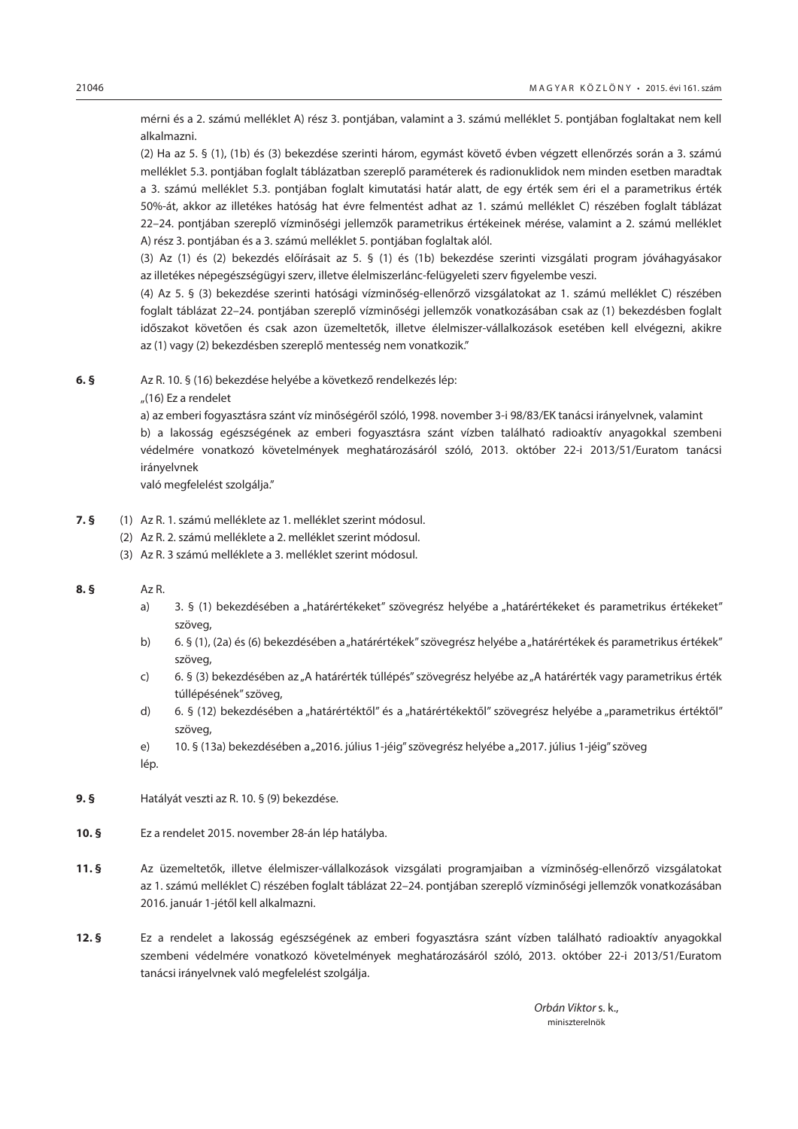mérni és a 2. számú melléklet A) rész 3. pontjában, valamint a 3. számú melléklet 5. pontjában foglaltakat nem kell alkalmazni.

(2) Ha az 5. § (1), (1b) és (3) bekezdése szerinti három, egymást követő évben végzett ellenőrzés során a 3. számú melléklet 5.3. pontjában foglalt táblázatban szereplő paraméterek és radionuklidok nem minden esetben maradtak a 3. számú melléklet 5.3. pontjában foglalt kimutatási határ alatt, de egy érték sem éri el a parametrikus érték 50%-át, akkor az illetékes hatóság hat évre felmentést adhat az 1. számú melléklet C) részében foglalt táblázat 22–24. pontjában szereplő vízminőségi jellemzők parametrikus értékeinek mérése, valamint a 2. számú melléklet A) rész 3. pontjában és a 3. számú melléklet 5. pontjában foglaltak alól.

(3) Az (1) és (2) bekezdés előírásait az 5. § (1) és (1b) bekezdése szerinti vizsgálati program jóváhagyásakor az illetékes népegészségügyi szerv, illetve élelmiszerlánc-felügyeleti szerv figyelembe veszi.

(4) Az 5. § (3) bekezdése szerinti hatósági vízminőség-ellenőrző vizsgálatokat az 1. számú melléklet C) részében foglalt táblázat 22–24. pontjában szereplő vízminőségi jellemzők vonatkozásában csak az (1) bekezdésben foglalt időszakot követően és csak azon üzemeltetők, illetve élelmiszer-vállalkozások esetében kell elvégezni, akikre az (1) vagy (2) bekezdésben szereplő mentesség nem vonatkozik."

**6. §** Az R. 10. § (16) bekezdése helyébe a következő rendelkezés lép:

"(16) Ez a rendelet

a) az emberi fogyasztásra szánt víz minőségéről szóló, 1998. november 3-i 98/83/EK tanácsi irányelvnek, valamint b) a lakosság egészségének az emberi fogyasztásra szánt vízben található radioaktív anyagokkal szembeni védelmére vonatkozó követelmények meghatározásáról szóló, 2013. október 22-i 2013/51/Euratom tanácsi irányelvnek

való megfelelést szolgálja."

- **7. §** (1) Az R. 1. számú melléklete az 1. melléklet szerint módosul.
	- (2) Az R. 2. számú melléklete a 2. melléklet szerint módosul.
	- (3) Az R. 3 számú melléklete a 3. melléklet szerint módosul.

#### **8. §** Az R.

- a) 3. § (1) bekezdésében a "határértékeket" szövegrész helyébe a "határértékeket és parametrikus értékeket" szöveg,
- b) 6. § (1), (2a) és (6) bekezdésében a "határértékek" szövegrész helyébe a "határértékek és parametrikus értékek" szöveg,
- c) 6. § (3) bekezdésében az "A határérték túllépés" szövegrész helyébe az "A határérték vagy parametrikus érték túllépésének" szöveg,
- d) 6. § (12) bekezdésében a "határértéktől" és a "határértékektől" szövegrész helyébe a "parametrikus értéktől" szöveg,
- e) 10. § (13a) bekezdésében a "2016. július 1-jéig" szövegrész helyébe a "2017. július 1-jéig" szöveg lép.
- **9. §** Hatályát veszti az R. 10. § (9) bekezdése.
- **10. §** Ez a rendelet 2015. november 28-án lép hatályba.
- **11. §** Az üzemeltetők, illetve élelmiszer-vállalkozások vizsgálati programjaiban a vízminőség-ellenőrző vizsgálatokat az 1. számú melléklet C) részében foglalt táblázat 22–24. pontjában szereplő vízminőségi jellemzők vonatkozásában 2016. január 1-jétől kell alkalmazni.
- **12. §** Ez a rendelet a lakosság egészségének az emberi fogyasztásra szánt vízben található radioaktív anyagokkal szembeni védelmére vonatkozó követelmények meghatározásáról szóló, 2013. október 22-i 2013/51/Euratom tanácsi irányelvnek való megfelelést szolgálja.

 *Orbán Viktor* s. k., miniszterelnök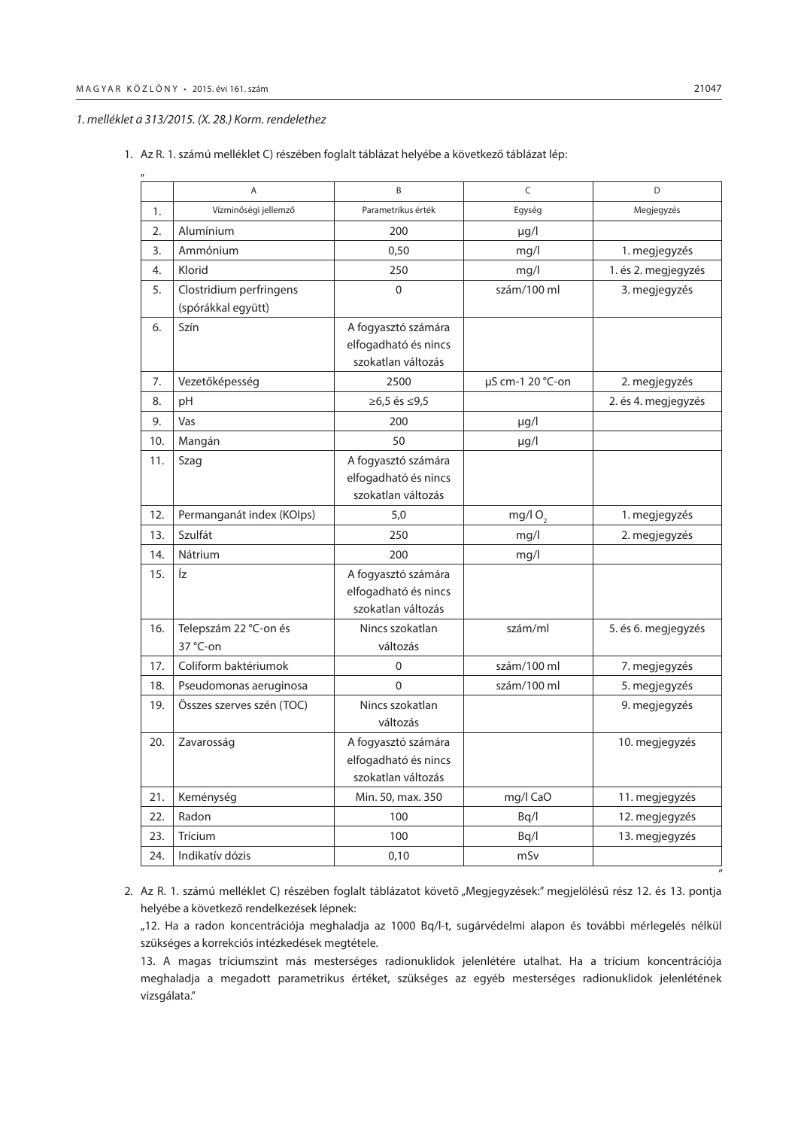"

#### *1. melléklet a 313/2015. (X. 28.) Korm. rendelethez*

|     | A                                             | B                                                                 | C                | D                   |
|-----|-----------------------------------------------|-------------------------------------------------------------------|------------------|---------------------|
| 1.  | Vízminőségi jellemző                          | Parametrikus érték                                                | Egység           | Megjegyzés          |
| 2.  | Alumínium                                     | 200                                                               | $\mu$ g/l        |                     |
| 3.  | Ammónium                                      | 0,50                                                              | mq/l             | 1. megjegyzés       |
| 4.  | Klorid                                        | 250                                                               | mq/l             | 1. és 2. megjegyzés |
| 5.  | Clostridium perfringens<br>(spórákkal együtt) | $\mathbf 0$                                                       | szám/100 ml      | 3. megjegyzés       |
| 6.  | Szín                                          | A fogyasztó számára<br>elfogadható és nincs<br>szokatlan változás |                  |                     |
| 7.  | Vezetőképesség                                | 2500                                                              | µS cm-1 20 °C-on | 2. megjegyzés       |
| 8.  | pH                                            | ≥6,5 és ≤9,5                                                      |                  | 2. és 4. megjegyzés |
| 9.  | Vas                                           | 200                                                               | µg/l             |                     |
| 10. | Mangán                                        | 50                                                                | $\mu$ g/l        |                     |
| 11. | Szag                                          | A fogyasztó számára<br>elfogadható és nincs<br>szokatlan változás |                  |                     |
| 12. | Permanganát index (KOIps)                     | 5,0                                                               | mg/l $O2$        | 1. megjegyzés       |
| 13. | Szulfát                                       | 250                                                               | mq/l             | 2. megjegyzés       |
| 14. | Nátrium                                       | 200                                                               | mg/l             |                     |
| 15. | Íz                                            | A fogyasztó számára<br>elfogadható és nincs<br>szokatlan változás |                  |                     |
| 16. | Telepszám 22 °C-on és<br>37 °C-on             | Nincs szokatlan<br>változás                                       | szám/ml          | 5. és 6. megjegyzés |
| 17. | Coliform baktériumok                          | 0                                                                 | szám/100 ml      | 7. megjegyzés       |
| 18. | Pseudomonas aeruginosa                        | $\Omega$                                                          | szám/100 ml      | 5. megjegyzés       |
| 19. | Összes szerves szén (TOC)                     | Nincs szokatlan<br>változás                                       |                  | 9. megjegyzés       |
| 20. | Zavarosság                                    | A fogyasztó számára<br>elfogadható és nincs<br>szokatlan változás |                  | 10. megjegyzés      |
| 21. | Keménység                                     | Min. 50, max. 350                                                 | mg/l CaO         | 11. megjegyzés      |
| 22. | Radon                                         | 100                                                               | Bq/l             | 12. megjegyzés      |
| 23. | Trícium                                       | 100                                                               | Bq/l             | 13. megjegyzés      |
| 24. | Indikatív dózis                               | 0,10                                                              | mSv              |                     |

1. Az R. 1. számú melléklet C) részében foglalt táblázat helyébe a következő táblázat lép:

2. Az R. 1. számú melléklet C) részében foglalt táblázatot követő "Megjegyzések:" megjelölésű rész 12. és 13. pontja helyébe a következő rendelkezések lépnek:

"12. Ha a radon koncentrációja meghaladja az 1000 Bq/l-t, sugárvédelmi alapon és további mérlegelés nélkül szükséges a korrekciós intézkedések megtétele.

13. A magas tríciumszint más mesterséges radionuklidok jelenlétére utalhat. Ha a trícium koncentrációja meghaladja a megadott parametrikus értéket, szükséges az egyéb mesterséges radionuklidok jelenlétének vizsgálata."

"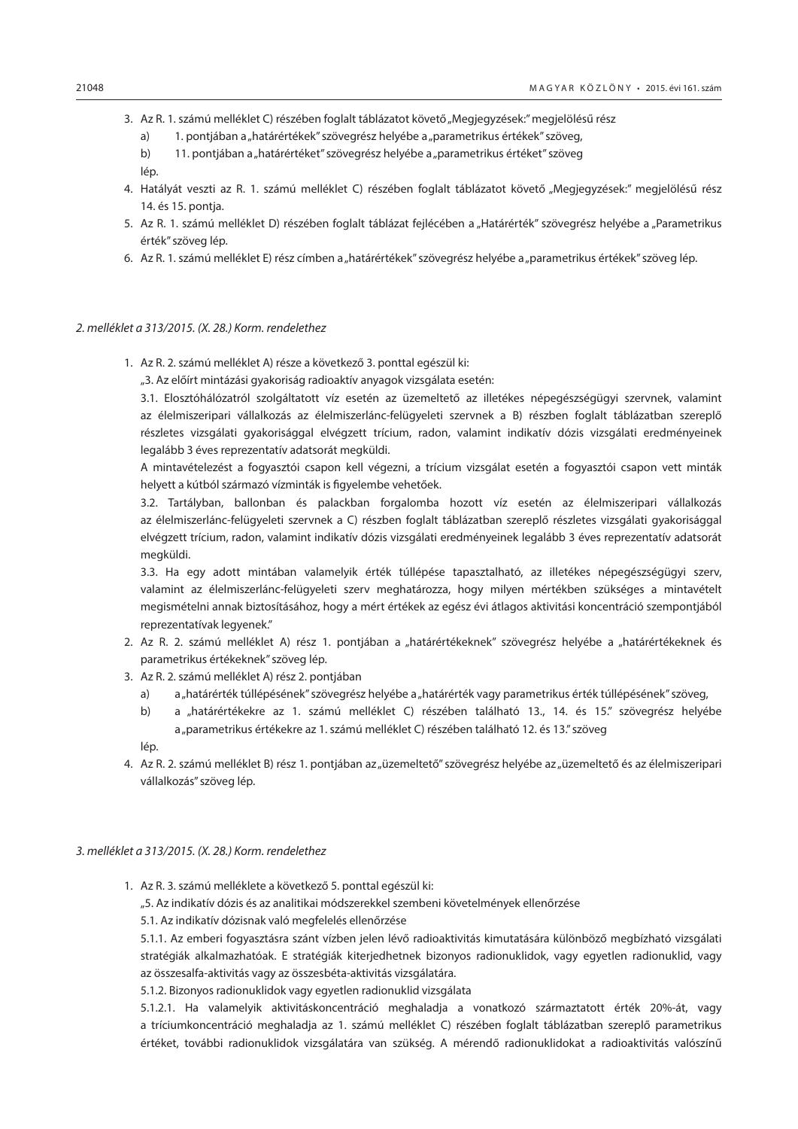- 3. Az R. 1. számú melléklet C) részében foglalt táblázatot követő "Megjegyzések:" megjelölésű rész
	- a) 1. pontjában a "határértékek" szövegrész helyébe a "parametrikus értékek" szöveg,
	- b) 11. pontjában a "határértéket" szövegrész helyébe a "parametrikus értéket" szöveg lép.
- 4. Hatályát veszti az R. 1. számú melléklet C) részében foglalt táblázatot követő "Megjegyzések:" megjelölésű rész 14. és 15. pontja.
- 5. Az R. 1. számú melléklet D) részében foglalt táblázat fejlécében a "Határérték" szövegrész helyébe a "Parametrikus érték" szöveg lép.
- 6. Az R. 1. számú melléklet E) rész címben a "határértékek" szövegrész helyébe a "parametrikus értékek" szöveg lép.

#### *2. melléklet a 313/2015. (X. 28.) Korm. rendelethez*

- 1. Az R. 2. számú melléklet A) része a következő 3. ponttal egészül ki:
	- "3. Az előírt mintázási gyakoriság radioaktív anyagok vizsgálata esetén:

3.1. Elosztóhálózatról szolgáltatott víz esetén az üzemeltető az illetékes népegészségügyi szervnek, valamint az élelmiszeripari vállalkozás az élelmiszerlánc-felügyeleti szervnek a B) részben foglalt táblázatban szereplő részletes vizsgálati gyakorisággal elvégzett trícium, radon, valamint indikatív dózis vizsgálati eredményeinek legalább 3 éves reprezentatív adatsorát megküldi.

A mintavételezést a fogyasztói csapon kell végezni, a trícium vizsgálat esetén a fogyasztói csapon vett minták helyett a kútból származó vízminták is figyelembe vehetőek.

3.2. Tartályban, ballonban és palackban forgalomba hozott víz esetén az élelmiszeripari vállalkozás az élelmiszerlánc-felügyeleti szervnek a C) részben foglalt táblázatban szereplő részletes vizsgálati gyakorisággal elvégzett trícium, radon, valamint indikatív dózis vizsgálati eredményeinek legalább 3 éves reprezentatív adatsorát megküldi.

3.3. Ha egy adott mintában valamelyik érték túllépése tapasztalható, az illetékes népegészségügyi szerv, valamint az élelmiszerlánc-felügyeleti szerv meghatározza, hogy milyen mértékben szükséges a mintavételt megismételni annak biztosításához, hogy a mért értékek az egész évi átlagos aktivitási koncentráció szempontjából reprezentatívak legyenek."

- 2. Az R. 2. számú melléklet A) rész 1. pontjában a "határértékeknek" szövegrész helyébe a "határértékeknek és parametrikus értékeknek" szöveg lép.
- 3. Az R. 2. számú melléklet A) rész 2. pontjában
	- a) a "határérték túllépésének" szövegrész helyébe a "határérték vagy parametrikus érték túllépésének" szöveg,
	- b) a "határértékekre az 1. számú melléklet C) részében található 13., 14. és 15." szövegrész helyébe a "parametrikus értékekre az 1. számú melléklet C) részében található 12. és 13." szöveg

lép.

4. Az R. 2. számú melléklet B) rész 1. pontjában az "üzemeltető" szövegrész helyébe az "üzemeltető és az élelmiszeripari vállalkozás" szöveg lép.

#### *3. melléklet a 313/2015. (X. 28.) Korm. rendelethez*

- 1. Az R. 3. számú melléklete a következő 5. ponttal egészül ki:
	- "5. Az indikatív dózis és az analitikai módszerekkel szembeni követelmények ellenőrzése

5.1. Az indikatív dózisnak való megfelelés ellenőrzése

5.1.1. Az emberi fogyasztásra szánt vízben jelen lévő radioaktivitás kimutatására különböző megbízható vizsgálati stratégiák alkalmazhatóak. E stratégiák kiterjedhetnek bizonyos radionuklidok, vagy egyetlen radionuklid, vagy az összesalfa-aktivitás vagy az összesbéta-aktivitás vizsgálatára.

5.1.2. Bizonyos radionuklidok vagy egyetlen radionuklid vizsgálata

5.1.2.1. Ha valamelyik aktivitáskoncentráció meghaladja a vonatkozó származtatott érték 20%-át, vagy a tríciumkoncentráció meghaladja az 1. számú melléklet C) részében foglalt táblázatban szereplő parametrikus értéket, további radionuklidok vizsgálatára van szükség. A mérendő radionuklidokat a radioaktivitás valószínű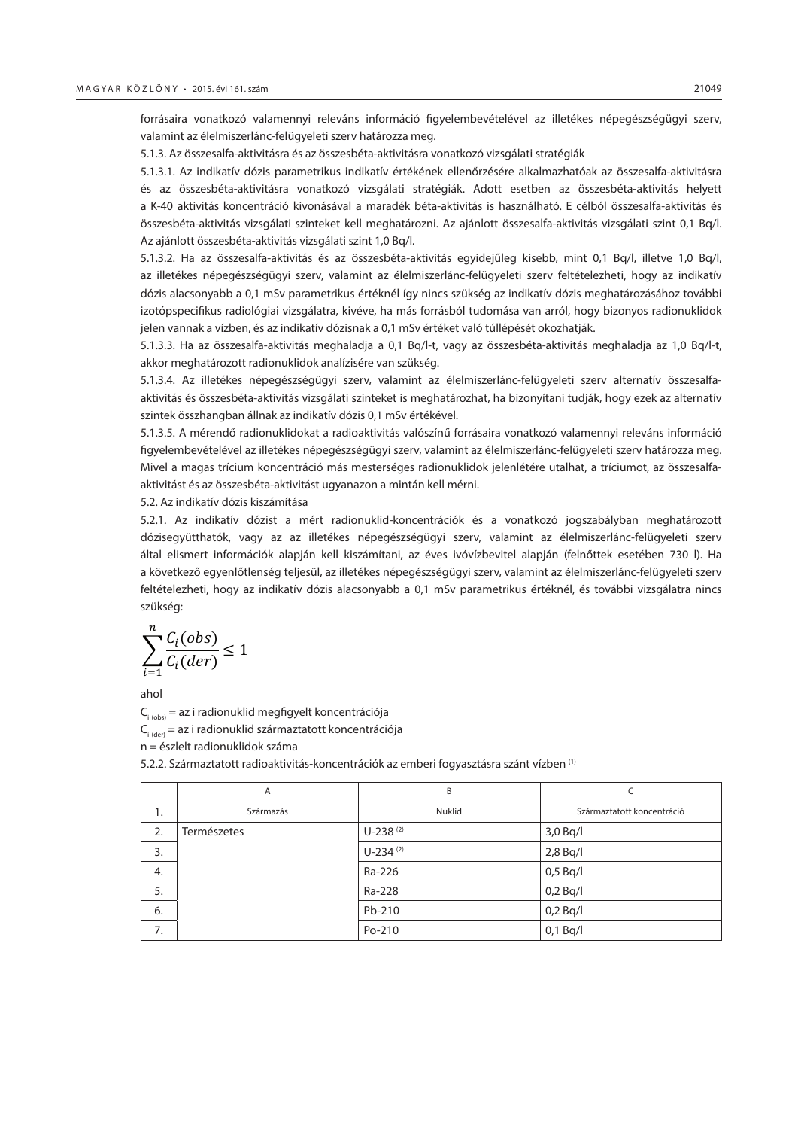forrásaira vonatkozó valamennyi releváns információ figyelembevételével az illetékes népegészségügyi szerv, valamint az élelmiszerlánc-felügyeleti szerv határozza meg.

5.1.3. Az összesalfa-aktivitásra és az összesbéta-aktivitásra vonatkozó vizsgálati stratégiák

5.1.3.1. Az indikatív dózis parametrikus indikatív értékének ellenőrzésére alkalmazhatóak az összesalfa-aktivitásra és az összesbéta-aktivitásra vonatkozó vizsgálati stratégiák. Adott esetben az összesbéta-aktivitás helyett a K-40 aktivitás koncentráció kivonásával a maradék béta-aktivitás is használható. E célból összesalfa-aktivitás és összesbéta-aktivitás vizsgálati szinteket kell meghatározni. Az ajánlott összesalfa-aktivitás vizsgálati szint 0,1 Bq/l. Az ajánlott összesbéta-aktivitás vizsgálati szint 1,0 Bq/l.

5.1.3.2. Ha az összesalfa-aktivitás és az összesbéta-aktivitás egyidejűleg kisebb, mint 0,1 Bq/l, illetve 1,0 Bq/l, az illetékes népegészségügyi szerv, valamint az élelmiszerlánc-felügyeleti szerv feltételezheti, hogy az indikatív dózis alacsonyabb a 0,1 mSv parametrikus értéknél így nincs szükség az indikatív dózis meghatározásához további izotópspecifikus radiológiai vizsgálatra, kivéve, ha más forrásból tudomása van arról, hogy bizonyos radionuklidok jelen vannak a vízben, és az indikatív dózisnak a 0,1 mSv értéket való túllépését okozhatják.

5.1.3.3. Ha az összesalfa-aktivitás meghaladja a 0,1 Bq/l-t, vagy az összesbéta-aktivitás meghaladja az 1,0 Bq/l-t, akkor meghatározott radionuklidok analízisére van szükség.

5.1.3.4. Az illetékes népegészségügyi szerv, valamint az élelmiszerlánc-felügyeleti szerv alternatív összesalfaaktivitás és összesbéta-aktivitás vizsgálati szinteket is meghatározhat, ha bizonyítani tudják, hogy ezek az alternatív szintek összhangban állnak az indikatív dózis 0,1 mSv értékével.

5.1.3.5. A mérendő radionuklidokat a radioaktivitás valószínű forrásaira vonatkozó valamennyi releváns információ figyelembevételével az illetékes népegészségügyi szerv, valamint az élelmiszerlánc-felügyeleti szerv határozza meg. Mivel a magas trícium koncentráció más mesterséges radionuklidok jelenlétére utalhat, a tríciumot, az összesalfaaktivitást és az összesbéta-aktivitást ugyanazon a mintán kell mérni.

5.2. Az indikatív dózis kiszámítása

5.2.1. Az indikatív dózist a mért radionuklid-koncentrációk és a vonatkozó jogszabályban meghatározott dózisegyütthatók, vagy az az illetékes népegészségügyi szerv, valamint az élelmiszerlánc-felügyeleti szerv által elismert információk alapján kell kiszámítani, az éves ivóvízbevitel alapján (felnőttek esetében 730 l). Ha a következő egyenlőtlenség teljesül, az illetékes népegészségügyi szerv, valamint az élelmiszerlánc-felügyeleti szerv feltételezheti, hogy az indikatív dózis alacsonyabb a 0,1 mSv parametrikus értéknél, és további vizsgálatra nincs szükség:

$$
\sum_{i=1}^{n} \frac{C_i (obs)}{C_i (der)} \le 1
$$

ahol

 $C_{i \text{(obs)}} = az i$  radionuklid megfigyelt koncentrációja  $C_{i, (dev)} = az i$  radionuklid származtatott koncentrációja n = észlelt radionuklidok száma

5.2.2. Származtatott radioaktivitás-koncentrációk az emberi fogyasztásra szánt vízben (1)

|    | Α           | B             |                            |
|----|-------------|---------------|----------------------------|
| 1. | Származás   | Nuklid        | Származtatott koncentráció |
| 2. | Természetes | $U-238^{(2)}$ | $3,0$ Bq/l                 |
| 3. |             | $U-234(2)$    | $2,8$ Bq/l                 |
| 4. |             | Ra-226        | $0,5$ Bq/l                 |
| 5. |             | Ra-228        | $0,2$ Bq/I                 |
| 6. |             | Pb-210        | $0,2$ Bq/I                 |
| 7. |             | Po-210        | $0,1$ Bq/l                 |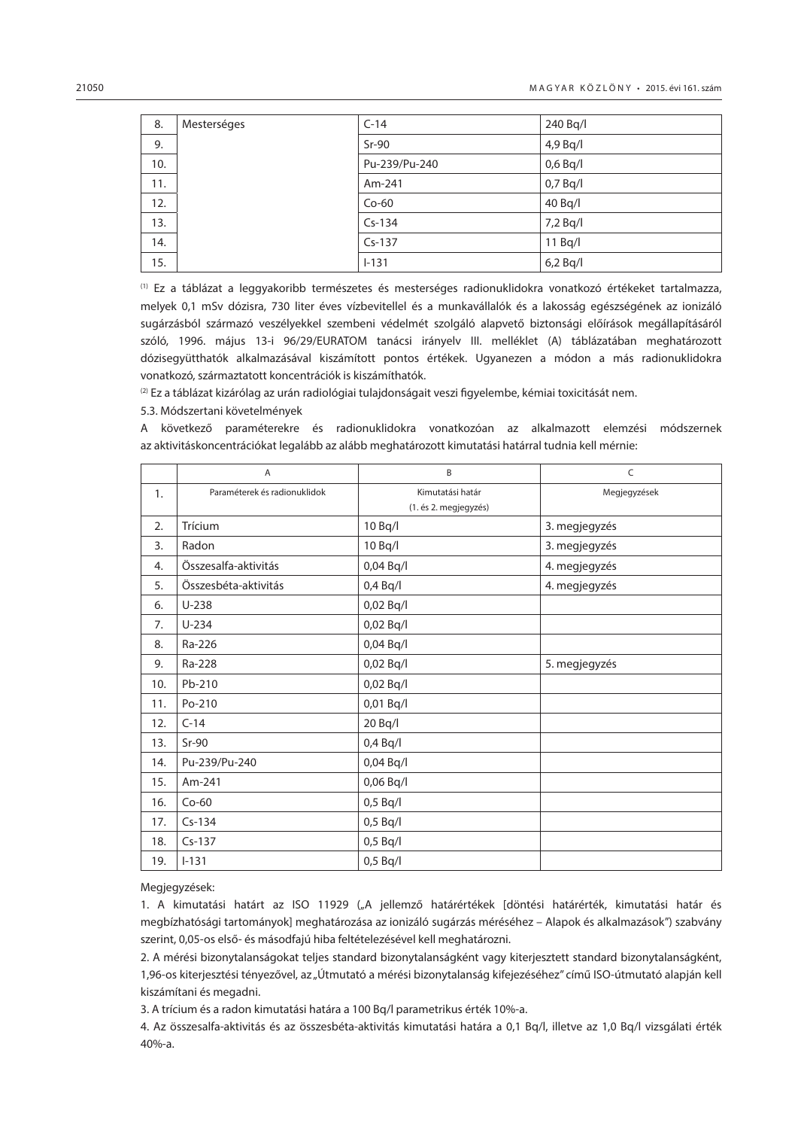| 8.  | Mesterséges | $C-14$        | 240 Bq/l   |
|-----|-------------|---------------|------------|
| 9.  |             | $Sr-90$       | 4,9 Bq/l   |
| 10. |             | Pu-239/Pu-240 | $0,6$ Bq/l |
| 11. |             | Am-241        | $0,7$ Bq/I |
| 12. |             | $Co-60$       | 40 Bq/l    |
| 13. |             | $Cs-134$      | $7,2$ Bq/I |
| 14. |             | $Cs-137$      | 11 Bq/l    |
| 15. |             | $1 - 131$     | $6,2$ Bq/I |

(1) Ez a táblázat a leggyakoribb természetes és mesterséges radionuklidokra vonatkozó értékeket tartalmazza, melyek 0,1 mSv dózisra, 730 liter éves vízbevitellel és a munkavállalók és a lakosság egészségének az ionizáló sugárzásból származó veszélyekkel szembeni védelmét szolgáló alapvető biztonsági előírások megállapításáról szóló, 1996. május 13-i 96/29/EURATOM tanácsi irányelv III. melléklet (A) táblázatában meghatározott dózisegyütthatók alkalmazásával kiszámított pontos értékek. Ugyanezen a módon a más radionuklidokra vonatkozó, származtatott koncentrációk is kiszámíthatók.

 $(2)$  Ez a táblázat kizárólag az urán radiológiai tulajdonságait veszi figyelembe, kémiai toxicitását nem.

#### 5.3. Módszertani követelmények

A következő paraméterekre és radionuklidokra vonatkozóan az alkalmazott elemzési módszernek az aktivitáskoncentrációkat legalább az alább meghatározott kimutatási határral tudnia kell mérnie:

|     | A                            | B                     | C             |
|-----|------------------------------|-----------------------|---------------|
| 1.  | Paraméterek és radionuklidok | Kimutatási határ      | Megjegyzések  |
|     |                              | (1. és 2. megjegyzés) |               |
| 2.  | Trícium                      | 10 Bq/l               | 3. megjegyzés |
| 3.  | Radon                        | 10 Bq/l               | 3. megjegyzés |
| 4.  | Összesalfa-aktivitás         | 0,04 Bq/l             | 4. megjegyzés |
| 5.  | Összesbéta-aktivitás         | $0,4$ Bq/l            | 4. megjegyzés |
| 6.  | $U-238$                      | 0,02 Bq/l             |               |
| 7.  | $U-234$                      | 0,02 Bq/l             |               |
| 8.  | Ra-226                       | 0,04 Bq/l             |               |
| 9.  | Ra-228                       | 0,02 Bq/l             | 5. megjegyzés |
| 10. | Pb-210                       | 0,02 Bq/l             |               |
| 11. | Po-210                       | 0,01 Bq/l             |               |
| 12. | $C-14$                       | 20 Bq/l               |               |
| 13. | $Sr-90$                      | $0,4$ Bq/l            |               |
| 14. | Pu-239/Pu-240                | 0,04 Bq/l             |               |
| 15. | Am-241                       | 0,06 Bq/l             |               |
| 16. | $Co-60$                      | $0,5$ Bq/l            |               |
| 17. | $Cs-134$                     | $0,5$ Bq/l            |               |
| 18. | $Cs-137$                     | $0,5$ Bq/l            |               |
| 19. | $I-131$                      | $0,5$ Bq/l            |               |

Megjegyzések:

1. A kimutatási határt az ISO 11929 ("A jellemző határértékek [döntési határérték, kimutatási határ és megbízhatósági tartományok] meghatározása az ionizáló sugárzás méréséhez – Alapok és alkalmazások") szabvány szerint, 0,05-os első- és másodfajú hiba feltételezésével kell meghatározni.

2. A mérési bizonytalanságokat teljes standard bizonytalanságként vagy kiterjesztett standard bizonytalanságként, 1,96-os kiterjesztési tényezővel, az "Útmutató a mérési bizonytalanság kifejezéséhez" című ISO-útmutató alapján kell kiszámítani és megadni.

3. A trícium és a radon kimutatási határa a 100 Bq/l parametrikus érték 10%-a.

4. Az összesalfa-aktivitás és az összesbéta-aktivitás kimutatási határa a 0,1 Bq/l, illetve az 1,0 Bq/l vizsgálati érték 40%-a.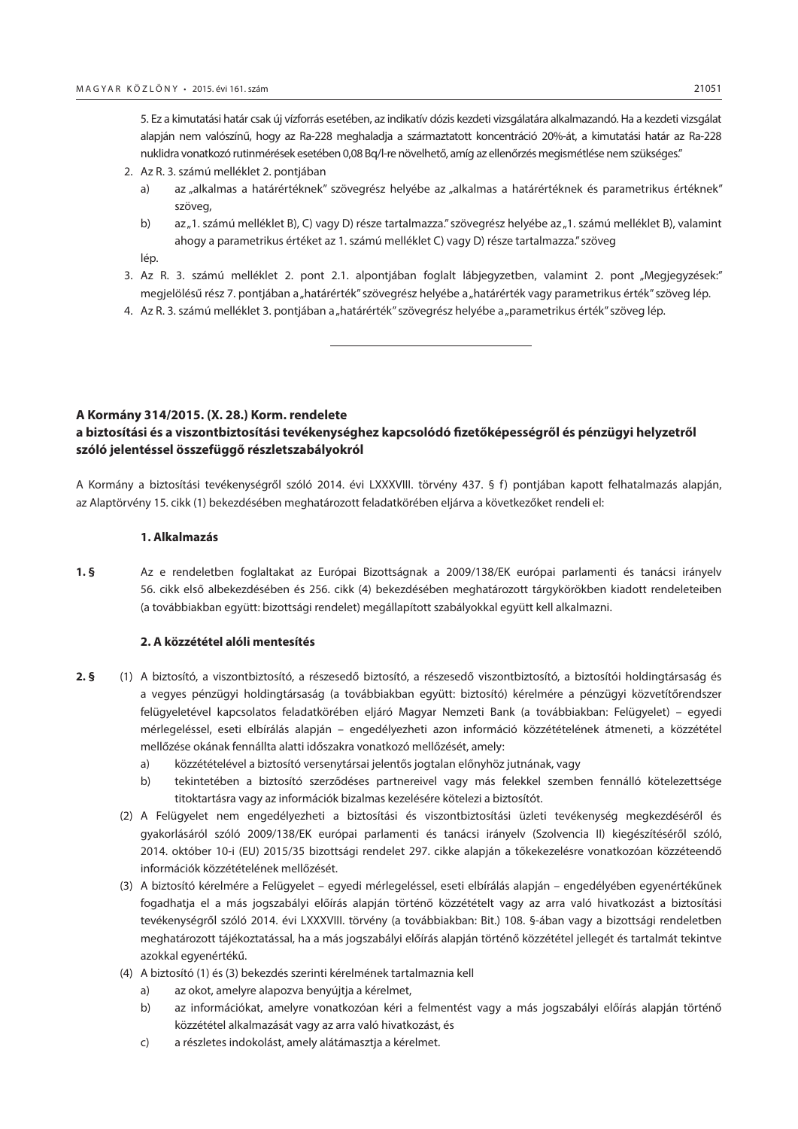<span id="page-40-0"></span>5. Ez a kimutatási határ csak új vízforrás esetében, az indikatív dózis kezdeti vizsgálatára alkalmazandó. Ha a kezdeti vizsgálat alapján nem valószínű, hogy az Ra-228 meghaladja a származtatott koncentráció 20%-át, a kimutatási határ az Ra-228 nuklidra vonatkozó rutinmérések esetében 0,08 Bq/l-re növelhető, amíg az ellenőrzés megismétlése nem szükséges."

- 2. Az R. 3. számú melléklet 2. pontjában
	- a) az "alkalmas a határértéknek" szövegrész helyébe az "alkalmas a határértéknek és parametrikus értéknek" szöveg,
	- b) az "1. számú melléklet B), C) vagy D) része tartalmazza." szövegrész helyébe az "1. számú melléklet B), valamint ahogy a parametrikus értéket az 1. számú melléklet C) vagy D) része tartalmazza." szöveg
	- lép.
- 3. Az R. 3. számú melléklet 2. pont 2.1. alpontjában foglalt lábjegyzetben, valamint 2. pont "Megjegyzések:" megjelölésű rész 7. pontjában a "határérték" szövegrész helyébe a "határérték vagy parametrikus érték" szöveg lép.
- 4. Az R. 3. számú melléklet 3. pontjában a "határérték" szövegrész helyébe a "parametrikus érték" szöveg lép.

#### **A Kormány 314/2015. (X. 28.) Korm. rendelete**

# **a biztosítási és a viszontbiztosítási tevékenységhez kapcsolódó fizetőképességről és pénzügyi helyzetről szóló jelentéssel összefüggő részletszabályokról**

A Kormány a biztosítási tevékenységről szóló 2014. évi LXXXVIII. törvény 437. § f) pontjában kapott felhatalmazás alapján, az Alaptörvény 15. cikk (1) bekezdésében meghatározott feladatkörében eljárva a következőket rendeli el:

#### **1. Alkalmazás**

**1. §** Az e rendeletben foglaltakat az Európai Bizottságnak a 2009/138/EK európai parlamenti és tanácsi irányelv 56. cikk első albekezdésében és 256. cikk (4) bekezdésében meghatározott tárgykörökben kiadott rendeleteiben (a továbbiakban együtt: bizottsági rendelet) megállapított szabályokkal együtt kell alkalmazni.

#### **2. A közzététel alóli mentesítés**

- **2. §** (1) A biztosító, a viszontbiztosító, a részesedő biztosító, a részesedő viszontbiztosító, a biztosítói holdingtársaság és a vegyes pénzügyi holdingtársaság (a továbbiakban együtt: biztosító) kérelmére a pénzügyi közvetítőrendszer felügyeletével kapcsolatos feladatkörében eljáró Magyar Nemzeti Bank (a továbbiakban: Felügyelet) – egyedi mérlegeléssel, eseti elbírálás alapján – engedélyezheti azon információ közzétételének átmeneti, a közzététel mellőzése okának fennállta alatti időszakra vonatkozó mellőzését, amely:
	- a) közzétételével a biztosító versenytársai jelentős jogtalan előnyhöz jutnának, vagy
	- b) tekintetében a biztosító szerződéses partnereivel vagy más felekkel szemben fennálló kötelezettsége titoktartásra vagy az információk bizalmas kezelésére kötelezi a biztosítót.
	- (2) A Felügyelet nem engedélyezheti a biztosítási és viszontbiztosítási üzleti tevékenység megkezdéséről és gyakorlásáról szóló 2009/138/EK európai parlamenti és tanácsi irányelv (Szolvencia II) kiegészítéséről szóló, 2014. október 10-i (EU) 2015/35 bizottsági rendelet 297. cikke alapján a tőkekezelésre vonatkozóan közzéteendő információk közzétételének mellőzését.
	- (3) A biztosító kérelmére a Felügyelet egyedi mérlegeléssel, eseti elbírálás alapján engedélyében egyenértékűnek fogadhatja el a más jogszabályi előírás alapján történő közzétételt vagy az arra való hivatkozást a biztosítási tevékenységről szóló 2014. évi LXXXVIII. törvény (a továbbiakban: Bit.) 108. §-ában vagy a bizottsági rendeletben meghatározott tájékoztatással, ha a más jogszabályi előírás alapján történő közzététel jellegét és tartalmát tekintve azokkal egyenértékű.
	- (4) A biztosító (1) és (3) bekezdés szerinti kérelmének tartalmaznia kell
		- a) az okot, amelyre alapozva benyújtja a kérelmet,
		- b) az információkat, amelyre vonatkozóan kéri a felmentést vagy a más jogszabályi előírás alapján történő közzététel alkalmazását vagy az arra való hivatkozást, és
		- c) a részletes indokolást, amely alátámasztja a kérelmet.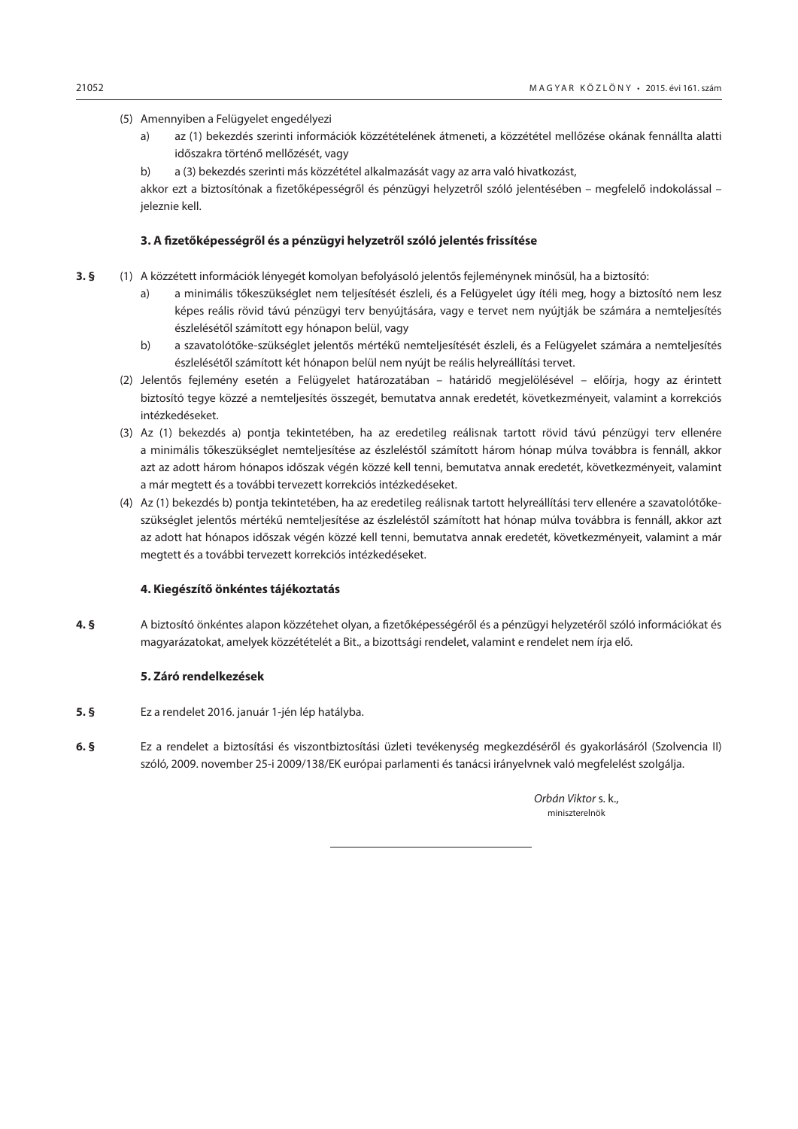- (5) Amennyiben a Felügyelet engedélyezi
	- a) az (1) bekezdés szerinti információk közzétételének átmeneti, a közzététel mellőzése okának fennállta alatti időszakra történő mellőzését, vagy
	- b) a (3) bekezdés szerinti más közzététel alkalmazását vagy az arra való hivatkozást,

akkor ezt a biztosítónak a fizetőképességről és pénzügyi helyzetről szóló jelentésében – megfelelő indokolással – jeleznie kell.

## **3. A fizetőképességről és a pénzügyi helyzetről szóló jelentés frissítése**

- **3. §** (1) A közzétett információk lényegét komolyan befolyásoló jelentős fejleménynek minősül, ha a biztosító:
	- a) a minimális tőkeszükséglet nem teljesítését észleli, és a Felügyelet úgy ítéli meg, hogy a biztosító nem lesz képes reális rövid távú pénzügyi terv benyújtására, vagy e tervet nem nyújtják be számára a nemteljesítés észlelésétől számított egy hónapon belül, vagy
	- b) a szavatolótőke-szükséglet jelentős mértékű nemteljesítését észleli, és a Felügyelet számára a nemteljesítés észlelésétől számított két hónapon belül nem nyújt be reális helyreállítási tervet.
	- (2) Jelentős fejlemény esetén a Felügyelet határozatában határidő megjelölésével előírja, hogy az érintett biztosító tegye közzé a nemteljesítés összegét, bemutatva annak eredetét, következményeit, valamint a korrekciós intézkedéseket.
	- (3) Az (1) bekezdés a) pontja tekintetében, ha az eredetileg reálisnak tartott rövid távú pénzügyi terv ellenére a minimális tőkeszükséglet nemteljesítése az észleléstől számított három hónap múlva továbbra is fennáll, akkor azt az adott három hónapos időszak végén közzé kell tenni, bemutatva annak eredetét, következményeit, valamint a már megtett és a további tervezett korrekciós intézkedéseket.
	- (4) Az (1) bekezdés b) pontja tekintetében, ha az eredetileg reálisnak tartott helyreállítási terv ellenére a szavatolótőkeszükséglet jelentős mértékű nemteljesítése az észleléstől számított hat hónap múlva továbbra is fennáll, akkor azt az adott hat hónapos időszak végén közzé kell tenni, bemutatva annak eredetét, következményeit, valamint a már megtett és a további tervezett korrekciós intézkedéseket.

#### **4. Kiegészítő önkéntes tájékoztatás**

**4. §** A biztosító önkéntes alapon közzétehet olyan, a fizetőképességéről és a pénzügyi helyzetéről szóló információkat és magyarázatokat, amelyek közzétételét a Bit., a bizottsági rendelet, valamint e rendelet nem írja elő.

#### **5. Záró rendelkezések**

- **5. §** Ez a rendelet 2016. január 1-jén lép hatályba.
- **6. §** Ez a rendelet a biztosítási és viszontbiztosítási üzleti tevékenység megkezdéséről és gyakorlásáról (Szolvencia II) szóló, 2009. november 25-i 2009/138/EK európai parlamenti és tanácsi irányelvnek való megfelelést szolgálja.

*Orbán Viktor* s. k., miniszterelnök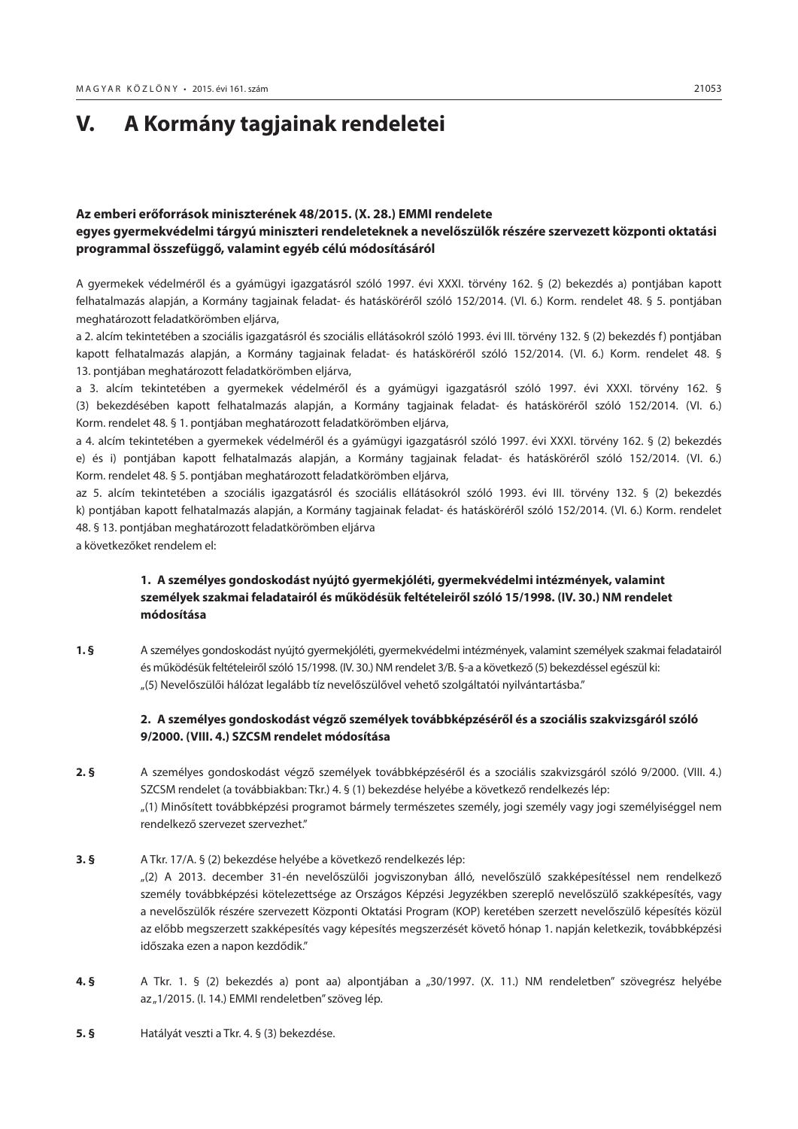# <span id="page-42-0"></span>**V. A Kormány tagjainak rendeletei**

# **Az emberi erőforrások miniszterének 48/2015. (X. 28.) EMMI rendelete egyes gyermekvédelmi tárgyú miniszteri rendeleteknek a nevelőszülők részére szervezett központi oktatási programmal összefüggő, valamint egyéb célú módosításáról**

A gyermekek védelméről és a gyámügyi igazgatásról szóló 1997. évi XXXI. törvény 162. § (2) bekezdés a) pontjában kapott felhatalmazás alapján, a Kormány tagjainak feladat- és hatásköréről szóló 152/2014. (VI. 6.) Korm. rendelet 48. § 5. pontjában meghatározott feladatkörömben eljárva,

a 2. alcím tekintetében a szociális igazgatásról és szociális ellátásokról szóló 1993. évi III. törvény 132. § (2) bekezdés f) pontjában kapott felhatalmazás alapján, a Kormány tagjainak feladat- és hatásköréről szóló 152/2014. (VI. 6.) Korm. rendelet 48. § 13. pontjában meghatározott feladatkörömben eljárva,

a 3. alcím tekintetében a gyermekek védelméről és a gyámügyi igazgatásról szóló 1997. évi XXXI. törvény 162. § (3) bekezdésében kapott felhatalmazás alapján, a Kormány tagjainak feladat- és hatásköréről szóló 152/2014. (VI. 6.) Korm. rendelet 48. § 1. pontjában meghatározott feladatkörömben eljárva,

a 4. alcím tekintetében a gyermekek védelméről és a gyámügyi igazgatásról szóló 1997. évi XXXI. törvény 162. § (2) bekezdés e) és i) pontjában kapott felhatalmazás alapján, a Kormány tagjainak feladat- és hatásköréről szóló 152/2014. (VI. 6.) Korm. rendelet 48. § 5. pontjában meghatározott feladatkörömben eljárva,

az 5. alcím tekintetében a szociális igazgatásról és szociális ellátásokról szóló 1993. évi III. törvény 132. § (2) bekezdés k) pontjában kapott felhatalmazás alapján, a Kormány tagjainak feladat- és hatásköréről szóló 152/2014. (VI. 6.) Korm. rendelet 48. § 13. pontjában meghatározott feladatkörömben eljárva

a következőket rendelem el:

# **1. A személyes gondoskodást nyújtó gyermekjóléti, gyermekvédelmi intézmények, valamint személyek szakmai feladatairól és működésük feltételeiről szóló 15/1998. (IV. 30.) NM rendelet módosítása**

**1. §** A személyes gondoskodást nyújtó gyermekjóléti, gyermekvédelmi intézmények, valamint személyek szakmai feladatairól és működésük feltételeiről szóló 15/1998. (IV. 30.) NM rendelet 3/B. §-a a következő (5) bekezdéssel egészül ki: "(5) Nevelőszülői hálózat legalább tíz nevelőszülővel vehető szolgáltatói nyilvántartásba."

# **2. A személyes gondoskodást végző személyek továbbképzéséről és a szociális szakvizsgáról szóló 9/2000. (VIII. 4.) SZCSM rendelet módosítása**

**2. §** A személyes gondoskodást végző személyek továbbképzéséről és a szociális szakvizsgáról szóló 9/2000. (VIII. 4.) SZCSM rendelet (a továbbiakban: Tkr.) 4. § (1) bekezdése helyébe a következő rendelkezés lép: "(1) Minősített továbbképzési programot bármely természetes személy, jogi személy vagy jogi személyiséggel nem rendelkező szervezet szervezhet."

# **3. §** A Tkr. 17/A. § (2) bekezdése helyébe a következő rendelkezés lép: "(2) A 2013. december 31-én nevelőszülői jogviszonyban álló, nevelőszülő szakképesítéssel nem rendelkező személy továbbképzési kötelezettsége az Országos Képzési Jegyzékben szereplő nevelőszülő szakképesítés, vagy a nevelőszülők részére szervezett Központi Oktatási Program (KOP) keretében szerzett nevelőszülő képesítés közül az előbb megszerzett szakképesítés vagy képesítés megszerzését követő hónap 1. napján keletkezik, továbbképzési időszaka ezen a napon kezdődik."

- **4. §** A Tkr. 1. § (2) bekezdés a) pont aa) alpontjában a "30/1997. (X. 11.) NM rendeletben" szövegrész helyébe az "1/2015. (l. 14.) EMMI rendeletben" szöveg lép.
- **5. §** Hatályát veszti a Tkr. 4. § (3) bekezdése.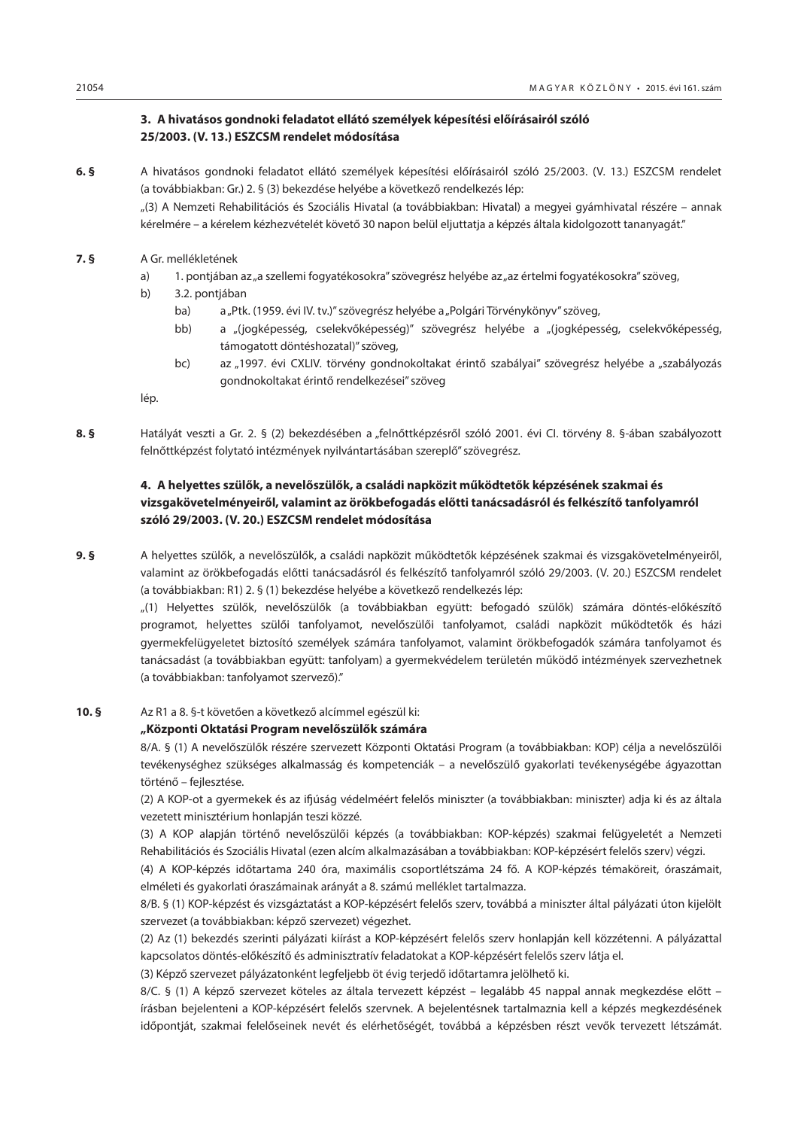# **3. A hivatásos gondnoki feladatot ellátó személyek képesítési előírásairól szóló 25/2003. (V. 13.) ESZCSM rendelet módosítása**

**6. §** A hivatásos gondnoki feladatot ellátó személyek képesítési előírásairól szóló 25/2003. (V. 13.) ESZCSM rendelet (a továbbiakban: Gr.) 2. § (3) bekezdése helyébe a következő rendelkezés lép:

"(3) A Nemzeti Rehabilitációs és Szociális Hivatal (a továbbiakban: Hivatal) a megyei gyámhivatal részére – annak kérelmére – a kérelem kézhezvételét követő 30 napon belül eljuttatja a képzés általa kidolgozott tananyagát."

- **7. §** A Gr. mellékletének
	- a) 1. pontjában az "a szellemi fogyatékosokra" szövegrész helyébe az "az értelmi fogyatékosokra" szöveg,
	- b) 3.2. pontjában
		- ba) a "Ptk. (1959. évi IV. tv.)" szövegrész helyébe a "Polgári Törvénykönyv" szöveg,
		- bb) a "(jogképesség, cselekvőképesség)" szövegrész helyébe a "(jogképesség, cselekvőképesség, támogatott döntéshozatal)" szöveg,
		- bc) az "1997. évi CXLIV. törvény gondnokoltakat érintő szabályai" szövegrész helyébe a "szabályozás gondnokoltakat érintő rendelkezései" szöveg

lép.

**8. §** Hatályát veszti a Gr. 2. § (2) bekezdésében a "felnőttképzésről szóló 2001. évi CI. törvény 8. §-ában szabályozott felnőttképzést folytató intézmények nyilvántartásában szereplő" szövegrész.

# **4. A helyettes szülők, a nevelőszülők, a családi napközit működtetők képzésének szakmai és vizsgakövetelményeiről, valamint az örökbefogadás előtti tanácsadásról és felkészítő tanfolyamról szóló 29/2003. (V. 20.) ESZCSM rendelet módosítása**

**9. §** A helyettes szülők, a nevelőszülők, a családi napközit működtetők képzésének szakmai és vizsgakövetelményeiről, valamint az örökbefogadás előtti tanácsadásról és felkészítő tanfolyamról szóló 29/2003. (V. 20.) ESZCSM rendelet (a továbbiakban: R1) 2. § (1) bekezdése helyébe a következő rendelkezés lép:

> "(1) Helyettes szülők, nevelőszülők (a továbbiakban együtt: befogadó szülők) számára döntés-előkészítő programot, helyettes szülői tanfolyamot, nevelőszülői tanfolyamot, családi napközit működtetők és házi gyermekfelügyeletet biztosító személyek számára tanfolyamot, valamint örökbefogadók számára tanfolyamot és tanácsadást (a továbbiakban együtt: tanfolyam) a gyermekvédelem területén működő intézmények szervezhetnek (a továbbiakban: tanfolyamot szervező)."

# **10. §** Az R1 a 8. §-t követően a következő alcímmel egészül ki:

#### **"Központi Oktatási Program nevelőszülők számára**

8/A. § (1) A nevelőszülők részére szervezett Központi Oktatási Program (a továbbiakban: KOP) célja a nevelőszülői tevékenységhez szükséges alkalmasság és kompetenciák – a nevelőszülő gyakorlati tevékenységébe ágyazottan történő – fejlesztése.

(2) A KOP-ot a gyermekek és az ifjúság védelméért felelős miniszter (a továbbiakban: miniszter) adja ki és az általa vezetett minisztérium honlapján teszi közzé.

(3) A KOP alapján történő nevelőszülői képzés (a továbbiakban: KOP-képzés) szakmai felügyeletét a Nemzeti Rehabilitációs és Szociális Hivatal (ezen alcím alkalmazásában a továbbiakban: KOP-képzésért felelős szerv) végzi.

(4) A KOP-képzés időtartama 240 óra, maximális csoportlétszáma 24 fő. A KOP-képzés témaköreit, óraszámait, elméleti és gyakorlati óraszámainak arányát a 8. számú melléklet tartalmazza.

8/B. § (1) KOP-képzést és vizsgáztatást a KOP-képzésért felelős szerv, továbbá a miniszter által pályázati úton kijelölt szervezet (a továbbiakban: képző szervezet) végezhet.

(2) Az (1) bekezdés szerinti pályázati kiírást a KOP-képzésért felelős szerv honlapján kell közzétenni. A pályázattal kapcsolatos döntés-előkészítő és adminisztratív feladatokat a KOP-képzésért felelős szerv látja el.

(3) Képző szervezet pályázatonként legfeljebb öt évig terjedő időtartamra jelölhető ki.

8/C. § (1) A képző szervezet köteles az általa tervezett képzést – legalább 45 nappal annak megkezdése előtt – írásban bejelenteni a KOP-képzésért felelős szervnek. A bejelentésnek tartalmaznia kell a képzés megkezdésének időpontját, szakmai felelőseinek nevét és elérhetőségét, továbbá a képzésben részt vevők tervezett létszámát.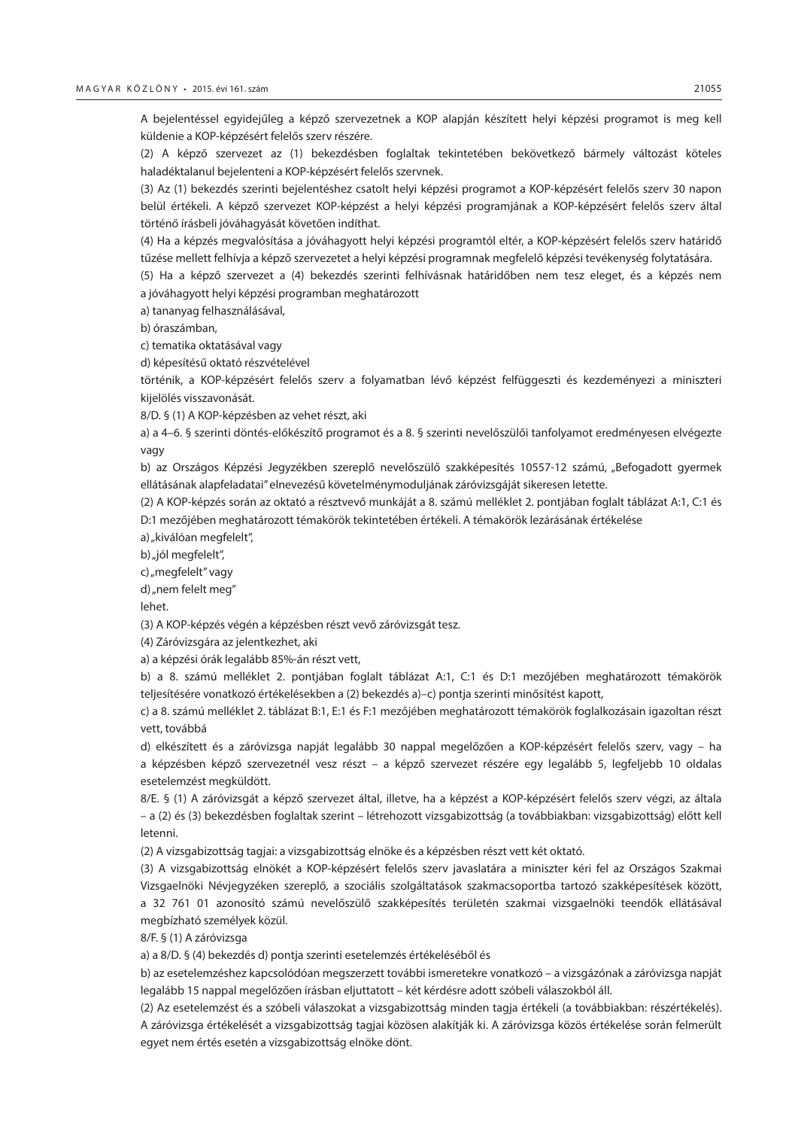A bejelentéssel egyidejűleg a képző szervezetnek a KOP alapján készített helyi képzési programot is meg kell küldenie a KOP-képzésért felelős szerv részére.

(2) A képző szervezet az (1) bekezdésben foglaltak tekintetében bekövetkező bármely változást köteles haladéktalanul bejelenteni a KOP-képzésért felelős szervnek.

(3) Az (1) bekezdés szerinti bejelentéshez csatolt helyi képzési programot a KOP-képzésért felelős szerv 30 napon belül értékeli. A képző szervezet KOP-képzést a helyi képzési programjának a KOP-képzésért felelős szerv által történő írásbeli jóváhagyását követően indíthat.

(4) Ha a képzés megvalósítása a jóváhagyott helyi képzési programtól eltér, a KOP-képzésért felelős szerv határidő tűzése mellett felhívja a képző szervezetet a helyi képzési programnak megfelelő képzési tevékenység folytatására.

(5) Ha a képző szervezet a (4) bekezdés szerinti felhívásnak határidőben nem tesz eleget, és a képzés nem a jóváhagyott helyi képzési programban meghatározott

a) tananyag felhasználásával,

b) óraszámban,

c) tematika oktatásával vagy

d) képesítésű oktató részvételével

történik, a KOP-képzésért felelős szerv a folyamatban lévő képzést felfüggeszti és kezdeményezi a miniszteri kijelölés visszavonását.

8/D. § (1) A KOP-képzésben az vehet részt, aki

a) a 4–6. § szerinti döntés-előkészítő programot és a 8. § szerinti nevelőszülői tanfolyamot eredményesen elvégezte vagy

b) az Országos Képzési Jegyzékben szereplő nevelőszülő szakképesítés 10557-12 számú, "Befogadott gyermek ellátásának alapfeladatai" elnevezésű követelménymoduljának záróvizsgáját sikeresen letette.

(2) A KOP-képzés során az oktató a résztvevő munkáját a 8. számú melléklet 2. pontjában foglalt táblázat A:1, C:1 és D:1 mezőjében meghatározott témakörök tekintetében értékeli. A témakörök lezárásának értékelése

a) "kiválóan megfelelt".

b) "jól megfelelt",

c) "megfelelt" vagy

d) "nem felelt meg"

lehet.

(3) A KOP-képzés végén a képzésben részt vevő záróvizsgát tesz.

(4) Záróvizsgára az jelentkezhet, aki

a) a képzési órák legalább 85%-án részt vett,

b) a 8. számú melléklet 2. pontjában foglalt táblázat A:1, C:1 és D:1 mezőjében meghatározott témakörök teljesítésére vonatkozó értékelésekben a (2) bekezdés a)–c) pontja szerinti minősítést kapott,

c) a 8. számú melléklet 2. táblázat B:1, E:1 és F:1 mezőjében meghatározott témakörök foglalkozásain igazoltan részt vett, továbbá

d) elkészített és a záróvizsga napját legalább 30 nappal megelőzően a KOP-képzésért felelős szerv, vagy – ha a képzésben képző szervezetnél vesz részt – a képző szervezet részére egy legalább 5, legfeljebb 10 oldalas esetelemzést megküldött.

8/E. § (1) A záróvizsgát a képző szervezet által, illetve, ha a képzést a KOP-képzésért felelős szerv végzi, az általa – a (2) és (3) bekezdésben foglaltak szerint – létrehozott vizsgabizottság (a továbbiakban: vizsgabizottság) előtt kell letenni.

(2) A vizsgabizottság tagjai: a vizsgabizottság elnöke és a képzésben részt vett két oktató.

(3) A vizsgabizottság elnökét a KOP-képzésért felelős szerv javaslatára a miniszter kéri fel az Országos Szakmai Vizsgaelnöki Névjegyzéken szereplő, a szociális szolgáltatások szakmacsoportba tartozó szakképesítések között, a 32 761 01 azonosító számú nevelőszülő szakképesítés területén szakmai vizsgaelnöki teendők ellátásával megbízható személyek közül.

8/F. § (1) A záróvizsga

a) a 8/D. § (4) bekezdés d) pontja szerinti esetelemzés értékeléséből és

b) az esetelemzéshez kapcsolódóan megszerzett további ismeretekre vonatkozó – a vizsgázónak a záróvizsga napját legalább 15 nappal megelőzően írásban eljuttatott – két kérdésre adott szóbeli válaszokból áll.

(2) Az esetelemzést és a szóbeli válaszokat a vizsgabizottság minden tagja értékeli (a továbbiakban: részértékelés). A záróvizsga értékelését a vizsgabizottság tagjai közösen alakítják ki. A záróvizsga közös értékelése során felmerült egyet nem értés esetén a vizsgabizottság elnöke dönt.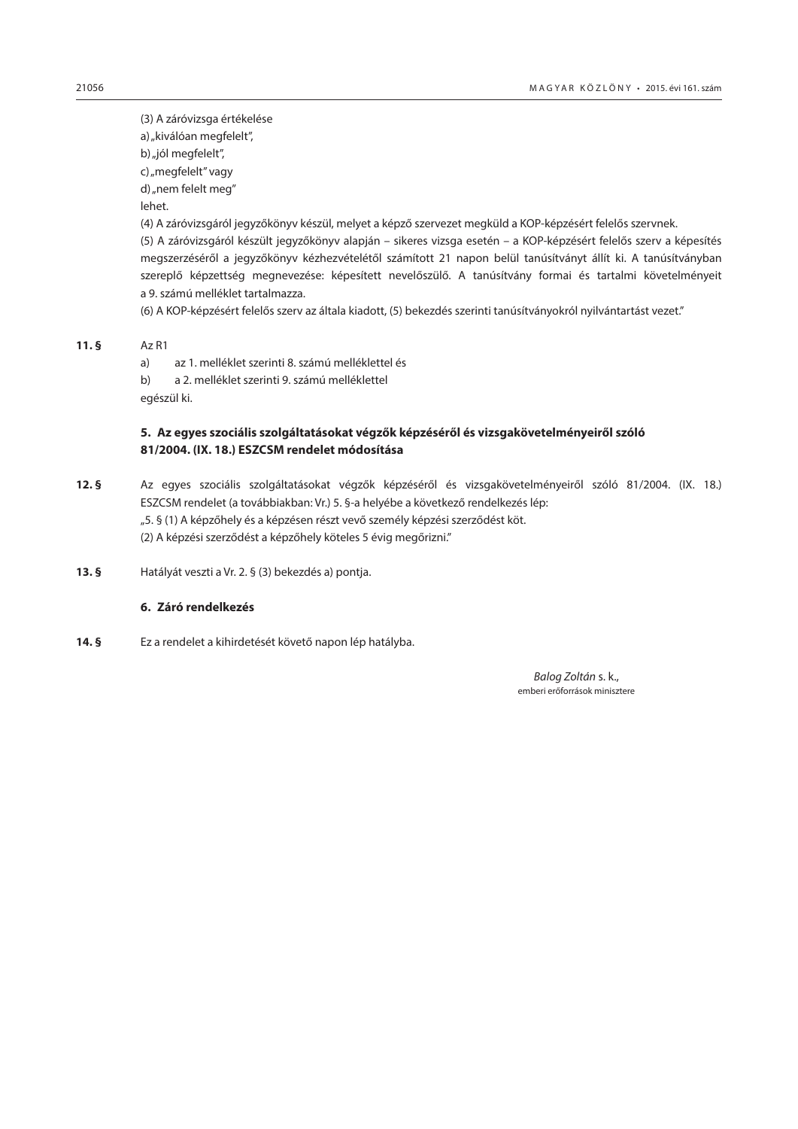(3) A záróvizsga értékelése a) "kiválóan megfelelt", b) "jól megfelelt", c) "megfelelt" vagy d) "nem felelt meg" lehet.

(4) A záróvizsgáról jegyzőkönyv készül, melyet a képző szervezet megküld a KOP-képzésért felelős szervnek.

(5) A záróvizsgáról készült jegyzőkönyv alapján – sikeres vizsga esetén – a KOP-képzésért felelős szerv a képesítés megszerzéséről a jegyzőkönyv kézhezvételétől számított 21 napon belül tanúsítványt állít ki. A tanúsítványban szereplő képzettség megnevezése: képesített nevelőszülő. A tanúsítvány formai és tartalmi követelményeit a 9. számú melléklet tartalmazza.

(6) A KOP-képzésért felelős szerv az általa kiadott, (5) bekezdés szerinti tanúsítványokról nyilvántartást vezet."

**11. §** Az R1

a) az 1. melléklet szerinti 8. számú melléklettel és

b) a 2. melléklet szerinti 9. számú melléklettel

egészül ki.

# **5. Az egyes szociális szolgáltatásokat végzők képzéséről és vizsgakövetelményeiről szóló 81/2004. (IX. 18.) ESZCSM rendelet módosítása**

**12. §** Az egyes szociális szolgáltatásokat végzők képzéséről és vizsgakövetelményeiről szóló 81/2004. (IX. 18.) ESZCSM rendelet (a továbbiakban: Vr.) 5. §-a helyébe a következő rendelkezés lép: "5. § (1) A képzőhely és a képzésen részt vevő személy képzési szerződést köt.

(2) A képzési szerződést a képzőhely köteles 5 évig megőrizni."

**13. §** Hatályát veszti a Vr. 2. § (3) bekezdés a) pontja.

# **6. Záró rendelkezés**

**14. §** Ez a rendelet a kihirdetését követő napon lép hatályba.

 *Balog Zoltán* s. k., emberi erőforrások minisztere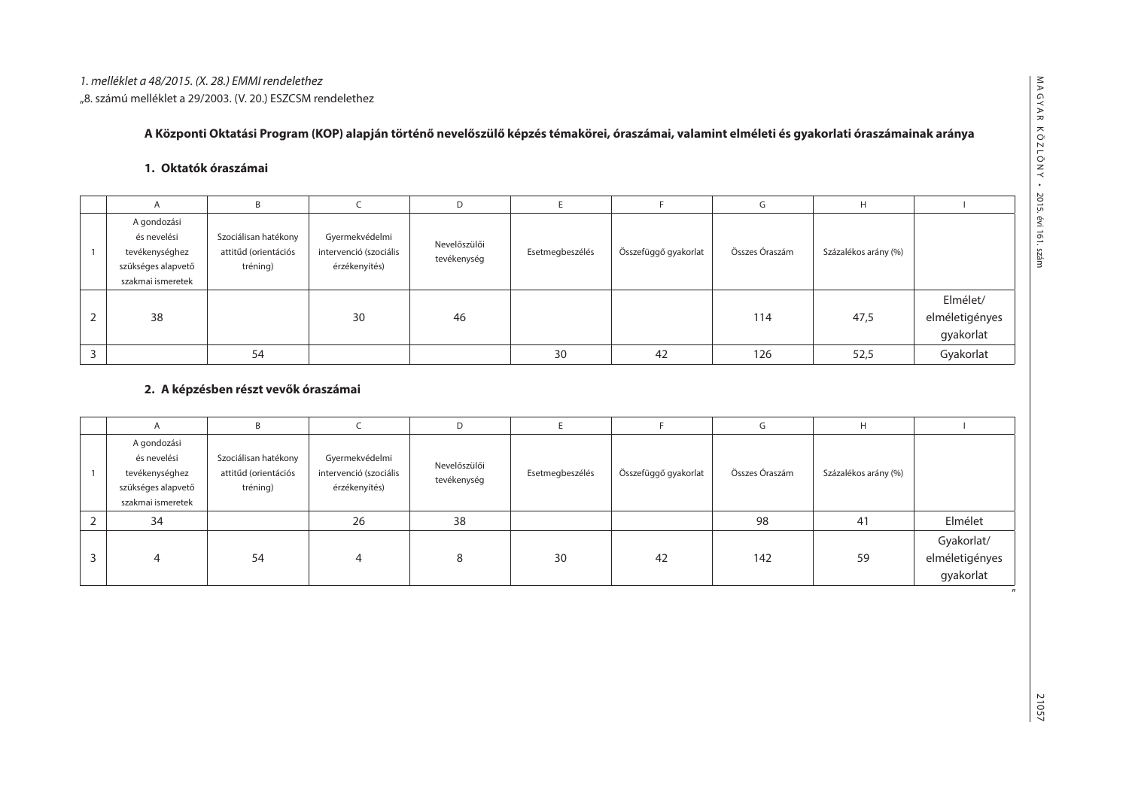# **A Központi Oktatási Program (KOP) alapján történő nevelőszülő képzés témakörei, óraszámai, valamint elméleti és gyakorlati óraszámainak aránya**

# **1. Oktatók óraszámai**

| A                                                                                       | B                                                        |                                                           | D                           |                 |                      | G              | H                    |                                         |
|-----------------------------------------------------------------------------------------|----------------------------------------------------------|-----------------------------------------------------------|-----------------------------|-----------------|----------------------|----------------|----------------------|-----------------------------------------|
| A gondozási<br>és nevelési<br>tevékenységhez<br>szükséges alapvető<br>szakmai ismeretek | Szociálisan hatékony<br>attitűd (orientációs<br>tréning) | Gyermekvédelmi<br>intervenció (szociális<br>érzékenyítés) | Nevelőszülői<br>tevékenység | Esetmegbeszélés | Összefüggő gyakorlat | Összes Óraszám | Százalékos arány (%) |                                         |
| 38                                                                                      |                                                          | 30                                                        | 46                          |                 |                      | 114            | 47,5                 | Elmélet/<br>elméletigényes<br>gyakorlat |
|                                                                                         | 54                                                       |                                                           |                             | 30              | 42                   | 126            | 52,5                 | Gyakorlat                               |

# **2. A képzésben részt vevők óraszámai**

| $\overline{A}$                                                                          | B                                                        |                                                                                          | D  |                 |                      | G              | H                    |                                           |
|-----------------------------------------------------------------------------------------|----------------------------------------------------------|------------------------------------------------------------------------------------------|----|-----------------|----------------------|----------------|----------------------|-------------------------------------------|
| A gondozási<br>és nevelési<br>tevékenységhez<br>szükséges alapvető<br>szakmai ismeretek | Szociálisan hatékony<br>attitűd (orientációs<br>tréning) | Gyermekvédelmi<br>Nevelőszülői<br>intervenció (szociális<br>tevékenység<br>érzékenyítés) |    | Esetmegbeszélés | Összefüggő gyakorlat | Összes Óraszám | Százalékos arány (%) |                                           |
| 34                                                                                      |                                                          | 26                                                                                       | 38 |                 |                      | 98             | 41                   | Elmélet                                   |
| 4                                                                                       | 54                                                       | 4                                                                                        |    | 30              | 42                   | 142            | 59                   | Gyakorlat/<br>elméletigényes<br>gyakorlat |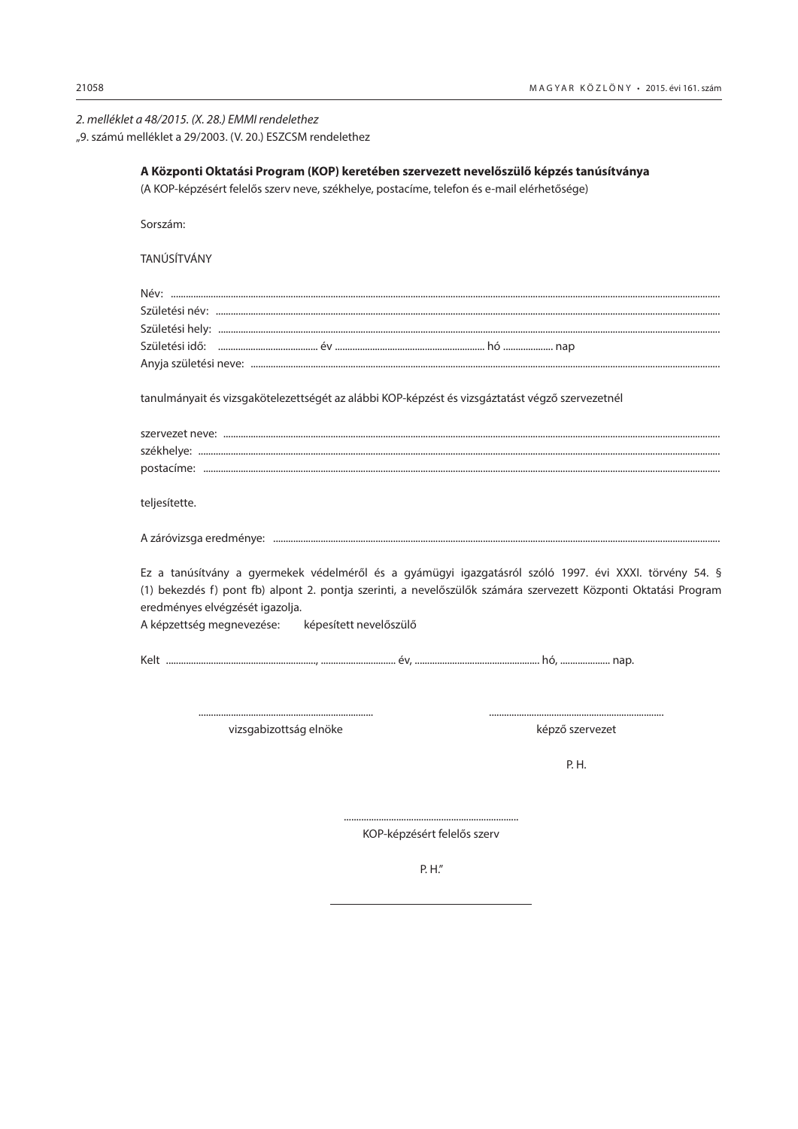| 2. melléklet a 48/2015. (X. 28.) EMMI rendelethez |  |
|---------------------------------------------------|--|
|---------------------------------------------------|--|

"9. számú melléklet a 29/2003. (V. 20.) ESZCSM rendelethez

| A Központi Oktatási Program (KOP) keretében szervezett nevelőszülő képzés tanúsítványa<br>(A KOP-képzésért felelős szerv neve, székhelye, postacíme, telefon és e-mail elérhetősége)                                                                         |
|--------------------------------------------------------------------------------------------------------------------------------------------------------------------------------------------------------------------------------------------------------------|
| Sorszám:                                                                                                                                                                                                                                                     |
| TANÚSÍTVÁNY                                                                                                                                                                                                                                                  |
|                                                                                                                                                                                                                                                              |
|                                                                                                                                                                                                                                                              |
|                                                                                                                                                                                                                                                              |
|                                                                                                                                                                                                                                                              |
|                                                                                                                                                                                                                                                              |
| tanulmányait és vizsgakötelezettségét az alábbi KOP-képzést és vizsgáztatást végző szervezetnél                                                                                                                                                              |
|                                                                                                                                                                                                                                                              |
|                                                                                                                                                                                                                                                              |
|                                                                                                                                                                                                                                                              |
| teljesítette.                                                                                                                                                                                                                                                |
|                                                                                                                                                                                                                                                              |
| Ez a tanúsítvány a gyermekek védelméről és a gyámügyi igazgatásról szóló 1997. évi XXXI. törvény 54. §<br>(1) bekezdés f) pont fb) alpont 2. pontja szerinti, a nevelőszülők számára szervezett Központi Oktatási Program<br>eredményes elvégzését igazolja. |
| A képzettség megnevezése: képesített nevelőszülő                                                                                                                                                                                                             |
|                                                                                                                                                                                                                                                              |
|                                                                                                                                                                                                                                                              |

vizsgabizottság elnöke

képző szervezet

P. H.

KOP-képzésért felelős szerv

P. H."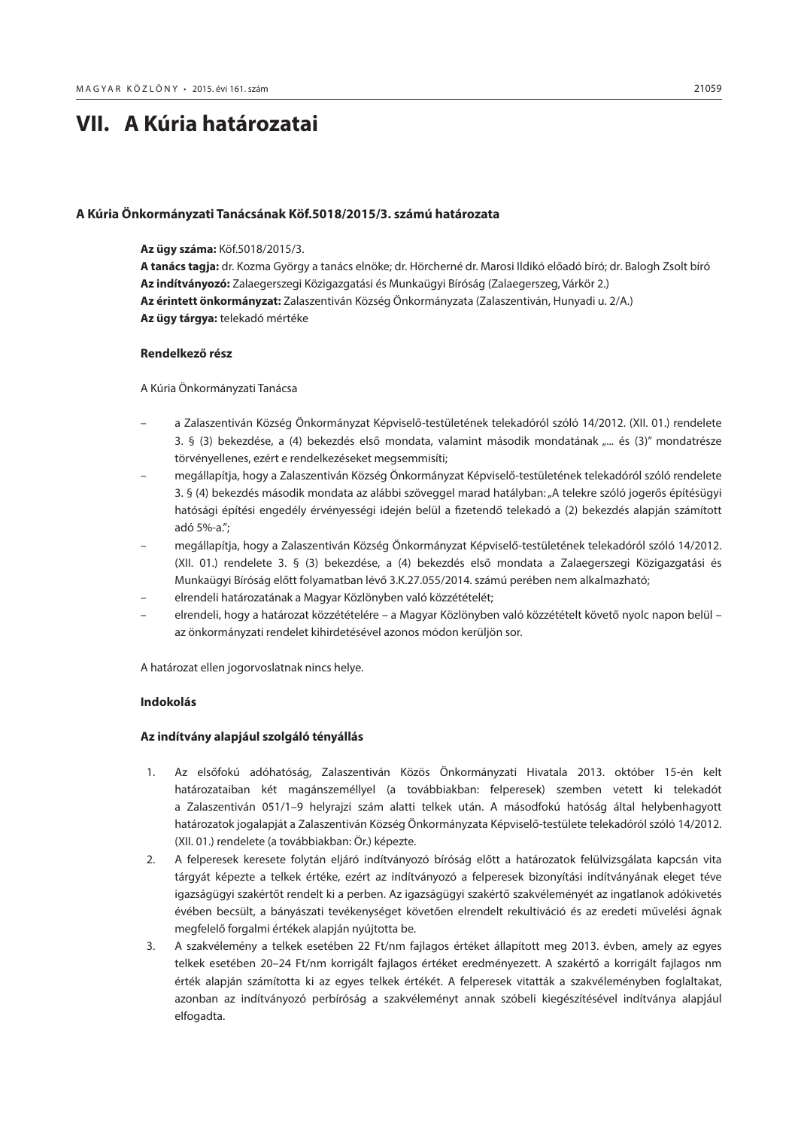# <span id="page-48-0"></span>**VII. A Kúria határozatai**

#### **A Kúria Önkormányzati Tanácsának Köf.5018/2015/3. számú határozata**

#### **Az ügy száma:** Köf.5018/2015/3.

**A tanács tagja:** dr. Kozma György a tanács elnöke; dr. Hörcherné dr. Marosi Ildikó előadó bíró; dr. Balogh Zsolt bíró **Az indítványozó:** Zalaegerszegi Közigazgatási és Munkaügyi Bíróság (Zalaegerszeg, Várkör 2.) **Az érintett önkormányzat:** Zalaszentiván Község Önkormányzata (Zalaszentiván, Hunyadi u. 2/A.) **Az ügy tárgya:** telekadó mértéke

#### **Rendelkező rész**

A Kúria Önkormányzati Tanácsa

- a Zalaszentiván Község Önkormányzat Képviselő-testületének telekadóról szóló 14/2012. (XII. 01.) rendelete 3. § (3) bekezdése, a (4) bekezdés első mondata, valamint második mondatának "... és (3)" mondatrésze törvényellenes, ezért e rendelkezéseket megsemmisíti;
- megállapítja, hogy a Zalaszentiván Község Önkormányzat Képviselő-testületének telekadóról szóló rendelete 3. § (4) bekezdés második mondata az alábbi szöveggel marad hatályban: "A telekre szóló jogerős építésügyi hatósági építési engedély érvényességi idején belül a fizetendő telekadó a (2) bekezdés alapján számított adó 5%-a.";
- megállapítja, hogy a Zalaszentiván Község Önkormányzat Képviselő-testületének telekadóról szóló 14/2012. (XII. 01.) rendelete 3. § (3) bekezdése, a (4) bekezdés első mondata a Zalaegerszegi Közigazgatási és Munkaügyi Bíróság előtt folyamatban lévő 3.K.27.055/2014. számú perében nem alkalmazható;
- elrendeli határozatának a Magyar Közlönyben való közzétételét;
- elrendeli, hogy a határozat közzétételére a Magyar Közlönyben való közzétételt követő nyolc napon belül az önkormányzati rendelet kihirdetésével azonos módon kerüljön sor.

A határozat ellen jogorvoslatnak nincs helye.

# **Indokolás**

#### **Az indítvány alapjául szolgáló tényállás**

- 1. Az elsőfokú adóhatóság, Zalaszentiván Közös Önkormányzati Hivatala 2013. október 15-én kelt határozataiban két magánszeméllyel (a továbbiakban: felperesek) szemben vetett ki telekadót a Zalaszentiván 051/1–9 helyrajzi szám alatti telkek után. A másodfokú hatóság által helybenhagyott határozatok jogalapját a Zalaszentiván Község Önkormányzata Képviselő-testülete telekadóról szóló 14/2012. (XII. 01.) rendelete (a továbbiakban: Ör.) képezte.
- 2. A felperesek keresete folytán eljáró indítványozó bíróság előtt a határozatok felülvizsgálata kapcsán vita tárgyát képezte a telkek értéke, ezért az indítványozó a felperesek bizonyítási indítványának eleget téve igazságügyi szakértőt rendelt ki a perben. Az igazságügyi szakértő szakvéleményét az ingatlanok adókivetés évében becsült, a bányászati tevékenységet követően elrendelt rekultiváció és az eredeti művelési ágnak megfelelő forgalmi értékek alapján nyújtotta be.
- 3. A szakvélemény a telkek esetében 22 Ft/nm fajlagos értéket állapított meg 2013. évben, amely az egyes telkek esetében 20–24 Ft/nm korrigált fajlagos értéket eredményezett. A szakértő a korrigált fajlagos nm érték alapján számította ki az egyes telkek értékét. A felperesek vitatták a szakvéleményben foglaltakat, azonban az indítványozó perbíróság a szakvéleményt annak szóbeli kiegészítésével indítványa alapjául elfogadta.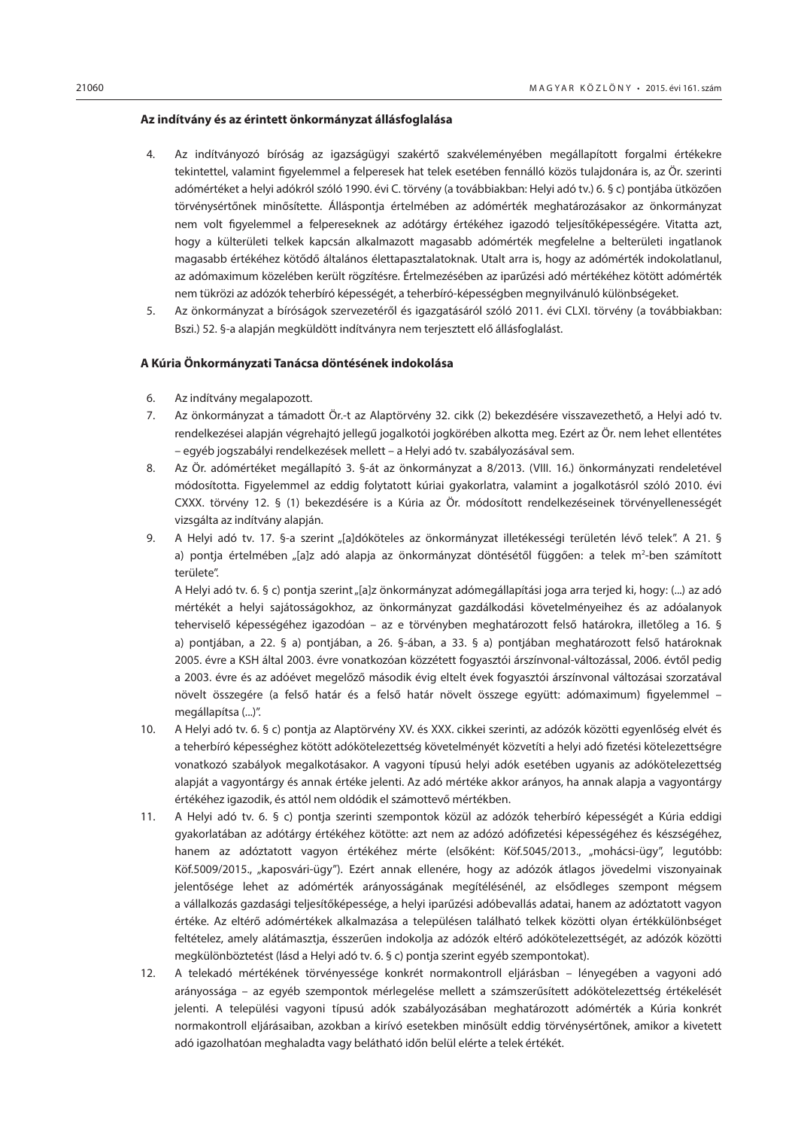#### **Az indítvány és az érintett önkormányzat állásfoglalása**

- 4. Az indítványozó bíróság az igazságügyi szakértő szakvéleményében megállapított forgalmi értékekre tekintettel, valamint figyelemmel a felperesek hat telek esetében fennálló közös tulajdonára is, az Ör. szerinti adómértéket a helyi adókról szóló 1990. évi C. törvény (a továbbiakban: Helyi adó tv.) 6. § c) pontjába ütközően törvénysértőnek minősítette. Álláspontja értelmében az adómérték meghatározásakor az önkormányzat nem volt figyelemmel a felpereseknek az adótárgy értékéhez igazodó teljesítőképességére. Vitatta azt, hogy a külterületi telkek kapcsán alkalmazott magasabb adómérték megfelelne a belterületi ingatlanok magasabb értékéhez kötődő általános élettapasztalatoknak. Utalt arra is, hogy az adómérték indokolatlanul, az adómaximum közelében került rögzítésre. Értelmezésében az iparűzési adó mértékéhez kötött adómérték nem tükrözi az adózók teherbíró képességét, a teherbíró-képességben megnyilvánuló különbségeket.
- 5. Az önkormányzat a bíróságok szervezetéről és igazgatásáról szóló 2011. évi CLXI. törvény (a továbbiakban: Bszi.) 52. §-a alapján megküldött indítványra nem terjesztett elő állásfoglalást.

## **A Kúria Önkormányzati Tanácsa döntésének indokolása**

- 6. Az indítvány megalapozott.
- 7. Az önkormányzat a támadott Ör.-t az Alaptörvény 32. cikk (2) bekezdésére visszavezethető, a Helyi adó tv. rendelkezései alapján végrehajtó jellegű jogalkotói jogkörében alkotta meg. Ezért az Ör. nem lehet ellentétes – egyéb jogszabályi rendelkezések mellett – a Helyi adó tv. szabályozásával sem.
- 8. Az Ör. adómértéket megállapító 3. §-át az önkormányzat a 8/2013. (VIII. 16.) önkormányzati rendeletével módosította. Figyelemmel az eddig folytatott kúriai gyakorlatra, valamint a jogalkotásról szóló 2010. évi CXXX. törvény 12. § (1) bekezdésére is a Kúria az Ör. módosított rendelkezéseinek törvényellenességét vizsgálta az indítvány alapján.
- 9. A Helyi adó tv. 17. §-a szerint "[a]dóköteles az önkormányzat illetékességi területén lévő telek". A 21. § a) pontja értelmében "[a]z adó alapja az önkormányzat döntésétől függően: a telek m<sup>2</sup>-ben számított területe".

A Helyi adó tv. 6. § c) pontja szerint "[a]z önkormányzat adómegállapítási joga arra terjed ki, hogy: (...) az adó mértékét a helyi sajátosságokhoz, az önkormányzat gazdálkodási követelményeihez és az adóalanyok teherviselő képességéhez igazodóan – az e törvényben meghatározott felső határokra, illetőleg a 16. § a) pontjában, a 22. § a) pontjában, a 26. §-ában, a 33. § a) pontjában meghatározott felső határoknak 2005. évre a KSH által 2003. évre vonatkozóan közzétett fogyasztói árszínvonal-változással, 2006. évtől pedig a 2003. évre és az adóévet megelőző második évig eltelt évek fogyasztói árszínvonal változásai szorzatával növelt összegére (a felső határ és a felső határ növelt összege együtt: adómaximum) figyelemmel – megállapítsa (...)".

- 10. A Helyi adó tv. 6. § c) pontja az Alaptörvény XV. és XXX. cikkei szerinti, az adózók közötti egyenlőség elvét és a teherbíró képességhez kötött adókötelezettség követelményét közvetíti a helyi adó fizetési kötelezettségre vonatkozó szabályok megalkotásakor. A vagyoni típusú helyi adók esetében ugyanis az adókötelezettség alapját a vagyontárgy és annak értéke jelenti. Az adó mértéke akkor arányos, ha annak alapja a vagyontárgy értékéhez igazodik, és attól nem oldódik el számottevő mértékben.
- 11. A Helyi adó tv. 6. § c) pontja szerinti szempontok közül az adózók teherbíró képességét a Kúria eddigi gyakorlatában az adótárgy értékéhez kötötte: azt nem az adózó adófizetési képességéhez és készségéhez, hanem az adóztatott vagyon értékéhez mérte (elsőként: Köf.5045/2013., "mohácsi-ügy", legutóbb: Köf.5009/2015., "kaposvári-ügy"). Ezért annak ellenére, hogy az adózók átlagos jövedelmi viszonyainak jelentősége lehet az adómérték arányosságának megítélésénél, az elsődleges szempont mégsem a vállalkozás gazdasági teljesítőképessége, a helyi iparűzési adóbevallás adatai, hanem az adóztatott vagyon értéke. Az eltérő adómértékek alkalmazása a településen található telkek közötti olyan értékkülönbséget feltételez, amely alátámasztja, ésszerűen indokolja az adózók eltérő adókötelezettségét, az adózók közötti megkülönböztetést (lásd a Helyi adó tv. 6. § c) pontja szerint egyéb szempontokat).
- 12. A telekadó mértékének törvényessége konkrét normakontroll eljárásban lényegében a vagyoni adó arányossága – az egyéb szempontok mérlegelése mellett a számszerűsített adókötelezettség értékelését jelenti. A települési vagyoni típusú adók szabályozásában meghatározott adómérték a Kúria konkrét normakontroll eljárásaiban, azokban a kirívó esetekben minősült eddig törvénysértőnek, amikor a kivetett adó igazolhatóan meghaladta vagy belátható időn belül elérte a telek értékét.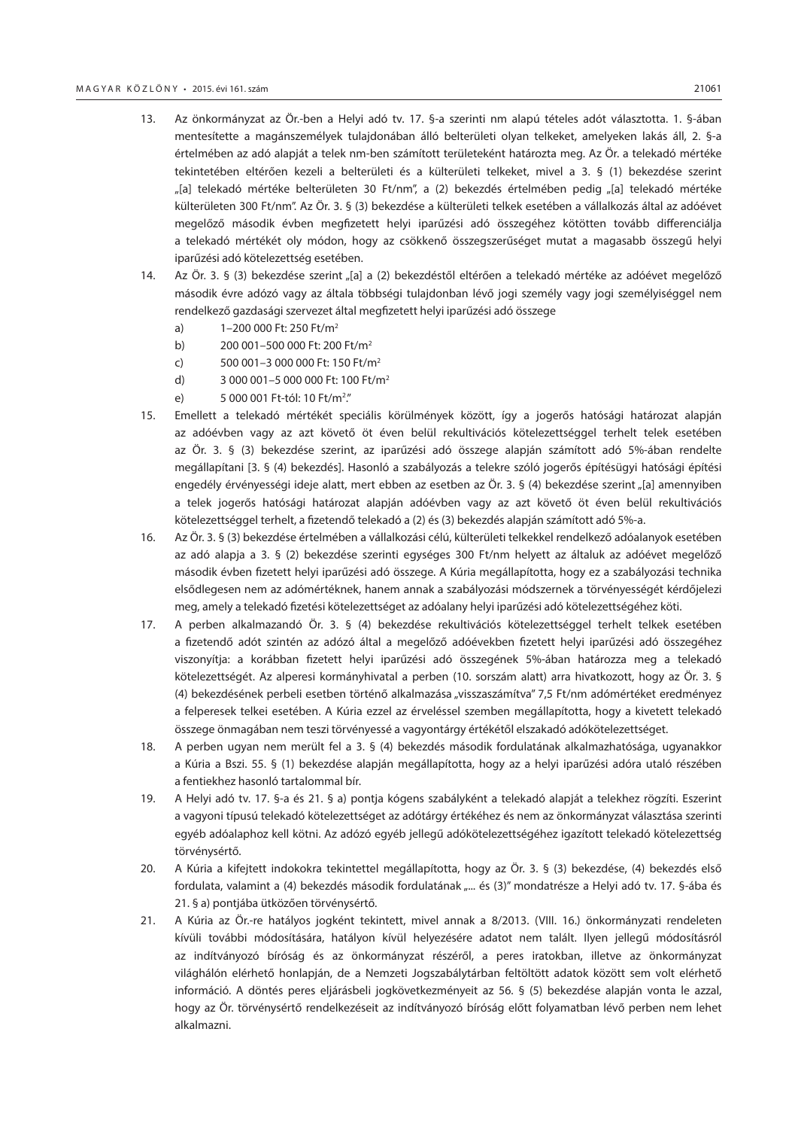- 13. Az önkormányzat az Ör.-ben a Helyi adó tv. 17. §-a szerinti nm alapú tételes adót választotta. 1. §-ában mentesítette a magánszemélyek tulajdonában álló belterületi olyan telkeket, amelyeken lakás áll, 2. §-a értelmében az adó alapját a telek nm-ben számított területeként határozta meg. Az Ör. a telekadó mértéke tekintetében eltérően kezeli a belterületi és a külterületi telkeket, mivel a 3. § (1) bekezdése szerint "[a] telekadó mértéke belterületen 30 Ft/nm", a (2) bekezdés értelmében pedig "[a] telekadó mértéke külterületen 300 Ft/nm". Az Ör. 3. § (3) bekezdése a külterületi telkek esetében a vállalkozás által az adóévet megelőző második évben megfizetett helyi iparűzési adó összegéhez kötötten tovább differenciálja a telekadó mértékét oly módon, hogy az csökkenő összegszerűséget mutat a magasabb összegű helyi iparűzési adó kötelezettség esetében.
- 14. Az Ör. 3. § (3) bekezdése szerint "[a] a (2) bekezdéstől eltérően a telekadó mértéke az adóévet megelőző második évre adózó vagy az általa többségi tulajdonban lévő jogi személy vagy jogi személyiséggel nem rendelkező gazdasági szervezet által megfizetett helyi iparűzési adó összege
	- a) 1–200 000 Ft: 250 Ft/m2
	- b) 200 001–500 000 Ft: 200 Ft/m2
	- c) 500 001–3 000 000 Ft: 150 Ft/m2
	- d) 3 000 001–5 000 000 Ft: 100 Ft/m2
	- e) 5 000 001 Ft-tól: 10 Ft/m<sup>2</sup>."
- 15. Emellett a telekadó mértékét speciális körülmények között, így a jogerős hatósági határozat alapján az adóévben vagy az azt követő öt éven belül rekultivációs kötelezettséggel terhelt telek esetében az Ör. 3. § (3) bekezdése szerint, az iparűzési adó összege alapján számított adó 5%-ában rendelte megállapítani [3. § (4) bekezdés]. Hasonló a szabályozás a telekre szóló jogerős építésügyi hatósági építési engedély érvényességi ideje alatt, mert ebben az esetben az Ör. 3. § (4) bekezdése szerint "[a] amennyiben a telek jogerős hatósági határozat alapján adóévben vagy az azt követő öt éven belül rekultivációs kötelezettséggel terhelt, a fizetendő telekadó a (2) és (3) bekezdés alapján számított adó 5%-a.
- 16. Az Ör. 3. § (3) bekezdése értelmében a vállalkozási célú, külterületi telkekkel rendelkező adóalanyok esetében az adó alapja a 3. § (2) bekezdése szerinti egységes 300 Ft/nm helyett az általuk az adóévet megelőző második évben fizetett helyi iparűzési adó összege. A Kúria megállapította, hogy ez a szabályozási technika elsődlegesen nem az adómértéknek, hanem annak a szabályozási módszernek a törvényességét kérdőjelezi meg, amely a telekadó fizetési kötelezettséget az adóalany helyi iparűzési adó kötelezettségéhez köti.
- 17. A perben alkalmazandó Ör. 3. § (4) bekezdése rekultivációs kötelezettséggel terhelt telkek esetében a fizetendő adót szintén az adózó által a megelőző adóévekben fizetett helyi iparűzési adó összegéhez viszonyítja: a korábban fizetett helyi iparűzési adó összegének 5%-ában határozza meg a telekadó kötelezettségét. Az alperesi kormányhivatal a perben (10. sorszám alatt) arra hivatkozott, hogy az Ör. 3. § (4) bekezdésének perbeli esetben történő alkalmazása "visszaszámítva" 7,5 Ft/nm adómértéket eredményez a felperesek telkei esetében. A Kúria ezzel az érveléssel szemben megállapította, hogy a kivetett telekadó összege önmagában nem teszi törvényessé a vagyontárgy értékétől elszakadó adókötelezettséget.
- 18. A perben ugyan nem merült fel a 3. § (4) bekezdés második fordulatának alkalmazhatósága, ugyanakkor a Kúria a Bszi. 55. § (1) bekezdése alapján megállapította, hogy az a helyi iparűzési adóra utaló részében a fentiekhez hasonló tartalommal bír.
- 19. A Helyi adó tv. 17. §-a és 21. § a) pontja kógens szabályként a telekadó alapját a telekhez rögzíti. Eszerint a vagyoni típusú telekadó kötelezettséget az adótárgy értékéhez és nem az önkormányzat választása szerinti egyéb adóalaphoz kell kötni. Az adózó egyéb jellegű adókötelezettségéhez igazított telekadó kötelezettség törvénysértő.
- 20. A Kúria a kifejtett indokokra tekintettel megállapította, hogy az Ör. 3. § (3) bekezdése, (4) bekezdés első fordulata, valamint a (4) bekezdés második fordulatának "... és (3)" mondatrésze a Helyi adó tv. 17. §-ába és 21. § a) pontjába ütközően törvénysértő.
- 21. A Kúria az Ör.-re hatályos jogként tekintett, mivel annak a 8/2013. (VIII. 16.) önkormányzati rendeleten kívüli további módosítására, hatályon kívül helyezésére adatot nem talált. Ilyen jellegű módosításról az indítványozó bíróság és az önkormányzat részéről, a peres iratokban, illetve az önkormányzat világhálón elérhető honlapján, de a Nemzeti Jogszabálytárban feltöltött adatok között sem volt elérhető információ. A döntés peres eljárásbeli jogkövetkezményeit az 56. § (5) bekezdése alapján vonta le azzal, hogy az Ör. törvénysértő rendelkezéseit az indítványozó bíróság előtt folyamatban lévő perben nem lehet alkalmazni.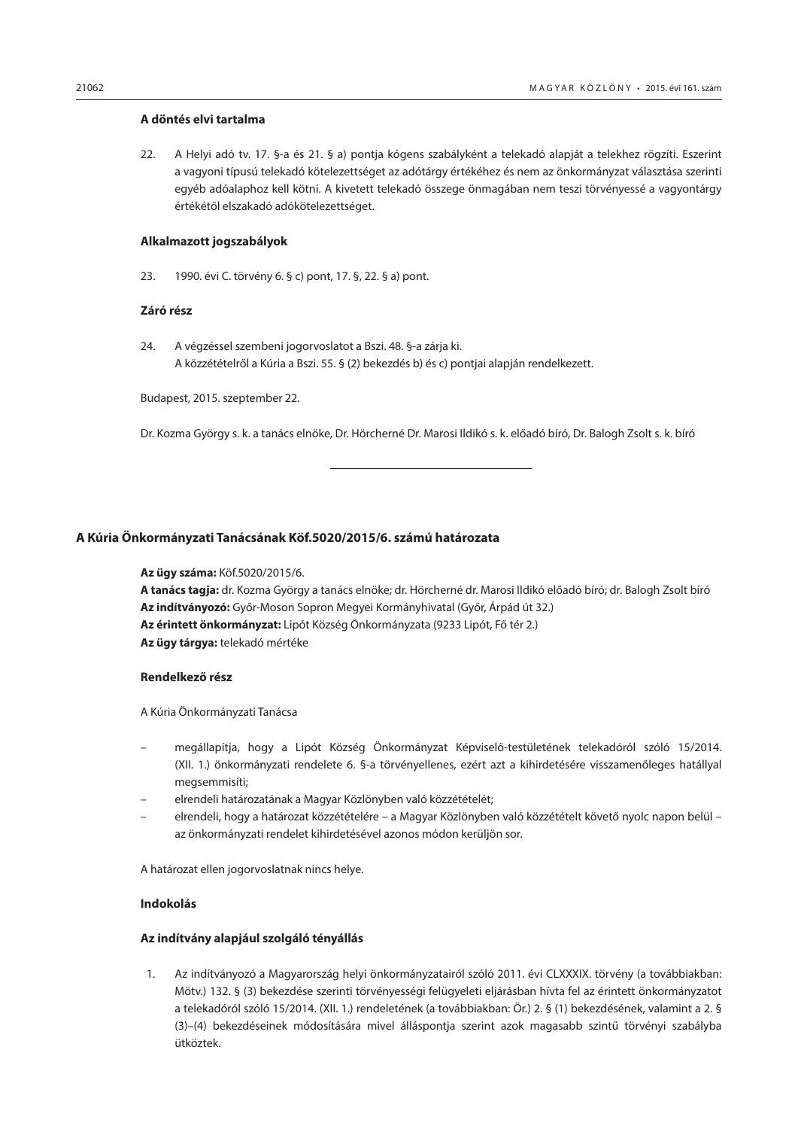#### <span id="page-51-0"></span>**A döntés elvi tartalma**

22. A Helyi adó tv. 17. §-a és 21. § a) pontja kógens szabályként a telekadó alapját a telekhez rögzíti. Eszerint a vagyoni típusú telekadó kötelezettséget az adótárgy értékéhez és nem az önkormányzat választása szerinti egyéb adóalaphoz kell kötni. A kivetett telekadó összege önmagában nem teszi törvényessé a vagyontárgy értékétől elszakadó adókötelezettséget.

#### **Alkalmazott jogszabályok**

23. 1990. évi C. törvény 6. § c) pont, 17. §, 22. § a) pont.

#### **Záró rész**

24. A végzéssel szembeni jogorvoslatot a Bszi. 48. §-a zárja ki. A közzétételről a Kúria a Bszi. 55. § (2) bekezdés b) és c) pontjai alapján rendelkezett.

Budapest, 2015. szeptember 22.

Dr. Kozma György s. k. a tanács elnöke, Dr. Hörcherné Dr. Marosi Ildikó s. k. előadó bíró, Dr. Balogh Zsolt s. k. bíró

#### **A Kúria Önkormányzati Tanácsának Köf.5020/2015/6. számú határozata**

**Az ügy száma:** Köf.5020/2015/6.

**A tanács tagja:** dr. Kozma György a tanács elnöke; dr. Hörcherné dr. Marosi Ildikó előadó bíró; dr. Balogh Zsolt bíró **Az indítványozó:** Győr-Moson Sopron Megyei Kormányhivatal (Győr, Árpád út 32.) **Az érintett önkormányzat:** Lipót Község Önkormányzata (9233 Lipót, Fő tér 2.) **Az ügy tárgya:** telekadó mértéke

#### **Rendelkező rész**

A Kúria Önkormányzati Tanácsa

- megállapítja, hogy a Lipót Község Önkormányzat Képviselő-testületének telekadóról szóló 15/2014. (XII. 1.) önkormányzati rendelete 6. §-a törvényellenes, ezért azt a kihirdetésére visszamenőleges hatállyal megsemmisíti;
- elrendeli határozatának a Magyar Közlönyben való közzétételét;
- elrendeli, hogy a határozat közzétételére a Magyar Közlönyben való közzétételt követő nyolc napon belül az önkormányzati rendelet kihirdetésével azonos módon kerüljön sor.

A határozat ellen jogorvoslatnak nincs helye.

#### **Indokolás**

#### **Az indítvány alapjául szolgáló tényállás**

1. Az indítványozó a Magyarország helyi önkormányzatairól szóló 2011. évi CLXXXIX. törvény (a továbbiakban: Mötv.) 132. § (3) bekezdése szerinti törvényességi felügyeleti eljárásban hívta fel az érintett önkormányzatot a telekadóról szóló 15/2014. (XII. 1.) rendeletének (a továbbiakban: Ör.) 2. § (1) bekezdésének, valamint a 2. § (3)–(4) bekezdéseinek módosítására mivel álláspontja szerint azok magasabb szintű törvényi szabályba ütköztek.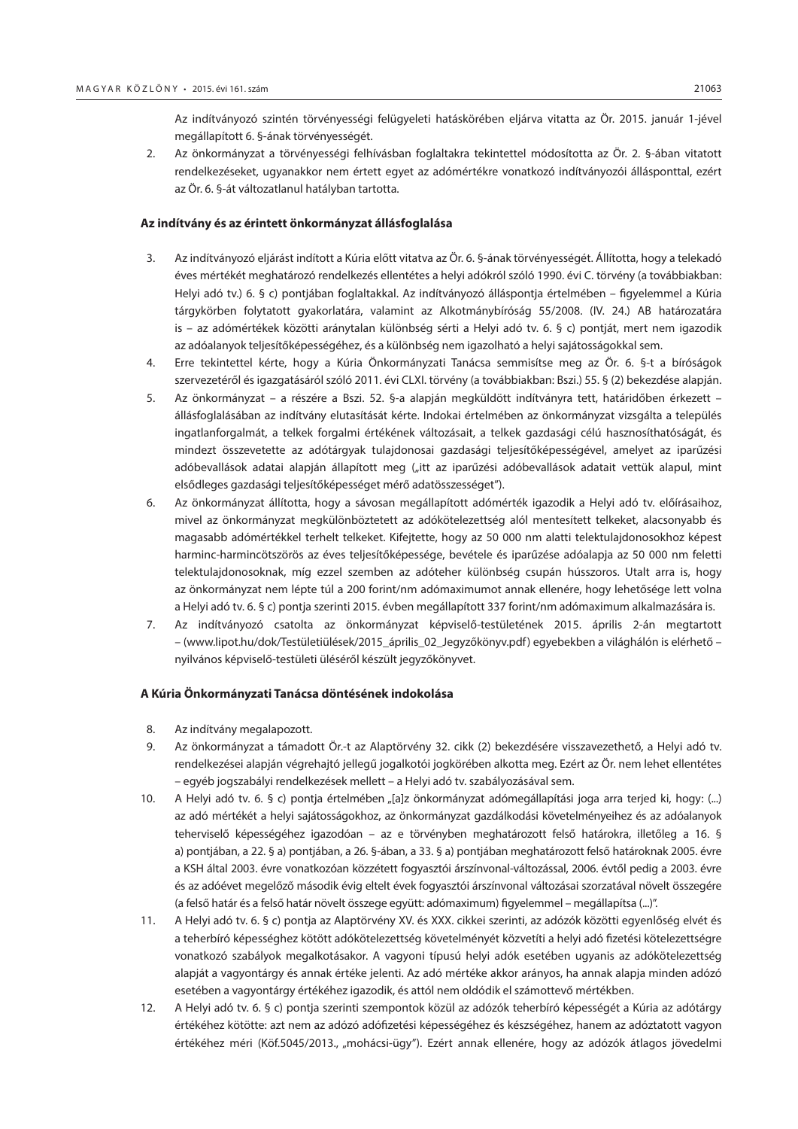Az indítványozó szintén törvényességi felügyeleti hatáskörében eljárva vitatta az Ör. 2015. január 1-jével megállapított 6. §-ának törvényességét.

2. Az önkormányzat a törvényességi felhívásban foglaltakra tekintettel módosította az Ör. 2. §-ában vitatott rendelkezéseket, ugyanakkor nem értett egyet az adómértékre vonatkozó indítványozói állásponttal, ezért az Ör. 6. §-át változatlanul hatályban tartotta.

#### **Az indítvány és az érintett önkormányzat állásfoglalása**

- 3. Az indítványozó eljárást indított a Kúria előtt vitatva az Ör. 6. §-ának törvényességét. Állította, hogy a telekadó éves mértékét meghatározó rendelkezés ellentétes a helyi adókról szóló 1990. évi C. törvény (a továbbiakban: Helyi adó tv.) 6. § c) pontjában foglaltakkal. Az indítványozó álláspontja értelmében – figyelemmel a Kúria tárgykörben folytatott gyakorlatára, valamint az Alkotmánybíróság 55/2008. (IV. 24.) AB határozatára is – az adómértékek közötti aránytalan különbség sérti a Helyi adó tv. 6. § c) pontját, mert nem igazodik az adóalanyok teljesítőképességéhez, és a különbség nem igazolható a helyi sajátosságokkal sem.
- 4. Erre tekintettel kérte, hogy a Kúria Önkormányzati Tanácsa semmisítse meg az Ör. 6. §-t a bíróságok szervezetéről és igazgatásáról szóló 2011. évi CLXI. törvény (a továbbiakban: Bszi.) 55. § (2) bekezdése alapján.
- 5. Az önkormányzat a részére a Bszi. 52. §-a alapján megküldött indítványra tett, határidőben érkezett állásfoglalásában az indítvány elutasítását kérte. Indokai értelmében az önkormányzat vizsgálta a település ingatlanforgalmát, a telkek forgalmi értékének változásait, a telkek gazdasági célú hasznosíthatóságát, és mindezt összevetette az adótárgyak tulajdonosai gazdasági teljesítőképességével, amelyet az iparűzési adóbevallások adatai alapján állapított meg ("itt az iparűzési adóbevallások adatait vettük alapul, mint elsődleges gazdasági teljesítőképességet mérő adatösszességet").
- 6. Az önkormányzat állította, hogy a sávosan megállapított adómérték igazodik a Helyi adó tv. előírásaihoz, mivel az önkormányzat megkülönböztetett az adókötelezettség alól mentesített telkeket, alacsonyabb és magasabb adómértékkel terhelt telkeket. Kifejtette, hogy az 50 000 nm alatti telektulajdonosokhoz képest harminc-harmincötszörös az éves teljesítőképessége, bevétele és iparűzése adóalapja az 50 000 nm feletti telektulajdonosoknak, míg ezzel szemben az adóteher különbség csupán hússzoros. Utalt arra is, hogy az önkormányzat nem lépte túl a 200 forint/nm adómaximumot annak ellenére, hogy lehetősége lett volna a Helyi adó tv. 6. § c) pontja szerinti 2015. évben megállapított 337 forint/nm adómaximum alkalmazására is.
- 7. Az indítványozó csatolta az önkormányzat képviselő-testületének 2015. április 2-án megtartott – (www.lipot.hu/dok/Testületiülések/2015\_április\_02\_Jegyzőkönyv.pdf) egyebekben a világhálón is elérhető – nyilvános képviselő-testületi üléséről készült jegyzőkönyvet.

#### **A Kúria Önkormányzati Tanácsa döntésének indokolása**

- 8. Az indítvány megalapozott.
- 9. Az önkormányzat a támadott Ör.-t az Alaptörvény 32. cikk (2) bekezdésére visszavezethető, a Helyi adó tv. rendelkezései alapján végrehajtó jellegű jogalkotói jogkörében alkotta meg. Ezért az Ör. nem lehet ellentétes – egyéb jogszabályi rendelkezések mellett – a Helyi adó tv. szabályozásával sem.
- 10. A Helyi adó tv. 6. § c) pontja értelmében "[a]z önkormányzat adómegállapítási joga arra terjed ki, hogy: (...) az adó mértékét a helyi sajátosságokhoz, az önkormányzat gazdálkodási követelményeihez és az adóalanyok teherviselő képességéhez igazodóan – az e törvényben meghatározott felső határokra, illetőleg a 16. § a) pontjában, a 22. § a) pontjában, a 26. §-ában, a 33. § a) pontjában meghatározott felső határoknak 2005. évre a KSH által 2003. évre vonatkozóan közzétett fogyasztói árszínvonal-változással, 2006. évtől pedig a 2003. évre és az adóévet megelőző második évig eltelt évek fogyasztói árszínvonal változásai szorzatával növelt összegére (a felső határ és a felső határ növelt összege együtt: adómaximum) figyelemmel – megállapítsa (...)".
- 11. A Helyi adó tv. 6. § c) pontja az Alaptörvény XV. és XXX. cikkei szerinti, az adózók közötti egyenlőség elvét és a teherbíró képességhez kötött adókötelezettség követelményét közvetíti a helyi adó fizetési kötelezettségre vonatkozó szabályok megalkotásakor. A vagyoni típusú helyi adók esetében ugyanis az adókötelezettség alapját a vagyontárgy és annak értéke jelenti. Az adó mértéke akkor arányos, ha annak alapja minden adózó esetében a vagyontárgy értékéhez igazodik, és attól nem oldódik el számottevő mértékben.
- 12. A Helyi adó tv. 6. § c) pontja szerinti szempontok közül az adózók teherbíró képességét a Kúria az adótárgy értékéhez kötötte: azt nem az adózó adófizetési képességéhez és készségéhez, hanem az adóztatott vagyon értékéhez méri (Köf.5045/2013., "mohácsi-ügy"). Ezért annak ellenére, hogy az adózók átlagos jövedelmi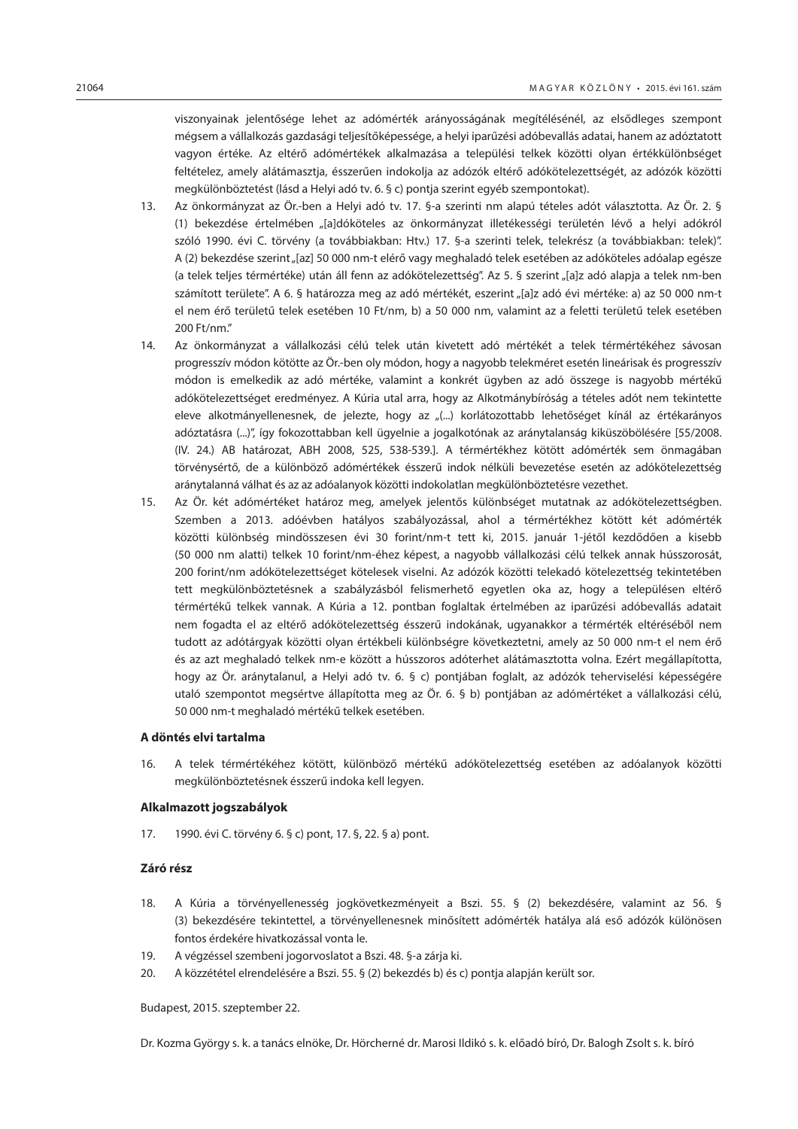viszonyainak jelentősége lehet az adómérték arányosságának megítélésénél, az elsődleges szempont mégsem a vállalkozás gazdasági teljesítőképessége, a helyi iparűzési adóbevallás adatai, hanem az adóztatott vagyon értéke. Az eltérő adómértékek alkalmazása a települési telkek közötti olyan értékkülönbséget feltételez, amely alátámasztja, ésszerűen indokolja az adózók eltérő adókötelezettségét, az adózók közötti megkülönböztetést (lásd a Helyi adó tv. 6. § c) pontja szerint egyéb szempontokat).

- 13. Az önkormányzat az Ör.-ben a Helyi adó tv. 17. §-a szerinti nm alapú tételes adót választotta. Az Ör. 2. § (1) bekezdése értelmében "[a]dóköteles az önkormányzat illetékességi területén lévő a helyi adókról szóló 1990. évi C. törvény (a továbbiakban: Htv.) 17. §-a szerinti telek, telekrész (a továbbiakban: telek)". A (2) bekezdése szerint "[az] 50 000 nm-t elérő vagy meghaladó telek esetében az adóköteles adóalap egésze (a telek teljes térmértéke) után áll fenn az adókötelezettség". Az 5. § szerint "[a]z adó alapja a telek nm-ben számított területe". A 6. § határozza meg az adó mértékét, eszerint "[a]z adó évi mértéke: a) az 50 000 nm-t el nem érő területű telek esetében 10 Ft/nm, b) a 50 000 nm, valamint az a feletti területű telek esetében 200 Ft/nm."
- 14. Az önkormányzat a vállalkozási célú telek után kivetett adó mértékét a telek térmértékéhez sávosan progresszív módon kötötte az Ör.-ben oly módon, hogy a nagyobb telekméret esetén lineárisak és progresszív módon is emelkedik az adó mértéke, valamint a konkrét ügyben az adó összege is nagyobb mértékű adókötelezettséget eredményez. A Kúria utal arra, hogy az Alkotmánybíróság a tételes adót nem tekintette eleve alkotmányellenesnek, de jelezte, hogy az "(...) korlátozottabb lehetőséget kínál az értékarányos adóztatásra (...)", így fokozottabban kell ügyelnie a jogalkotónak az aránytalanság kiküszöbölésére [55/2008. (IV. 24.) AB határozat, ABH 2008, 525, 538-539.]. A térmértékhez kötött adómérték sem önmagában törvénysértő, de a különböző adómértékek ésszerű indok nélküli bevezetése esetén az adókötelezettség aránytalanná válhat és az az adóalanyok közötti indokolatlan megkülönböztetésre vezethet.
- 15. Az Ör. két adómértéket határoz meg, amelyek jelentős különbséget mutatnak az adókötelezettségben. Szemben a 2013. adóévben hatályos szabályozással, ahol a térmértékhez kötött két adómérték közötti különbség mindösszesen évi 30 forint/nm-t tett ki, 2015. január 1-jétől kezdődően a kisebb (50 000 nm alatti) telkek 10 forint/nm-éhez képest, a nagyobb vállalkozási célú telkek annak hússzorosát, 200 forint/nm adókötelezettséget kötelesek viselni. Az adózók közötti telekadó kötelezettség tekintetében tett megkülönböztetésnek a szabályzásból felismerhető egyetlen oka az, hogy a településen eltérő térmértékű telkek vannak. A Kúria a 12. pontban foglaltak értelmében az iparűzési adóbevallás adatait nem fogadta el az eltérő adókötelezettség ésszerű indokának, ugyanakkor a térmérték eltéréséből nem tudott az adótárgyak közötti olyan értékbeli különbségre következtetni, amely az 50 000 nm-t el nem érő és az azt meghaladó telkek nm-e között a hússzoros adóterhet alátámasztotta volna. Ezért megállapította, hogy az Ör. aránytalanul, a Helyi adó tv. 6. § c) pontjában foglalt, az adózók teherviselési képességére utaló szempontot megsértve állapította meg az Ör. 6. § b) pontjában az adómértéket a vállalkozási célú, 50 000 nm-t meghaladó mértékű telkek esetében.

#### **A döntés elvi tartalma**

16. A telek térmértékéhez kötött, különböző mértékű adókötelezettség esetében az adóalanyok közötti megkülönböztetésnek ésszerű indoka kell legyen.

#### **Alkalmazott jogszabályok**

17. 1990. évi C. törvény 6. § c) pont, 17. §, 22. § a) pont.

#### **Záró rész**

- 18. A Kúria a törvényellenesség jogkövetkezményeit a Bszi. 55. § (2) bekezdésére, valamint az 56. § (3) bekezdésére tekintettel, a törvényellenesnek minősített adómérték hatálya alá eső adózók különösen fontos érdekére hivatkozással vonta le.
- 19. A végzéssel szembeni jogorvoslatot a Bszi. 48. §-a zárja ki.
- 20. A közzététel elrendelésére a Bszi. 55. § (2) bekezdés b) és c) pontja alapján került sor.

Budapest, 2015. szeptember 22.

Dr. Kozma György s. k. a tanács elnöke, Dr. Hörcherné dr. Marosi Ildikó s. k. előadó bíró, Dr. Balogh Zsolt s. k. bíró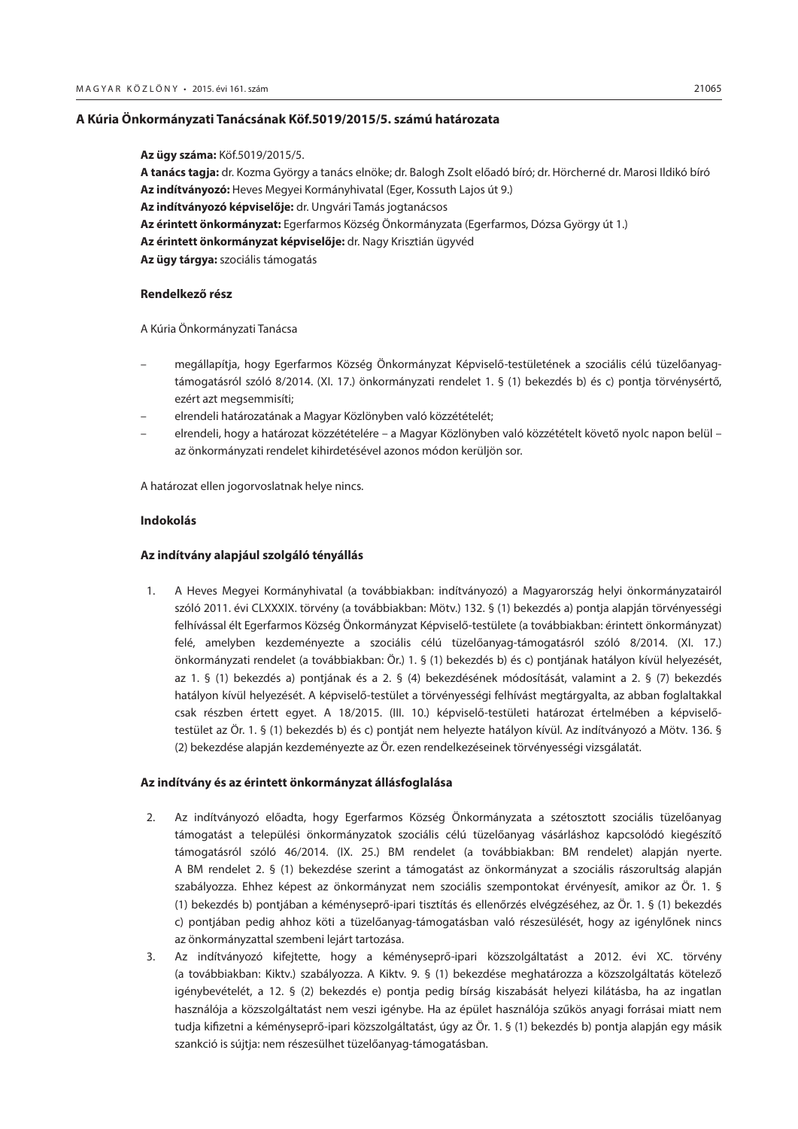#### <span id="page-54-0"></span>**A Kúria Önkormányzati Tanácsának Köf.5019/2015/5. számú határozata**

**Az ügy száma:** Köf.5019/2015/5. **A tanács tagja:** dr. Kozma György a tanács elnöke; dr. Balogh Zsolt előadó bíró; dr. Hörcherné dr. Marosi Ildikó bíró **Az indítványozó:** Heves Megyei Kormányhivatal (Eger, Kossuth Lajos út 9.) **Az indítványozó képviselője:** dr. Ungvári Tamás jogtanácsos **Az érintett önkormányzat:** Egerfarmos Község Önkormányzata (Egerfarmos, Dózsa György út 1.) **Az érintett önkormányzat képviselője:** dr. Nagy Krisztián ügyvéd **Az ügy tárgya:** szociális támogatás

#### **Rendelkező rész**

A Kúria Önkormányzati Tanácsa

- megállapítja, hogy Egerfarmos Község Önkormányzat Képviselő-testületének a szociális célú tüzelőanyagtámogatásról szóló 8/2014. (XI. 17.) önkormányzati rendelet 1. § (1) bekezdés b) és c) pontja törvénysértő, ezért azt megsemmisíti;
- elrendeli határozatának a Magyar Közlönyben való közzétételét;
- elrendeli, hogy a határozat közzétételére a Magyar Közlönyben való közzétételt követő nyolc napon belül az önkormányzati rendelet kihirdetésével azonos módon kerüljön sor.

A határozat ellen jogorvoslatnak helye nincs.

#### **Indokolás**

#### **Az indítvány alapjául szolgáló tényállás**

1. A Heves Megyei Kormányhivatal (a továbbiakban: indítványozó) a Magyarország helyi önkormányzatairól szóló 2011. évi CLXXXIX. törvény (a továbbiakban: Mötv.) 132. § (1) bekezdés a) pontja alapján törvényességi felhívással élt Egerfarmos Község Önkormányzat Képviselő-testülete (a továbbiakban: érintett önkormányzat) felé, amelyben kezdeményezte a szociális célú tüzelőanyag-támogatásról szóló 8/2014. (XI. 17.) önkormányzati rendelet (a továbbiakban: Ör.) 1. § (1) bekezdés b) és c) pontjának hatályon kívül helyezését, az 1. § (1) bekezdés a) pontjának és a 2. § (4) bekezdésének módosítását, valamint a 2. § (7) bekezdés hatályon kívül helyezését. A képviselő-testület a törvényességi felhívást megtárgyalta, az abban foglaltakkal csak részben értett egyet. A 18/2015. (III. 10.) képviselő-testületi határozat értelmében a képviselőtestület az Ör. 1. § (1) bekezdés b) és c) pontját nem helyezte hatályon kívül. Az indítványozó a Mötv. 136. § (2) bekezdése alapján kezdeményezte az Ör. ezen rendelkezéseinek törvényességi vizsgálatát.

#### **Az indítvány és az érintett önkormányzat állásfoglalása**

- 2. Az indítványozó előadta, hogy Egerfarmos Község Önkormányzata a szétosztott szociális tüzelőanyag támogatást a települési önkormányzatok szociális célú tüzelőanyag vásárláshoz kapcsolódó kiegészítő támogatásról szóló 46/2014. (IX. 25.) BM rendelet (a továbbiakban: BM rendelet) alapján nyerte. A BM rendelet 2. § (1) bekezdése szerint a támogatást az önkormányzat a szociális rászorultság alapján szabályozza. Ehhez képest az önkormányzat nem szociális szempontokat érvényesít, amikor az Ör. 1. § (1) bekezdés b) pontjában a kéményseprő-ipari tisztítás és ellenőrzés elvégzéséhez, az Ör. 1. § (1) bekezdés c) pontjában pedig ahhoz köti a tüzelőanyag-támogatásban való részesülését, hogy az igénylőnek nincs az önkormányzattal szembeni lejárt tartozása.
- 3. Az indítványozó kifejtette, hogy a kéményseprő-ipari közszolgáltatást a 2012. évi XC. törvény (a továbbiakban: Kiktv.) szabályozza. A Kiktv. 9. § (1) bekezdése meghatározza a közszolgáltatás kötelező igénybevételét, a 12. § (2) bekezdés e) pontja pedig bírság kiszabását helyezi kilátásba, ha az ingatlan használója a közszolgáltatást nem veszi igénybe. Ha az épület használója szűkös anyagi forrásai miatt nem tudja kifizetni a kéményseprő-ipari közszolgáltatást, úgy az Ör. 1. § (1) bekezdés b) pontja alapján egy másik szankció is sújtja: nem részesülhet tüzelőanyag-támogatásban.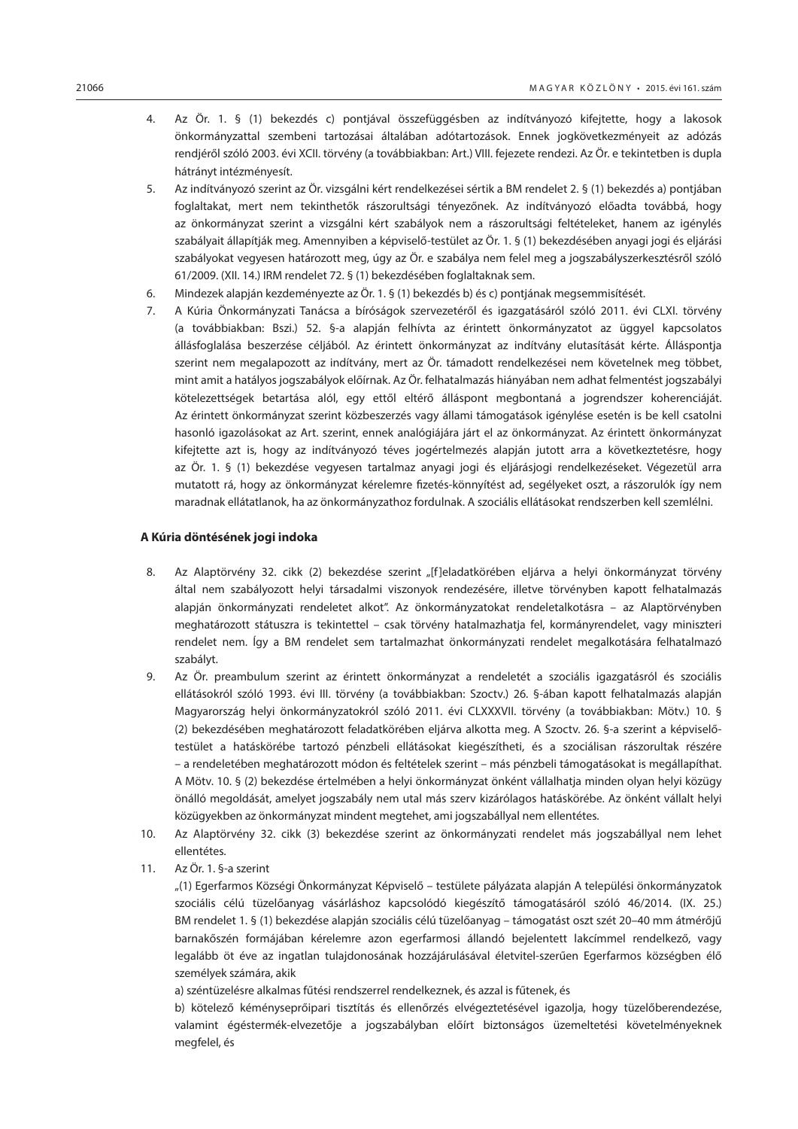- 4. Az Ör. 1. § (1) bekezdés c) pontjával összefüggésben az indítványozó kifejtette, hogy a lakosok önkormányzattal szembeni tartozásai általában adótartozások. Ennek jogkövetkezményeit az adózás rendjéről szóló 2003. évi XCII. törvény (a továbbiakban: Art.) VIII. fejezete rendezi. Az Ör. e tekintetben is dupla hátrányt intézményesít.
- 5. Az indítványozó szerint az Ör. vizsgálni kért rendelkezései sértik a BM rendelet 2. § (1) bekezdés a) pontjában foglaltakat, mert nem tekinthetők rászorultsági tényezőnek. Az indítványozó előadta továbbá, hogy az önkormányzat szerint a vizsgálni kért szabályok nem a rászorultsági feltételeket, hanem az igénylés szabályait állapítják meg. Amennyiben a képviselő-testület az Ör. 1. § (1) bekezdésében anyagi jogi és eljárási szabályokat vegyesen határozott meg, úgy az Ör. e szabálya nem felel meg a jogszabályszerkesztésről szóló 61/2009. (XII. 14.) IRM rendelet 72. § (1) bekezdésében foglaltaknak sem.
- 6. Mindezek alapján kezdeményezte az Ör. 1. § (1) bekezdés b) és c) pontjának megsemmisítését.
- 7. A Kúria Önkormányzati Tanácsa a bíróságok szervezetéről és igazgatásáról szóló 2011. évi CLXI. törvény (a továbbiakban: Bszi.) 52. §-a alapján felhívta az érintett önkormányzatot az üggyel kapcsolatos állásfoglalása beszerzése céljából. Az érintett önkormányzat az indítvány elutasítását kérte. Álláspontja szerint nem megalapozott az indítvány, mert az Ör. támadott rendelkezései nem követelnek meg többet, mint amit a hatályos jogszabályok előírnak. Az Ör. felhatalmazás hiányában nem adhat felmentést jogszabályi kötelezettségek betartása alól, egy ettől eltérő álláspont megbontaná a jogrendszer koherenciáját. Az érintett önkormányzat szerint közbeszerzés vagy állami támogatások igénylése esetén is be kell csatolni hasonló igazolásokat az Art. szerint, ennek analógiájára járt el az önkormányzat. Az érintett önkormányzat kifejtette azt is, hogy az indítványozó téves jogértelmezés alapján jutott arra a következtetésre, hogy az Ör. 1. § (1) bekezdése vegyesen tartalmaz anyagi jogi és eljárásjogi rendelkezéseket. Végezetül arra mutatott rá, hogy az önkormányzat kérelemre fizetés-könnyítést ad, segélyeket oszt, a rászorulók így nem maradnak ellátatlanok, ha az önkormányzathoz fordulnak. A szociális ellátásokat rendszerben kell szemlélni.

#### **A Kúria döntésének jogi indoka**

- 8. Az Alaptörvény 32. cikk (2) bekezdése szerint "[f]eladatkörében eljárva a helyi önkormányzat törvény által nem szabályozott helyi társadalmi viszonyok rendezésére, illetve törvényben kapott felhatalmazás alapján önkormányzati rendeletet alkot". Az önkormányzatokat rendeletalkotásra – az Alaptörvényben meghatározott státuszra is tekintettel – csak törvény hatalmazhatja fel, kormányrendelet, vagy miniszteri rendelet nem. Így a BM rendelet sem tartalmazhat önkormányzati rendelet megalkotására felhatalmazó szabályt.
- 9. Az Ör. preambulum szerint az érintett önkormányzat a rendeletét a szociális igazgatásról és szociális ellátásokról szóló 1993. évi III. törvény (a továbbiakban: Szoctv.) 26. §-ában kapott felhatalmazás alapján Magyarország helyi önkormányzatokról szóló 2011. évi CLXXXVII. törvény (a továbbiakban: Mötv.) 10. § (2) bekezdésében meghatározott feladatkörében eljárva alkotta meg. A Szoctv. 26. §-a szerint a képviselőtestület a hatáskörébe tartozó pénzbeli ellátásokat kiegészítheti, és a szociálisan rászorultak részére – a rendeletében meghatározott módon és feltételek szerint – más pénzbeli támogatásokat is megállapíthat. A Mötv. 10. § (2) bekezdése értelmében a helyi önkormányzat önként vállalhatja minden olyan helyi közügy önálló megoldását, amelyet jogszabály nem utal más szerv kizárólagos hatáskörébe. Az önként vállalt helyi közügyekben az önkormányzat mindent megtehet, ami jogszabállyal nem ellentétes.
- 10. Az Alaptörvény 32. cikk (3) bekezdése szerint az önkormányzati rendelet más jogszabállyal nem lehet ellentétes.
- 11. Az Ör. 1. §-a szerint

"(1) Egerfarmos Községi Önkormányzat Képviselő – testülete pályázata alapján A települési önkormányzatok szociális célú tüzelőanyag vásárláshoz kapcsolódó kiegészítő támogatásáról szóló 46/2014. (IX. 25.) BM rendelet 1. § (1) bekezdése alapján szociális célú tüzelőanyag – támogatást oszt szét 20–40 mm átmérőjű barnakőszén formájában kérelemre azon egerfarmosi állandó bejelentett lakcímmel rendelkező, vagy legalább öt éve az ingatlan tulajdonosának hozzájárulásával életvitel-szerűen Egerfarmos községben élő személyek számára, akik

a) széntüzelésre alkalmas fűtési rendszerrel rendelkeznek, és azzal is fűtenek, és

b) kötelező kéményseprőipari tisztítás és ellenőrzés elvégeztetésével igazolja, hogy tüzelőberendezése, valamint égéstermék-elvezetője a jogszabályban előírt biztonságos üzemeltetési követelményeknek megfelel, és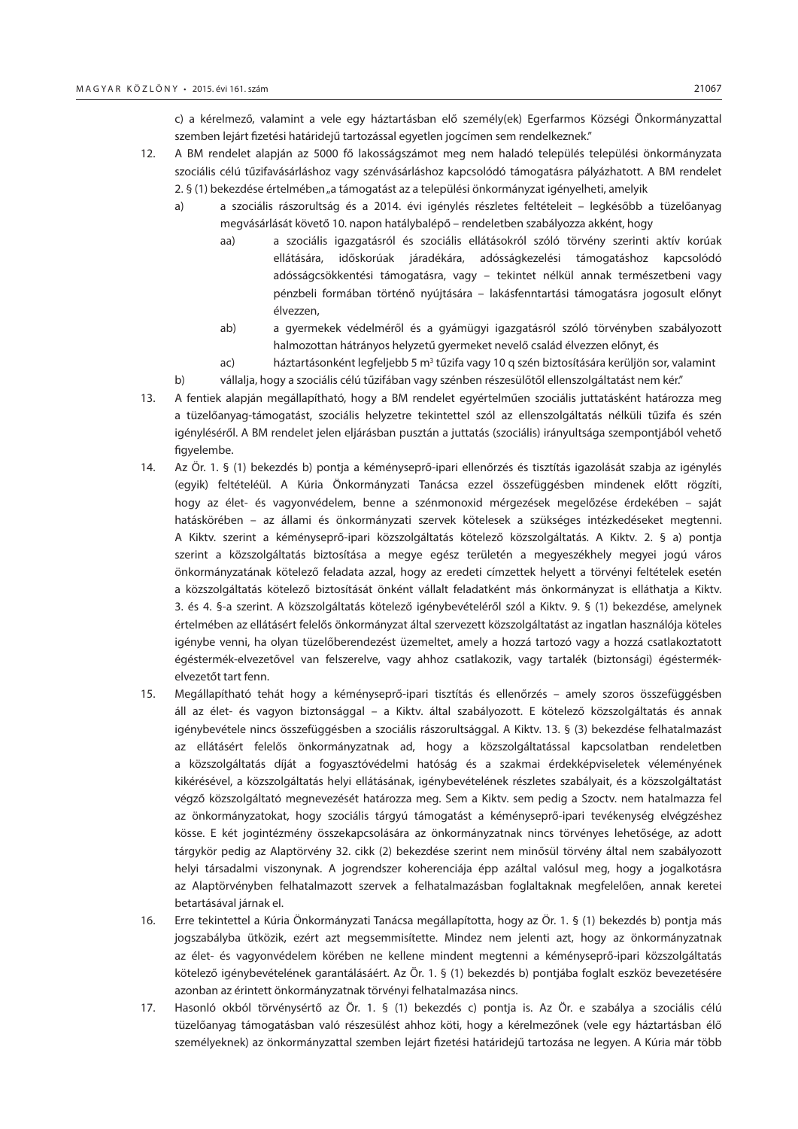c) a kérelmező, valamint a vele egy háztartásban elő személy(ek) Egerfarmos Községi Önkormányzattal szemben lejárt fizetési határidejű tartozással egyetlen jogcímen sem rendelkeznek."

- 12. A BM rendelet alapján az 5000 fő lakosságszámot meg nem haladó település települési önkormányzata szociális célú tűzifavásárláshoz vagy szénvásárláshoz kapcsolódó támogatásra pályázhatott. A BM rendelet 2. § (1) bekezdése értelmében "a támogatást az a települési önkormányzat igényelheti, amelyik
	- a) a szociális rászorultság és a 2014. évi igénylés részletes feltételeit legkésőbb a tüzelőanyag megvásárlását követő 10. napon hatálybalépő – rendeletben szabályozza akként, hogy
		- aa) a szociális igazgatásról és szociális ellátásokról szóló törvény szerinti aktív korúak ellátására, időskorúak járadékára, adósságkezelési támogatáshoz kapcsolódó adósságcsökkentési támogatásra, vagy – tekintet nélkül annak természetbeni vagy pénzbeli formában történő nyújtására – lakásfenntartási támogatásra jogosult előnyt élvezzen,
		- ab) a gyermekek védelméről és a gyámügyi igazgatásról szóló törvényben szabályozott halmozottan hátrányos helyzetű gyermeket nevelő család élvezzen előnyt, és
		- ac) háztartásonként legfeljebb 5 m $^3$  tűzifa vagy 10 q szén biztosítására kerüljön sor, valamint
	- b) vállalja, hogy a szociális célú tűzifában vagy szénben részesülőtől ellenszolgáltatást nem kér."
- 13. A fentiek alapján megállapítható, hogy a BM rendelet egyértelműen szociális juttatásként határozza meg a tüzelőanyag-támogatást, szociális helyzetre tekintettel szól az ellenszolgáltatás nélküli tűzifa és szén igényléséről. A BM rendelet jelen eljárásban pusztán a juttatás (szociális) irányultsága szempontjából vehető figyelembe.
- 14. Az Ör. 1. § (1) bekezdés b) pontja a kéményseprő-ipari ellenőrzés és tisztítás igazolását szabja az igénylés (egyik) feltételéül. A Kúria Önkormányzati Tanácsa ezzel összefüggésben mindenek előtt rögzíti, hogy az élet- és vagyonvédelem, benne a szénmonoxid mérgezések megelőzése érdekében – saját hatáskörében – az állami és önkormányzati szervek kötelesek a szükséges intézkedéseket megtenni. A Kiktv. szerint a kéményseprő-ipari közszolgáltatás kötelező közszolgáltatás. A Kiktv. 2. § a) pontja szerint a közszolgáltatás biztosítása a megye egész területén a megyeszékhely megyei jogú város önkormányzatának kötelező feladata azzal, hogy az eredeti címzettek helyett a törvényi feltételek esetén a közszolgáltatás kötelező biztosítását önként vállalt feladatként más önkormányzat is elláthatja a Kiktv. 3. és 4. §-a szerint. A közszolgáltatás kötelező igénybevételéről szól a Kiktv. 9. § (1) bekezdése, amelynek értelmében az ellátásért felelős önkormányzat által szervezett közszolgáltatást az ingatlan használója köteles igénybe venni, ha olyan tüzelőberendezést üzemeltet, amely a hozzá tartozó vagy a hozzá csatlakoztatott égéstermék-elvezetővel van felszerelve, vagy ahhoz csatlakozik, vagy tartalék (biztonsági) égéstermékelvezetőt tart fenn.
- 15. Megállapítható tehát hogy a kéményseprő-ipari tisztítás és ellenőrzés amely szoros összefüggésben áll az élet- és vagyon biztonsággal – a Kiktv. által szabályozott. E kötelező közszolgáltatás és annak igénybevétele nincs összefüggésben a szociális rászorultsággal. A Kiktv. 13. § (3) bekezdése felhatalmazást az ellátásért felelős önkormányzatnak ad, hogy a közszolgáltatással kapcsolatban rendeletben a közszolgáltatás díját a fogyasztóvédelmi hatóság és a szakmai érdekképviseletek véleményének kikérésével, a közszolgáltatás helyi ellátásának, igénybevételének részletes szabályait, és a közszolgáltatást végző közszolgáltató megnevezését határozza meg. Sem a Kiktv. sem pedig a Szoctv. nem hatalmazza fel az önkormányzatokat, hogy szociális tárgyú támogatást a kéményseprő-ipari tevékenység elvégzéshez kösse. E két jogintézmény összekapcsolására az önkormányzatnak nincs törvényes lehetősége, az adott tárgykör pedig az Alaptörvény 32. cikk (2) bekezdése szerint nem minősül törvény által nem szabályozott helyi társadalmi viszonynak. A jogrendszer koherenciája épp azáltal valósul meg, hogy a jogalkotásra az Alaptörvényben felhatalmazott szervek a felhatalmazásban foglaltaknak megfelelően, annak keretei betartásával járnak el.
- 16. Erre tekintettel a Kúria Önkormányzati Tanácsa megállapította, hogy az Ör. 1. § (1) bekezdés b) pontja más jogszabályba ütközik, ezért azt megsemmisítette. Mindez nem jelenti azt, hogy az önkormányzatnak az élet- és vagyonvédelem körében ne kellene mindent megtenni a kéményseprő-ipari közszolgáltatás kötelező igénybevételének garantálásáért. Az Ör. 1. § (1) bekezdés b) pontjába foglalt eszköz bevezetésére azonban az érintett önkormányzatnak törvényi felhatalmazása nincs.
- 17. Hasonló okból törvénysértő az Ör. 1. § (1) bekezdés c) pontja is. Az Ör. e szabálya a szociális célú tüzelőanyag támogatásban való részesülést ahhoz köti, hogy a kérelmezőnek (vele egy háztartásban élő személyeknek) az önkormányzattal szemben lejárt fizetési határidejű tartozása ne legyen. A Kúria már több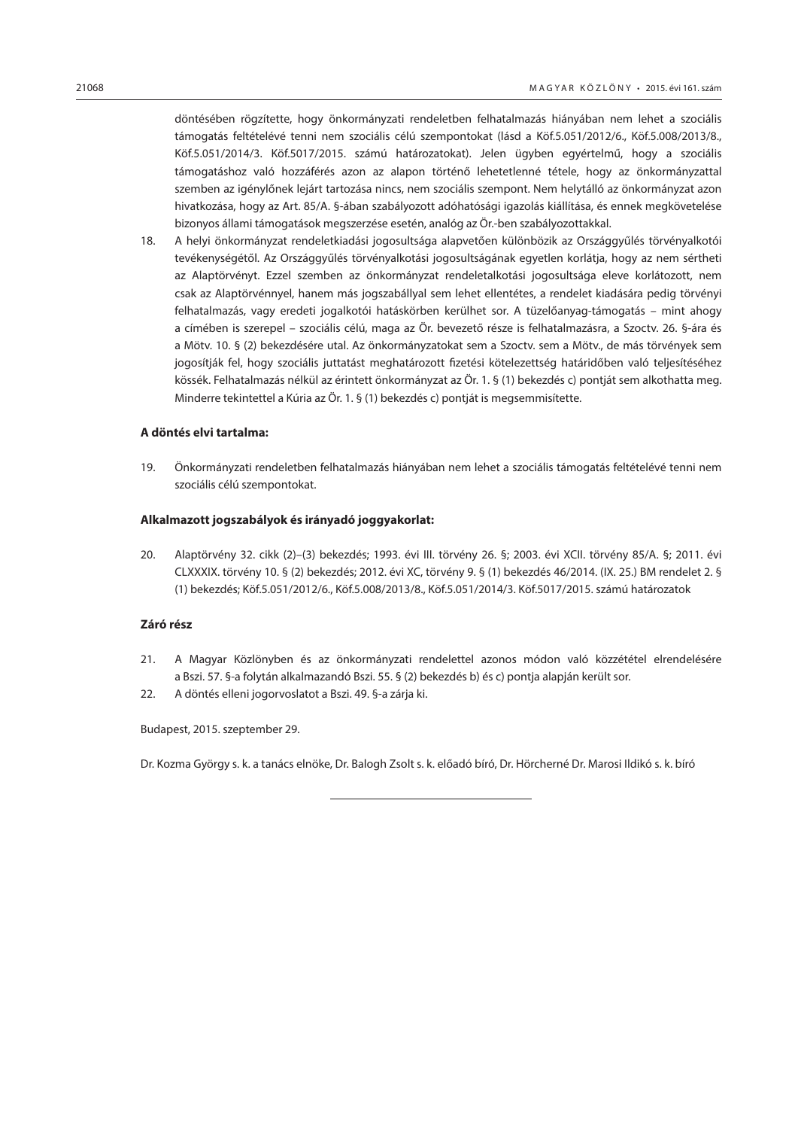döntésében rögzítette, hogy önkormányzati rendeletben felhatalmazás hiányában nem lehet a szociális támogatás feltételévé tenni nem szociális célú szempontokat (lásd a Köf.5.051/2012/6., Köf.5.008/2013/8., Köf.5.051/2014/3. Köf.5017/2015. számú határozatokat). Jelen ügyben egyértelmű, hogy a szociális támogatáshoz való hozzáférés azon az alapon történő lehetetlenné tétele, hogy az önkormányzattal szemben az igénylőnek lejárt tartozása nincs, nem szociális szempont. Nem helytálló az önkormányzat azon hivatkozása, hogy az Art. 85/A. §-ában szabályozott adóhatósági igazolás kiállítása, és ennek megkövetelése bizonyos állami támogatások megszerzése esetén, analóg az Ör.-ben szabályozottakkal.

18. A helyi önkormányzat rendeletkiadási jogosultsága alapvetően különbözik az Országgyűlés törvényalkotói tevékenységétől. Az Országgyűlés törvényalkotási jogosultságának egyetlen korlátja, hogy az nem sértheti az Alaptörvényt. Ezzel szemben az önkormányzat rendeletalkotási jogosultsága eleve korlátozott, nem csak az Alaptörvénnyel, hanem más jogszabállyal sem lehet ellentétes, a rendelet kiadására pedig törvényi felhatalmazás, vagy eredeti jogalkotói hatáskörben kerülhet sor. A tüzelőanyag-támogatás – mint ahogy a címében is szerepel – szociális célú, maga az Ör. bevezető része is felhatalmazásra, a Szoctv. 26. §-ára és a Mötv. 10. § (2) bekezdésére utal. Az önkormányzatokat sem a Szoctv. sem a Mötv., de más törvények sem jogosítják fel, hogy szociális juttatást meghatározott fizetési kötelezettség határidőben való teljesítéséhez kössék. Felhatalmazás nélkül az érintett önkormányzat az Ör. 1. § (1) bekezdés c) pontját sem alkothatta meg. Minderre tekintettel a Kúria az Ör. 1. § (1) bekezdés c) pontját is megsemmisítette.

#### **A döntés elvi tartalma:**

19. Önkormányzati rendeletben felhatalmazás hiányában nem lehet a szociális támogatás feltételévé tenni nem szociális célú szempontokat.

#### **Alkalmazott jogszabályok és irányadó joggyakorlat:**

20. Alaptörvény 32. cikk (2)–(3) bekezdés; 1993. évi III. törvény 26. §; 2003. évi XCII. törvény 85/A. §; 2011. évi CLXXXIX. törvény 10. § (2) bekezdés; 2012. évi XC, törvény 9. § (1) bekezdés 46/2014. (IX. 25.) BM rendelet 2. § (1) bekezdés; Köf.5.051/2012/6., Köf.5.008/2013/8., Köf.5.051/2014/3. Köf.5017/2015. számú határozatok

#### **Záró rész**

- 21. A Magyar Közlönyben és az önkormányzati rendelettel azonos módon való közzététel elrendelésére a Bszi. 57. §-a folytán alkalmazandó Bszi. 55. § (2) bekezdés b) és c) pontja alapján került sor.
- 22. A döntés elleni jogorvoslatot a Bszi. 49. §-a zárja ki.

Budapest, 2015. szeptember 29.

Dr. Kozma György s. k. a tanács elnöke, Dr. Balogh Zsolt s. k. előadó bíró, Dr. Hörcherné Dr. Marosi Ildikó s. k. bíró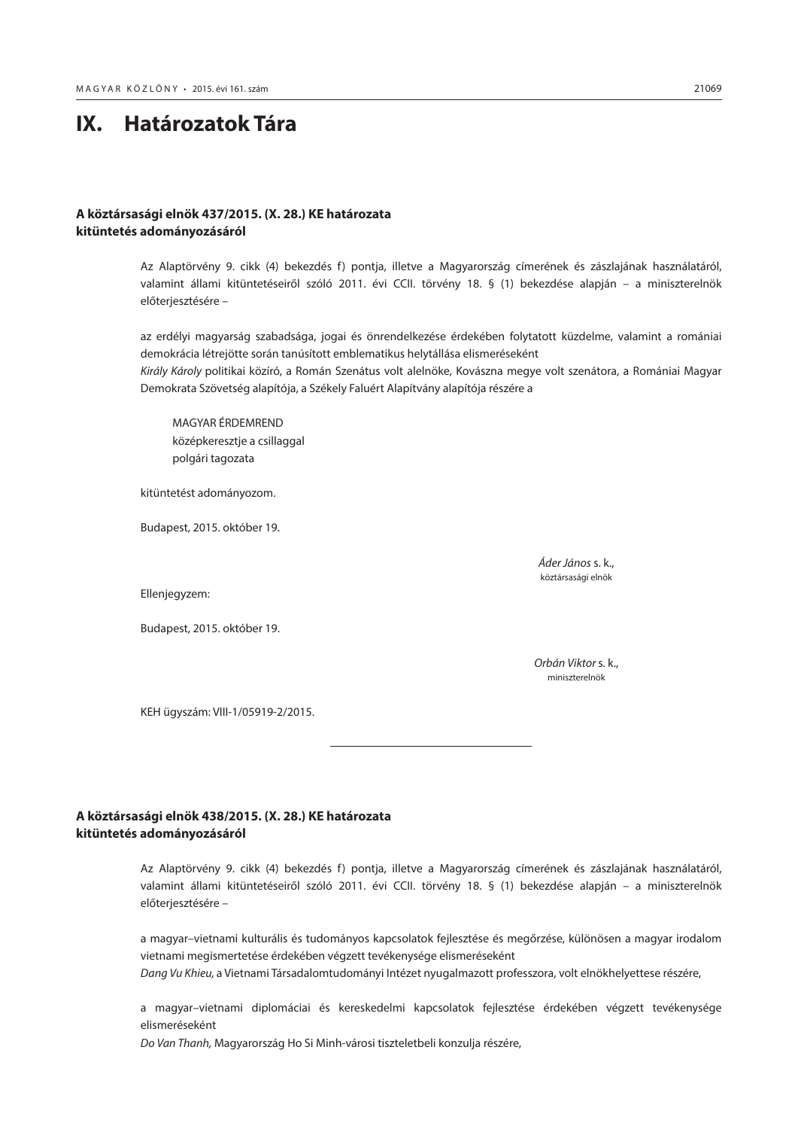# <span id="page-58-0"></span>**IX. Határozatok Tára**

# **A köztársasági elnök 437/2015. (X. 28.) KE határozata kitüntetés adományozásáról**

Az Alaptörvény 9. cikk (4) bekezdés f) pontja, illetve a Magyarország címerének és zászlajának használatáról, valamint állami kitüntetéseiről szóló 2011. évi CCII. törvény 18. § (1) bekezdése alapján – a miniszterelnök előterjesztésére –

az erdélyi magyarság szabadsága, jogai és önrendelkezése érdekében folytatott küzdelme, valamint a romániai demokrácia létrejötte során tanúsított emblematikus helytállása elismeréseként *Király Károly* politikai közíró, a Román Szenátus volt alelnöke, Kovászna megye volt szenátora, a Romániai Magyar Demokrata Szövetség alapítója, a Székely Faluért Alapítvány alapítója részére a

MAGYAR ÉRDEMREND középkeresztje a csillaggal polgári tagozata

kitüntetést adományozom.

Budapest, 2015. október 19.

 *Áder János* s. k., köztársasági elnök

Ellenjegyzem:

Budapest, 2015. október 19.

 *Orbán Viktor* s. k., miniszterelnök

KEH ügyszám: VIII-1/05919-2/2015.

# **A köztársasági elnök 438/2015. (X. 28.) KE határozata kitüntetés adományozásáról**

Az Alaptörvény 9. cikk (4) bekezdés f) pontja, illetve a Magyarország címerének és zászlajának használatáról, valamint állami kitüntetéseiről szóló 2011. évi CCII. törvény 18. § (1) bekezdése alapján – a miniszterelnök előterjesztésére –

a magyar–vietnami kulturális és tudományos kapcsolatok fejlesztése és megőrzése, különösen a magyar irodalom vietnami megismertetése érdekében végzett tevékenysége elismeréseként

*Dang Vu Khieu,* a Vietnami Társadalomtudományi Intézet nyugalmazott professzora, volt elnökhelyettese részére,

a magyar–vietnami diplomáciai és kereskedelmi kapcsolatok fejlesztése érdekében végzett tevékenysége elismeréseként

*Do Van Thanh,* Magyarország Ho Si Minh-városi tiszteletbeli konzulja részére,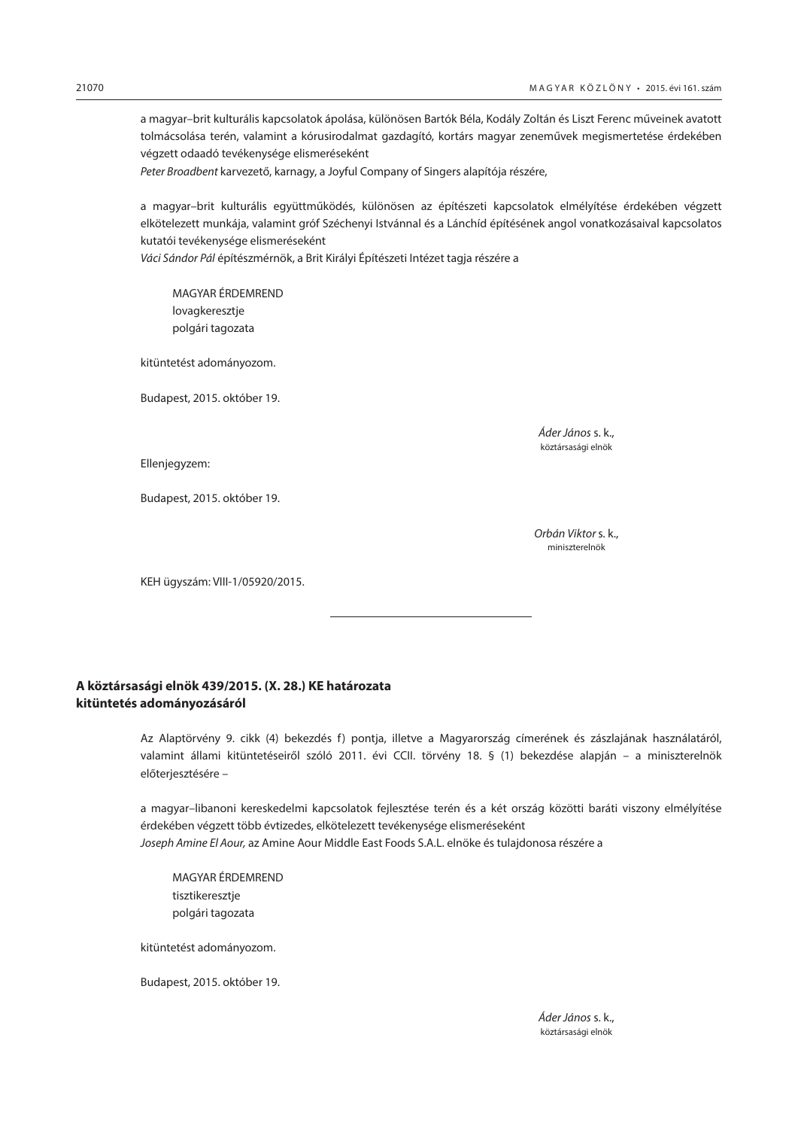<span id="page-59-0"></span>a magyar–brit kulturális kapcsolatok ápolása, különösen Bartók Béla, Kodály Zoltán és Liszt Ferenc műveinek avatott tolmácsolása terén, valamint a kórusirodalmat gazdagító, kortárs magyar zeneművek megismertetése érdekében végzett odaadó tevékenysége elismeréseként

*Peter Broadbent* karvezető, karnagy, a Joyful Company of Singers alapítója részére,

a magyar–brit kulturális együttműködés, különösen az építészeti kapcsolatok elmélyítése érdekében végzett elkötelezett munkája, valamint gróf Széchenyi Istvánnal és a Lánchíd építésének angol vonatkozásaival kapcsolatos kutatói tevékenysége elismeréseként

*Váci Sándor Pál* építészmérnök, a Brit Királyi Építészeti Intézet tagja részére a

MAGYAR ÉRDEMREND lovagkeresztje polgári tagozata

kitüntetést adományozom.

Budapest, 2015. október 19.

 *Áder János* s. k., köztársasági elnök

Ellenjegyzem:

Budapest, 2015. október 19.

 *Orbán Viktor* s. k., miniszterelnök

KEH ügyszám: VIII-1/05920/2015.

# **A köztársasági elnök 439/2015. (X. 28.) KE határozata kitüntetés adományozásáról**

Az Alaptörvény 9. cikk (4) bekezdés f) pontja, illetve a Magyarország címerének és zászlajának használatáról, valamint állami kitüntetéseiről szóló 2011. évi CCII. törvény 18. § (1) bekezdése alapján – a miniszterelnök előterjesztésére –

a magyar–libanoni kereskedelmi kapcsolatok fejlesztése terén és a két ország közötti baráti viszony elmélyítése érdekében végzett több évtizedes, elkötelezett tevékenysége elismeréseként *Joseph Amine El Aour,* az Amine Aour Middle East Foods S.A.L. elnöke és tulajdonosa részére a

MAGYAR ÉRDEMREND tisztikeresztje polgári tagozata

kitüntetést adományozom.

Budapest, 2015. október 19.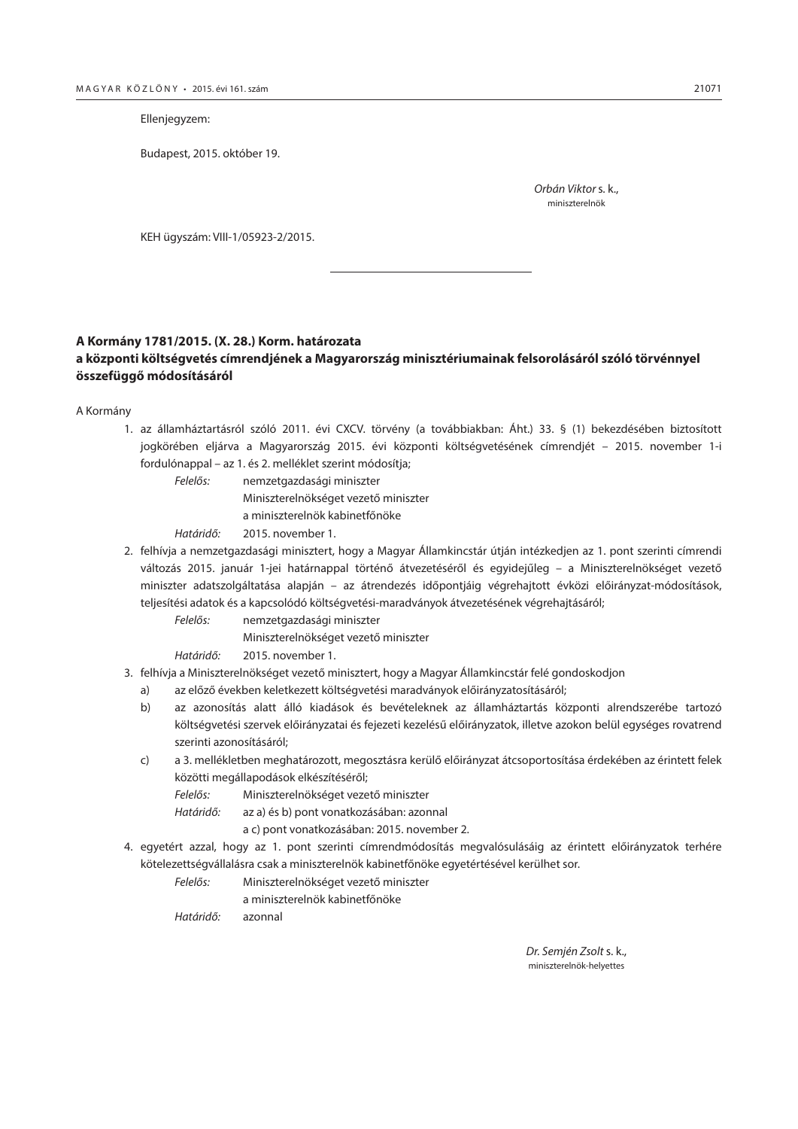<span id="page-60-0"></span>Ellenjegyzem:

Budapest, 2015. október 19.

 *Orbán Viktor* s. k., miniszterelnök

KEH ügyszám: VIII-1/05923-2/2015.

## **A Kormány 1781/2015. (X. 28.) Korm. határozata**

# **a központi költségvetés címrendjének a Magyarország minisztériumainak felsorolásáról szóló törvénnyel összefüggő módosításáról**

A Kormány

- 1. az államháztartásról szóló 2011. évi CXCV. törvény (a továbbiakban: Áht.) 33. § (1) bekezdésében biztosított jogkörében eljárva a Magyarország 2015. évi központi költségvetésének címrendjét – 2015. november 1-i fordulónappal – az 1. és 2. melléklet szerint módosítja;
	- *Felelős:* nemzetgazdasági miniszter Miniszterelnökséget vezető miniszter a miniszterelnök kabinetfőnöke

*Határidő:* 2015. november 1.

- 2. felhívja a nemzetgazdasági minisztert, hogy a Magyar Államkincstár útján intézkedjen az 1. pont szerinti címrendi változás 2015. január 1-jei határnappal történő átvezetéséről és egyidejűleg – a Miniszterelnökséget vezető miniszter adatszolgáltatása alapján – az átrendezés időpontjáig végrehajtott évközi előirányzat-módosítások, teljesítési adatok és a kapcsolódó költségvetési-maradványok átvezetésének végrehajtásáról;
	- *Felelős:* nemzetgazdasági miniszter

Miniszterelnökséget vezető miniszter

*Határidő:* 2015. november 1.

- 3. felhívja a Miniszterelnökséget vezető minisztert, hogy a Magyar Államkincstár felé gondoskodjon
	- a) az előző években keletkezett költségvetési maradványok előirányzatosításáról;
	- b) az azonosítás alatt álló kiadások és bevételeknek az államháztartás központi alrendszerébe tartozó költségvetési szervek előirányzatai és fejezeti kezelésű előirányzatok, illetve azokon belül egységes rovatrend szerinti azonosításáról;
	- c) a 3. mellékletben meghatározott, megosztásra kerülő előirányzat átcsoportosítása érdekében az érintett felek közötti megállapodások elkészítéséről;
		- *Felelős:* Miniszterelnökséget vezető miniszter
		- *Határidő:* az a) és b) pont vonatkozásában: azonnal

a c) pont vonatkozásában: 2015. november 2.

- 4. egyetért azzal, hogy az 1. pont szerinti címrendmódosítás megvalósulásáig az érintett előirányzatok terhére kötelezettségvállalásra csak a miniszterelnök kabinetfőnöke egyetértésével kerülhet sor.
	- *Felelős:* Miniszterelnökséget vezető miniszter
		- a miniszterelnök kabinetfőnöke

*Határidő:* azonnal

 *Dr. Semjén Zsolt* s. k., miniszterelnök-helyettes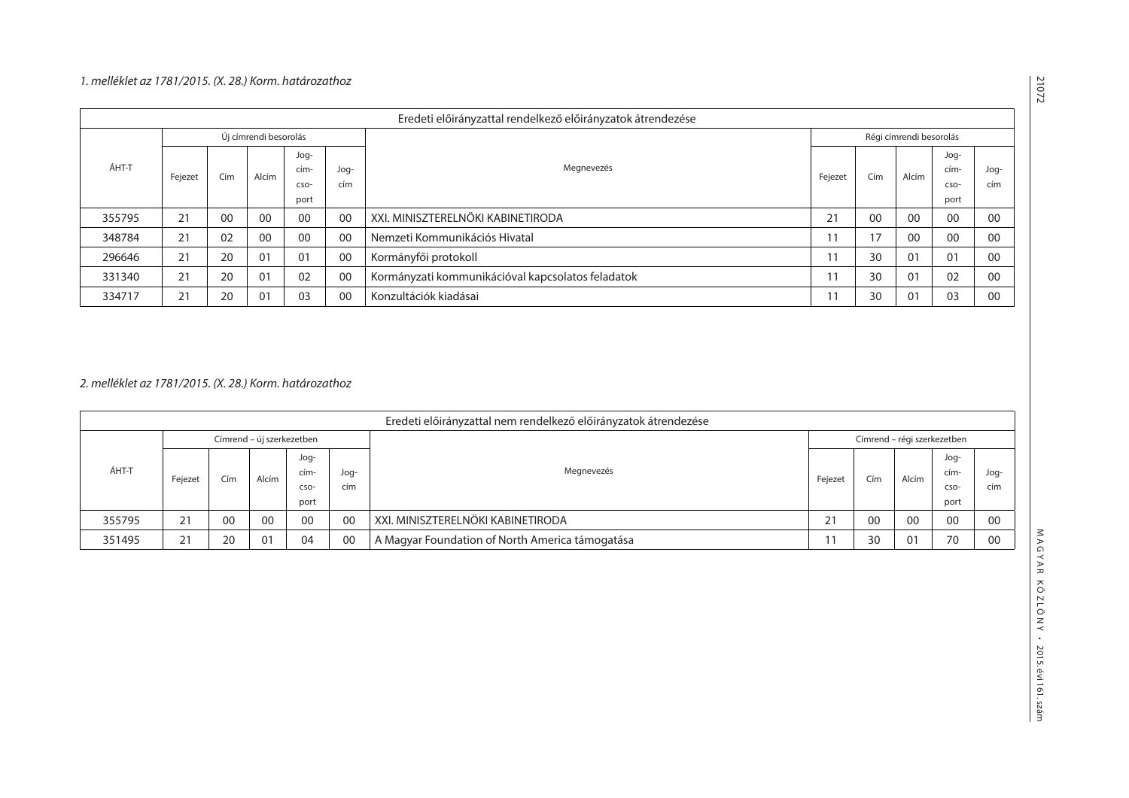# *1. melléklet az 1781/2015. (X. 28.) Korm. határozathoz*

|        | Eredeti előirányzattal rendelkező előirányzatok átrendezése                          |         |                       |       |                      |                                                   |                         |    |             |      |    |  |  |
|--------|--------------------------------------------------------------------------------------|---------|-----------------------|-------|----------------------|---------------------------------------------------|-------------------------|----|-------------|------|----|--|--|
|        |                                                                                      |         | Új címrendi besorolás |       |                      |                                                   | Régi címrendi besorolás |    |             |      |    |  |  |
| ÁHT-T  | -pol<br>Megnevezés<br>cím-<br>-pol<br>Cím<br>Alcím<br>Fejezet<br>cím<br>CSO-<br>port | Fejezet | Cím                   | Alcím | -pol<br>cím-<br>CSO- | Jog-<br>cím                                       |                         |    |             |      |    |  |  |
|        |                                                                                      |         |                       |       |                      |                                                   |                         |    |             | port |    |  |  |
| 355795 | 21                                                                                   | 00      | 00                    | 00    | 00                   | XXI. MINISZTERELNÖKI KABINETIRODA                 |                         | 00 | 00          | 00   | 00 |  |  |
| 348784 | 21                                                                                   | 02      | 00                    | 00    | 00                   | Nemzeti Kommunikációs Hivatal                     | 11                      | 17 | 00          | 00   | 00 |  |  |
| 296646 | 21                                                                                   | 20      | 0 <sub>1</sub>        | 01    | 00                   | Kormányfői protokoll                              | 11                      | 30 | $0^{\circ}$ | 01   | 00 |  |  |
| 331340 | 21                                                                                   | 20      | 01                    | 02    | 00                   | Kormányzati kommunikációval kapcsolatos feladatok | 11                      | 30 | $0^{\cdot}$ | 02   | 00 |  |  |
| 334717 | 21                                                                                   | 20      | 01                    | 03    | 00                   | Konzultációk kiadásai                             | 11                      | 30 | $0^{\circ}$ | 03   | 00 |  |  |

*2. melléklet az 1781/2015. (X. 28.) Korm. határozathoz*

|        | Eredeti előirányzattal nem rendelkező előirányzatok átrendezése |     |                           |      |      |                                                 |                             |      |       |      |      |     |  |
|--------|-----------------------------------------------------------------|-----|---------------------------|------|------|-------------------------------------------------|-----------------------------|------|-------|------|------|-----|--|
| ÁHT-T  |                                                                 |     | Címrend – új szerkezetben |      |      |                                                 | Címrend – régi szerkezetben |      |       |      |      |     |  |
|        |                                                                 |     |                           | Jog- |      |                                                 |                             |      | Alcím | -Jog |      |     |  |
|        | Fejezet                                                         | Cím | Alcím                     | cím- | -pol | Megnevezés                                      | Fejezet                     | Cím  |       | cím- | -pol |     |  |
|        |                                                                 |     |                           |      | CSO- | cím                                             |                             |      |       |      | CSO- | cím |  |
|        |                                                                 |     |                           |      |      |                                                 |                             | port |       |      |      |     |  |
| 355795 | 21                                                              | 00  | 00                        | 00   | 00   | XXI. MINISZTERELNÖKI KABINETIRODA               | 21                          | 00   | -00   | 00   | 00   |     |  |
| 351495 | 21                                                              | 20  | 01                        | 04   | 00   | A Magyar Foundation of North America támogatása |                             | 30   | 01    | 70   | 00   |     |  |

21072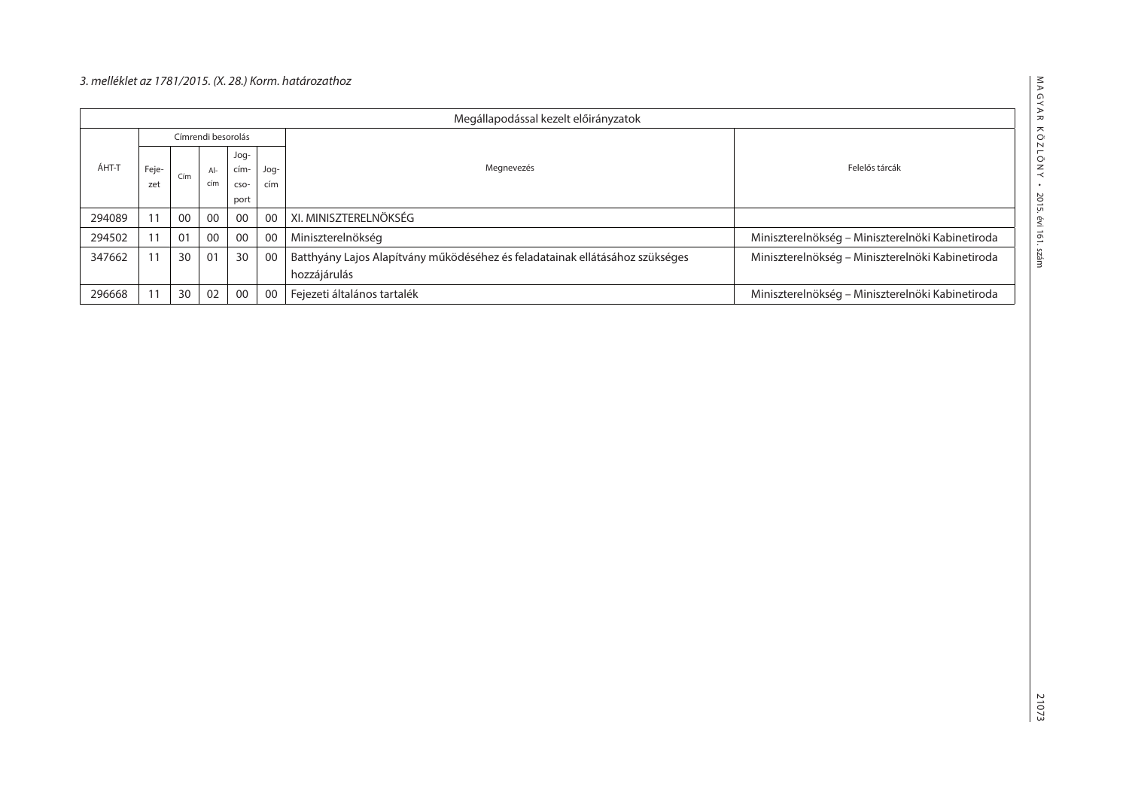# *3. melléklet az 1781/2015. (X. 28.) Korm. határozathoz*

| Megállapodással kezelt előirányzatok |                    |     |     |      |      |                                                                              |                                                  |
|--------------------------------------|--------------------|-----|-----|------|------|------------------------------------------------------------------------------|--------------------------------------------------|
| ÁHT-T                                | Címrendi besorolás |     |     |      |      |                                                                              |                                                  |
|                                      | Feje-<br>zet       | Cím |     | Jog- |      |                                                                              |                                                  |
|                                      |                    |     | Al- | cím- | -Jog | Megnevezés                                                                   | Felelős tárcák                                   |
|                                      |                    |     | cím | CSO- | cím  |                                                                              |                                                  |
|                                      |                    |     |     | port |      |                                                                              |                                                  |
| 294089                               | 11                 | 00  | 00  | 00   | 00   | XI. MINISZTERELNÖKSÉG                                                        |                                                  |
| 294502                               |                    | 01  | 00  | 00   | 00   | Miniszterelnökség                                                            | Miniszterelnökség – Miniszterelnöki Kabinetiroda |
| 347662                               | 11                 | 30  | 01  | 30   | 00   | Batthyány Lajos Alapítvány működéséhez és feladatainak ellátásához szükséges | Miniszterelnökség – Miniszterelnöki Kabinetiroda |
|                                      |                    |     |     |      |      | hozzájárulás                                                                 |                                                  |
| 296668                               |                    | 30  | 02  | 00   | 00   | Fejezeti általános tartalék                                                  | Miniszterelnökség – Miniszterelnöki Kabinetiroda |